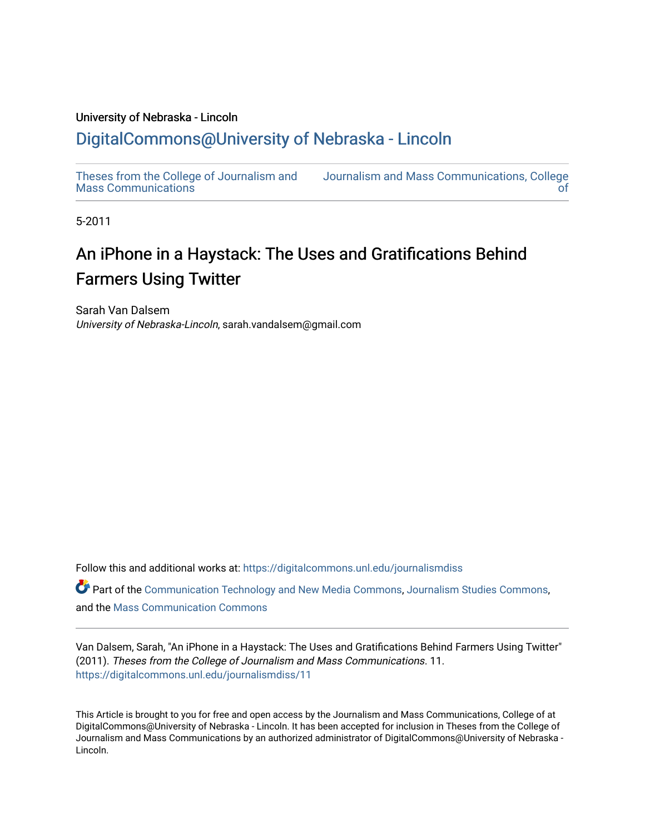### University of Nebraska - Lincoln

## [DigitalCommons@University of Nebraska - Lincoln](https://digitalcommons.unl.edu/)

[Theses from the College of Journalism and](https://digitalcommons.unl.edu/journalismdiss)  [Mass Communications](https://digitalcommons.unl.edu/journalismdiss) [Journalism and Mass Communications, College](https://digitalcommons.unl.edu/journalism)  [of](https://digitalcommons.unl.edu/journalism) 

5-2011

# An iPhone in a Haystack: The Uses and Gratifications Behind Farmers Using Twitter

Sarah Van Dalsem University of Nebraska-Lincoln, sarah.vandalsem@gmail.com

Follow this and additional works at: [https://digitalcommons.unl.edu/journalismdiss](https://digitalcommons.unl.edu/journalismdiss?utm_source=digitalcommons.unl.edu%2Fjournalismdiss%2F11&utm_medium=PDF&utm_campaign=PDFCoverPages)  Part of the [Communication Technology and New Media Commons,](http://network.bepress.com/hgg/discipline/327?utm_source=digitalcommons.unl.edu%2Fjournalismdiss%2F11&utm_medium=PDF&utm_campaign=PDFCoverPages) [Journalism Studies Commons](http://network.bepress.com/hgg/discipline/333?utm_source=digitalcommons.unl.edu%2Fjournalismdiss%2F11&utm_medium=PDF&utm_campaign=PDFCoverPages), and the [Mass Communication Commons](http://network.bepress.com/hgg/discipline/334?utm_source=digitalcommons.unl.edu%2Fjournalismdiss%2F11&utm_medium=PDF&utm_campaign=PDFCoverPages) 

Van Dalsem, Sarah, "An iPhone in a Haystack: The Uses and Gratifications Behind Farmers Using Twitter" (2011). Theses from the College of Journalism and Mass Communications. 11. [https://digitalcommons.unl.edu/journalismdiss/11](https://digitalcommons.unl.edu/journalismdiss/11?utm_source=digitalcommons.unl.edu%2Fjournalismdiss%2F11&utm_medium=PDF&utm_campaign=PDFCoverPages) 

This Article is brought to you for free and open access by the Journalism and Mass Communications, College of at DigitalCommons@University of Nebraska - Lincoln. It has been accepted for inclusion in Theses from the College of Journalism and Mass Communications by an authorized administrator of DigitalCommons@University of Nebraska - Lincoln.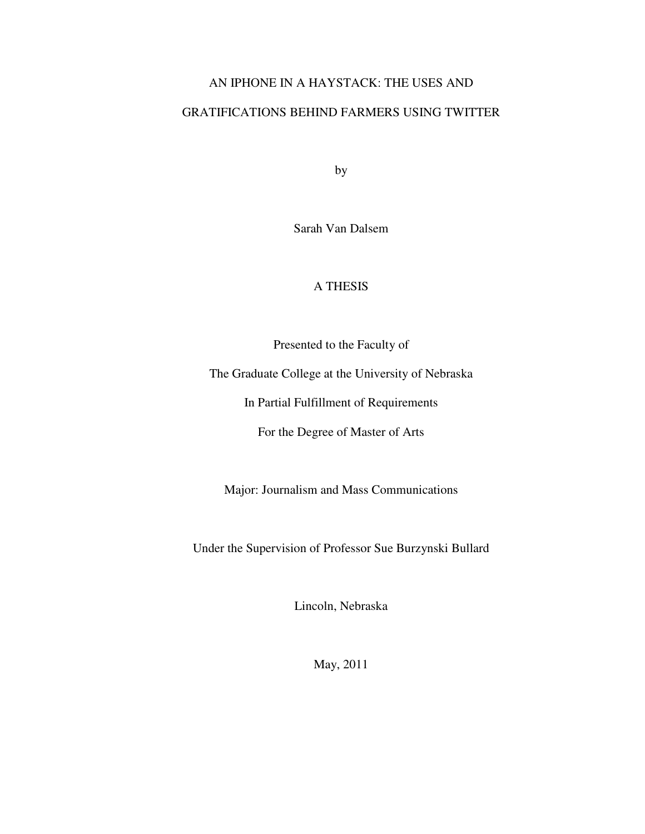## AN IPHONE IN A HAYSTACK: THE USES AND

## GRATIFICATIONS BEHIND FARMERS USING TWITTER

by

Sarah Van Dalsem

## A THESIS

Presented to the Faculty of

The Graduate College at the University of Nebraska

In Partial Fulfillment of Requirements

For the Degree of Master of Arts

Major: Journalism and Mass Communications

Under the Supervision of Professor Sue Burzynski Bullard

Lincoln, Nebraska

May, 2011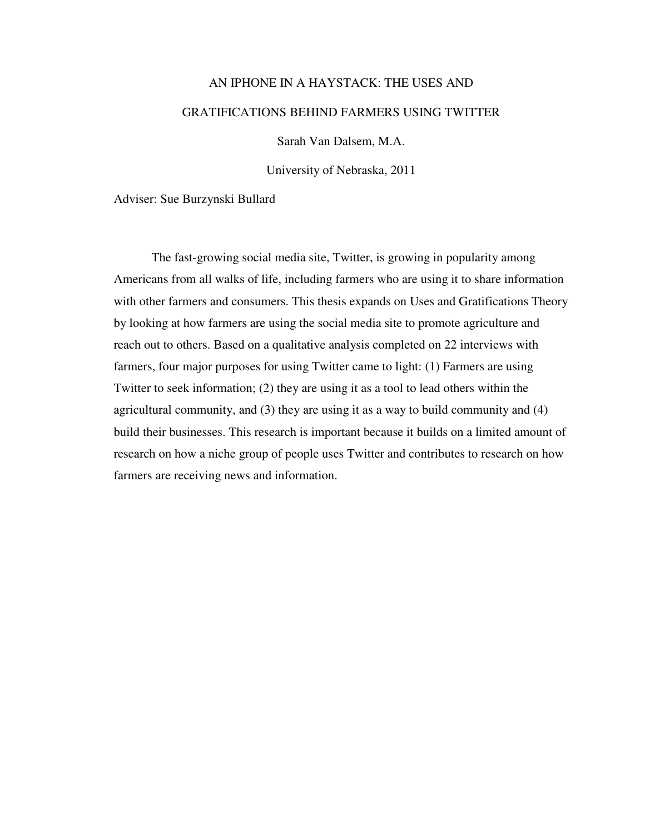# AN IPHONE IN A HAYSTACK: THE USES AND GRATIFICATIONS BEHIND FARMERS USING TWITTER

Sarah Van Dalsem, M.A.

University of Nebraska, 2011

Adviser: Sue Burzynski Bullard

The fast-growing social media site, Twitter, is growing in popularity among Americans from all walks of life, including farmers who are using it to share information with other farmers and consumers. This thesis expands on Uses and Gratifications Theory by looking at how farmers are using the social media site to promote agriculture and reach out to others. Based on a qualitative analysis completed on 22 interviews with farmers, four major purposes for using Twitter came to light: (1) Farmers are using Twitter to seek information; (2) they are using it as a tool to lead others within the agricultural community, and (3) they are using it as a way to build community and (4) build their businesses. This research is important because it builds on a limited amount of research on how a niche group of people uses Twitter and contributes to research on how farmers are receiving news and information.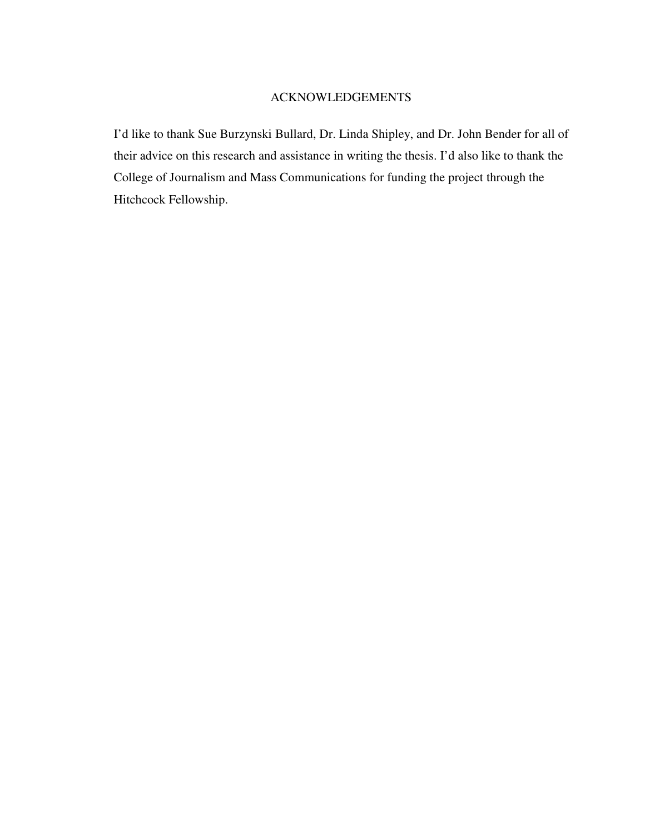### ACKNOWLEDGEMENTS

I'd like to thank Sue Burzynski Bullard, Dr. Linda Shipley, and Dr. John Bender for all of their advice on this research and assistance in writing the thesis. I'd also like to thank the College of Journalism and Mass Communications for funding the project through the Hitchcock Fellowship.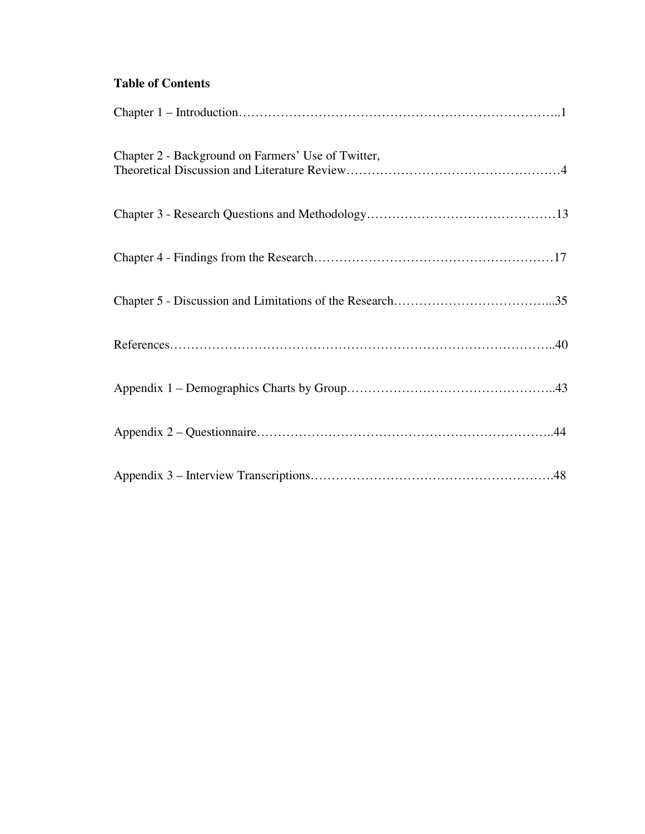## **Table of Contents**

| Chapter 2 - Background on Farmers' Use of Twitter, |
|----------------------------------------------------|
|                                                    |
|                                                    |
|                                                    |
|                                                    |
|                                                    |
|                                                    |
|                                                    |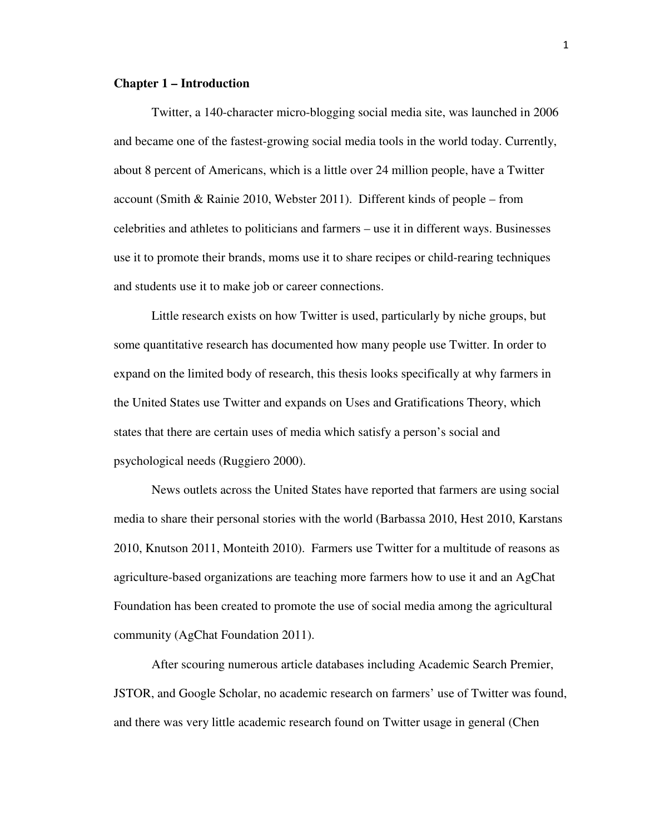#### **Chapter 1 – Introduction**

Twitter, a 140-character micro-blogging social media site, was launched in 2006 and became one of the fastest-growing social media tools in the world today. Currently, about 8 percent of Americans, which is a little over 24 million people, have a Twitter account (Smith & Rainie 2010, Webster 2011). Different kinds of people – from celebrities and athletes to politicians and farmers – use it in different ways. Businesses use it to promote their brands, moms use it to share recipes or child-rearing techniques and students use it to make job or career connections.

Little research exists on how Twitter is used, particularly by niche groups, but some quantitative research has documented how many people use Twitter. In order to expand on the limited body of research, this thesis looks specifically at why farmers in the United States use Twitter and expands on Uses and Gratifications Theory, which states that there are certain uses of media which satisfy a person's social and psychological needs (Ruggiero 2000).

News outlets across the United States have reported that farmers are using social media to share their personal stories with the world (Barbassa 2010, Hest 2010, Karstans 2010, Knutson 2011, Monteith 2010). Farmers use Twitter for a multitude of reasons as agriculture-based organizations are teaching more farmers how to use it and an AgChat Foundation has been created to promote the use of social media among the agricultural community (AgChat Foundation 2011).

After scouring numerous article databases including Academic Search Premier, JSTOR, and Google Scholar, no academic research on farmers' use of Twitter was found, and there was very little academic research found on Twitter usage in general (Chen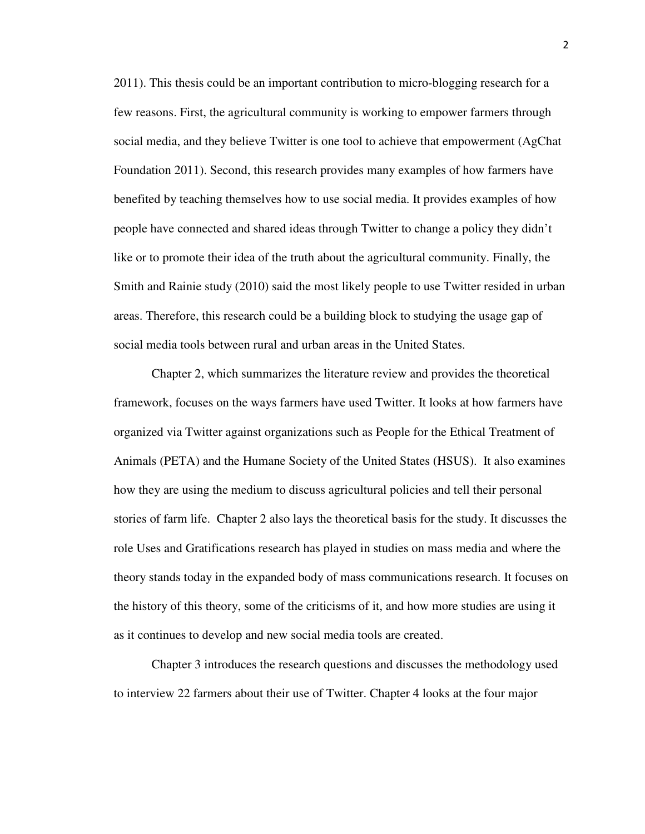2011). This thesis could be an important contribution to micro-blogging research for a few reasons. First, the agricultural community is working to empower farmers through social media, and they believe Twitter is one tool to achieve that empowerment (AgChat Foundation 2011). Second, this research provides many examples of how farmers have benefited by teaching themselves how to use social media. It provides examples of how people have connected and shared ideas through Twitter to change a policy they didn't like or to promote their idea of the truth about the agricultural community. Finally, the Smith and Rainie study (2010) said the most likely people to use Twitter resided in urban areas. Therefore, this research could be a building block to studying the usage gap of social media tools between rural and urban areas in the United States.

Chapter 2, which summarizes the literature review and provides the theoretical framework, focuses on the ways farmers have used Twitter. It looks at how farmers have organized via Twitter against organizations such as People for the Ethical Treatment of Animals (PETA) and the Humane Society of the United States (HSUS). It also examines how they are using the medium to discuss agricultural policies and tell their personal stories of farm life. Chapter 2 also lays the theoretical basis for the study. It discusses the role Uses and Gratifications research has played in studies on mass media and where the theory stands today in the expanded body of mass communications research. It focuses on the history of this theory, some of the criticisms of it, and how more studies are using it as it continues to develop and new social media tools are created.

Chapter 3 introduces the research questions and discusses the methodology used to interview 22 farmers about their use of Twitter. Chapter 4 looks at the four major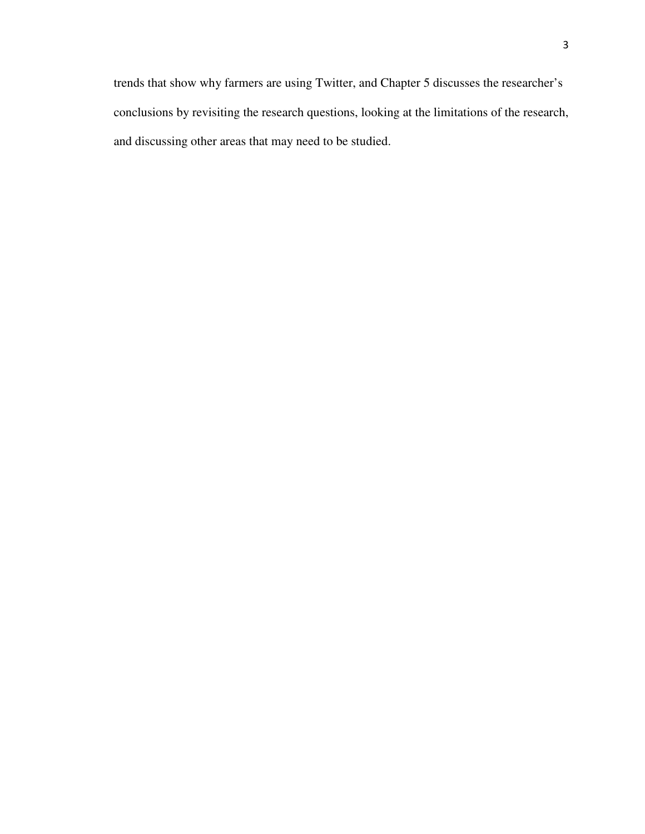trends that show why farmers are using Twitter, and Chapter 5 discusses the researcher's conclusions by revisiting the research questions, looking at the limitations of the research, and discussing other areas that may need to be studied.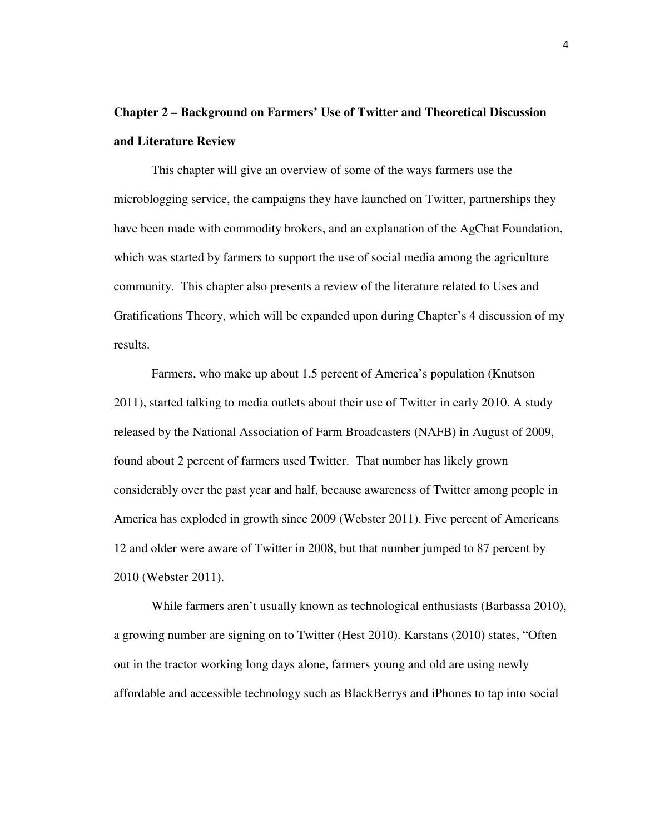## **Chapter 2 – Background on Farmers' Use of Twitter and Theoretical Discussion and Literature Review**

This chapter will give an overview of some of the ways farmers use the microblogging service, the campaigns they have launched on Twitter, partnerships they have been made with commodity brokers, and an explanation of the AgChat Foundation, which was started by farmers to support the use of social media among the agriculture community. This chapter also presents a review of the literature related to Uses and Gratifications Theory, which will be expanded upon during Chapter's 4 discussion of my results.

Farmers, who make up about 1.5 percent of America's population (Knutson 2011), started talking to media outlets about their use of Twitter in early 2010. A study released by the National Association of Farm Broadcasters (NAFB) in August of 2009, found about 2 percent of farmers used Twitter. That number has likely grown considerably over the past year and half, because awareness of Twitter among people in America has exploded in growth since 2009 (Webster 2011). Five percent of Americans 12 and older were aware of Twitter in 2008, but that number jumped to 87 percent by 2010 (Webster 2011).

While farmers aren't usually known as technological enthusiasts (Barbassa 2010), a growing number are signing on to Twitter (Hest 2010). Karstans (2010) states, "Often out in the tractor working long days alone, farmers young and old are using newly affordable and accessible technology such as BlackBerrys and iPhones to tap into social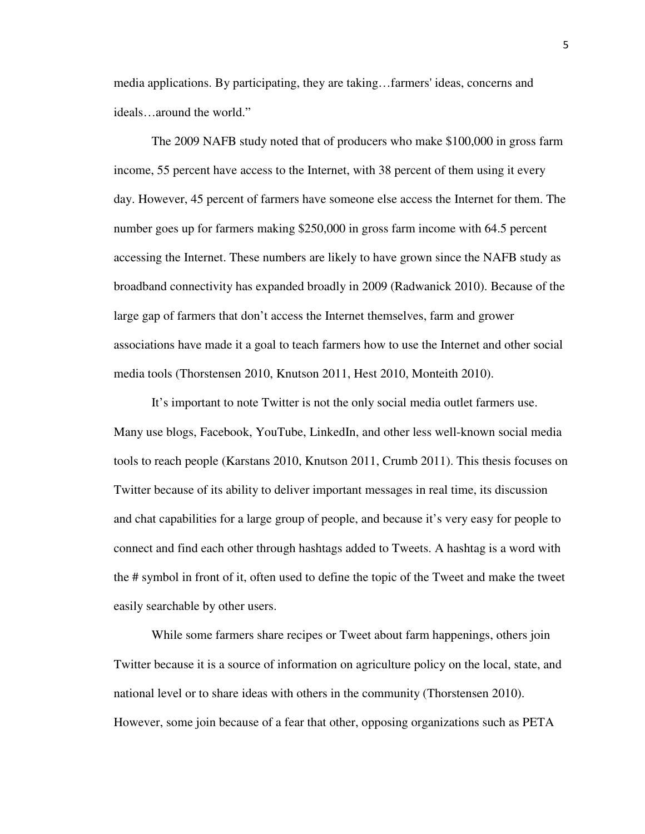media applications. By participating, they are taking…farmers' ideas, concerns and ideals…around the world."

The 2009 NAFB study noted that of producers who make \$100,000 in gross farm income, 55 percent have access to the Internet, with 38 percent of them using it every day. However, 45 percent of farmers have someone else access the Internet for them. The number goes up for farmers making \$250,000 in gross farm income with 64.5 percent accessing the Internet. These numbers are likely to have grown since the NAFB study as broadband connectivity has expanded broadly in 2009 (Radwanick 2010). Because of the large gap of farmers that don't access the Internet themselves, farm and grower associations have made it a goal to teach farmers how to use the Internet and other social media tools (Thorstensen 2010, Knutson 2011, Hest 2010, Monteith 2010).

It's important to note Twitter is not the only social media outlet farmers use. Many use blogs, Facebook, YouTube, LinkedIn, and other less well-known social media tools to reach people (Karstans 2010, Knutson 2011, Crumb 2011). This thesis focuses on Twitter because of its ability to deliver important messages in real time, its discussion and chat capabilities for a large group of people, and because it's very easy for people to connect and find each other through hashtags added to Tweets. A hashtag is a word with the # symbol in front of it, often used to define the topic of the Tweet and make the tweet easily searchable by other users.

While some farmers share recipes or Tweet about farm happenings, others join Twitter because it is a source of information on agriculture policy on the local, state, and national level or to share ideas with others in the community (Thorstensen 2010). However, some join because of a fear that other, opposing organizations such as PETA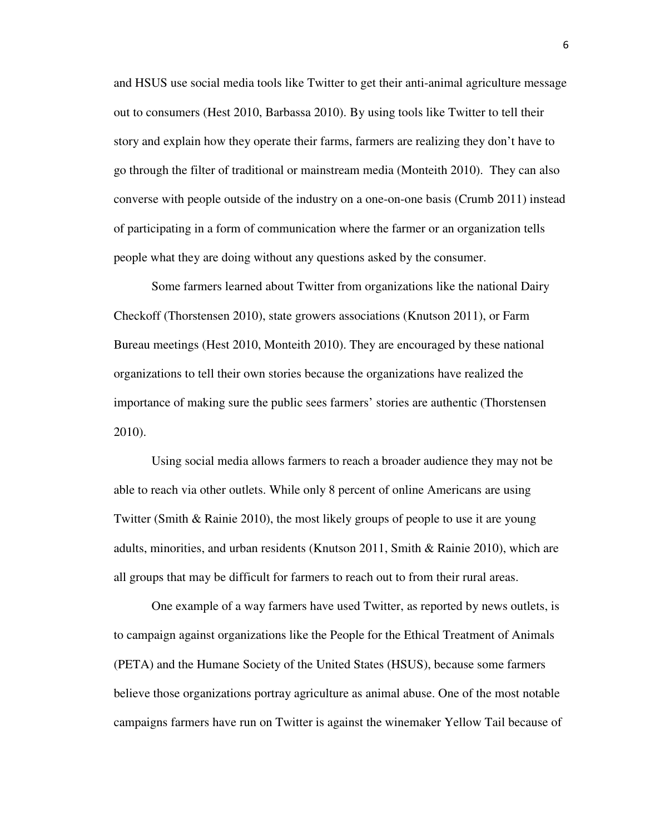and HSUS use social media tools like Twitter to get their anti-animal agriculture message out to consumers (Hest 2010, Barbassa 2010). By using tools like Twitter to tell their story and explain how they operate their farms, farmers are realizing they don't have to go through the filter of traditional or mainstream media (Monteith 2010). They can also converse with people outside of the industry on a one-on-one basis (Crumb 2011) instead of participating in a form of communication where the farmer or an organization tells people what they are doing without any questions asked by the consumer.

Some farmers learned about Twitter from organizations like the national Dairy Checkoff (Thorstensen 2010), state growers associations (Knutson 2011), or Farm Bureau meetings (Hest 2010, Monteith 2010). They are encouraged by these national organizations to tell their own stories because the organizations have realized the importance of making sure the public sees farmers' stories are authentic (Thorstensen 2010).

Using social media allows farmers to reach a broader audience they may not be able to reach via other outlets. While only 8 percent of online Americans are using Twitter (Smith & Rainie 2010), the most likely groups of people to use it are young adults, minorities, and urban residents (Knutson 2011, Smith & Rainie 2010), which are all groups that may be difficult for farmers to reach out to from their rural areas.

One example of a way farmers have used Twitter, as reported by news outlets, is to campaign against organizations like the People for the Ethical Treatment of Animals (PETA) and the Humane Society of the United States (HSUS), because some farmers believe those organizations portray agriculture as animal abuse. One of the most notable campaigns farmers have run on Twitter is against the winemaker Yellow Tail because of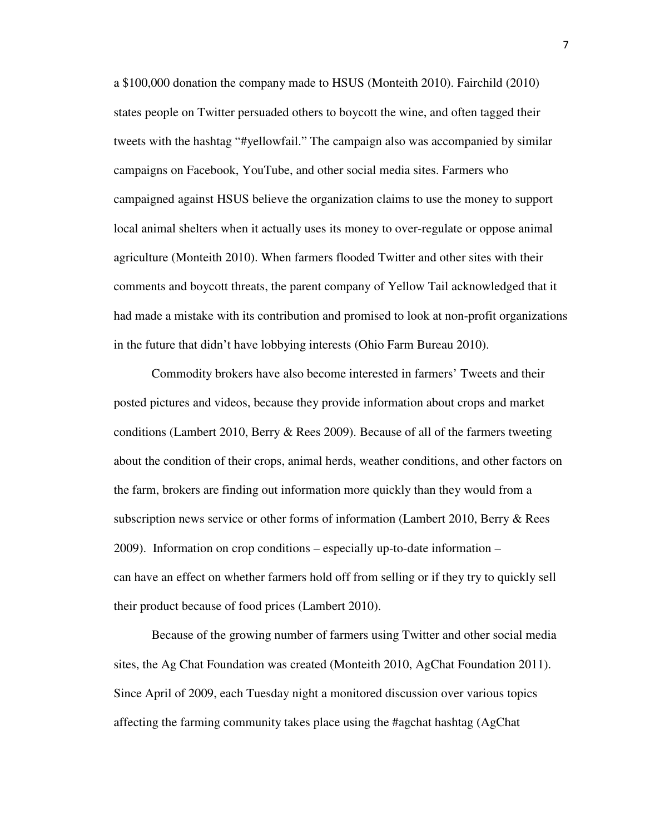a \$100,000 donation the company made to HSUS (Monteith 2010). Fairchild (2010) states people on Twitter persuaded others to boycott the wine, and often tagged their tweets with the hashtag "#yellowfail." The campaign also was accompanied by similar campaigns on Facebook, YouTube, and other social media sites. Farmers who campaigned against HSUS believe the organization claims to use the money to support local animal shelters when it actually uses its money to over-regulate or oppose animal agriculture (Monteith 2010). When farmers flooded Twitter and other sites with their comments and boycott threats, the parent company of Yellow Tail acknowledged that it had made a mistake with its contribution and promised to look at non-profit organizations in the future that didn't have lobbying interests (Ohio Farm Bureau 2010).

Commodity brokers have also become interested in farmers' Tweets and their posted pictures and videos, because they provide information about crops and market conditions (Lambert 2010, Berry & Rees 2009). Because of all of the farmers tweeting about the condition of their crops, animal herds, weather conditions, and other factors on the farm, brokers are finding out information more quickly than they would from a subscription news service or other forms of information (Lambert 2010, Berry & Rees 2009). Information on crop conditions – especially up-to-date information – can have an effect on whether farmers hold off from selling or if they try to quickly sell their product because of food prices (Lambert 2010).

Because of the growing number of farmers using Twitter and other social media sites, the Ag Chat Foundation was created (Monteith 2010, AgChat Foundation 2011). Since April of 2009, each Tuesday night a monitored discussion over various topics affecting the farming community takes place using the #agchat hashtag (AgChat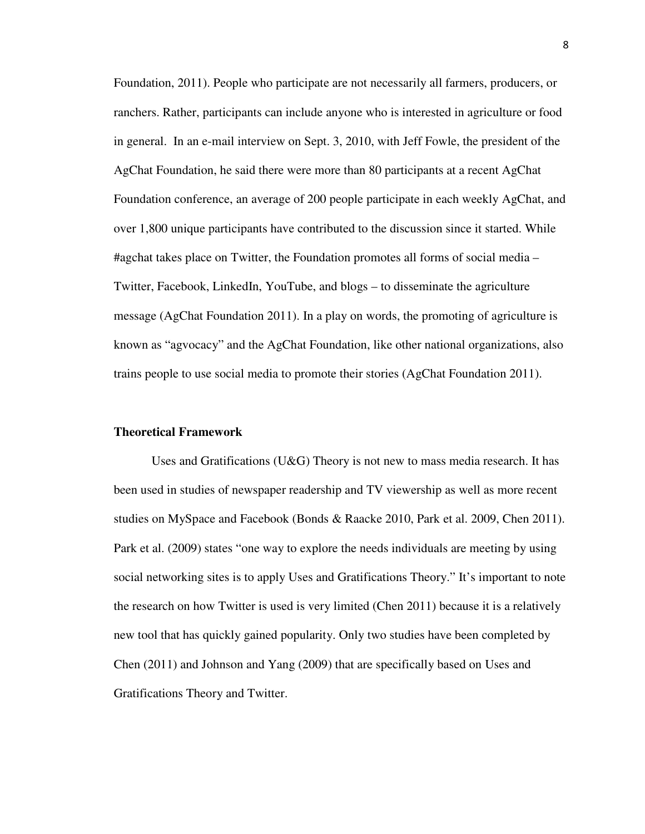Foundation, 2011). People who participate are not necessarily all farmers, producers, or ranchers. Rather, participants can include anyone who is interested in agriculture or food in general. In an e-mail interview on Sept. 3, 2010, with Jeff Fowle, the president of the AgChat Foundation, he said there were more than 80 participants at a recent AgChat Foundation conference, an average of 200 people participate in each weekly AgChat, and over 1,800 unique participants have contributed to the discussion since it started. While #agchat takes place on Twitter, the Foundation promotes all forms of social media – Twitter, Facebook, LinkedIn, YouTube, and blogs – to disseminate the agriculture message (AgChat Foundation 2011). In a play on words, the promoting of agriculture is known as "agvocacy" and the AgChat Foundation, like other national organizations, also trains people to use social media to promote their stories (AgChat Foundation 2011).

### **Theoretical Framework**

Uses and Gratifications (U&G) Theory is not new to mass media research. It has been used in studies of newspaper readership and TV viewership as well as more recent studies on MySpace and Facebook (Bonds & Raacke 2010, Park et al. 2009, Chen 2011). Park et al. (2009) states "one way to explore the needs individuals are meeting by using social networking sites is to apply Uses and Gratifications Theory." It's important to note the research on how Twitter is used is very limited (Chen 2011) because it is a relatively new tool that has quickly gained popularity. Only two studies have been completed by Chen (2011) and Johnson and Yang (2009) that are specifically based on Uses and Gratifications Theory and Twitter.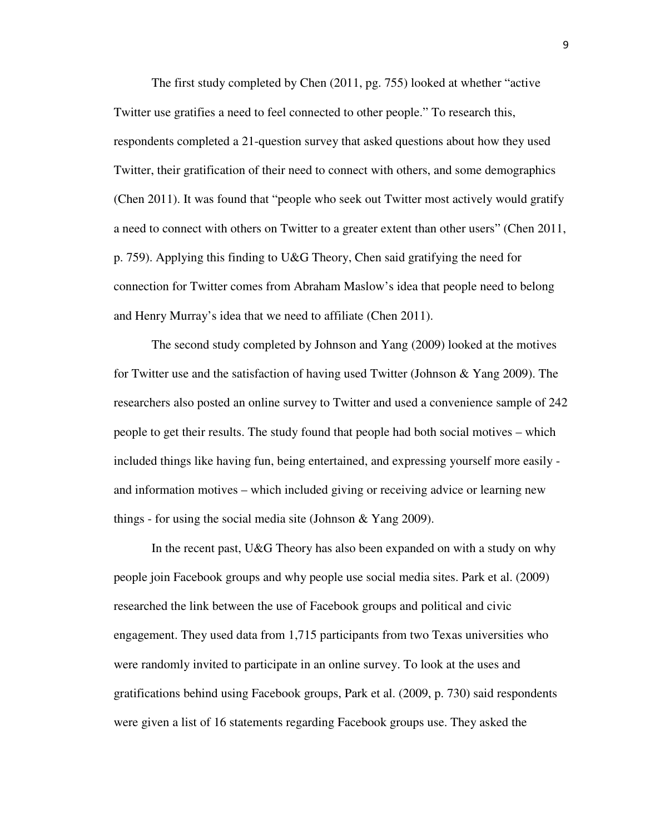The first study completed by Chen (2011, pg. 755) looked at whether "active Twitter use gratifies a need to feel connected to other people." To research this, respondents completed a 21-question survey that asked questions about how they used Twitter, their gratification of their need to connect with others, and some demographics (Chen 2011). It was found that "people who seek out Twitter most actively would gratify a need to connect with others on Twitter to a greater extent than other users" (Chen 2011, p. 759). Applying this finding to U&G Theory, Chen said gratifying the need for connection for Twitter comes from Abraham Maslow's idea that people need to belong and Henry Murray's idea that we need to affiliate (Chen 2011).

The second study completed by Johnson and Yang (2009) looked at the motives for Twitter use and the satisfaction of having used Twitter (Johnson & Yang 2009). The researchers also posted an online survey to Twitter and used a convenience sample of 242 people to get their results. The study found that people had both social motives – which included things like having fun, being entertained, and expressing yourself more easily and information motives – which included giving or receiving advice or learning new things - for using the social media site (Johnson & Yang 2009).

In the recent past, U&G Theory has also been expanded on with a study on why people join Facebook groups and why people use social media sites. Park et al. (2009) researched the link between the use of Facebook groups and political and civic engagement. They used data from 1,715 participants from two Texas universities who were randomly invited to participate in an online survey. To look at the uses and gratifications behind using Facebook groups, Park et al. (2009, p. 730) said respondents were given a list of 16 statements regarding Facebook groups use. They asked the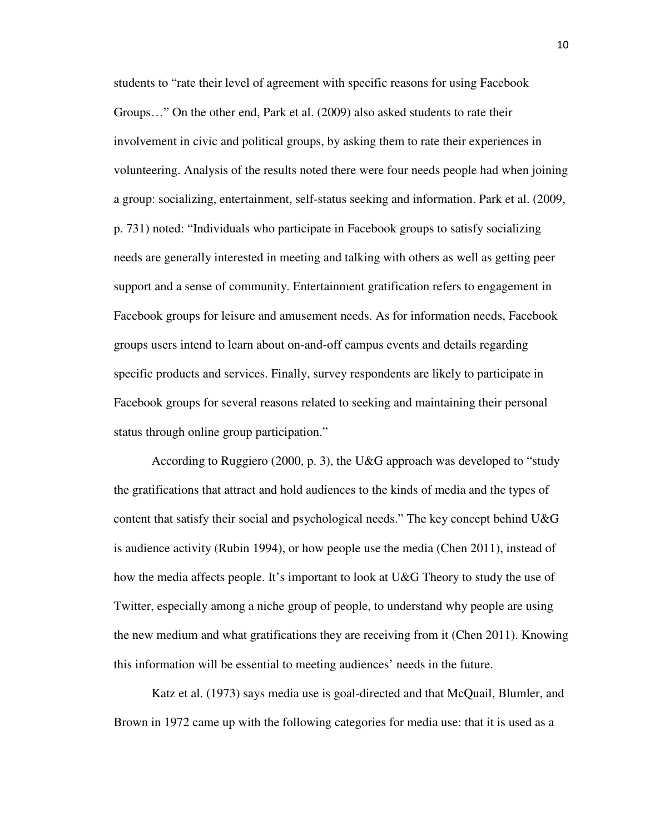students to "rate their level of agreement with specific reasons for using Facebook Groups…" On the other end, Park et al. (2009) also asked students to rate their involvement in civic and political groups, by asking them to rate their experiences in volunteering. Analysis of the results noted there were four needs people had when joining a group: socializing, entertainment, self-status seeking and information. Park et al. (2009, p. 731) noted: "Individuals who participate in Facebook groups to satisfy socializing needs are generally interested in meeting and talking with others as well as getting peer support and a sense of community. Entertainment gratification refers to engagement in Facebook groups for leisure and amusement needs. As for information needs, Facebook groups users intend to learn about on-and-off campus events and details regarding specific products and services. Finally, survey respondents are likely to participate in Facebook groups for several reasons related to seeking and maintaining their personal status through online group participation."

According to Ruggiero (2000, p. 3), the U&G approach was developed to "study the gratifications that attract and hold audiences to the kinds of media and the types of content that satisfy their social and psychological needs." The key concept behind U&G is audience activity (Rubin 1994), or how people use the media (Chen 2011), instead of how the media affects people. It's important to look at U&G Theory to study the use of Twitter, especially among a niche group of people, to understand why people are using the new medium and what gratifications they are receiving from it (Chen 2011). Knowing this information will be essential to meeting audiences' needs in the future.

Katz et al. (1973) says media use is goal-directed and that McQuail, Blumler, and Brown in 1972 came up with the following categories for media use: that it is used as a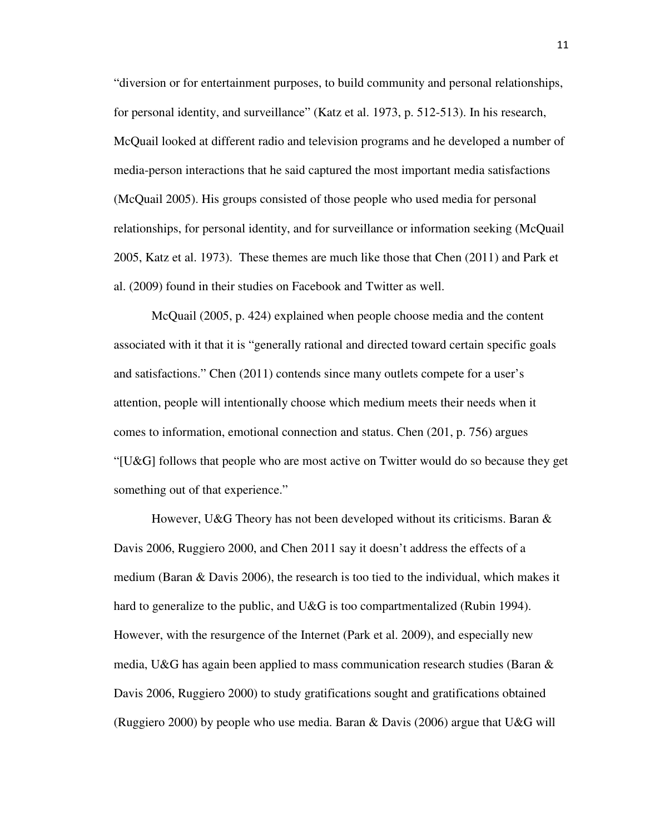"diversion or for entertainment purposes, to build community and personal relationships, for personal identity, and surveillance" (Katz et al. 1973, p. 512-513). In his research, McQuail looked at different radio and television programs and he developed a number of media-person interactions that he said captured the most important media satisfactions (McQuail 2005). His groups consisted of those people who used media for personal relationships, for personal identity, and for surveillance or information seeking (McQuail 2005, Katz et al. 1973). These themes are much like those that Chen (2011) and Park et al. (2009) found in their studies on Facebook and Twitter as well.

McQuail (2005, p. 424) explained when people choose media and the content associated with it that it is "generally rational and directed toward certain specific goals and satisfactions." Chen (2011) contends since many outlets compete for a user's attention, people will intentionally choose which medium meets their needs when it comes to information, emotional connection and status. Chen (201, p. 756) argues "[U&G] follows that people who are most active on Twitter would do so because they get something out of that experience."

However, U&G Theory has not been developed without its criticisms. Baran & Davis 2006, Ruggiero 2000, and Chen 2011 say it doesn't address the effects of a medium (Baran & Davis 2006), the research is too tied to the individual, which makes it hard to generalize to the public, and U&G is too compartmentalized (Rubin 1994). However, with the resurgence of the Internet (Park et al. 2009), and especially new media, U&G has again been applied to mass communication research studies (Baran  $\&$ Davis 2006, Ruggiero 2000) to study gratifications sought and gratifications obtained (Ruggiero 2000) by people who use media. Baran & Davis (2006) argue that U&G will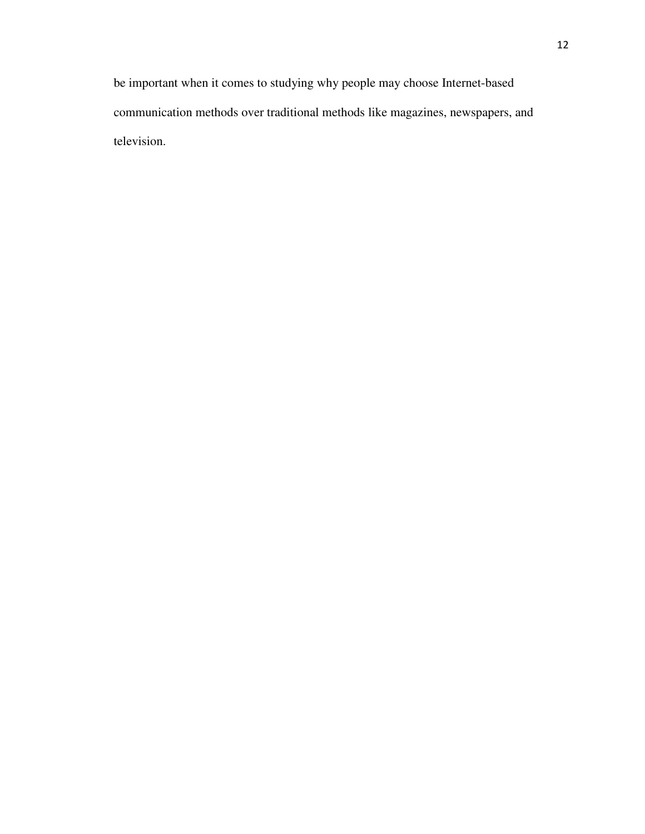be important when it comes to studying why people may choose Internet-based communication methods over traditional methods like magazines, newspapers, and television.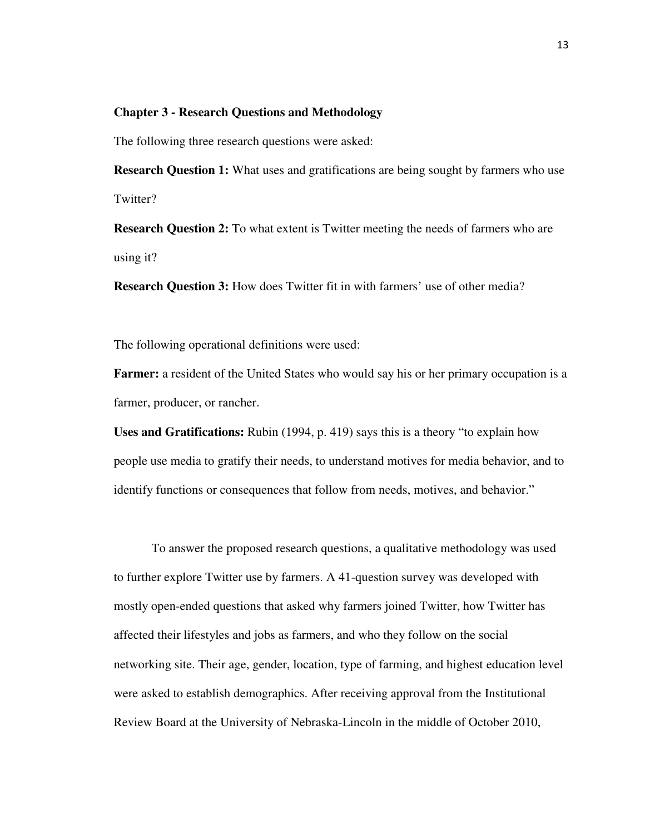### **Chapter 3 - Research Questions and Methodology**

The following three research questions were asked:

**Research Question 1:** What uses and gratifications are being sought by farmers who use Twitter?

**Research Question 2:** To what extent is Twitter meeting the needs of farmers who are using it?

**Research Question 3:** How does Twitter fit in with farmers' use of other media?

The following operational definitions were used:

**Farmer:** a resident of the United States who would say his or her primary occupation is a farmer, producer, or rancher.

**Uses and Gratifications:** Rubin (1994, p. 419) says this is a theory "to explain how people use media to gratify their needs, to understand motives for media behavior, and to identify functions or consequences that follow from needs, motives, and behavior."

To answer the proposed research questions, a qualitative methodology was used to further explore Twitter use by farmers. A 41-question survey was developed with mostly open-ended questions that asked why farmers joined Twitter, how Twitter has affected their lifestyles and jobs as farmers, and who they follow on the social networking site. Their age, gender, location, type of farming, and highest education level were asked to establish demographics. After receiving approval from the Institutional Review Board at the University of Nebraska-Lincoln in the middle of October 2010,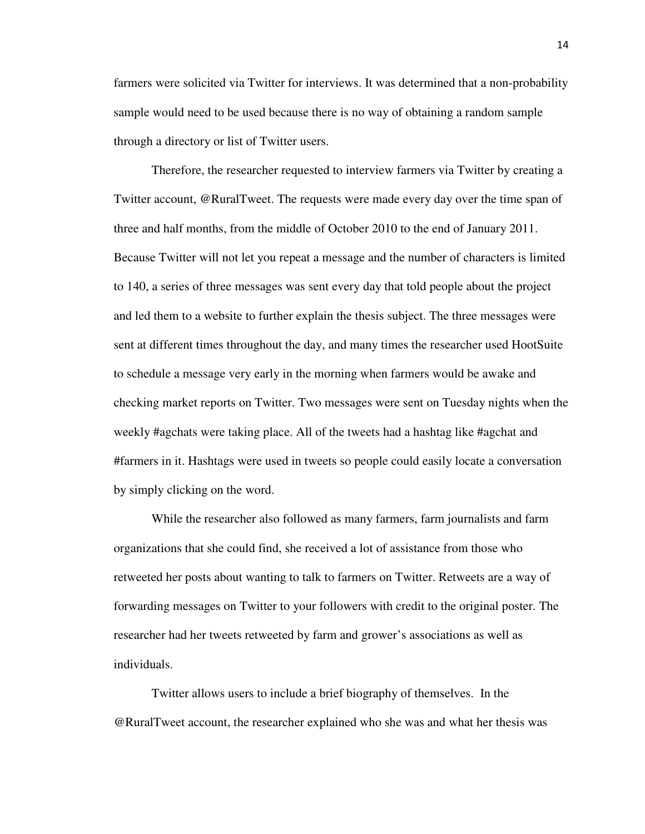farmers were solicited via Twitter for interviews. It was determined that a non-probability sample would need to be used because there is no way of obtaining a random sample through a directory or list of Twitter users.

Therefore, the researcher requested to interview farmers via Twitter by creating a Twitter account, @RuralTweet. The requests were made every day over the time span of three and half months, from the middle of October 2010 to the end of January 2011. Because Twitter will not let you repeat a message and the number of characters is limited to 140, a series of three messages was sent every day that told people about the project and led them to a website to further explain the thesis subject. The three messages were sent at different times throughout the day, and many times the researcher used HootSuite to schedule a message very early in the morning when farmers would be awake and checking market reports on Twitter. Two messages were sent on Tuesday nights when the weekly #agchats were taking place. All of the tweets had a hashtag like #agchat and #farmers in it. Hashtags were used in tweets so people could easily locate a conversation by simply clicking on the word.

While the researcher also followed as many farmers, farm journalists and farm organizations that she could find, she received a lot of assistance from those who retweeted her posts about wanting to talk to farmers on Twitter. Retweets are a way of forwarding messages on Twitter to your followers with credit to the original poster. The researcher had her tweets retweeted by farm and grower's associations as well as individuals.

Twitter allows users to include a brief biography of themselves. In the @RuralTweet account, the researcher explained who she was and what her thesis was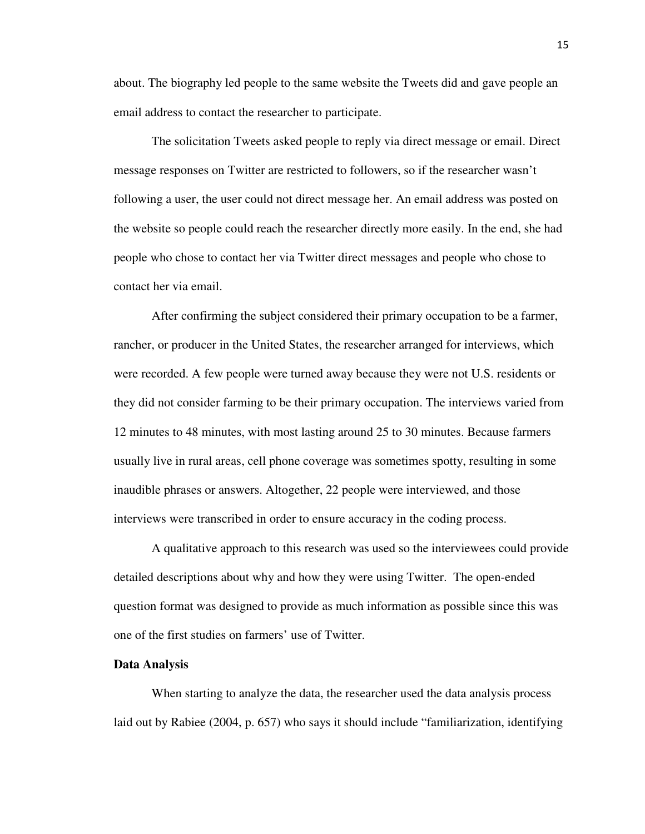about. The biography led people to the same website the Tweets did and gave people an email address to contact the researcher to participate.

The solicitation Tweets asked people to reply via direct message or email. Direct message responses on Twitter are restricted to followers, so if the researcher wasn't following a user, the user could not direct message her. An email address was posted on the website so people could reach the researcher directly more easily. In the end, she had people who chose to contact her via Twitter direct messages and people who chose to contact her via email.

After confirming the subject considered their primary occupation to be a farmer, rancher, or producer in the United States, the researcher arranged for interviews, which were recorded. A few people were turned away because they were not U.S. residents or they did not consider farming to be their primary occupation. The interviews varied from 12 minutes to 48 minutes, with most lasting around 25 to 30 minutes. Because farmers usually live in rural areas, cell phone coverage was sometimes spotty, resulting in some inaudible phrases or answers. Altogether, 22 people were interviewed, and those interviews were transcribed in order to ensure accuracy in the coding process.

A qualitative approach to this research was used so the interviewees could provide detailed descriptions about why and how they were using Twitter. The open-ended question format was designed to provide as much information as possible since this was one of the first studies on farmers' use of Twitter.

### **Data Analysis**

When starting to analyze the data, the researcher used the data analysis process laid out by Rabiee (2004, p. 657) who says it should include "familiarization, identifying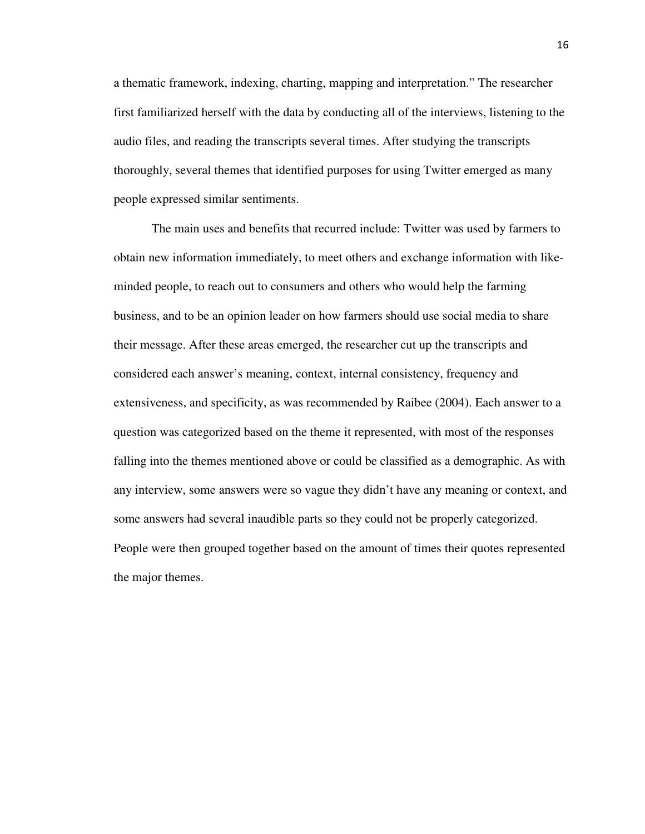a thematic framework, indexing, charting, mapping and interpretation." The researcher first familiarized herself with the data by conducting all of the interviews, listening to the audio files, and reading the transcripts several times. After studying the transcripts thoroughly, several themes that identified purposes for using Twitter emerged as many people expressed similar sentiments.

The main uses and benefits that recurred include: Twitter was used by farmers to obtain new information immediately, to meet others and exchange information with likeminded people, to reach out to consumers and others who would help the farming business, and to be an opinion leader on how farmers should use social media to share their message. After these areas emerged, the researcher cut up the transcripts and considered each answer's meaning, context, internal consistency, frequency and extensiveness, and specificity, as was recommended by Raibee (2004). Each answer to a question was categorized based on the theme it represented, with most of the responses falling into the themes mentioned above or could be classified as a demographic. As with any interview, some answers were so vague they didn't have any meaning or context, and some answers had several inaudible parts so they could not be properly categorized. People were then grouped together based on the amount of times their quotes represented the major themes.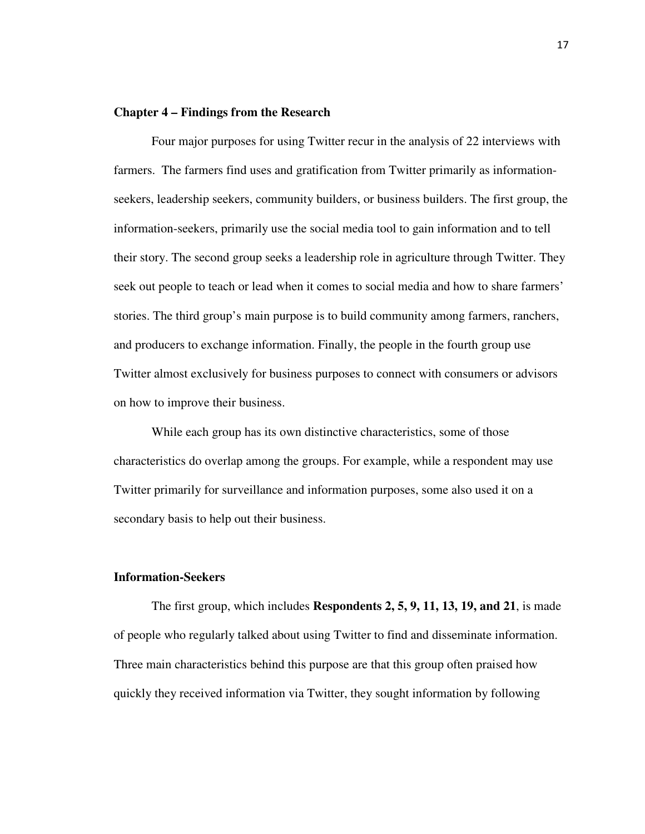### **Chapter 4 – Findings from the Research**

Four major purposes for using Twitter recur in the analysis of 22 interviews with farmers. The farmers find uses and gratification from Twitter primarily as informationseekers, leadership seekers, community builders, or business builders. The first group, the information-seekers, primarily use the social media tool to gain information and to tell their story. The second group seeks a leadership role in agriculture through Twitter. They seek out people to teach or lead when it comes to social media and how to share farmers' stories. The third group's main purpose is to build community among farmers, ranchers, and producers to exchange information. Finally, the people in the fourth group use Twitter almost exclusively for business purposes to connect with consumers or advisors on how to improve their business.

While each group has its own distinctive characteristics, some of those characteristics do overlap among the groups. For example, while a respondent may use Twitter primarily for surveillance and information purposes, some also used it on a secondary basis to help out their business.

### **Information-Seekers**

The first group, which includes **Respondents 2, 5, 9, 11, 13, 19, and 21**, is made of people who regularly talked about using Twitter to find and disseminate information. Three main characteristics behind this purpose are that this group often praised how quickly they received information via Twitter, they sought information by following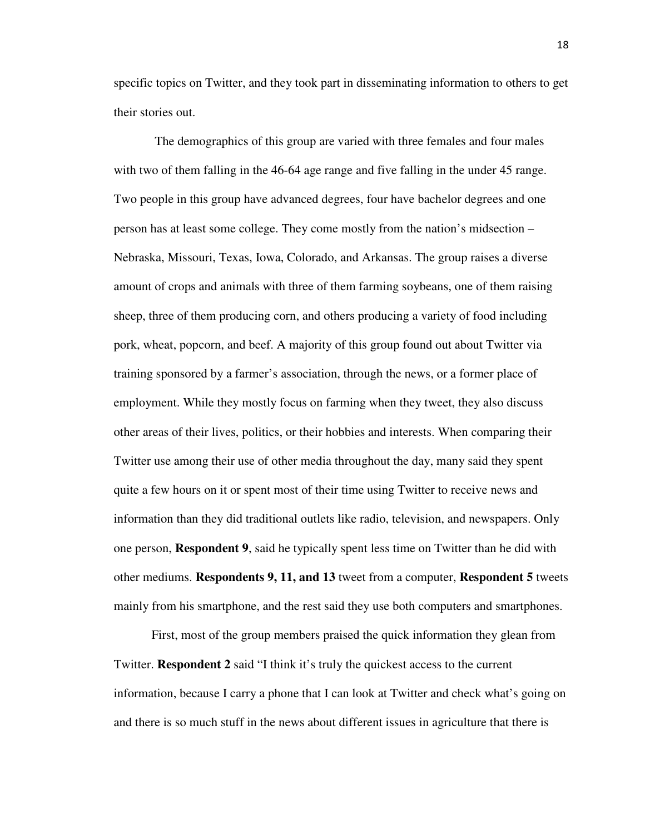specific topics on Twitter, and they took part in disseminating information to others to get their stories out.

 The demographics of this group are varied with three females and four males with two of them falling in the 46-64 age range and five falling in the under 45 range. Two people in this group have advanced degrees, four have bachelor degrees and one person has at least some college. They come mostly from the nation's midsection – Nebraska, Missouri, Texas, Iowa, Colorado, and Arkansas. The group raises a diverse amount of crops and animals with three of them farming soybeans, one of them raising sheep, three of them producing corn, and others producing a variety of food including pork, wheat, popcorn, and beef. A majority of this group found out about Twitter via training sponsored by a farmer's association, through the news, or a former place of employment. While they mostly focus on farming when they tweet, they also discuss other areas of their lives, politics, or their hobbies and interests. When comparing their Twitter use among their use of other media throughout the day, many said they spent quite a few hours on it or spent most of their time using Twitter to receive news and information than they did traditional outlets like radio, television, and newspapers. Only one person, **Respondent 9**, said he typically spent less time on Twitter than he did with other mediums. **Respondents 9, 11, and 13** tweet from a computer, **Respondent 5** tweets mainly from his smartphone, and the rest said they use both computers and smartphones.

First, most of the group members praised the quick information they glean from Twitter. **Respondent 2** said "I think it's truly the quickest access to the current information, because I carry a phone that I can look at Twitter and check what's going on and there is so much stuff in the news about different issues in agriculture that there is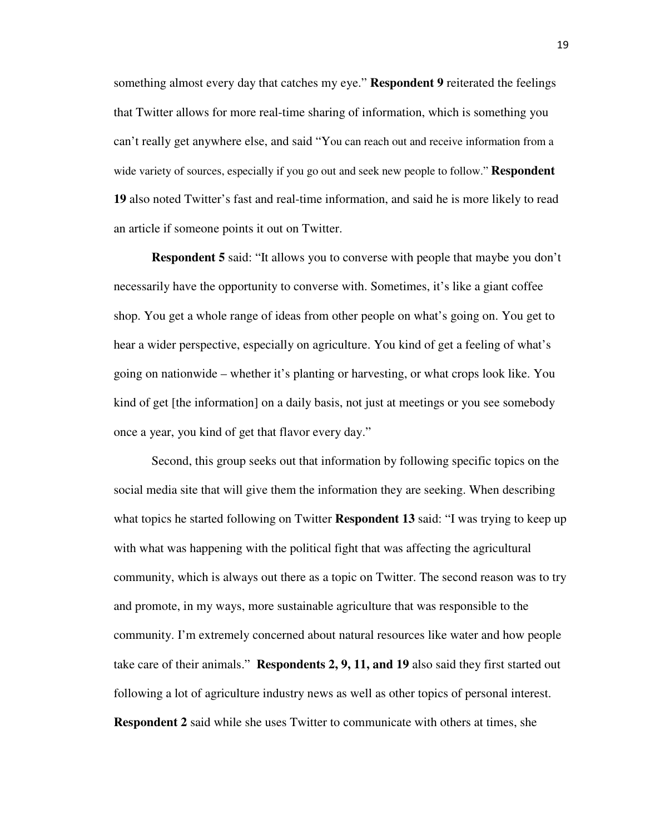something almost every day that catches my eye." **Respondent 9** reiterated the feelings that Twitter allows for more real-time sharing of information, which is something you can't really get anywhere else, and said "You can reach out and receive information from a wide variety of sources, especially if you go out and seek new people to follow." **Respondent 19** also noted Twitter's fast and real-time information, and said he is more likely to read an article if someone points it out on Twitter.

**Respondent 5** said: "It allows you to converse with people that maybe you don't necessarily have the opportunity to converse with. Sometimes, it's like a giant coffee shop. You get a whole range of ideas from other people on what's going on. You get to hear a wider perspective, especially on agriculture. You kind of get a feeling of what's going on nationwide – whether it's planting or harvesting, or what crops look like. You kind of get [the information] on a daily basis, not just at meetings or you see somebody once a year, you kind of get that flavor every day."

Second, this group seeks out that information by following specific topics on the social media site that will give them the information they are seeking. When describing what topics he started following on Twitter **Respondent 13** said: "I was trying to keep up with what was happening with the political fight that was affecting the agricultural community, which is always out there as a topic on Twitter. The second reason was to try and promote, in my ways, more sustainable agriculture that was responsible to the community. I'm extremely concerned about natural resources like water and how people take care of their animals." **Respondents 2, 9, 11, and 19** also said they first started out following a lot of agriculture industry news as well as other topics of personal interest. **Respondent 2** said while she uses Twitter to communicate with others at times, she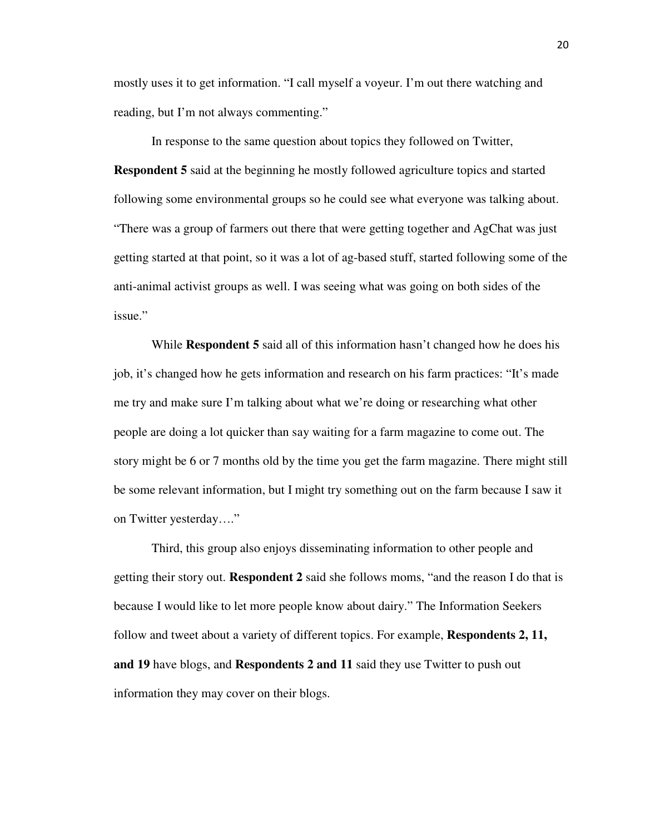mostly uses it to get information. "I call myself a voyeur. I'm out there watching and reading, but I'm not always commenting."

In response to the same question about topics they followed on Twitter, **Respondent 5** said at the beginning he mostly followed agriculture topics and started following some environmental groups so he could see what everyone was talking about. "There was a group of farmers out there that were getting together and AgChat was just getting started at that point, so it was a lot of ag-based stuff, started following some of the anti-animal activist groups as well. I was seeing what was going on both sides of the issue."

While **Respondent 5** said all of this information hasn't changed how he does his job, it's changed how he gets information and research on his farm practices: "It's made me try and make sure I'm talking about what we're doing or researching what other people are doing a lot quicker than say waiting for a farm magazine to come out. The story might be 6 or 7 months old by the time you get the farm magazine. There might still be some relevant information, but I might try something out on the farm because I saw it on Twitter yesterday...."

Third, this group also enjoys disseminating information to other people and getting their story out. **Respondent 2** said she follows moms, "and the reason I do that is because I would like to let more people know about dairy." The Information Seekers follow and tweet about a variety of different topics. For example, **Respondents 2, 11, and 19** have blogs, and **Respondents 2 and 11** said they use Twitter to push out information they may cover on their blogs.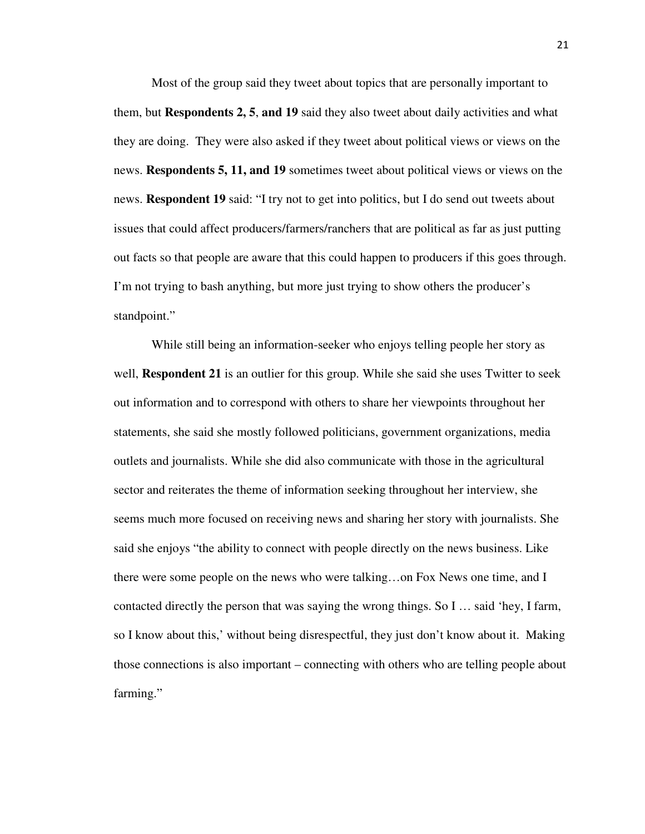Most of the group said they tweet about topics that are personally important to them, but **Respondents 2, 5**, **and 19** said they also tweet about daily activities and what they are doing. They were also asked if they tweet about political views or views on the news. **Respondents 5, 11, and 19** sometimes tweet about political views or views on the news. **Respondent 19** said: "I try not to get into politics, but I do send out tweets about issues that could affect producers/farmers/ranchers that are political as far as just putting out facts so that people are aware that this could happen to producers if this goes through. I'm not trying to bash anything, but more just trying to show others the producer's standpoint."

While still being an information-seeker who enjoys telling people her story as well, **Respondent 21** is an outlier for this group. While she said she uses Twitter to seek out information and to correspond with others to share her viewpoints throughout her statements, she said she mostly followed politicians, government organizations, media outlets and journalists. While she did also communicate with those in the agricultural sector and reiterates the theme of information seeking throughout her interview, she seems much more focused on receiving news and sharing her story with journalists. She said she enjoys "the ability to connect with people directly on the news business. Like there were some people on the news who were talking…on Fox News one time, and I contacted directly the person that was saying the wrong things. So I … said 'hey, I farm, so I know about this,' without being disrespectful, they just don't know about it. Making those connections is also important – connecting with others who are telling people about farming."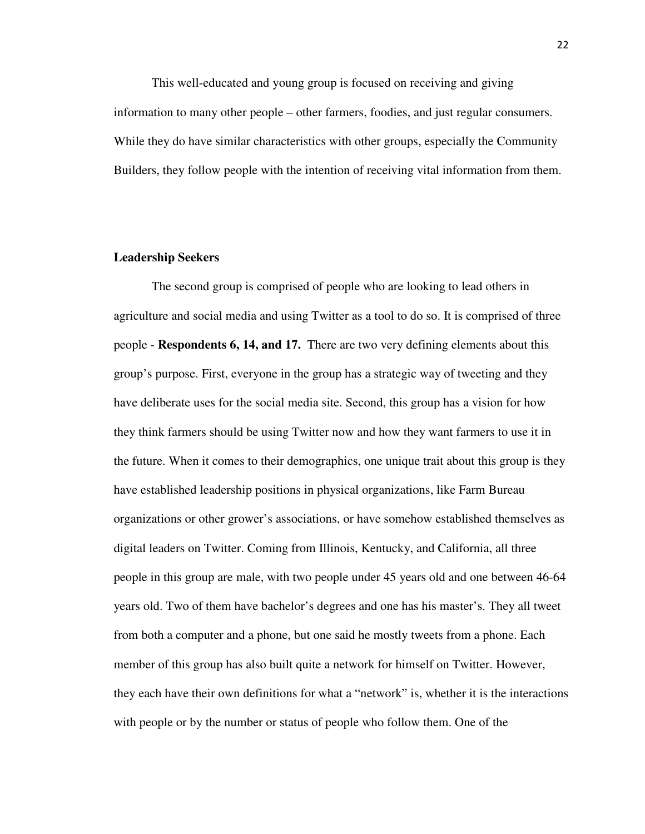This well-educated and young group is focused on receiving and giving information to many other people – other farmers, foodies, and just regular consumers. While they do have similar characteristics with other groups, especially the Community Builders, they follow people with the intention of receiving vital information from them.

### **Leadership Seekers**

The second group is comprised of people who are looking to lead others in agriculture and social media and using Twitter as a tool to do so. It is comprised of three people - **Respondents 6, 14, and 17.** There are two very defining elements about this group's purpose. First, everyone in the group has a strategic way of tweeting and they have deliberate uses for the social media site. Second, this group has a vision for how they think farmers should be using Twitter now and how they want farmers to use it in the future. When it comes to their demographics, one unique trait about this group is they have established leadership positions in physical organizations, like Farm Bureau organizations or other grower's associations, or have somehow established themselves as digital leaders on Twitter. Coming from Illinois, Kentucky, and California, all three people in this group are male, with two people under 45 years old and one between 46-64 years old. Two of them have bachelor's degrees and one has his master's. They all tweet from both a computer and a phone, but one said he mostly tweets from a phone. Each member of this group has also built quite a network for himself on Twitter. However, they each have their own definitions for what a "network" is, whether it is the interactions with people or by the number or status of people who follow them. One of the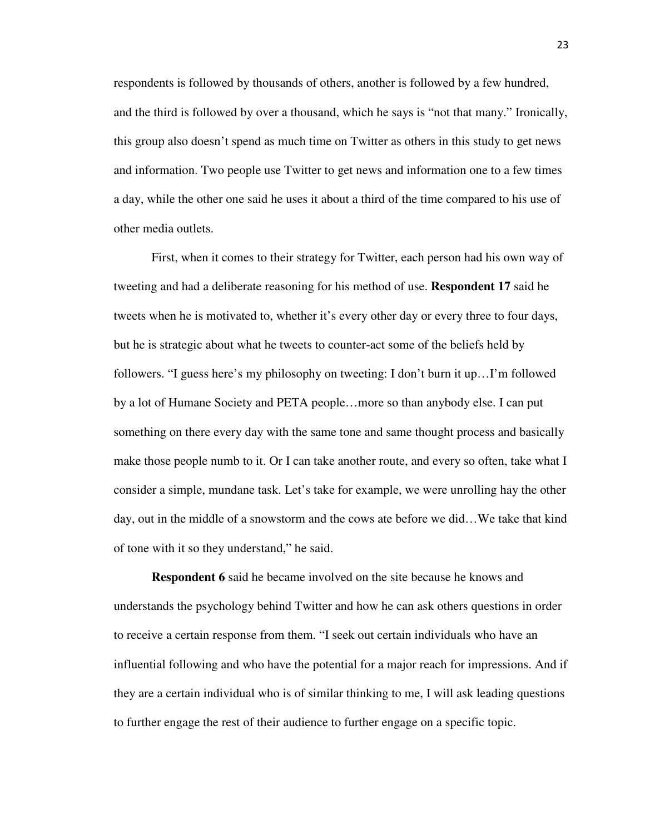respondents is followed by thousands of others, another is followed by a few hundred, and the third is followed by over a thousand, which he says is "not that many." Ironically, this group also doesn't spend as much time on Twitter as others in this study to get news and information. Two people use Twitter to get news and information one to a few times a day, while the other one said he uses it about a third of the time compared to his use of other media outlets.

First, when it comes to their strategy for Twitter, each person had his own way of tweeting and had a deliberate reasoning for his method of use. **Respondent 17** said he tweets when he is motivated to, whether it's every other day or every three to four days, but he is strategic about what he tweets to counter-act some of the beliefs held by followers. "I guess here's my philosophy on tweeting: I don't burn it up…I'm followed by a lot of Humane Society and PETA people…more so than anybody else. I can put something on there every day with the same tone and same thought process and basically make those people numb to it. Or I can take another route, and every so often, take what I consider a simple, mundane task. Let's take for example, we were unrolling hay the other day, out in the middle of a snowstorm and the cows ate before we did…We take that kind of tone with it so they understand," he said.

**Respondent 6** said he became involved on the site because he knows and understands the psychology behind Twitter and how he can ask others questions in order to receive a certain response from them. "I seek out certain individuals who have an influential following and who have the potential for a major reach for impressions. And if they are a certain individual who is of similar thinking to me, I will ask leading questions to further engage the rest of their audience to further engage on a specific topic.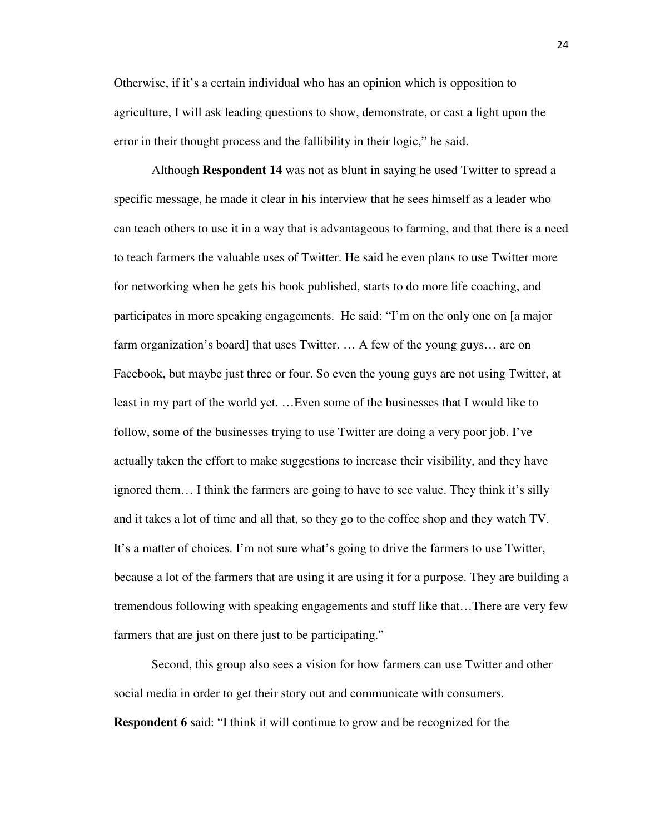Otherwise, if it's a certain individual who has an opinion which is opposition to agriculture, I will ask leading questions to show, demonstrate, or cast a light upon the error in their thought process and the fallibility in their logic," he said.

Although **Respondent 14** was not as blunt in saying he used Twitter to spread a specific message, he made it clear in his interview that he sees himself as a leader who can teach others to use it in a way that is advantageous to farming, and that there is a need to teach farmers the valuable uses of Twitter. He said he even plans to use Twitter more for networking when he gets his book published, starts to do more life coaching, and participates in more speaking engagements. He said: "I'm on the only one on [a major farm organization's board] that uses Twitter. … A few of the young guys… are on Facebook, but maybe just three or four. So even the young guys are not using Twitter, at least in my part of the world yet. …Even some of the businesses that I would like to follow, some of the businesses trying to use Twitter are doing a very poor job. I've actually taken the effort to make suggestions to increase their visibility, and they have ignored them… I think the farmers are going to have to see value. They think it's silly and it takes a lot of time and all that, so they go to the coffee shop and they watch TV. It's a matter of choices. I'm not sure what's going to drive the farmers to use Twitter, because a lot of the farmers that are using it are using it for a purpose. They are building a tremendous following with speaking engagements and stuff like that…There are very few farmers that are just on there just to be participating."

Second, this group also sees a vision for how farmers can use Twitter and other social media in order to get their story out and communicate with consumers. **Respondent 6** said: "I think it will continue to grow and be recognized for the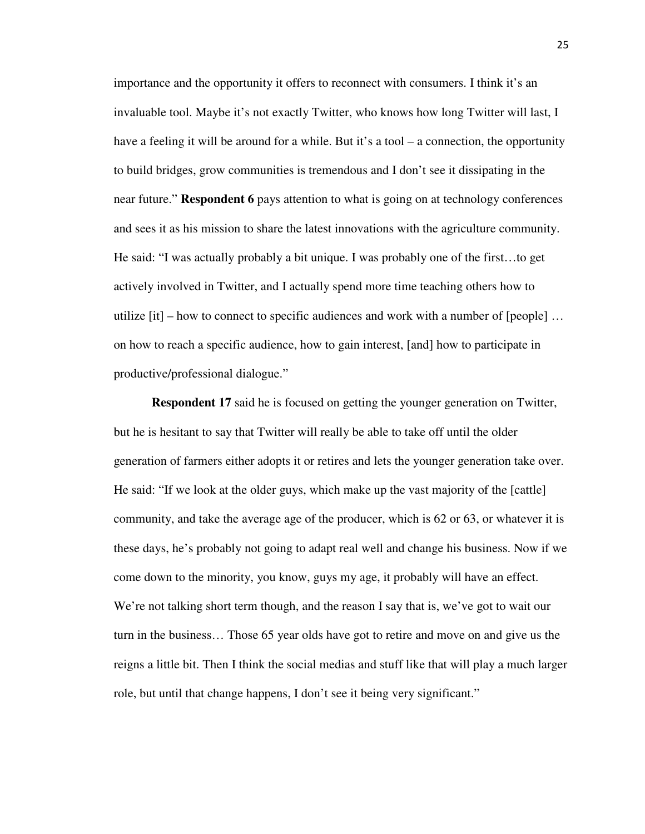importance and the opportunity it offers to reconnect with consumers. I think it's an invaluable tool. Maybe it's not exactly Twitter, who knows how long Twitter will last, I have a feeling it will be around for a while. But it's a tool – a connection, the opportunity to build bridges, grow communities is tremendous and I don't see it dissipating in the near future." **Respondent 6** pays attention to what is going on at technology conferences and sees it as his mission to share the latest innovations with the agriculture community. He said: "I was actually probably a bit unique. I was probably one of the first…to get actively involved in Twitter, and I actually spend more time teaching others how to utilize  $[it]$  – how to connect to specific audiences and work with a number of  $[people]$  ... on how to reach a specific audience, how to gain interest, [and] how to participate in productive/professional dialogue."

**Respondent 17** said he is focused on getting the younger generation on Twitter, but he is hesitant to say that Twitter will really be able to take off until the older generation of farmers either adopts it or retires and lets the younger generation take over. He said: "If we look at the older guys, which make up the vast majority of the [cattle] community, and take the average age of the producer, which is 62 or 63, or whatever it is these days, he's probably not going to adapt real well and change his business. Now if we come down to the minority, you know, guys my age, it probably will have an effect. We're not talking short term though, and the reason I say that is, we've got to wait our turn in the business… Those 65 year olds have got to retire and move on and give us the reigns a little bit. Then I think the social medias and stuff like that will play a much larger role, but until that change happens, I don't see it being very significant."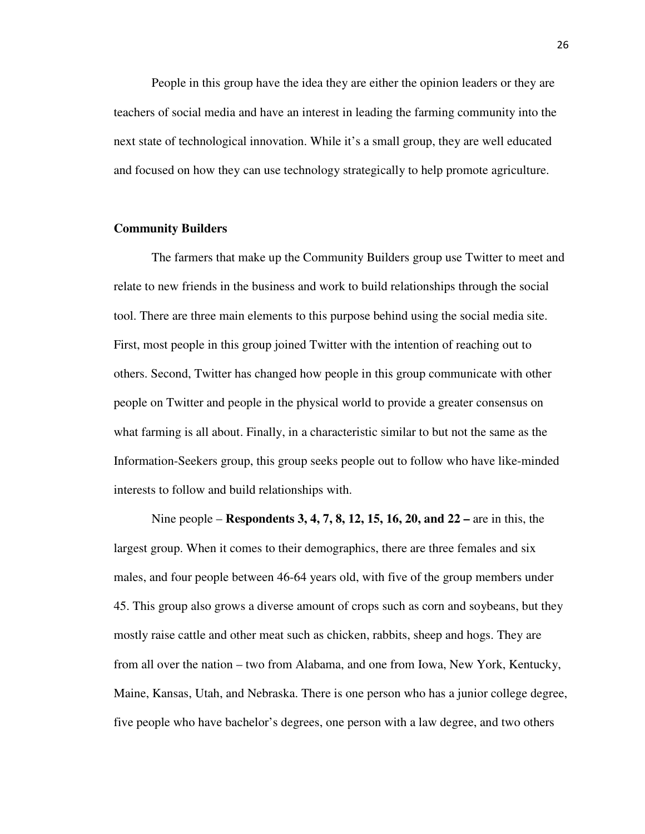People in this group have the idea they are either the opinion leaders or they are teachers of social media and have an interest in leading the farming community into the next state of technological innovation. While it's a small group, they are well educated and focused on how they can use technology strategically to help promote agriculture.

### **Community Builders**

The farmers that make up the Community Builders group use Twitter to meet and relate to new friends in the business and work to build relationships through the social tool. There are three main elements to this purpose behind using the social media site. First, most people in this group joined Twitter with the intention of reaching out to others. Second, Twitter has changed how people in this group communicate with other people on Twitter and people in the physical world to provide a greater consensus on what farming is all about. Finally, in a characteristic similar to but not the same as the Information-Seekers group, this group seeks people out to follow who have like-minded interests to follow and build relationships with.

Nine people – **Respondents 3, 4, 7, 8, 12, 15, 16, 20, and 22 –** are in this, the largest group. When it comes to their demographics, there are three females and six males, and four people between 46-64 years old, with five of the group members under 45. This group also grows a diverse amount of crops such as corn and soybeans, but they mostly raise cattle and other meat such as chicken, rabbits, sheep and hogs. They are from all over the nation – two from Alabama, and one from Iowa, New York, Kentucky, Maine, Kansas, Utah, and Nebraska. There is one person who has a junior college degree, five people who have bachelor's degrees, one person with a law degree, and two others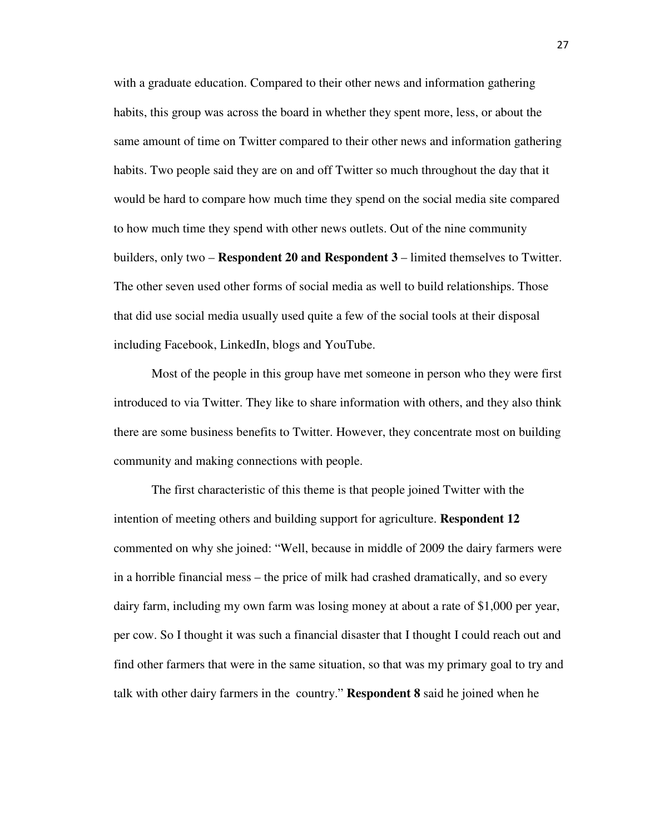with a graduate education. Compared to their other news and information gathering habits, this group was across the board in whether they spent more, less, or about the same amount of time on Twitter compared to their other news and information gathering habits. Two people said they are on and off Twitter so much throughout the day that it would be hard to compare how much time they spend on the social media site compared to how much time they spend with other news outlets. Out of the nine community builders, only two – **Respondent 20 and Respondent 3** – limited themselves to Twitter. The other seven used other forms of social media as well to build relationships. Those that did use social media usually used quite a few of the social tools at their disposal including Facebook, LinkedIn, blogs and YouTube.

Most of the people in this group have met someone in person who they were first introduced to via Twitter. They like to share information with others, and they also think there are some business benefits to Twitter. However, they concentrate most on building community and making connections with people.

The first characteristic of this theme is that people joined Twitter with the intention of meeting others and building support for agriculture. **Respondent 12** commented on why she joined: "Well, because in middle of 2009 the dairy farmers were in a horrible financial mess – the price of milk had crashed dramatically, and so every dairy farm, including my own farm was losing money at about a rate of \$1,000 per year, per cow. So I thought it was such a financial disaster that I thought I could reach out and find other farmers that were in the same situation, so that was my primary goal to try and talk with other dairy farmers in the country." **Respondent 8** said he joined when he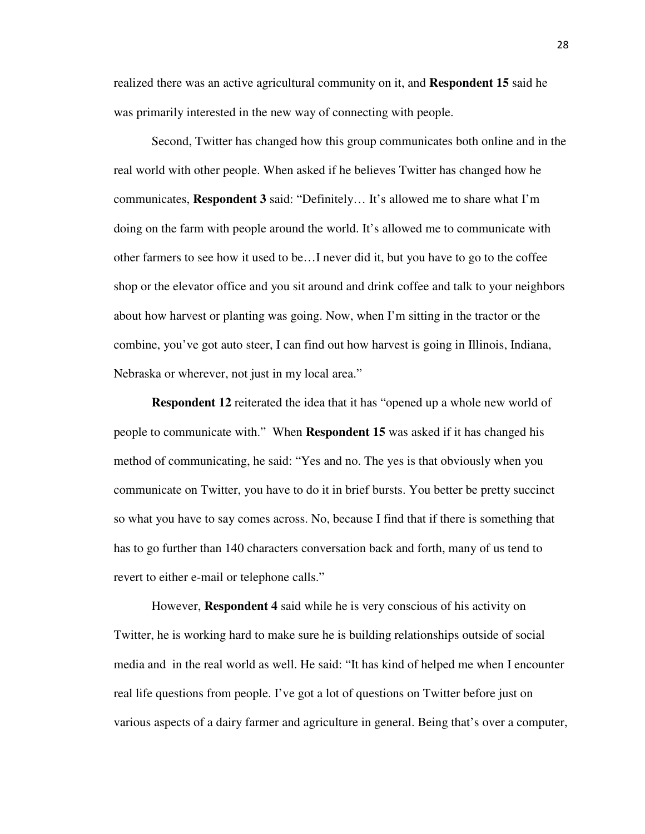realized there was an active agricultural community on it, and **Respondent 15** said he was primarily interested in the new way of connecting with people.

Second, Twitter has changed how this group communicates both online and in the real world with other people. When asked if he believes Twitter has changed how he communicates, **Respondent 3** said: "Definitely… It's allowed me to share what I'm doing on the farm with people around the world. It's allowed me to communicate with other farmers to see how it used to be…I never did it, but you have to go to the coffee shop or the elevator office and you sit around and drink coffee and talk to your neighbors about how harvest or planting was going. Now, when I'm sitting in the tractor or the combine, you've got auto steer, I can find out how harvest is going in Illinois, Indiana, Nebraska or wherever, not just in my local area."

**Respondent 12** reiterated the idea that it has "opened up a whole new world of people to communicate with." When **Respondent 15** was asked if it has changed his method of communicating, he said: "Yes and no. The yes is that obviously when you communicate on Twitter, you have to do it in brief bursts. You better be pretty succinct so what you have to say comes across. No, because I find that if there is something that has to go further than 140 characters conversation back and forth, many of us tend to revert to either e-mail or telephone calls."

However, **Respondent 4** said while he is very conscious of his activity on Twitter, he is working hard to make sure he is building relationships outside of social media and in the real world as well. He said: "It has kind of helped me when I encounter real life questions from people. I've got a lot of questions on Twitter before just on various aspects of a dairy farmer and agriculture in general. Being that's over a computer,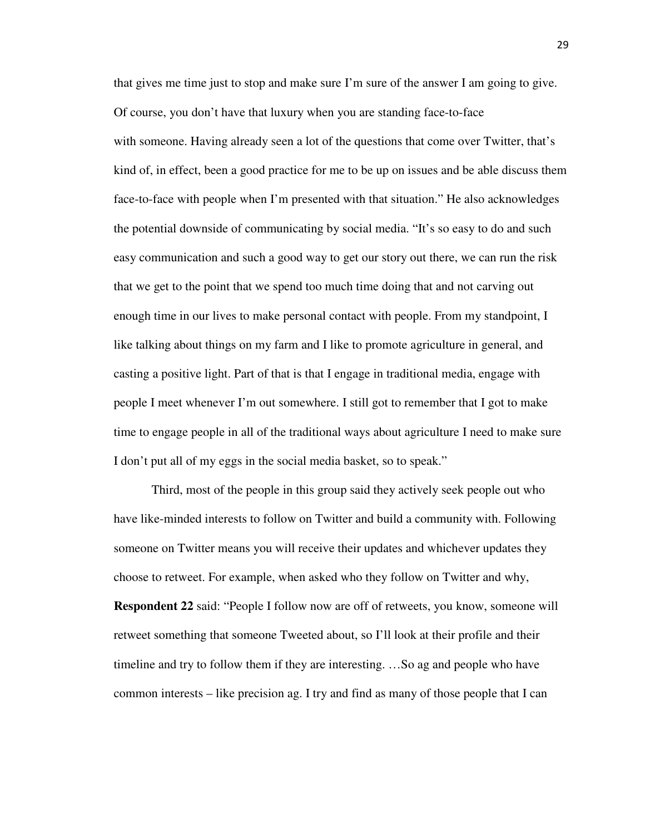that gives me time just to stop and make sure I'm sure of the answer I am going to give. Of course, you don't have that luxury when you are standing face-to-face with someone. Having already seen a lot of the questions that come over Twitter, that's kind of, in effect, been a good practice for me to be up on issues and be able discuss them face-to-face with people when I'm presented with that situation." He also acknowledges the potential downside of communicating by social media. "It's so easy to do and such easy communication and such a good way to get our story out there, we can run the risk that we get to the point that we spend too much time doing that and not carving out enough time in our lives to make personal contact with people. From my standpoint, I like talking about things on my farm and I like to promote agriculture in general, and casting a positive light. Part of that is that I engage in traditional media, engage with people I meet whenever I'm out somewhere. I still got to remember that I got to make time to engage people in all of the traditional ways about agriculture I need to make sure I don't put all of my eggs in the social media basket, so to speak."

Third, most of the people in this group said they actively seek people out who have like-minded interests to follow on Twitter and build a community with. Following someone on Twitter means you will receive their updates and whichever updates they choose to retweet. For example, when asked who they follow on Twitter and why, **Respondent 22** said: "People I follow now are off of retweets, you know, someone will retweet something that someone Tweeted about, so I'll look at their profile and their timeline and try to follow them if they are interesting. …So ag and people who have common interests – like precision ag. I try and find as many of those people that I can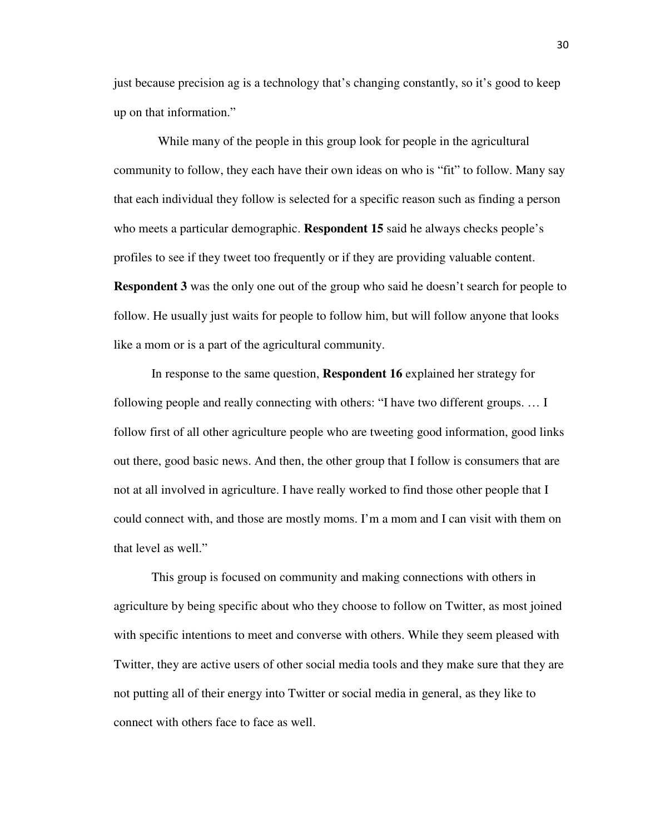just because precision ag is a technology that's changing constantly, so it's good to keep up on that information."

While many of the people in this group look for people in the agricultural community to follow, they each have their own ideas on who is "fit" to follow. Many say that each individual they follow is selected for a specific reason such as finding a person who meets a particular demographic. **Respondent 15** said he always checks people's profiles to see if they tweet too frequently or if they are providing valuable content. **Respondent 3** was the only one out of the group who said he doesn't search for people to follow. He usually just waits for people to follow him, but will follow anyone that looks like a mom or is a part of the agricultural community.

In response to the same question, **Respondent 16** explained her strategy for following people and really connecting with others: "I have two different groups. … I follow first of all other agriculture people who are tweeting good information, good links out there, good basic news. And then, the other group that I follow is consumers that are not at all involved in agriculture. I have really worked to find those other people that I could connect with, and those are mostly moms. I'm a mom and I can visit with them on that level as well."

This group is focused on community and making connections with others in agriculture by being specific about who they choose to follow on Twitter, as most joined with specific intentions to meet and converse with others. While they seem pleased with Twitter, they are active users of other social media tools and they make sure that they are not putting all of their energy into Twitter or social media in general, as they like to connect with others face to face as well.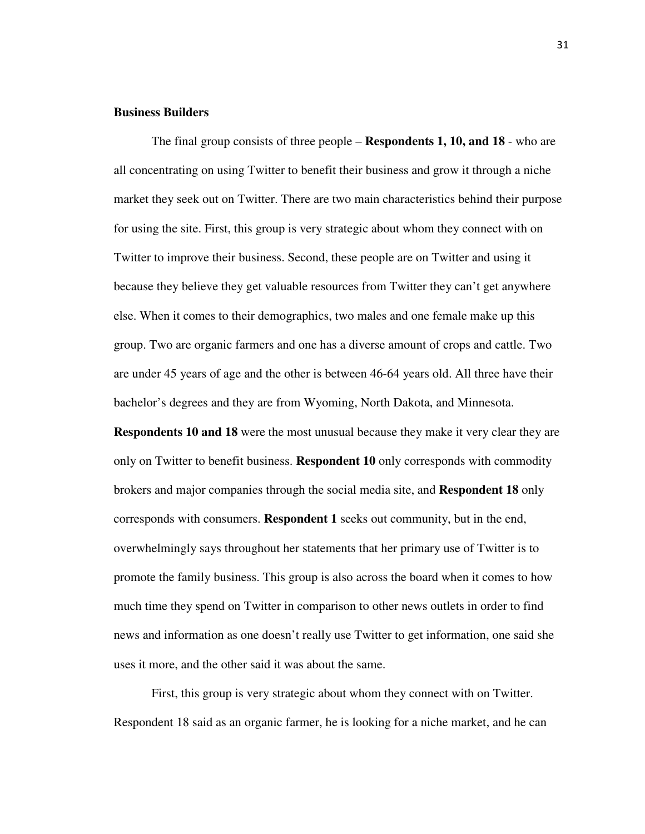### **Business Builders**

The final group consists of three people – **Respondents 1, 10, and 18** - who are all concentrating on using Twitter to benefit their business and grow it through a niche market they seek out on Twitter. There are two main characteristics behind their purpose for using the site. First, this group is very strategic about whom they connect with on Twitter to improve their business. Second, these people are on Twitter and using it because they believe they get valuable resources from Twitter they can't get anywhere else. When it comes to their demographics, two males and one female make up this group. Two are organic farmers and one has a diverse amount of crops and cattle. Two are under 45 years of age and the other is between 46-64 years old. All three have their bachelor's degrees and they are from Wyoming, North Dakota, and Minnesota.

**Respondents 10 and 18** were the most unusual because they make it very clear they are only on Twitter to benefit business. **Respondent 10** only corresponds with commodity brokers and major companies through the social media site, and **Respondent 18** only corresponds with consumers. **Respondent 1** seeks out community, but in the end, overwhelmingly says throughout her statements that her primary use of Twitter is to promote the family business. This group is also across the board when it comes to how much time they spend on Twitter in comparison to other news outlets in order to find news and information as one doesn't really use Twitter to get information, one said she uses it more, and the other said it was about the same.

First, this group is very strategic about whom they connect with on Twitter. Respondent 18 said as an organic farmer, he is looking for a niche market, and he can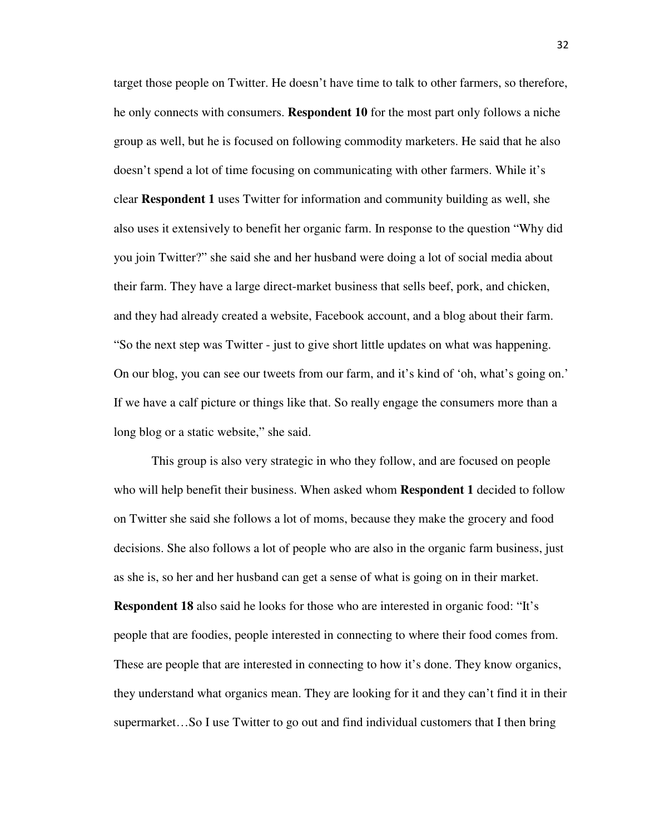target those people on Twitter. He doesn't have time to talk to other farmers, so therefore, he only connects with consumers. **Respondent 10** for the most part only follows a niche group as well, but he is focused on following commodity marketers. He said that he also doesn't spend a lot of time focusing on communicating with other farmers. While it's clear **Respondent 1** uses Twitter for information and community building as well, she also uses it extensively to benefit her organic farm. In response to the question "Why did you join Twitter?" she said she and her husband were doing a lot of social media about their farm. They have a large direct-market business that sells beef, pork, and chicken, and they had already created a website, Facebook account, and a blog about their farm. "So the next step was Twitter - just to give short little updates on what was happening. On our blog, you can see our tweets from our farm, and it's kind of 'oh, what's going on.' If we have a calf picture or things like that. So really engage the consumers more than a long blog or a static website," she said.

This group is also very strategic in who they follow, and are focused on people who will help benefit their business. When asked whom **Respondent 1** decided to follow on Twitter she said she follows a lot of moms, because they make the grocery and food decisions. She also follows a lot of people who are also in the organic farm business, just as she is, so her and her husband can get a sense of what is going on in their market. **Respondent 18** also said he looks for those who are interested in organic food: "It's people that are foodies, people interested in connecting to where their food comes from. These are people that are interested in connecting to how it's done. They know organics, they understand what organics mean. They are looking for it and they can't find it in their supermarket…So I use Twitter to go out and find individual customers that I then bring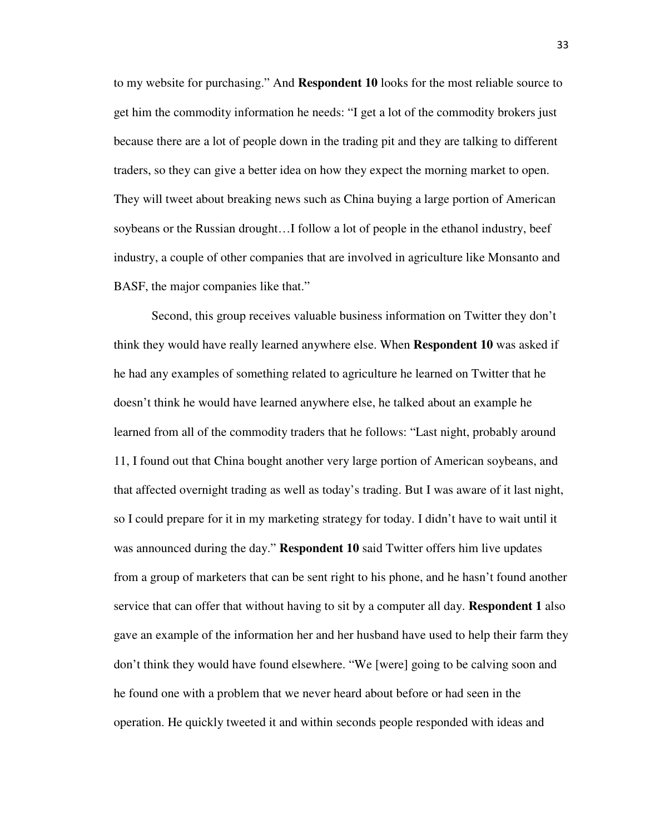to my website for purchasing." And **Respondent 10** looks for the most reliable source to get him the commodity information he needs: "I get a lot of the commodity brokers just because there are a lot of people down in the trading pit and they are talking to different traders, so they can give a better idea on how they expect the morning market to open. They will tweet about breaking news such as China buying a large portion of American soybeans or the Russian drought…I follow a lot of people in the ethanol industry, beef industry, a couple of other companies that are involved in agriculture like Monsanto and BASF, the major companies like that."

Second, this group receives valuable business information on Twitter they don't think they would have really learned anywhere else. When **Respondent 10** was asked if he had any examples of something related to agriculture he learned on Twitter that he doesn't think he would have learned anywhere else, he talked about an example he learned from all of the commodity traders that he follows: "Last night, probably around 11, I found out that China bought another very large portion of American soybeans, and that affected overnight trading as well as today's trading. But I was aware of it last night, so I could prepare for it in my marketing strategy for today. I didn't have to wait until it was announced during the day." **Respondent 10** said Twitter offers him live updates from a group of marketers that can be sent right to his phone, and he hasn't found another service that can offer that without having to sit by a computer all day. **Respondent 1** also gave an example of the information her and her husband have used to help their farm they don't think they would have found elsewhere. "We [were] going to be calving soon and he found one with a problem that we never heard about before or had seen in the operation. He quickly tweeted it and within seconds people responded with ideas and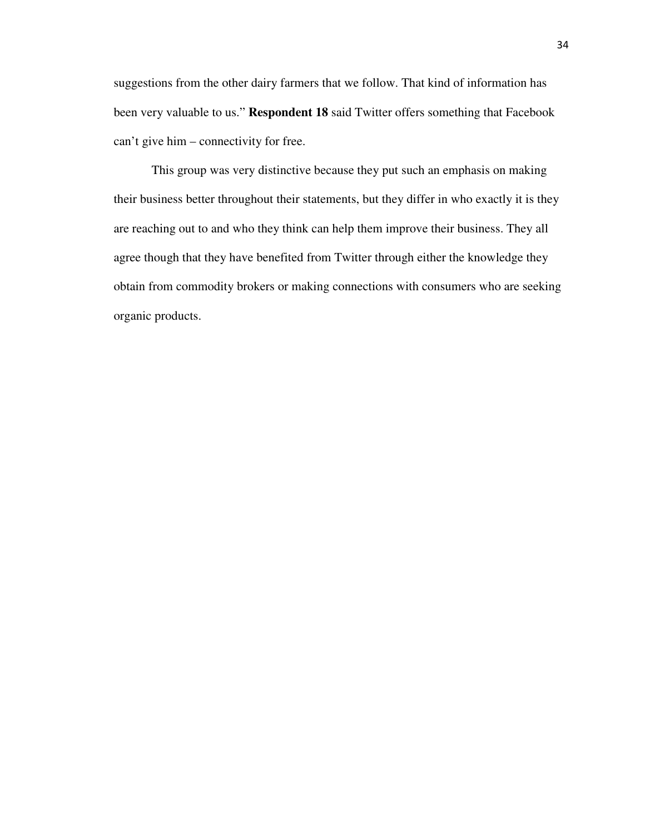suggestions from the other dairy farmers that we follow. That kind of information has been very valuable to us." **Respondent 18** said Twitter offers something that Facebook can't give him – connectivity for free.

 This group was very distinctive because they put such an emphasis on making their business better throughout their statements, but they differ in who exactly it is they are reaching out to and who they think can help them improve their business. They all agree though that they have benefited from Twitter through either the knowledge they obtain from commodity brokers or making connections with consumers who are seeking organic products.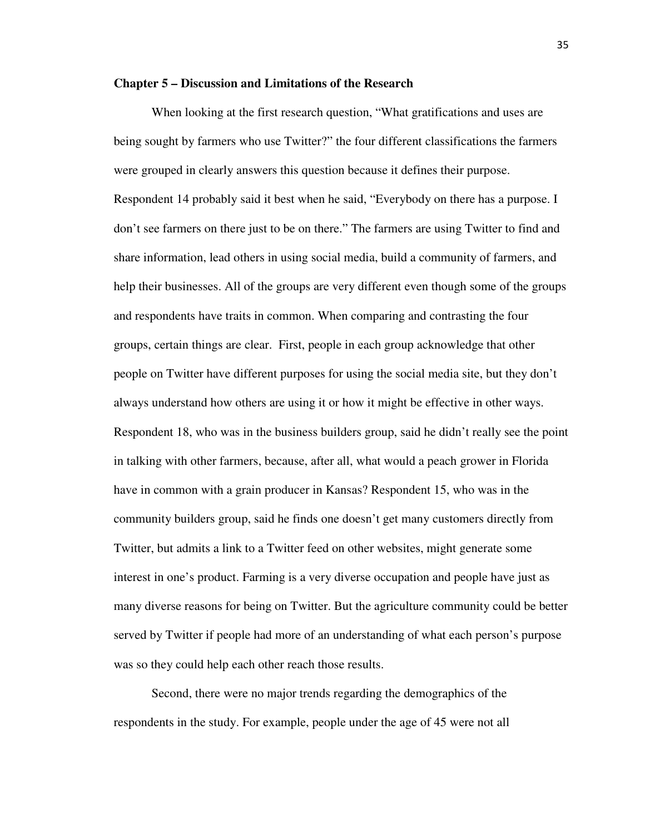### **Chapter 5 – Discussion and Limitations of the Research**

When looking at the first research question, "What gratifications and uses are being sought by farmers who use Twitter?" the four different classifications the farmers were grouped in clearly answers this question because it defines their purpose. Respondent 14 probably said it best when he said, "Everybody on there has a purpose. I don't see farmers on there just to be on there." The farmers are using Twitter to find and share information, lead others in using social media, build a community of farmers, and help their businesses. All of the groups are very different even though some of the groups and respondents have traits in common. When comparing and contrasting the four groups, certain things are clear. First, people in each group acknowledge that other people on Twitter have different purposes for using the social media site, but they don't always understand how others are using it or how it might be effective in other ways. Respondent 18, who was in the business builders group, said he didn't really see the point in talking with other farmers, because, after all, what would a peach grower in Florida have in common with a grain producer in Kansas? Respondent 15, who was in the community builders group, said he finds one doesn't get many customers directly from Twitter, but admits a link to a Twitter feed on other websites, might generate some interest in one's product. Farming is a very diverse occupation and people have just as many diverse reasons for being on Twitter. But the agriculture community could be better served by Twitter if people had more of an understanding of what each person's purpose was so they could help each other reach those results.

Second, there were no major trends regarding the demographics of the respondents in the study. For example, people under the age of 45 were not all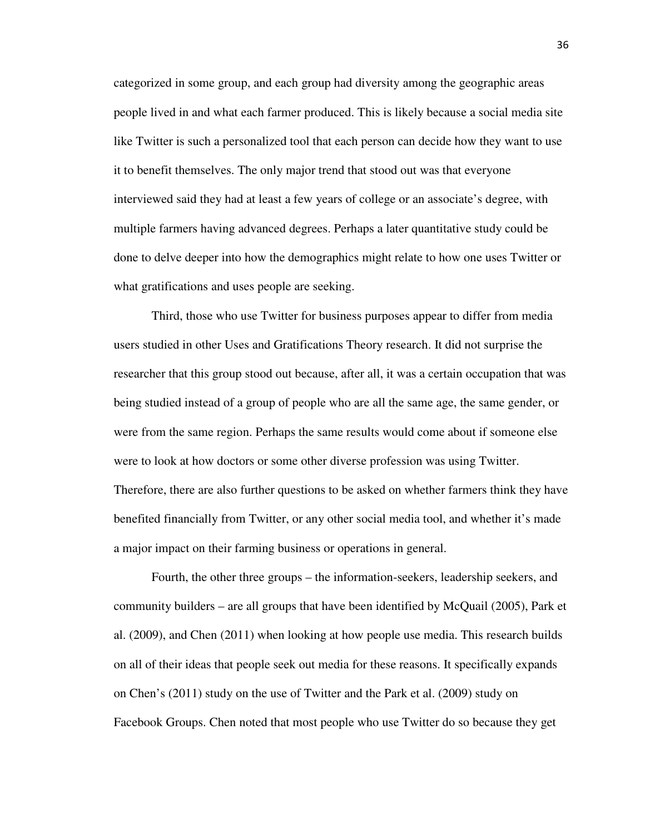categorized in some group, and each group had diversity among the geographic areas people lived in and what each farmer produced. This is likely because a social media site like Twitter is such a personalized tool that each person can decide how they want to use it to benefit themselves. The only major trend that stood out was that everyone interviewed said they had at least a few years of college or an associate's degree, with multiple farmers having advanced degrees. Perhaps a later quantitative study could be done to delve deeper into how the demographics might relate to how one uses Twitter or what gratifications and uses people are seeking.

Third, those who use Twitter for business purposes appear to differ from media users studied in other Uses and Gratifications Theory research. It did not surprise the researcher that this group stood out because, after all, it was a certain occupation that was being studied instead of a group of people who are all the same age, the same gender, or were from the same region. Perhaps the same results would come about if someone else were to look at how doctors or some other diverse profession was using Twitter. Therefore, there are also further questions to be asked on whether farmers think they have benefited financially from Twitter, or any other social media tool, and whether it's made a major impact on their farming business or operations in general.

Fourth, the other three groups – the information-seekers, leadership seekers, and community builders – are all groups that have been identified by McQuail (2005), Park et al. (2009), and Chen (2011) when looking at how people use media. This research builds on all of their ideas that people seek out media for these reasons. It specifically expands on Chen's (2011) study on the use of Twitter and the Park et al. (2009) study on Facebook Groups. Chen noted that most people who use Twitter do so because they get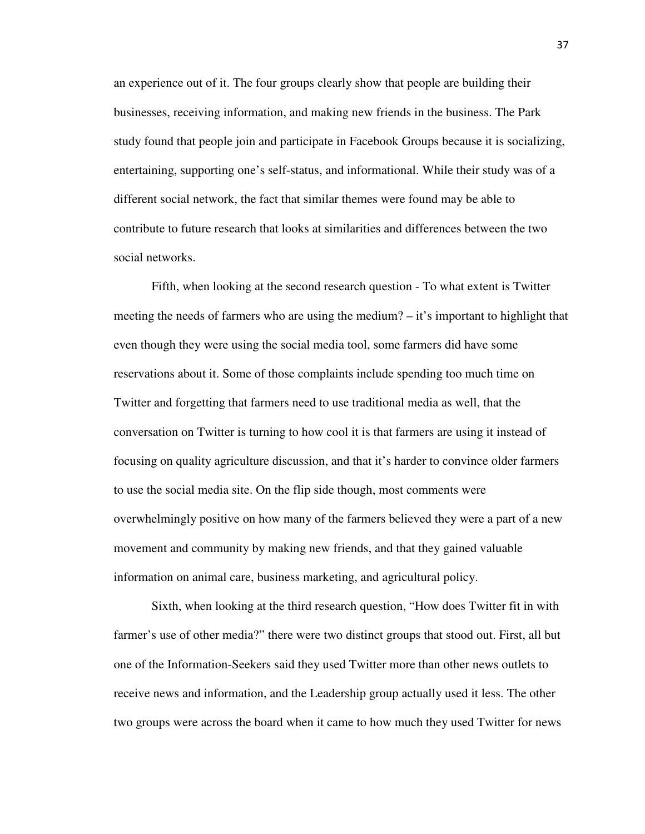an experience out of it. The four groups clearly show that people are building their businesses, receiving information, and making new friends in the business. The Park study found that people join and participate in Facebook Groups because it is socializing, entertaining, supporting one's self-status, and informational. While their study was of a different social network, the fact that similar themes were found may be able to contribute to future research that looks at similarities and differences between the two social networks.

Fifth, when looking at the second research question - To what extent is Twitter meeting the needs of farmers who are using the medium? – it's important to highlight that even though they were using the social media tool, some farmers did have some reservations about it. Some of those complaints include spending too much time on Twitter and forgetting that farmers need to use traditional media as well, that the conversation on Twitter is turning to how cool it is that farmers are using it instead of focusing on quality agriculture discussion, and that it's harder to convince older farmers to use the social media site. On the flip side though, most comments were overwhelmingly positive on how many of the farmers believed they were a part of a new movement and community by making new friends, and that they gained valuable information on animal care, business marketing, and agricultural policy.

Sixth, when looking at the third research question, "How does Twitter fit in with farmer's use of other media?" there were two distinct groups that stood out. First, all but one of the Information-Seekers said they used Twitter more than other news outlets to receive news and information, and the Leadership group actually used it less. The other two groups were across the board when it came to how much they used Twitter for news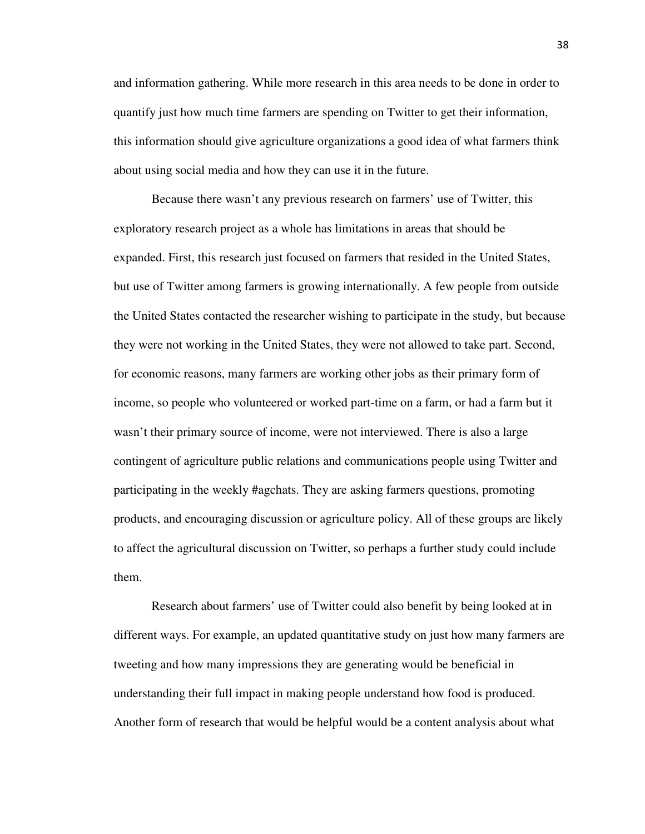and information gathering. While more research in this area needs to be done in order to quantify just how much time farmers are spending on Twitter to get their information, this information should give agriculture organizations a good idea of what farmers think about using social media and how they can use it in the future.

Because there wasn't any previous research on farmers' use of Twitter, this exploratory research project as a whole has limitations in areas that should be expanded. First, this research just focused on farmers that resided in the United States, but use of Twitter among farmers is growing internationally. A few people from outside the United States contacted the researcher wishing to participate in the study, but because they were not working in the United States, they were not allowed to take part. Second, for economic reasons, many farmers are working other jobs as their primary form of income, so people who volunteered or worked part-time on a farm, or had a farm but it wasn't their primary source of income, were not interviewed. There is also a large contingent of agriculture public relations and communications people using Twitter and participating in the weekly #agchats. They are asking farmers questions, promoting products, and encouraging discussion or agriculture policy. All of these groups are likely to affect the agricultural discussion on Twitter, so perhaps a further study could include them.

Research about farmers' use of Twitter could also benefit by being looked at in different ways. For example, an updated quantitative study on just how many farmers are tweeting and how many impressions they are generating would be beneficial in understanding their full impact in making people understand how food is produced. Another form of research that would be helpful would be a content analysis about what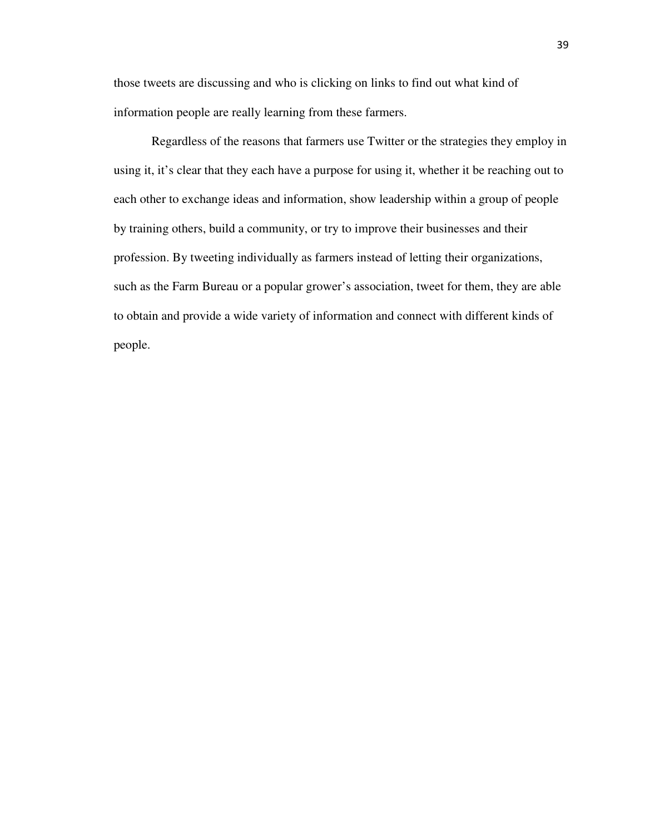those tweets are discussing and who is clicking on links to find out what kind of information people are really learning from these farmers.

 Regardless of the reasons that farmers use Twitter or the strategies they employ in using it, it's clear that they each have a purpose for using it, whether it be reaching out to each other to exchange ideas and information, show leadership within a group of people by training others, build a community, or try to improve their businesses and their profession. By tweeting individually as farmers instead of letting their organizations, such as the Farm Bureau or a popular grower's association, tweet for them, they are able to obtain and provide a wide variety of information and connect with different kinds of people.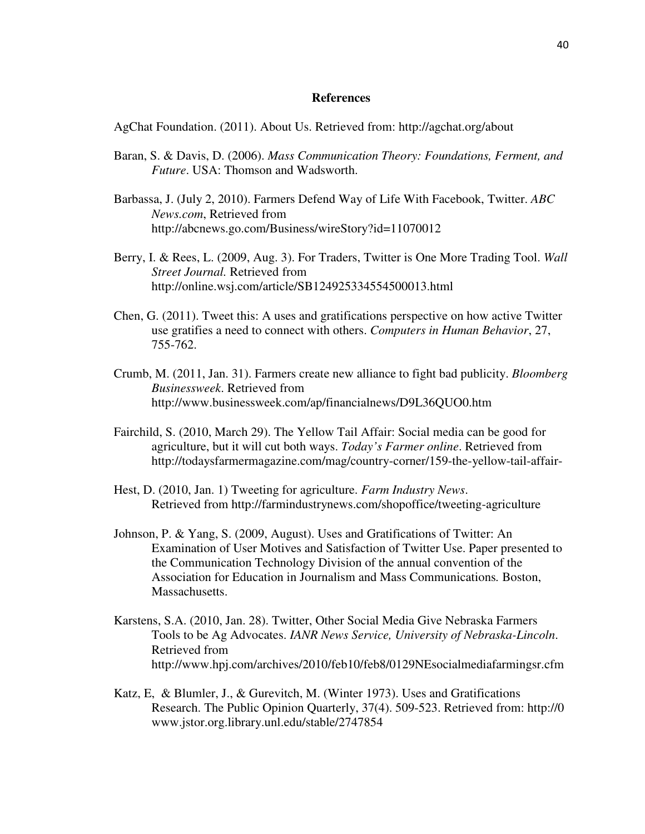### **References**

AgChat Foundation. (2011). About Us. Retrieved from: http://agchat.org/about

- Baran, S. & Davis, D. (2006). *Mass Communication Theory: Foundations, Ferment, and Future*. USA: Thomson and Wadsworth.
- Barbassa, J. (July 2, 2010). Farmers Defend Way of Life With Facebook, Twitter. *ABC News.com*, Retrieved from http://abcnews.go.com/Business/wireStory?id=11070012
- Berry, I. & Rees, L. (2009, Aug. 3). For Traders, Twitter is One More Trading Tool. *Wall Street Journal.* Retrieved from http://online.wsj.com/article/SB124925334554500013.html
- Chen, G. (2011). Tweet this: A uses and gratifications perspective on how active Twitter use gratifies a need to connect with others. *Computers in Human Behavior*, 27, 755-762.
- Crumb, M. (2011, Jan. 31). Farmers create new alliance to fight bad publicity. *Bloomberg Businessweek*. Retrieved from http://www.businessweek.com/ap/financialnews/D9L36QUO0.htm
- Fairchild, S. (2010, March 29). The Yellow Tail Affair: Social media can be good for agriculture, but it will cut both ways. *Today's Farmer online*. Retrieved from http://todaysfarmermagazine.com/mag/country-corner/159-the-yellow-tail-affair-
- Hest, D. (2010, Jan. 1) Tweeting for agriculture. *Farm Industry News*. Retrieved from http://farmindustrynews.com/shopoffice/tweeting-agriculture
- Johnson, P. & Yang, S. (2009, August). Uses and Gratifications of Twitter: An Examination of User Motives and Satisfaction of Twitter Use. Paper presented to the Communication Technology Division of the annual convention of the Association for Education in Journalism and Mass Communications*.* Boston, Massachusetts.
- Karstens, S.A. (2010, Jan. 28). Twitter, Other Social Media Give Nebraska Farmers Tools to be Ag Advocates. *IANR News Service, University of Nebraska-Lincoln*. Retrieved from http://www.hpj.com/archives/2010/feb10/feb8/0129NEsocialmediafarmingsr.cfm
- Katz, E, & Blumler, J., & Gurevitch, M. (Winter 1973). Uses and Gratifications Research. The Public Opinion Quarterly, 37(4). 509-523. Retrieved from: http://0 www.jstor.org.library.unl.edu/stable/2747854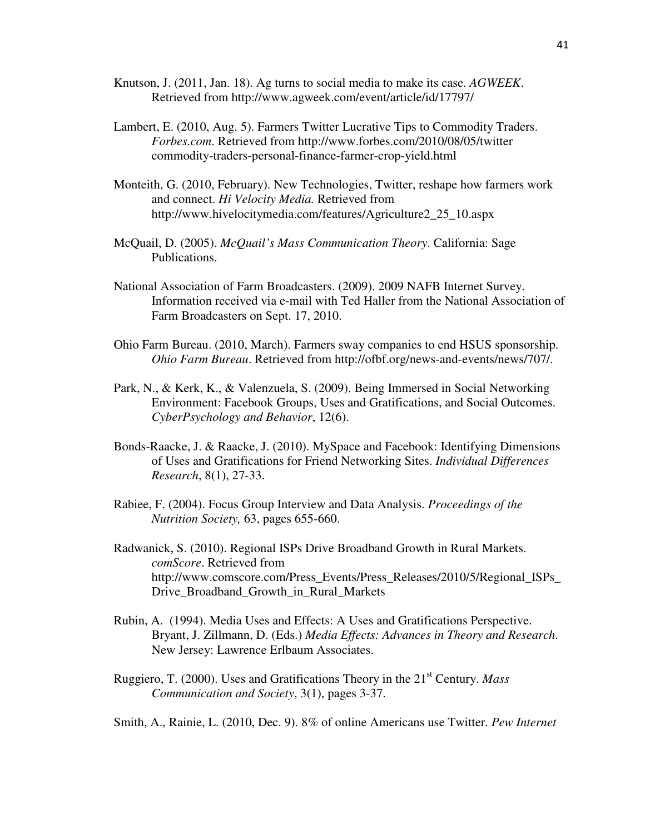- Knutson, J. (2011, Jan. 18). Ag turns to social media to make its case. *AGWEEK*. Retrieved from http://www.agweek.com/event/article/id/17797/
- Lambert, E. (2010, Aug. 5). Farmers Twitter Lucrative Tips to Commodity Traders. *Forbes.com*. Retrieved from http://www.forbes.com/2010/08/05/twitter commodity-traders-personal-finance-farmer-crop-yield.html
- Monteith, G. (2010, February). New Technologies, Twitter, reshape how farmers work and connect. *Hi Velocity Media.* Retrieved from http://www.hivelocitymedia.com/features/Agriculture2\_25\_10.aspx
- McQuail, D. (2005). *McQuail's Mass Communication Theory*. California: Sage Publications.
- National Association of Farm Broadcasters. (2009). 2009 NAFB Internet Survey. Information received via e-mail with Ted Haller from the National Association of Farm Broadcasters on Sept. 17, 2010.
- Ohio Farm Bureau. (2010, March). Farmers sway companies to end HSUS sponsorship. *Ohio Farm Bureau*. Retrieved from http://ofbf.org/news-and-events/news/707/.
- Park, N., & Kerk, K., & Valenzuela, S. (2009). Being Immersed in Social Networking Environment: Facebook Groups, Uses and Gratifications, and Social Outcomes. *CyberPsychology and Behavior*, 12(6).
- Bonds-Raacke, J. & Raacke, J. (2010). MySpace and Facebook: Identifying Dimensions of Uses and Gratifications for Friend Networking Sites. *Individual Differences Research*, 8(1), 27-33.
- Rabiee, F. (2004). Focus Group Interview and Data Analysis. *Proceedings of the Nutrition Society,* 63, pages 655-660.
- Radwanick, S. (2010). Regional ISPs Drive Broadband Growth in Rural Markets. *comScore*. Retrieved from http://www.comscore.com/Press\_Events/Press\_Releases/2010/5/Regional\_ISPs\_ Drive Broadband Growth in Rural Markets
- Rubin, A. (1994). Media Uses and Effects: A Uses and Gratifications Perspective. Bryant, J. Zillmann, D. (Eds.) *Media Effects: Advances in Theory and Research*. New Jersey: Lawrence Erlbaum Associates.
- Ruggiero, T. (2000). Uses and Gratifications Theory in the 21st Century. *Mass Communication and Society*, 3(1), pages 3-37.

Smith, A., Rainie, L. (2010, Dec. 9). 8% of online Americans use Twitter. *Pew Internet*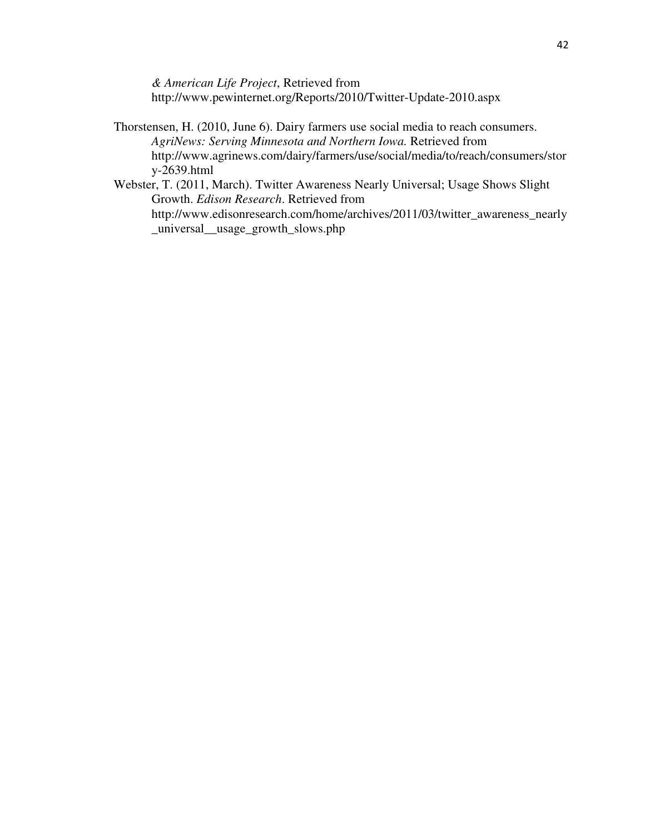*& American Life Project*, Retrieved from http://www.pewinternet.org/Reports/2010/Twitter-Update-2010.aspx

- Thorstensen, H. (2010, June 6). Dairy farmers use social media to reach consumers. *AgriNews: Serving Minnesota and Northern Iowa.* Retrieved from http://www.agrinews.com/dairy/farmers/use/social/media/to/reach/consumers/stor y-2639.html
- Webster, T. (2011, March). Twitter Awareness Nearly Universal; Usage Shows Slight Growth. *Edison Research*. Retrieved from http://www.edisonresearch.com/home/archives/2011/03/twitter\_awareness\_nearly \_universal\_\_usage\_growth\_slows.php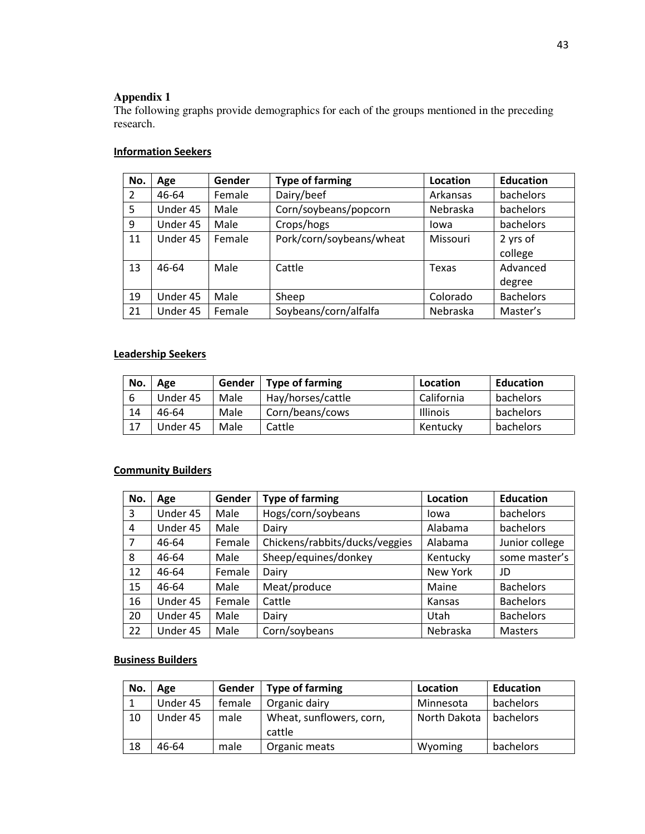# **Appendix 1**

The following graphs provide demographics for each of the groups mentioned in the preceding research.

## **Information Seekers**

| No. | Age      | Gender | <b>Type of farming</b>   | Location | <b>Education</b> |
|-----|----------|--------|--------------------------|----------|------------------|
| 2   | 46-64    | Female | Dairy/beef               | Arkansas | bachelors        |
| 5   | Under 45 | Male   | Corn/soybeans/popcorn    | Nebraska | bachelors        |
| 9   | Under 45 | Male   | Crops/hogs               | lowa     | bachelors        |
| 11  | Under 45 | Female | Pork/corn/soybeans/wheat | Missouri | 2 yrs of         |
|     |          |        |                          |          | college          |
| 13  | 46-64    | Male   | Cattle                   | Texas    | Advanced         |
|     |          |        |                          |          | degree           |
| 19  | Under 45 | Male   | Sheep                    | Colorado | <b>Bachelors</b> |
| 21  | Under 45 | Female | Soybeans/corn/alfalfa    | Nebraska | Master's         |

## Leadership Seekers

| No. | Age      | Gender | Type of farming   | Location        | <b>Education</b> |
|-----|----------|--------|-------------------|-----------------|------------------|
|     | Under 45 | Male   | Hay/horses/cattle | California      | bachelors        |
| 14  | 46-64    | Male   | Corn/beans/cows   | <b>Illinois</b> | bachelors        |
| 17  | Under 45 | Male   | Cattle            | Kentuckv        | bachelors        |

# **Community Builders**

| No.            | Age      | Gender | <b>Type of farming</b>         | Location | <b>Education</b> |
|----------------|----------|--------|--------------------------------|----------|------------------|
| 3              | Under 45 | Male   | Hogs/corn/soybeans             | Iowa     | bachelors        |
| 4              | Under 45 | Male   | Dairy                          | Alabama  | bachelors        |
| $\overline{7}$ | 46-64    | Female | Chickens/rabbits/ducks/veggies | Alabama  | Junior college   |
| 8              | 46-64    | Male   | Sheep/equines/donkey           | Kentucky | some master's    |
| 12             | 46-64    | Female | Dairy                          | New York | JD               |
| 15             | 46-64    | Male   | Meat/produce                   | Maine    | <b>Bachelors</b> |
| 16             | Under 45 | Female | Cattle                         | Kansas   | <b>Bachelors</b> |
| 20             | Under 45 | Male   | Dairy                          | Utah     | <b>Bachelors</b> |
| 22             | Under 45 | Male   | Corn/soybeans                  | Nebraska | <b>Masters</b>   |

### Business Builders

| No. | Age      | Gender | <b>Type of farming</b>             | Location     | <b>Education</b> |
|-----|----------|--------|------------------------------------|--------------|------------------|
|     | Under 45 | female | Organic dairy                      | Minnesota    | bachelors        |
| 10  | Under 45 | male   | Wheat, sunflowers, corn,<br>cattle | North Dakota | bachelors        |
| 18  | 46-64    | male   | Organic meats                      | Wyoming      | bachelors        |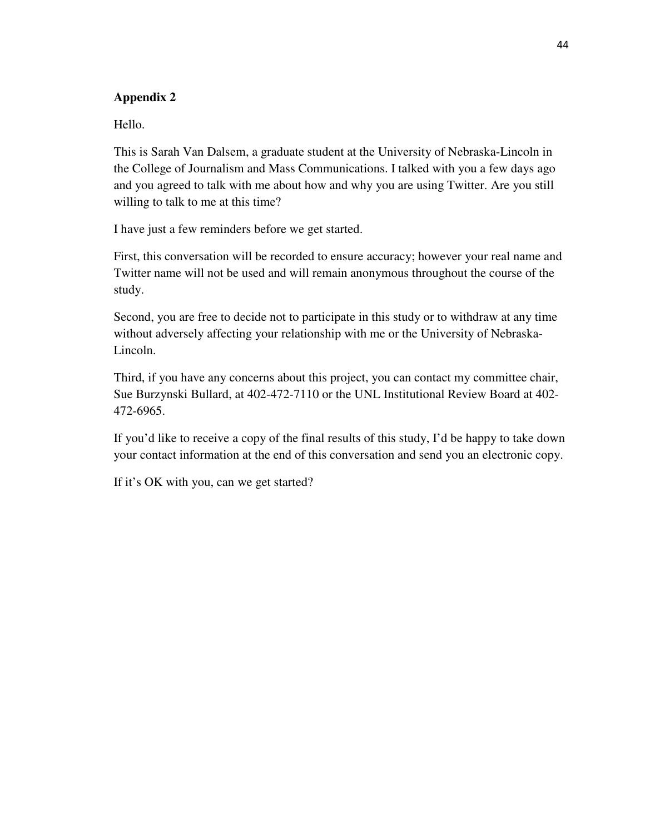# **Appendix 2**

Hello.

This is Sarah Van Dalsem, a graduate student at the University of Nebraska-Lincoln in the College of Journalism and Mass Communications. I talked with you a few days ago and you agreed to talk with me about how and why you are using Twitter. Are you still willing to talk to me at this time?

I have just a few reminders before we get started.

First, this conversation will be recorded to ensure accuracy; however your real name and Twitter name will not be used and will remain anonymous throughout the course of the study.

Second, you are free to decide not to participate in this study or to withdraw at any time without adversely affecting your relationship with me or the University of Nebraska-Lincoln.

Third, if you have any concerns about this project, you can contact my committee chair, Sue Burzynski Bullard, at 402-472-7110 or the UNL Institutional Review Board at 402- 472-6965.

If you'd like to receive a copy of the final results of this study, I'd be happy to take down your contact information at the end of this conversation and send you an electronic copy.

If it's OK with you, can we get started?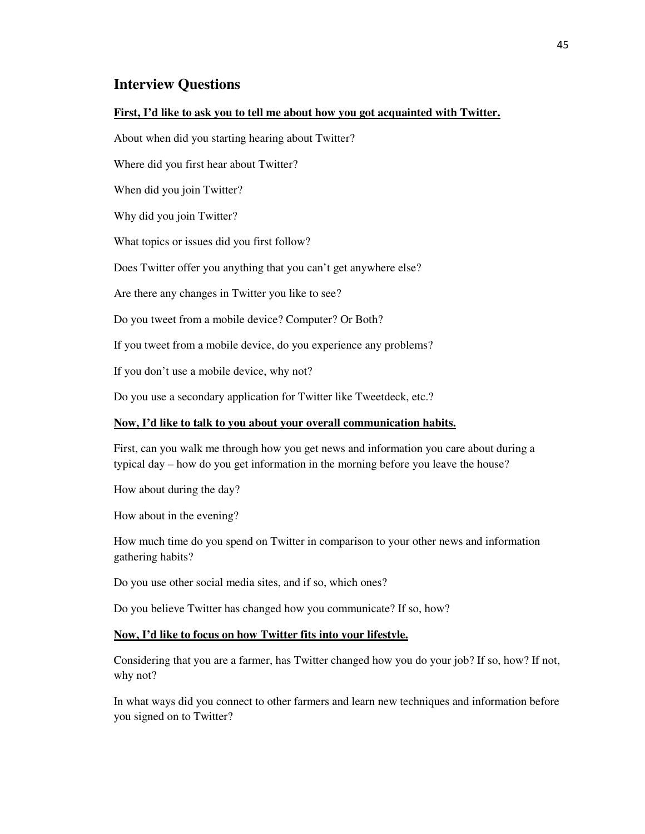# **Interview Questions**

#### **First, I'd like to ask you to tell me about how you got acquainted with Twitter.**

About when did you starting hearing about Twitter?

Where did you first hear about Twitter?

When did you join Twitter?

Why did you join Twitter?

What topics or issues did you first follow?

Does Twitter offer you anything that you can't get anywhere else?

Are there any changes in Twitter you like to see?

Do you tweet from a mobile device? Computer? Or Both?

If you tweet from a mobile device, do you experience any problems?

If you don't use a mobile device, why not?

Do you use a secondary application for Twitter like Tweetdeck, etc.?

#### **Now, I'd like to talk to you about your overall communication habits.**

First, can you walk me through how you get news and information you care about during a typical day – how do you get information in the morning before you leave the house?

How about during the day?

How about in the evening?

How much time do you spend on Twitter in comparison to your other news and information gathering habits?

Do you use other social media sites, and if so, which ones?

Do you believe Twitter has changed how you communicate? If so, how?

#### **Now, I'd like to focus on how Twitter fits into your lifestyle.**

Considering that you are a farmer, has Twitter changed how you do your job? If so, how? If not, why not?

In what ways did you connect to other farmers and learn new techniques and information before you signed on to Twitter?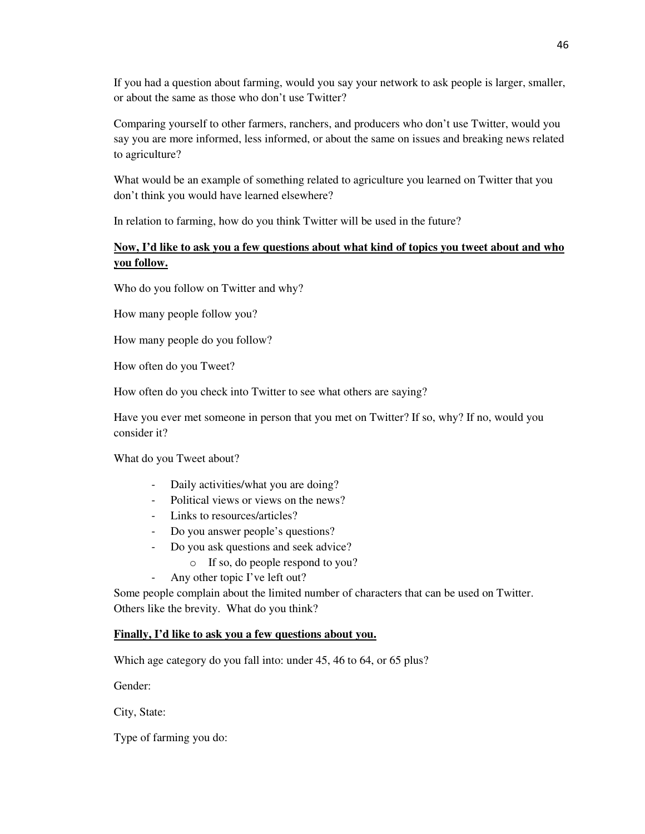If you had a question about farming, would you say your network to ask people is larger, smaller, or about the same as those who don't use Twitter?

Comparing yourself to other farmers, ranchers, and producers who don't use Twitter, would you say you are more informed, less informed, or about the same on issues and breaking news related to agriculture?

What would be an example of something related to agriculture you learned on Twitter that you don't think you would have learned elsewhere?

In relation to farming, how do you think Twitter will be used in the future?

# **Now, I'd like to ask you a few questions about what kind of topics you tweet about and who you follow.**

Who do you follow on Twitter and why?

How many people follow you?

How many people do you follow?

How often do you Tweet?

How often do you check into Twitter to see what others are saying?

Have you ever met someone in person that you met on Twitter? If so, why? If no, would you consider it?

What do you Tweet about?

- Daily activities/what you are doing?
- Political views or views on the news?
- Links to resources/articles?
- Do you answer people's questions?
- Do you ask questions and seek advice?
	- o If so, do people respond to you?
	- Any other topic I've left out?

Some people complain about the limited number of characters that can be used on Twitter. Others like the brevity. What do you think?

### **Finally, I'd like to ask you a few questions about you.**

Which age category do you fall into: under 45, 46 to 64, or 65 plus?

Gender:

City, State:

Type of farming you do: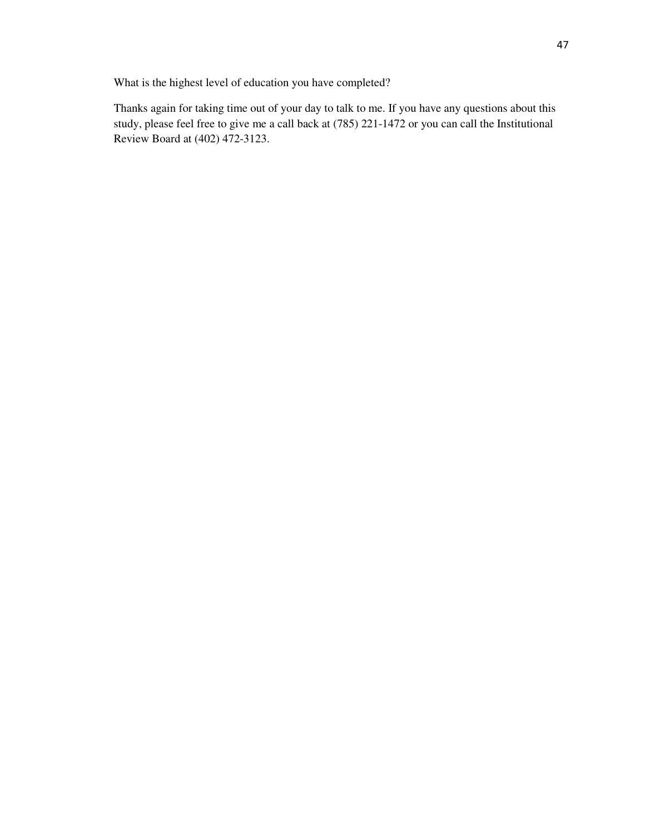What is the highest level of education you have completed?

Thanks again for taking time out of your day to talk to me. If you have any questions about this study, please feel free to give me a call back at (785) 221-1472 or you can call the Institutional Review Board at (402) 472-3123.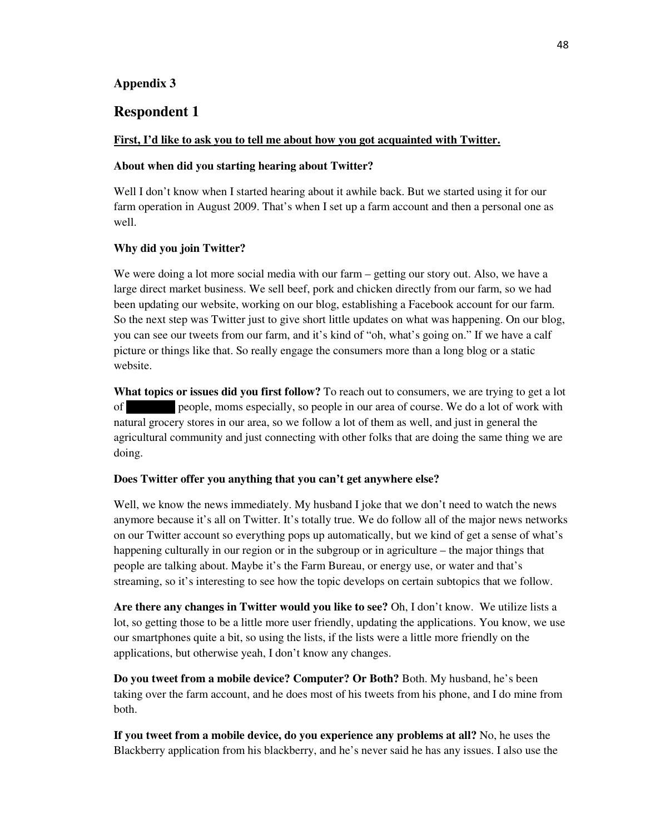### **Appendix 3**

## **Respondent 1**

#### **First, I'd like to ask you to tell me about how you got acquainted with Twitter.**

#### **About when did you starting hearing about Twitter?**

Well I don't know when I started hearing about it awhile back. But we started using it for our farm operation in August 2009. That's when I set up a farm account and then a personal one as well.

#### **Why did you join Twitter?**

We were doing a lot more social media with our farm – getting our story out. Also, we have a large direct market business. We sell beef, pork and chicken directly from our farm, so we had been updating our website, working on our blog, establishing a Facebook account for our farm. So the next step was Twitter just to give short little updates on what was happening. On our blog, you can see our tweets from our farm, and it's kind of "oh, what's going on." If we have a calf picture or things like that. So really engage the consumers more than a long blog or a static website.

**What topics or issues did you first follow?** To reach out to consumers, we are trying to get a lot of people, moms especially, so people in our area of course. We do a lot of work with natural grocery stores in our area, so we follow a lot of them as well, and just in general the agricultural community and just connecting with other folks that are doing the same thing we are doing.

### **Does Twitter offer you anything that you can't get anywhere else?**

Well, we know the news immediately. My husband I joke that we don't need to watch the news anymore because it's all on Twitter. It's totally true. We do follow all of the major news networks on our Twitter account so everything pops up automatically, but we kind of get a sense of what's happening culturally in our region or in the subgroup or in agriculture – the major things that people are talking about. Maybe it's the Farm Bureau, or energy use, or water and that's streaming, so it's interesting to see how the topic develops on certain subtopics that we follow.

**Are there any changes in Twitter would you like to see?** Oh, I don't know. We utilize lists a lot, so getting those to be a little more user friendly, updating the applications. You know, we use our smartphones quite a bit, so using the lists, if the lists were a little more friendly on the applications, but otherwise yeah, I don't know any changes.

**Do you tweet from a mobile device? Computer? Or Both?** Both. My husband, he's been taking over the farm account, and he does most of his tweets from his phone, and I do mine from both.

**If you tweet from a mobile device, do you experience any problems at all?** No, he uses the Blackberry application from his blackberry, and he's never said he has any issues. I also use the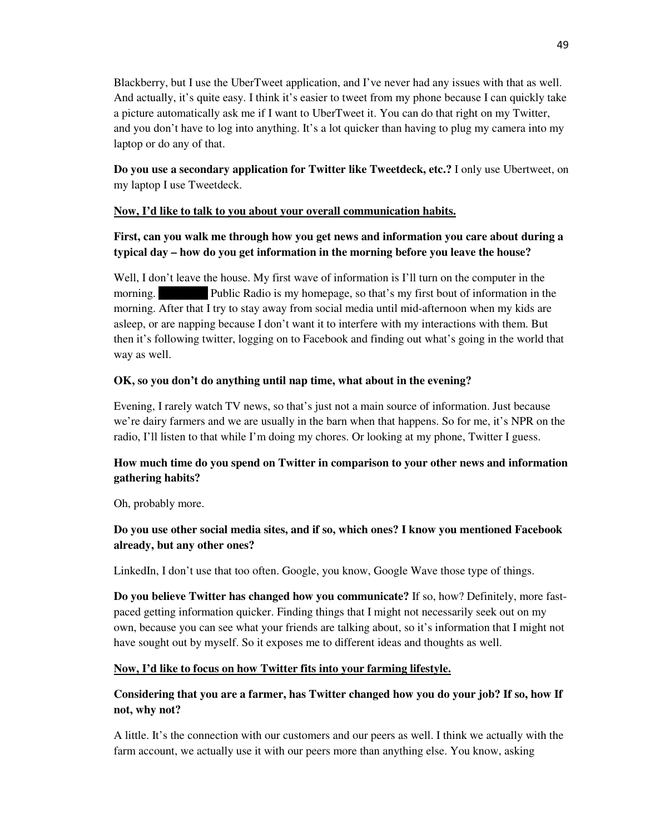Blackberry, but I use the UberTweet application, and I've never had any issues with that as well. And actually, it's quite easy. I think it's easier to tweet from my phone because I can quickly take a picture automatically ask me if I want to UberTweet it. You can do that right on my Twitter, and you don't have to log into anything. It's a lot quicker than having to plug my camera into my laptop or do any of that.

**Do you use a secondary application for Twitter like Tweetdeck, etc.?** I only use Ubertweet, on my laptop I use Tweetdeck.

## **Now, I'd like to talk to you about your overall communication habits.**

# **First, can you walk me through how you get news and information you care about during a typical day – how do you get information in the morning before you leave the house?**

Well, I don't leave the house. My first wave of information is I'll turn on the computer in the morning. Public Radio is my homepage, so that's my first bout of information in the morning. After that I try to stay away from social media until mid-afternoon when my kids are asleep, or are napping because I don't want it to interfere with my interactions with them. But then it's following twitter, logging on to Facebook and finding out what's going in the world that way as well.

## **OK, so you don't do anything until nap time, what about in the evening?**

Evening, I rarely watch TV news, so that's just not a main source of information. Just because we're dairy farmers and we are usually in the barn when that happens. So for me, it's NPR on the radio, I'll listen to that while I'm doing my chores. Or looking at my phone, Twitter I guess.

# **How much time do you spend on Twitter in comparison to your other news and information gathering habits?**

Oh, probably more.

# **Do you use other social media sites, and if so, which ones? I know you mentioned Facebook already, but any other ones?**

LinkedIn, I don't use that too often. Google, you know, Google Wave those type of things.

**Do you believe Twitter has changed how you communicate?** If so, how? Definitely, more fastpaced getting information quicker. Finding things that I might not necessarily seek out on my own, because you can see what your friends are talking about, so it's information that I might not have sought out by myself. So it exposes me to different ideas and thoughts as well.

## **Now, I'd like to focus on how Twitter fits into your farming lifestyle.**

# **Considering that you are a farmer, has Twitter changed how you do your job? If so, how If not, why not?**

A little. It's the connection with our customers and our peers as well. I think we actually with the farm account, we actually use it with our peers more than anything else. You know, asking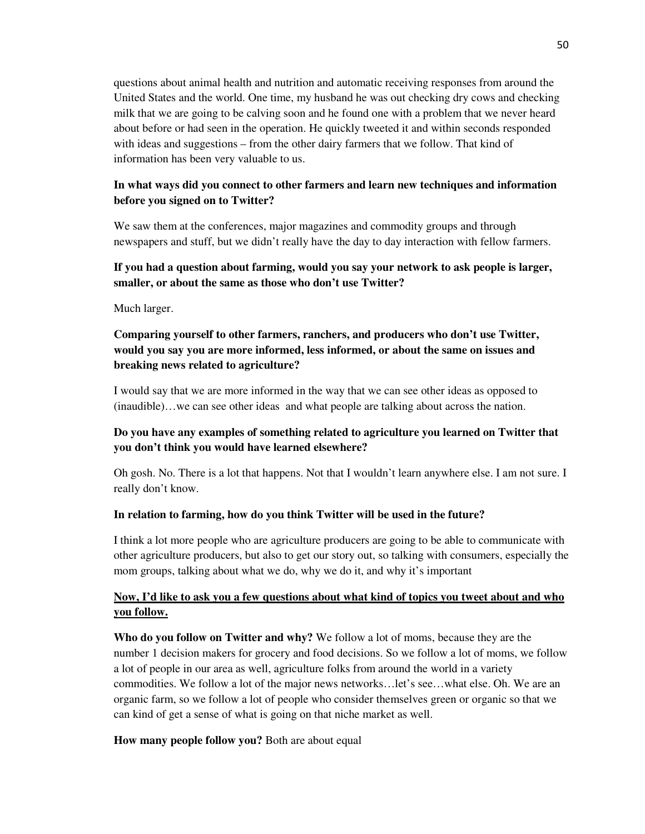questions about animal health and nutrition and automatic receiving responses from around the United States and the world. One time, my husband he was out checking dry cows and checking milk that we are going to be calving soon and he found one with a problem that we never heard about before or had seen in the operation. He quickly tweeted it and within seconds responded with ideas and suggestions – from the other dairy farmers that we follow. That kind of information has been very valuable to us.

# **In what ways did you connect to other farmers and learn new techniques and information before you signed on to Twitter?**

We saw them at the conferences, major magazines and commodity groups and through newspapers and stuff, but we didn't really have the day to day interaction with fellow farmers.

## **If you had a question about farming, would you say your network to ask people is larger, smaller, or about the same as those who don't use Twitter?**

Much larger.

# **Comparing yourself to other farmers, ranchers, and producers who don't use Twitter, would you say you are more informed, less informed, or about the same on issues and breaking news related to agriculture?**

I would say that we are more informed in the way that we can see other ideas as opposed to (inaudible)…we can see other ideas and what people are talking about across the nation.

# **Do you have any examples of something related to agriculture you learned on Twitter that you don't think you would have learned elsewhere?**

Oh gosh. No. There is a lot that happens. Not that I wouldn't learn anywhere else. I am not sure. I really don't know.

### **In relation to farming, how do you think Twitter will be used in the future?**

I think a lot more people who are agriculture producers are going to be able to communicate with other agriculture producers, but also to get our story out, so talking with consumers, especially the mom groups, talking about what we do, why we do it, and why it's important

# **Now, I'd like to ask you a few questions about what kind of topics you tweet about and who you follow.**

**Who do you follow on Twitter and why?** We follow a lot of moms, because they are the number 1 decision makers for grocery and food decisions. So we follow a lot of moms, we follow a lot of people in our area as well, agriculture folks from around the world in a variety commodities. We follow a lot of the major news networks…let's see…what else. Oh. We are an organic farm, so we follow a lot of people who consider themselves green or organic so that we can kind of get a sense of what is going on that niche market as well.

**How many people follow you?** Both are about equal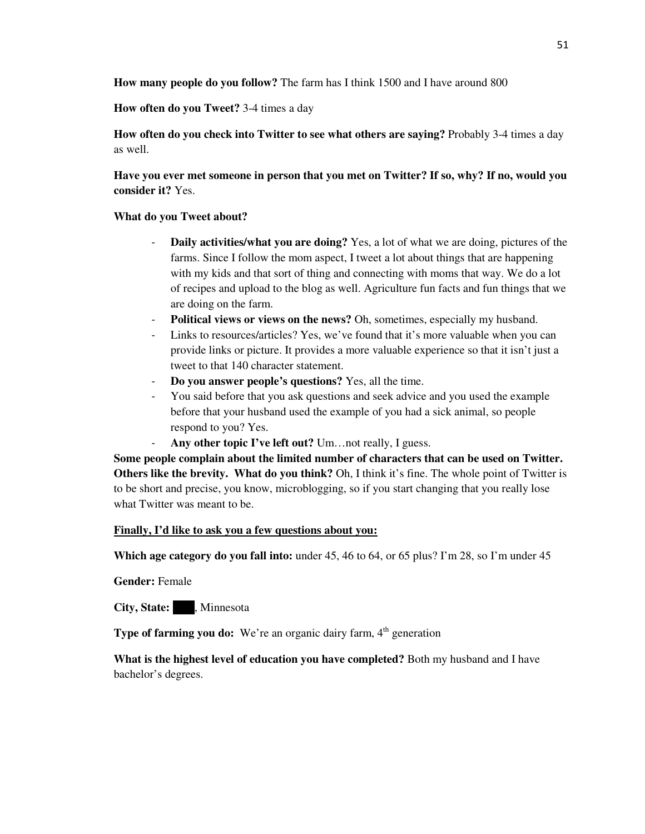**How many people do you follow?** The farm has I think 1500 and I have around 800

**How often do you Tweet?** 3-4 times a day

**How often do you check into Twitter to see what others are saying?** Probably 3-4 times a day as well.

**Have you ever met someone in person that you met on Twitter? If so, why? If no, would you consider it?** Yes.

## **What do you Tweet about?**

- **Daily activities/what you are doing?** Yes, a lot of what we are doing, pictures of the farms. Since I follow the mom aspect, I tweet a lot about things that are happening with my kids and that sort of thing and connecting with moms that way. We do a lot of recipes and upload to the blog as well. Agriculture fun facts and fun things that we are doing on the farm.
- **Political views or views on the news?** Oh, sometimes, especially my husband.
- Links to resources/articles? Yes, we've found that it's more valuable when you can provide links or picture. It provides a more valuable experience so that it isn't just a tweet to that 140 character statement.
- **Do you answer people's questions?** Yes, all the time.
- You said before that you ask questions and seek advice and you used the example before that your husband used the example of you had a sick animal, so people respond to you? Yes.
- Any other topic I've left out? Um...not really, I guess.

**Some people complain about the limited number of characters that can be used on Twitter. Others like the brevity. What do you think?** Oh, I think it's fine. The whole point of Twitter is to be short and precise, you know, microblogging, so if you start changing that you really lose what Twitter was meant to be.

## **Finally, I'd like to ask you a few questions about you:**

**Which age category do you fall into:** under 45, 46 to 64, or 65 plus? I'm 28, so I'm under 45

**Gender:** Female

**City, State:** , Minnesota

**Type of farming you do:** We're an organic dairy farm, 4<sup>th</sup> generation

**What is the highest level of education you have completed?** Both my husband and I have bachelor's degrees.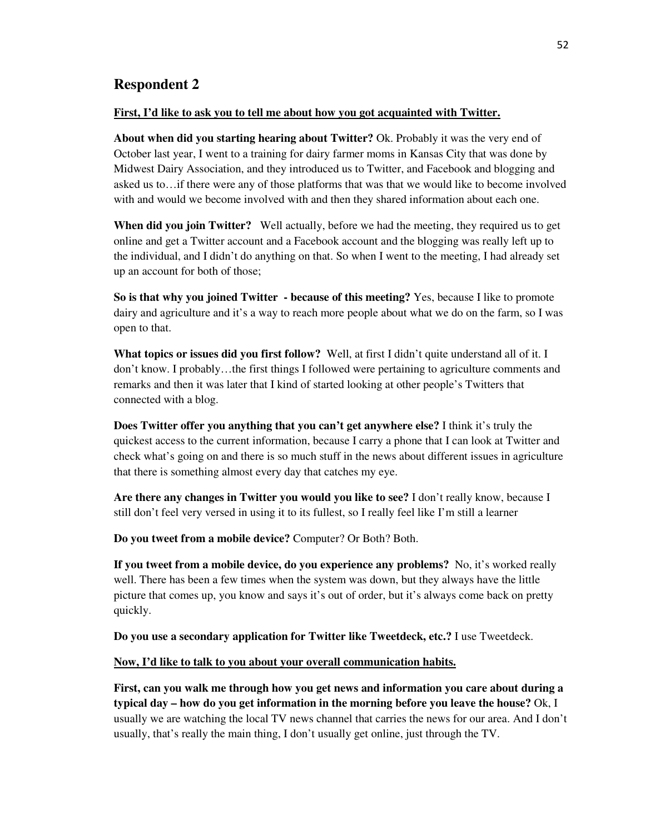# **Respondent 2**

#### **First, I'd like to ask you to tell me about how you got acquainted with Twitter.**

**About when did you starting hearing about Twitter?** Ok. Probably it was the very end of October last year, I went to a training for dairy farmer moms in Kansas City that was done by Midwest Dairy Association, and they introduced us to Twitter, and Facebook and blogging and asked us to…if there were any of those platforms that was that we would like to become involved with and would we become involved with and then they shared information about each one.

**When did you join Twitter?** Well actually, before we had the meeting, they required us to get online and get a Twitter account and a Facebook account and the blogging was really left up to the individual, and I didn't do anything on that. So when I went to the meeting, I had already set up an account for both of those;

**So is that why you joined Twitter - because of this meeting?** Yes, because I like to promote dairy and agriculture and it's a way to reach more people about what we do on the farm, so I was open to that.

**What topics or issues did you first follow?** Well, at first I didn't quite understand all of it. I don't know. I probably…the first things I followed were pertaining to agriculture comments and remarks and then it was later that I kind of started looking at other people's Twitters that connected with a blog.

**Does Twitter offer you anything that you can't get anywhere else?** I think it's truly the quickest access to the current information, because I carry a phone that I can look at Twitter and check what's going on and there is so much stuff in the news about different issues in agriculture that there is something almost every day that catches my eye.

**Are there any changes in Twitter you would you like to see?** I don't really know, because I still don't feel very versed in using it to its fullest, so I really feel like I'm still a learner

**Do you tweet from a mobile device?** Computer? Or Both? Both.

**If you tweet from a mobile device, do you experience any problems?** No, it's worked really well. There has been a few times when the system was down, but they always have the little picture that comes up, you know and says it's out of order, but it's always come back on pretty quickly.

**Do you use a secondary application for Twitter like Tweetdeck, etc.?** I use Tweetdeck.

#### **Now, I'd like to talk to you about your overall communication habits.**

**First, can you walk me through how you get news and information you care about during a typical day – how do you get information in the morning before you leave the house?** Ok, I usually we are watching the local TV news channel that carries the news for our area. And I don't usually, that's really the main thing, I don't usually get online, just through the TV.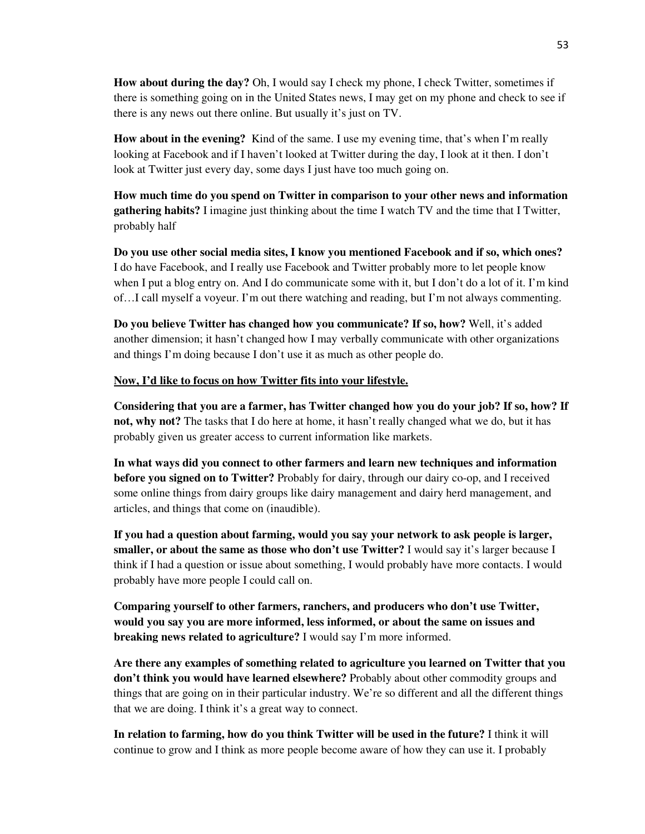**How about during the day?** Oh, I would say I check my phone, I check Twitter, sometimes if there is something going on in the United States news, I may get on my phone and check to see if there is any news out there online. But usually it's just on TV.

**How about in the evening?** Kind of the same. I use my evening time, that's when I'm really looking at Facebook and if I haven't looked at Twitter during the day, I look at it then. I don't look at Twitter just every day, some days I just have too much going on.

**How much time do you spend on Twitter in comparison to your other news and information gathering habits?** I imagine just thinking about the time I watch TV and the time that I Twitter, probably half

**Do you use other social media sites, I know you mentioned Facebook and if so, which ones?** I do have Facebook, and I really use Facebook and Twitter probably more to let people know when I put a blog entry on. And I do communicate some with it, but I don't do a lot of it. I'm kind of…I call myself a voyeur. I'm out there watching and reading, but I'm not always commenting.

**Do you believe Twitter has changed how you communicate? If so, how?** Well, it's added another dimension; it hasn't changed how I may verbally communicate with other organizations and things I'm doing because I don't use it as much as other people do.

### **Now, I'd like to focus on how Twitter fits into your lifestyle.**

**Considering that you are a farmer, has Twitter changed how you do your job? If so, how? If not, why not?** The tasks that I do here at home, it hasn't really changed what we do, but it has probably given us greater access to current information like markets.

**In what ways did you connect to other farmers and learn new techniques and information before you signed on to Twitter?** Probably for dairy, through our dairy co-op, and I received some online things from dairy groups like dairy management and dairy herd management, and articles, and things that come on (inaudible).

**If you had a question about farming, would you say your network to ask people is larger, smaller, or about the same as those who don't use Twitter?** I would say it's larger because I think if I had a question or issue about something, I would probably have more contacts. I would probably have more people I could call on.

**Comparing yourself to other farmers, ranchers, and producers who don't use Twitter, would you say you are more informed, less informed, or about the same on issues and breaking news related to agriculture?** I would say I'm more informed.

**Are there any examples of something related to agriculture you learned on Twitter that you don't think you would have learned elsewhere?** Probably about other commodity groups and things that are going on in their particular industry. We're so different and all the different things that we are doing. I think it's a great way to connect.

**In relation to farming, how do you think Twitter will be used in the future?** I think it will continue to grow and I think as more people become aware of how they can use it. I probably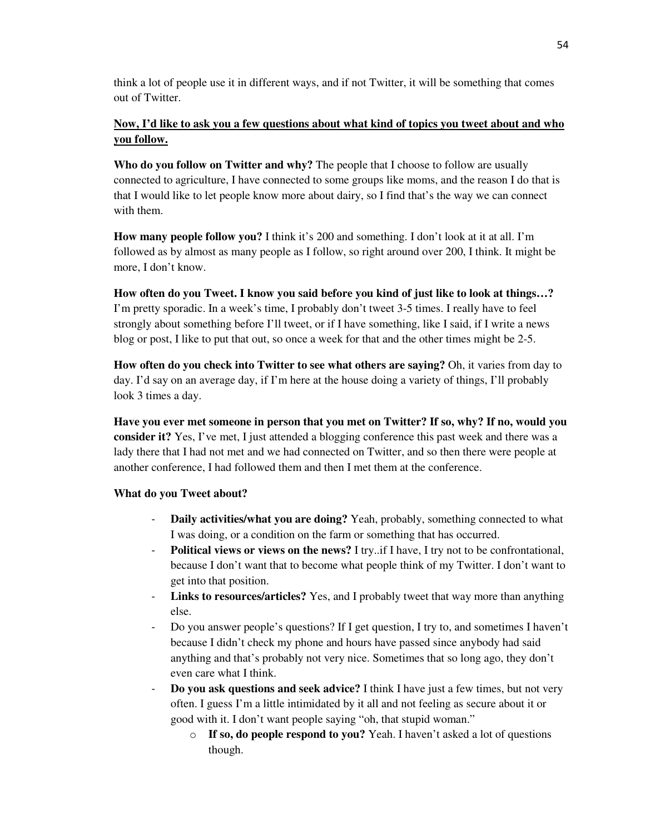think a lot of people use it in different ways, and if not Twitter, it will be something that comes out of Twitter.

# **Now, I'd like to ask you a few questions about what kind of topics you tweet about and who you follow.**

**Who do you follow on Twitter and why?** The people that I choose to follow are usually connected to agriculture, I have connected to some groups like moms, and the reason I do that is that I would like to let people know more about dairy, so I find that's the way we can connect with them.

**How many people follow you?** I think it's 200 and something. I don't look at it at all. I'm followed as by almost as many people as I follow, so right around over 200, I think. It might be more, I don't know.

**How often do you Tweet. I know you said before you kind of just like to look at things…?** I'm pretty sporadic. In a week's time, I probably don't tweet 3-5 times. I really have to feel strongly about something before I'll tweet, or if I have something, like I said, if I write a news blog or post, I like to put that out, so once a week for that and the other times might be 2-5.

**How often do you check into Twitter to see what others are saying?** Oh, it varies from day to day. I'd say on an average day, if I'm here at the house doing a variety of things, I'll probably look 3 times a day.

**Have you ever met someone in person that you met on Twitter? If so, why? If no, would you consider it?** Yes, I've met, I just attended a blogging conference this past week and there was a lady there that I had not met and we had connected on Twitter, and so then there were people at another conference, I had followed them and then I met them at the conference.

## **What do you Tweet about?**

- **Daily activities/what you are doing?** Yeah, probably, something connected to what I was doing, or a condition on the farm or something that has occurred.
- **Political views or views on the news?** I try..if I have, I try not to be confrontational, because I don't want that to become what people think of my Twitter. I don't want to get into that position.
- **Links to resources/articles?** Yes, and I probably tweet that way more than anything else.
- Do you answer people's questions? If I get question, I try to, and sometimes I haven't because I didn't check my phone and hours have passed since anybody had said anything and that's probably not very nice. Sometimes that so long ago, they don't even care what I think.
- **Do you ask questions and seek advice?** I think I have just a few times, but not very often. I guess I'm a little intimidated by it all and not feeling as secure about it or good with it. I don't want people saying "oh, that stupid woman."
	- o **If so, do people respond to you?** Yeah. I haven't asked a lot of questions though.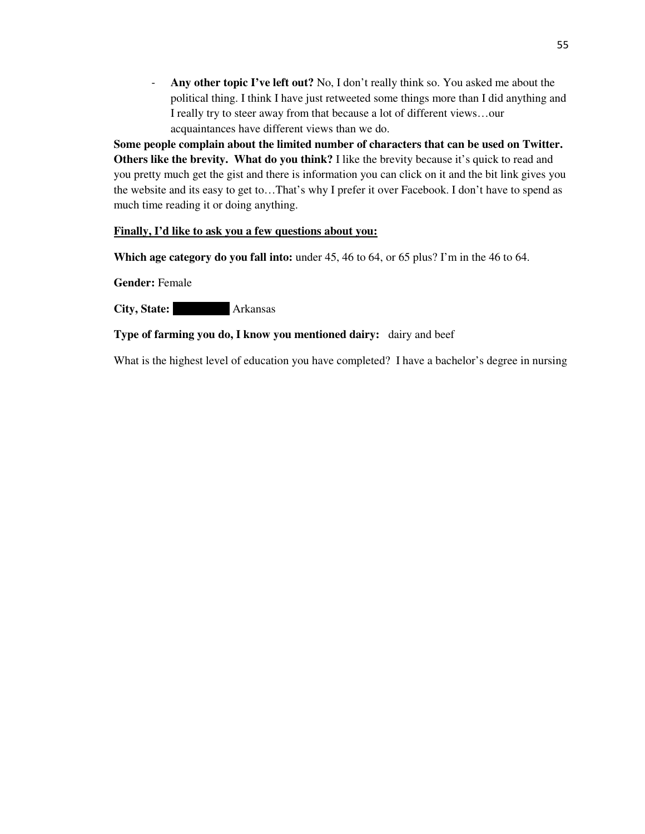- **Any other topic I've left out?** No, I don't really think so. You asked me about the political thing. I think I have just retweeted some things more than I did anything and I really try to steer away from that because a lot of different views…our acquaintances have different views than we do.

**Some people complain about the limited number of characters that can be used on Twitter. Others like the brevity. What do you think?** I like the brevity because it's quick to read and you pretty much get the gist and there is information you can click on it and the bit link gives you the website and its easy to get to…That's why I prefer it over Facebook. I don't have to spend as much time reading it or doing anything.

### **Finally, I'd like to ask you a few questions about you:**

**Which age category do you fall into:** under 45, 46 to 64, or 65 plus? I'm in the 46 to 64.

**Gender:** Female

**City, State:** Arkansas

## **Type of farming you do, I know you mentioned dairy:** dairy and beef

What is the highest level of education you have completed? I have a bachelor's degree in nursing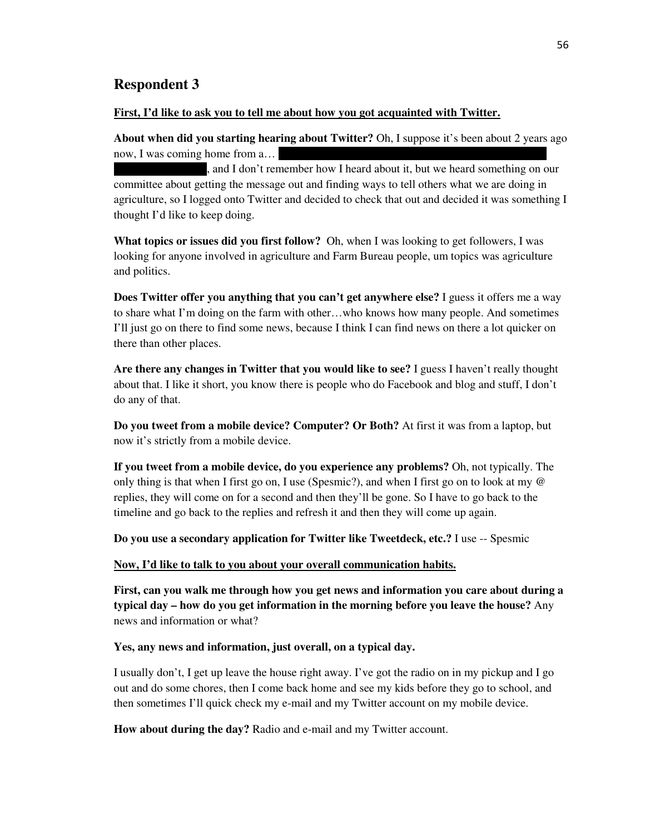## **Respondent 3**

#### **First, I'd like to ask you to tell me about how you got acquainted with Twitter.**

**About when did you starting hearing about Twitter?** Oh, I suppose it's been about 2 years ago now, I was coming home from  $a...$ 

, and I don't remember how I heard about it, but we heard something on our committee about getting the message out and finding ways to tell others what we are doing in agriculture, so I logged onto Twitter and decided to check that out and decided it was something I thought I'd like to keep doing.

**What topics or issues did you first follow?** Oh, when I was looking to get followers, I was looking for anyone involved in agriculture and Farm Bureau people, um topics was agriculture and politics.

**Does Twitter offer you anything that you can't get anywhere else?** I guess it offers me a way to share what I'm doing on the farm with other…who knows how many people. And sometimes I'll just go on there to find some news, because I think I can find news on there a lot quicker on there than other places.

**Are there any changes in Twitter that you would like to see?** I guess I haven't really thought about that. I like it short, you know there is people who do Facebook and blog and stuff, I don't do any of that.

**Do you tweet from a mobile device? Computer? Or Both?** At first it was from a laptop, but now it's strictly from a mobile device.

**If you tweet from a mobile device, do you experience any problems?** Oh, not typically. The only thing is that when I first go on, I use (Spesmic?), and when I first go on to look at my @ replies, they will come on for a second and then they'll be gone. So I have to go back to the timeline and go back to the replies and refresh it and then they will come up again.

**Do you use a secondary application for Twitter like Tweetdeck, etc.?** I use -- Spesmic

### **Now, I'd like to talk to you about your overall communication habits.**

**First, can you walk me through how you get news and information you care about during a typical day – how do you get information in the morning before you leave the house?** Any news and information or what?

#### **Yes, any news and information, just overall, on a typical day.**

I usually don't, I get up leave the house right away. I've got the radio on in my pickup and I go out and do some chores, then I come back home and see my kids before they go to school, and then sometimes I'll quick check my e-mail and my Twitter account on my mobile device.

**How about during the day?** Radio and e-mail and my Twitter account.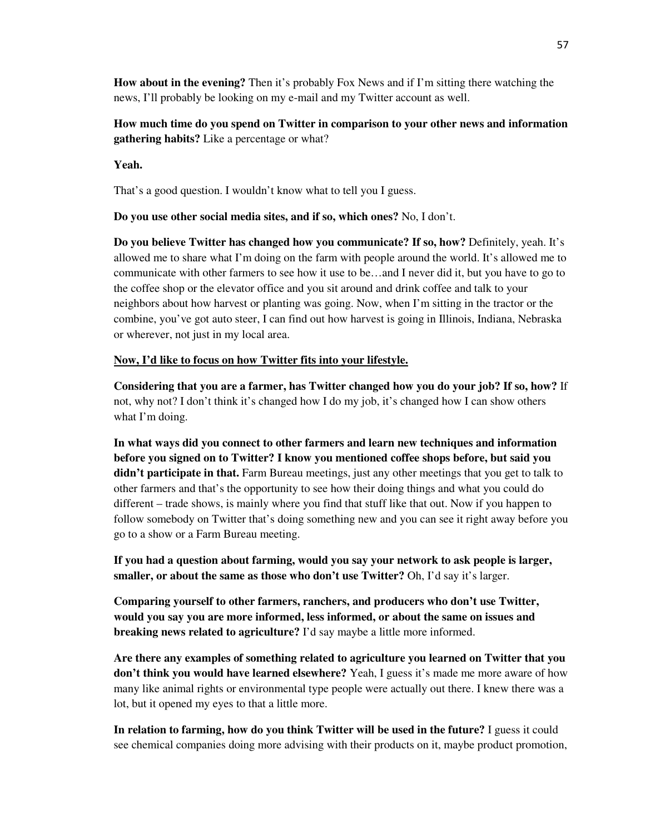**How about in the evening?** Then it's probably Fox News and if I'm sitting there watching the news, I'll probably be looking on my e-mail and my Twitter account as well.

**How much time do you spend on Twitter in comparison to your other news and information gathering habits?** Like a percentage or what?

**Yeah.** 

That's a good question. I wouldn't know what to tell you I guess.

**Do you use other social media sites, and if so, which ones?** No, I don't.

**Do you believe Twitter has changed how you communicate? If so, how?** Definitely, yeah. It's allowed me to share what I'm doing on the farm with people around the world. It's allowed me to communicate with other farmers to see how it use to be…and I never did it, but you have to go to the coffee shop or the elevator office and you sit around and drink coffee and talk to your neighbors about how harvest or planting was going. Now, when I'm sitting in the tractor or the combine, you've got auto steer, I can find out how harvest is going in Illinois, Indiana, Nebraska or wherever, not just in my local area.

### **Now, I'd like to focus on how Twitter fits into your lifestyle.**

**Considering that you are a farmer, has Twitter changed how you do your job? If so, how?** If not, why not? I don't think it's changed how I do my job, it's changed how I can show others what I'm doing.

**In what ways did you connect to other farmers and learn new techniques and information before you signed on to Twitter? I know you mentioned coffee shops before, but said you didn't participate in that.** Farm Bureau meetings, just any other meetings that you get to talk to other farmers and that's the opportunity to see how their doing things and what you could do different – trade shows, is mainly where you find that stuff like that out. Now if you happen to follow somebody on Twitter that's doing something new and you can see it right away before you go to a show or a Farm Bureau meeting.

**If you had a question about farming, would you say your network to ask people is larger, smaller, or about the same as those who don't use Twitter?** Oh, I'd say it's larger.

**Comparing yourself to other farmers, ranchers, and producers who don't use Twitter, would you say you are more informed, less informed, or about the same on issues and breaking news related to agriculture?** I'd say maybe a little more informed.

**Are there any examples of something related to agriculture you learned on Twitter that you don't think you would have learned elsewhere?** Yeah, I guess it's made me more aware of how many like animal rights or environmental type people were actually out there. I knew there was a lot, but it opened my eyes to that a little more.

**In relation to farming, how do you think Twitter will be used in the future?** I guess it could see chemical companies doing more advising with their products on it, maybe product promotion,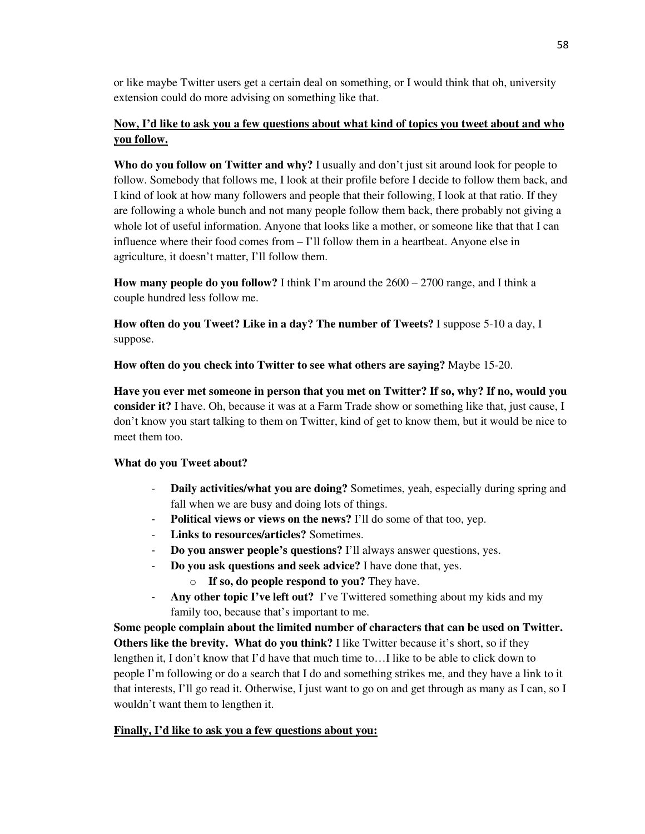or like maybe Twitter users get a certain deal on something, or I would think that oh, university extension could do more advising on something like that.

# **Now, I'd like to ask you a few questions about what kind of topics you tweet about and who you follow.**

**Who do you follow on Twitter and why?** I usually and don't just sit around look for people to follow. Somebody that follows me, I look at their profile before I decide to follow them back, and I kind of look at how many followers and people that their following, I look at that ratio. If they are following a whole bunch and not many people follow them back, there probably not giving a whole lot of useful information. Anyone that looks like a mother, or someone like that that I can influence where their food comes from – I'll follow them in a heartbeat. Anyone else in agriculture, it doesn't matter, I'll follow them.

**How many people do you follow?** I think I'm around the 2600 – 2700 range, and I think a couple hundred less follow me.

**How often do you Tweet? Like in a day? The number of Tweets?** I suppose 5-10 a day, I suppose.

**How often do you check into Twitter to see what others are saying?** Maybe 15-20.

**Have you ever met someone in person that you met on Twitter? If so, why? If no, would you consider it?** I have. Oh, because it was at a Farm Trade show or something like that, just cause, I don't know you start talking to them on Twitter, kind of get to know them, but it would be nice to meet them too.

## **What do you Tweet about?**

- **Daily activities/what you are doing?** Sometimes, yeah, especially during spring and fall when we are busy and doing lots of things.
- **Political views or views on the news?** I'll do some of that too, yep.
- **Links to resources/articles?** Sometimes.
- **Do you answer people's questions?** I'll always answer questions, yes.
- **Do you ask questions and seek advice?** I have done that, yes.
	- o **If so, do people respond to you?** They have.
- **Any other topic I've left out?** I've Twittered something about my kids and my family too, because that's important to me.

**Some people complain about the limited number of characters that can be used on Twitter. Others like the brevity. What do you think?** I like Twitter because it's short, so if they lengthen it, I don't know that I'd have that much time to…I like to be able to click down to people I'm following or do a search that I do and something strikes me, and they have a link to it that interests, I'll go read it. Otherwise, I just want to go on and get through as many as I can, so I wouldn't want them to lengthen it.

## **Finally, I'd like to ask you a few questions about you:**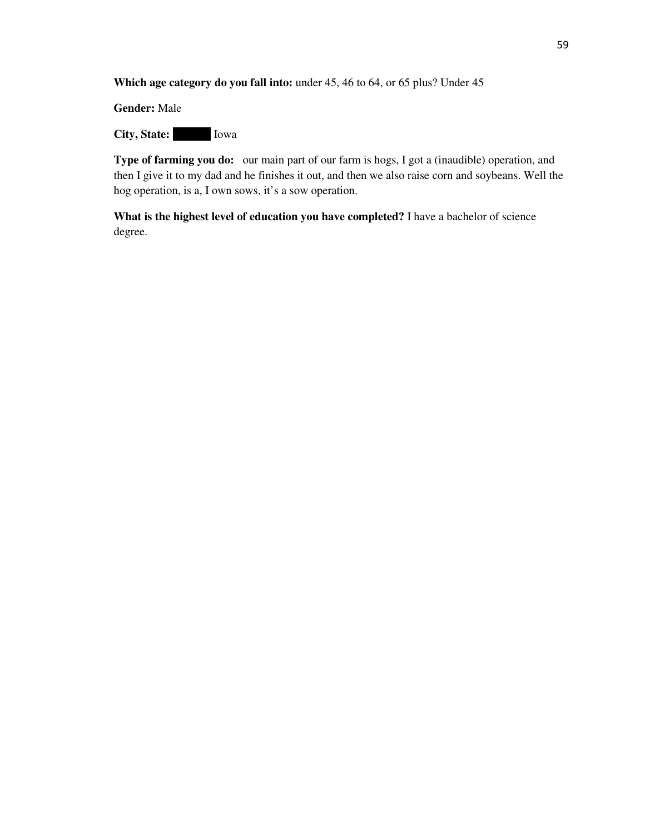**Which age category do you fall into:** under 45, 46 to 64, or 65 plus? Under 45

**Gender:** Male

**City, State:** Iowa

**Type of farming you do:** our main part of our farm is hogs, I got a (inaudible) operation, and then I give it to my dad and he finishes it out, and then we also raise corn and soybeans. Well the hog operation, is a, I own sows, it's a sow operation.

**What is the highest level of education you have completed?** I have a bachelor of science degree.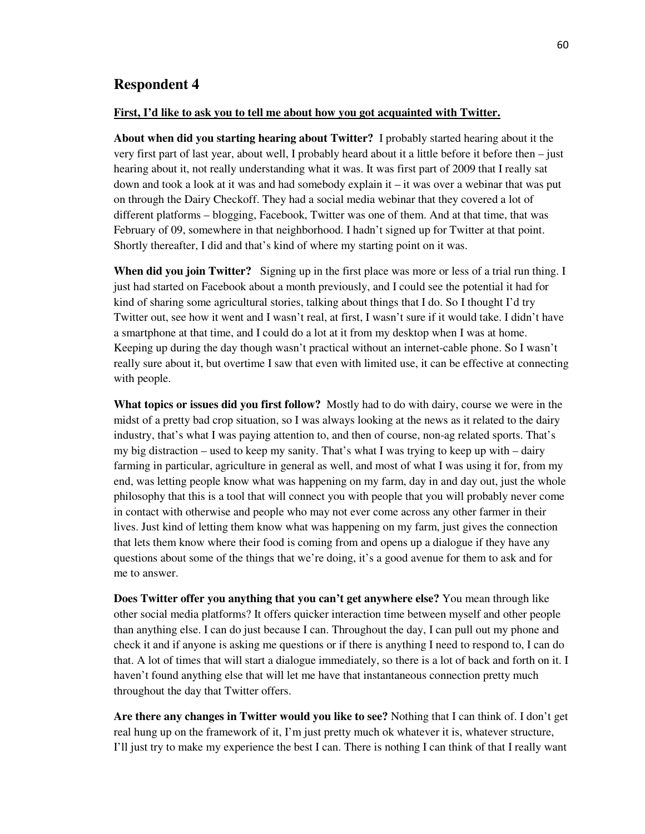### **Respondent 4**

#### **First, I'd like to ask you to tell me about how you got acquainted with Twitter.**

**About when did you starting hearing about Twitter?** I probably started hearing about it the very first part of last year, about well, I probably heard about it a little before it before then – just hearing about it, not really understanding what it was. It was first part of 2009 that I really sat down and took a look at it was and had somebody explain it – it was over a webinar that was put on through the Dairy Checkoff. They had a social media webinar that they covered a lot of different platforms – blogging, Facebook, Twitter was one of them. And at that time, that was February of 09, somewhere in that neighborhood. I hadn't signed up for Twitter at that point. Shortly thereafter, I did and that's kind of where my starting point on it was.

**When did you join Twitter?** Signing up in the first place was more or less of a trial run thing. I just had started on Facebook about a month previously, and I could see the potential it had for kind of sharing some agricultural stories, talking about things that I do. So I thought I'd try Twitter out, see how it went and I wasn't real, at first, I wasn't sure if it would take. I didn't have a smartphone at that time, and I could do a lot at it from my desktop when I was at home. Keeping up during the day though wasn't practical without an internet-cable phone. So I wasn't really sure about it, but overtime I saw that even with limited use, it can be effective at connecting with people.

**What topics or issues did you first follow?** Mostly had to do with dairy, course we were in the midst of a pretty bad crop situation, so I was always looking at the news as it related to the dairy industry, that's what I was paying attention to, and then of course, non-ag related sports. That's my big distraction – used to keep my sanity. That's what I was trying to keep up with – dairy farming in particular, agriculture in general as well, and most of what I was using it for, from my end, was letting people know what was happening on my farm, day in and day out, just the whole philosophy that this is a tool that will connect you with people that you will probably never come in contact with otherwise and people who may not ever come across any other farmer in their lives. Just kind of letting them know what was happening on my farm, just gives the connection that lets them know where their food is coming from and opens up a dialogue if they have any questions about some of the things that we're doing, it's a good avenue for them to ask and for me to answer.

**Does Twitter offer you anything that you can't get anywhere else?** You mean through like other social media platforms? It offers quicker interaction time between myself and other people than anything else. I can do just because I can. Throughout the day, I can pull out my phone and check it and if anyone is asking me questions or if there is anything I need to respond to, I can do that. A lot of times that will start a dialogue immediately, so there is a lot of back and forth on it. I haven't found anything else that will let me have that instantaneous connection pretty much throughout the day that Twitter offers.

**Are there any changes in Twitter would you like to see?** Nothing that I can think of. I don't get real hung up on the framework of it, I'm just pretty much ok whatever it is, whatever structure, I'll just try to make my experience the best I can. There is nothing I can think of that I really want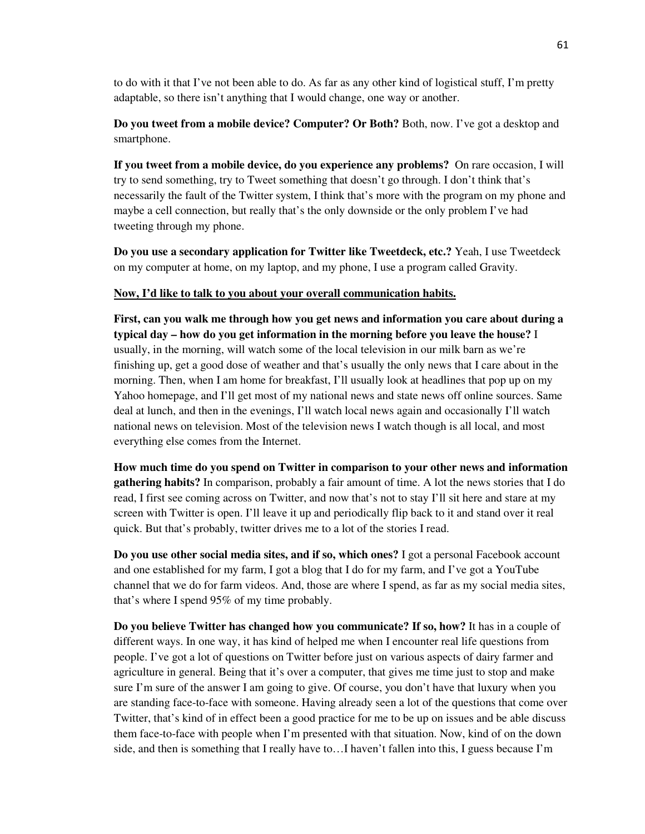to do with it that I've not been able to do. As far as any other kind of logistical stuff, I'm pretty adaptable, so there isn't anything that I would change, one way or another.

**Do you tweet from a mobile device? Computer? Or Both?** Both, now. I've got a desktop and smartphone.

**If you tweet from a mobile device, do you experience any problems?** On rare occasion, I will try to send something, try to Tweet something that doesn't go through. I don't think that's necessarily the fault of the Twitter system, I think that's more with the program on my phone and maybe a cell connection, but really that's the only downside or the only problem I've had tweeting through my phone.

**Do you use a secondary application for Twitter like Tweetdeck, etc.?** Yeah, I use Tweetdeck on my computer at home, on my laptop, and my phone, I use a program called Gravity.

#### **Now, I'd like to talk to you about your overall communication habits.**

**First, can you walk me through how you get news and information you care about during a typical day – how do you get information in the morning before you leave the house?** I usually, in the morning, will watch some of the local television in our milk barn as we're finishing up, get a good dose of weather and that's usually the only news that I care about in the morning. Then, when I am home for breakfast, I'll usually look at headlines that pop up on my Yahoo homepage, and I'll get most of my national news and state news off online sources. Same deal at lunch, and then in the evenings, I'll watch local news again and occasionally I'll watch national news on television. Most of the television news I watch though is all local, and most everything else comes from the Internet.

**How much time do you spend on Twitter in comparison to your other news and information gathering habits?** In comparison, probably a fair amount of time. A lot the news stories that I do read, I first see coming across on Twitter, and now that's not to stay I'll sit here and stare at my screen with Twitter is open. I'll leave it up and periodically flip back to it and stand over it real quick. But that's probably, twitter drives me to a lot of the stories I read.

**Do you use other social media sites, and if so, which ones?** I got a personal Facebook account and one established for my farm, I got a blog that I do for my farm, and I've got a YouTube channel that we do for farm videos. And, those are where I spend, as far as my social media sites, that's where I spend 95% of my time probably.

**Do you believe Twitter has changed how you communicate? If so, how?** It has in a couple of different ways. In one way, it has kind of helped me when I encounter real life questions from people. I've got a lot of questions on Twitter before just on various aspects of dairy farmer and agriculture in general. Being that it's over a computer, that gives me time just to stop and make sure I'm sure of the answer I am going to give. Of course, you don't have that luxury when you are standing face-to-face with someone. Having already seen a lot of the questions that come over Twitter, that's kind of in effect been a good practice for me to be up on issues and be able discuss them face-to-face with people when I'm presented with that situation. Now, kind of on the down side, and then is something that I really have to…I haven't fallen into this, I guess because I'm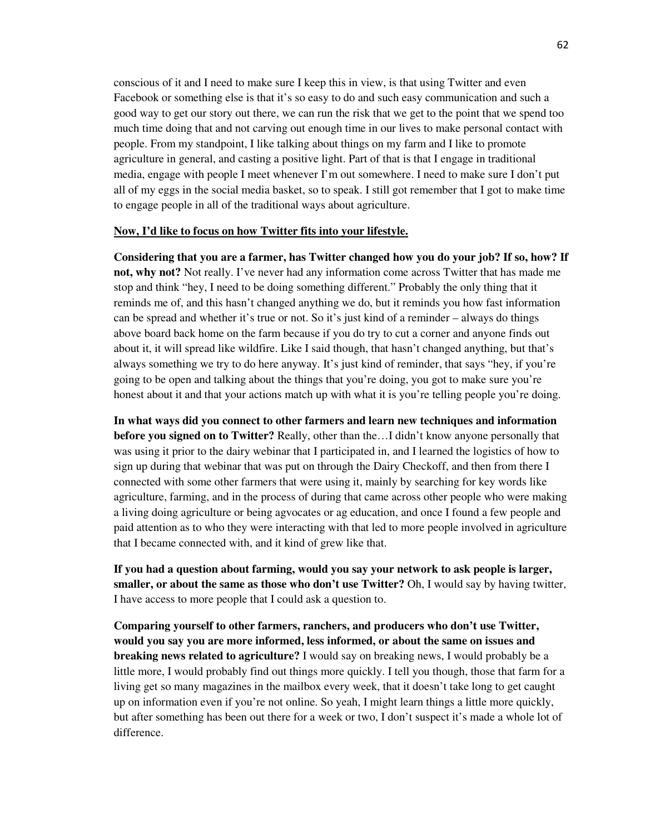conscious of it and I need to make sure I keep this in view, is that using Twitter and even Facebook or something else is that it's so easy to do and such easy communication and such a good way to get our story out there, we can run the risk that we get to the point that we spend too much time doing that and not carving out enough time in our lives to make personal contact with people. From my standpoint, I like talking about things on my farm and I like to promote agriculture in general, and casting a positive light. Part of that is that I engage in traditional media, engage with people I meet whenever I'm out somewhere. I need to make sure I don't put all of my eggs in the social media basket, so to speak. I still got remember that I got to make time to engage people in all of the traditional ways about agriculture.

#### **Now, I'd like to focus on how Twitter fits into your lifestyle.**

**Considering that you are a farmer, has Twitter changed how you do your job? If so, how? If not, why not?** Not really. I've never had any information come across Twitter that has made me stop and think "hey, I need to be doing something different." Probably the only thing that it reminds me of, and this hasn't changed anything we do, but it reminds you how fast information can be spread and whether it's true or not. So it's just kind of a reminder – always do things above board back home on the farm because if you do try to cut a corner and anyone finds out about it, it will spread like wildfire. Like I said though, that hasn't changed anything, but that's always something we try to do here anyway. It's just kind of reminder, that says "hey, if you're going to be open and talking about the things that you're doing, you got to make sure you're honest about it and that your actions match up with what it is you're telling people you're doing.

**In what ways did you connect to other farmers and learn new techniques and information before you signed on to Twitter?** Really, other than the…I didn't know anyone personally that was using it prior to the dairy webinar that I participated in, and I learned the logistics of how to sign up during that webinar that was put on through the Dairy Checkoff, and then from there I connected with some other farmers that were using it, mainly by searching for key words like agriculture, farming, and in the process of during that came across other people who were making a living doing agriculture or being agvocates or ag education, and once I found a few people and paid attention as to who they were interacting with that led to more people involved in agriculture that I became connected with, and it kind of grew like that.

**If you had a question about farming, would you say your network to ask people is larger, smaller, or about the same as those who don't use Twitter?** Oh, I would say by having twitter, I have access to more people that I could ask a question to.

**Comparing yourself to other farmers, ranchers, and producers who don't use Twitter, would you say you are more informed, less informed, or about the same on issues and breaking news related to agriculture?** I would say on breaking news, I would probably be a little more, I would probably find out things more quickly. I tell you though, those that farm for a living get so many magazines in the mailbox every week, that it doesn't take long to get caught up on information even if you're not online. So yeah, I might learn things a little more quickly, but after something has been out there for a week or two, I don't suspect it's made a whole lot of difference.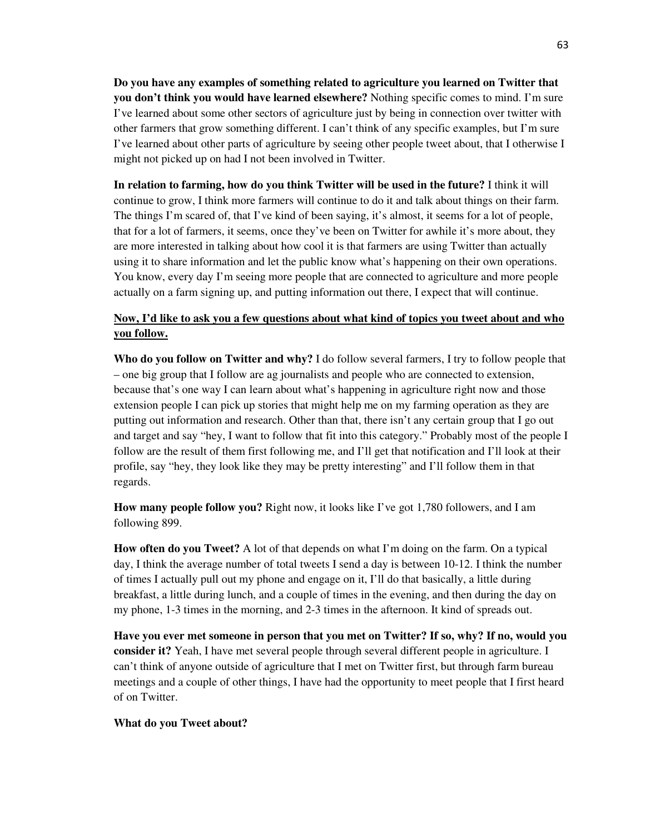**Do you have any examples of something related to agriculture you learned on Twitter that you don't think you would have learned elsewhere?** Nothing specific comes to mind. I'm sure I've learned about some other sectors of agriculture just by being in connection over twitter with other farmers that grow something different. I can't think of any specific examples, but I'm sure I've learned about other parts of agriculture by seeing other people tweet about, that I otherwise I might not picked up on had I not been involved in Twitter.

**In relation to farming, how do you think Twitter will be used in the future?** I think it will continue to grow, I think more farmers will continue to do it and talk about things on their farm. The things I'm scared of, that I've kind of been saying, it's almost, it seems for a lot of people, that for a lot of farmers, it seems, once they've been on Twitter for awhile it's more about, they are more interested in talking about how cool it is that farmers are using Twitter than actually using it to share information and let the public know what's happening on their own operations. You know, every day I'm seeing more people that are connected to agriculture and more people actually on a farm signing up, and putting information out there, I expect that will continue.

# **Now, I'd like to ask you a few questions about what kind of topics you tweet about and who you follow.**

**Who do you follow on Twitter and why?** I do follow several farmers, I try to follow people that – one big group that I follow are ag journalists and people who are connected to extension, because that's one way I can learn about what's happening in agriculture right now and those extension people I can pick up stories that might help me on my farming operation as they are putting out information and research. Other than that, there isn't any certain group that I go out and target and say "hey, I want to follow that fit into this category." Probably most of the people I follow are the result of them first following me, and I'll get that notification and I'll look at their profile, say "hey, they look like they may be pretty interesting" and I'll follow them in that regards.

**How many people follow you?** Right now, it looks like I've got 1,780 followers, and I am following 899.

**How often do you Tweet?** A lot of that depends on what I'm doing on the farm. On a typical day, I think the average number of total tweets I send a day is between 10-12. I think the number of times I actually pull out my phone and engage on it, I'll do that basically, a little during breakfast, a little during lunch, and a couple of times in the evening, and then during the day on my phone, 1-3 times in the morning, and 2-3 times in the afternoon. It kind of spreads out.

**Have you ever met someone in person that you met on Twitter? If so, why? If no, would you consider it?** Yeah, I have met several people through several different people in agriculture. I can't think of anyone outside of agriculture that I met on Twitter first, but through farm bureau meetings and a couple of other things, I have had the opportunity to meet people that I first heard of on Twitter.

### **What do you Tweet about?**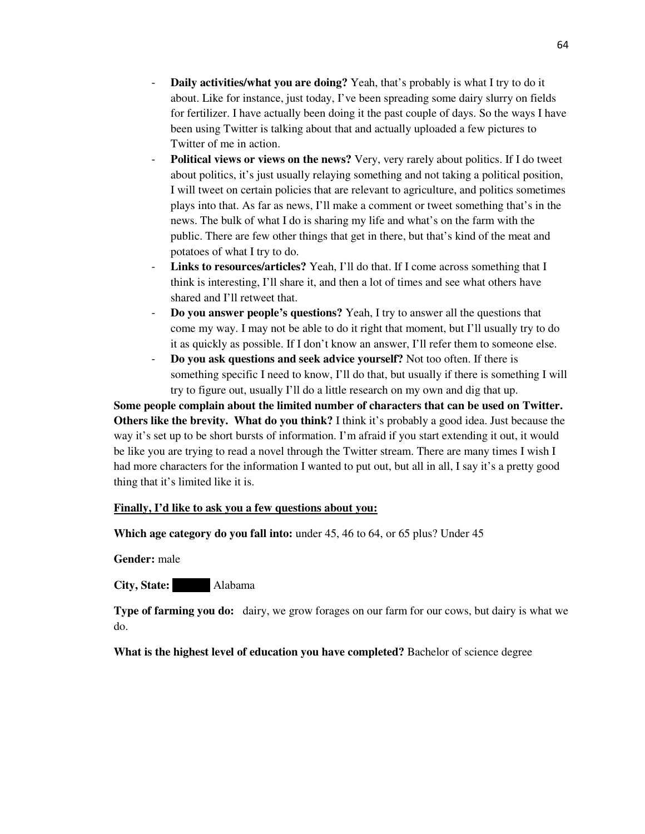- **Daily activities/what you are doing?** Yeah, that's probably is what I try to do it about. Like for instance, just today, I've been spreading some dairy slurry on fields for fertilizer. I have actually been doing it the past couple of days. So the ways I have been using Twitter is talking about that and actually uploaded a few pictures to Twitter of me in action.
- **Political views or views on the news?** Very, very rarely about politics. If I do tweet about politics, it's just usually relaying something and not taking a political position, I will tweet on certain policies that are relevant to agriculture, and politics sometimes plays into that. As far as news, I'll make a comment or tweet something that's in the news. The bulk of what I do is sharing my life and what's on the farm with the public. There are few other things that get in there, but that's kind of the meat and potatoes of what I try to do.
- **Links to resources/articles?** Yeah, I'll do that. If I come across something that I think is interesting, I'll share it, and then a lot of times and see what others have shared and I'll retweet that.
- **Do you answer people's questions?** Yeah, I try to answer all the questions that come my way. I may not be able to do it right that moment, but I'll usually try to do it as quickly as possible. If I don't know an answer, I'll refer them to someone else.
- **Do you ask questions and seek advice yourself?** Not too often. If there is something specific I need to know, I'll do that, but usually if there is something I will try to figure out, usually I'll do a little research on my own and dig that up.

**Some people complain about the limited number of characters that can be used on Twitter. Others like the brevity. What do you think?** I think it's probably a good idea. Just because the way it's set up to be short bursts of information. I'm afraid if you start extending it out, it would be like you are trying to read a novel through the Twitter stream. There are many times I wish I had more characters for the information I wanted to put out, but all in all, I say it's a pretty good thing that it's limited like it is.

### **Finally, I'd like to ask you a few questions about you:**

**Which age category do you fall into:** under 45, 46 to 64, or 65 plus? Under 45

**Gender:** male

**City, State:** Alabama

**Type of farming you do:** dairy, we grow forages on our farm for our cows, but dairy is what we do.

**What is the highest level of education you have completed?** Bachelor of science degree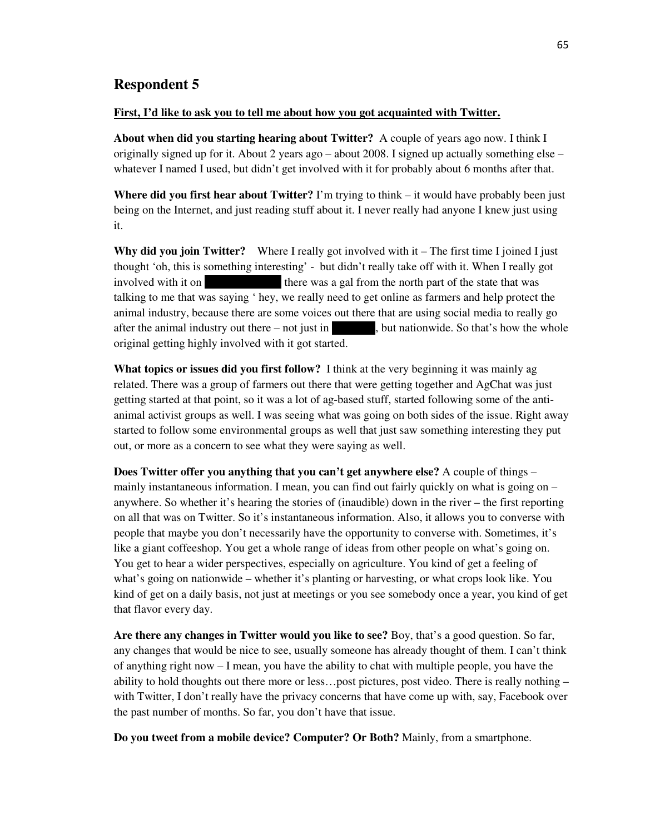## **Respondent 5**

#### **First, I'd like to ask you to tell me about how you got acquainted with Twitter.**

**About when did you starting hearing about Twitter?** A couple of years ago now. I think I originally signed up for it. About 2 years ago – about 2008. I signed up actually something else – whatever I named I used, but didn't get involved with it for probably about 6 months after that.

**Where did you first hear about Twitter?** I'm trying to think – it would have probably been just being on the Internet, and just reading stuff about it. I never really had anyone I knew just using it.

**Why did you join Twitter?** Where I really got involved with it – The first time I joined I just thought 'oh, this is something interesting' - but didn't really take off with it. When I really got involved with it on  $\Box$  there was a gal from the north part of the state that was talking to me that was saying ' hey, we really need to get online as farmers and help protect the animal industry, because there are some voices out there that are using social media to really go after the animal industry out there – not just in  $\blacksquare$ , but nationwide. So that's how the whole original getting highly involved with it got started.

**What topics or issues did you first follow?** I think at the very beginning it was mainly ag related. There was a group of farmers out there that were getting together and AgChat was just getting started at that point, so it was a lot of ag-based stuff, started following some of the antianimal activist groups as well. I was seeing what was going on both sides of the issue. Right away started to follow some environmental groups as well that just saw something interesting they put out, or more as a concern to see what they were saying as well.

**Does Twitter offer you anything that you can't get anywhere else?** A couple of things – mainly instantaneous information. I mean, you can find out fairly quickly on what is going on – anywhere. So whether it's hearing the stories of (inaudible) down in the river – the first reporting on all that was on Twitter. So it's instantaneous information. Also, it allows you to converse with people that maybe you don't necessarily have the opportunity to converse with. Sometimes, it's like a giant coffeeshop. You get a whole range of ideas from other people on what's going on. You get to hear a wider perspectives, especially on agriculture. You kind of get a feeling of what's going on nationwide – whether it's planting or harvesting, or what crops look like. You kind of get on a daily basis, not just at meetings or you see somebody once a year, you kind of get that flavor every day.

**Are there any changes in Twitter would you like to see?** Boy, that's a good question. So far, any changes that would be nice to see, usually someone has already thought of them. I can't think of anything right now – I mean, you have the ability to chat with multiple people, you have the ability to hold thoughts out there more or less…post pictures, post video. There is really nothing – with Twitter, I don't really have the privacy concerns that have come up with, say, Facebook over the past number of months. So far, you don't have that issue.

**Do you tweet from a mobile device? Computer? Or Both?** Mainly, from a smartphone.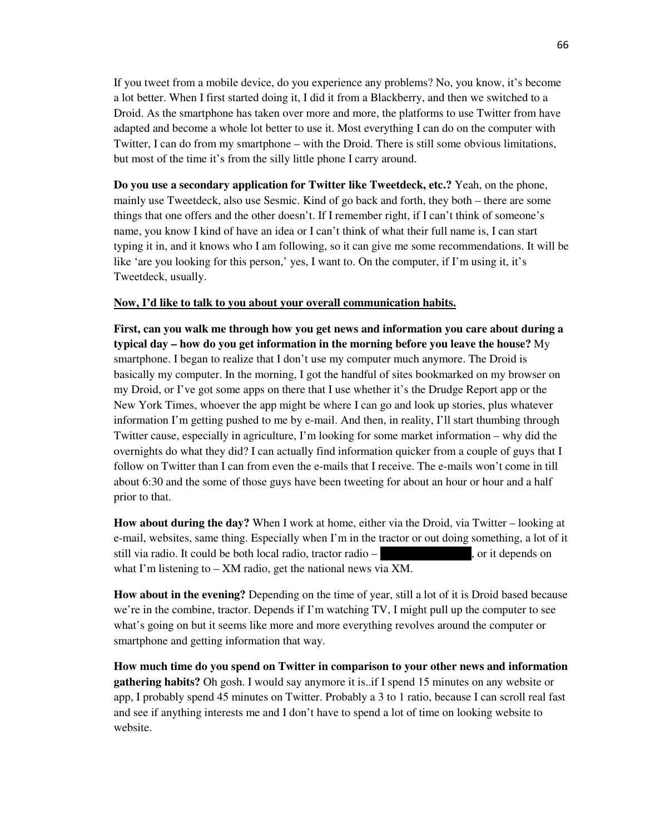If you tweet from a mobile device, do you experience any problems? No, you know, it's become a lot better. When I first started doing it, I did it from a Blackberry, and then we switched to a Droid. As the smartphone has taken over more and more, the platforms to use Twitter from have adapted and become a whole lot better to use it. Most everything I can do on the computer with Twitter, I can do from my smartphone – with the Droid. There is still some obvious limitations, but most of the time it's from the silly little phone I carry around.

**Do you use a secondary application for Twitter like Tweetdeck, etc.?** Yeah, on the phone, mainly use Tweetdeck, also use Sesmic. Kind of go back and forth, they both – there are some things that one offers and the other doesn't. If I remember right, if I can't think of someone's name, you know I kind of have an idea or I can't think of what their full name is, I can start typing it in, and it knows who I am following, so it can give me some recommendations. It will be like 'are you looking for this person,' yes, I want to. On the computer, if I'm using it, it's Tweetdeck, usually.

### **Now, I'd like to talk to you about your overall communication habits.**

**First, can you walk me through how you get news and information you care about during a typical day – how do you get information in the morning before you leave the house?** My smartphone. I began to realize that I don't use my computer much anymore. The Droid is basically my computer. In the morning, I got the handful of sites bookmarked on my browser on my Droid, or I've got some apps on there that I use whether it's the Drudge Report app or the New York Times, whoever the app might be where I can go and look up stories, plus whatever information I'm getting pushed to me by e-mail. And then, in reality, I'll start thumbing through Twitter cause, especially in agriculture, I'm looking for some market information – why did the overnights do what they did? I can actually find information quicker from a couple of guys that I follow on Twitter than I can from even the e-mails that I receive. The e-mails won't come in till about 6:30 and the some of those guys have been tweeting for about an hour or hour and a half prior to that.

**How about during the day?** When I work at home, either via the Droid, via Twitter – looking at e-mail, websites, same thing. Especially when I'm in the tractor or out doing something, a lot of it still via radio. It could be both local radio, tractor radio  $-$ , or it depends on what I'm listening to – XM radio, get the national news via XM.

**How about in the evening?** Depending on the time of year, still a lot of it is Droid based because we're in the combine, tractor. Depends if I'm watching TV, I might pull up the computer to see what's going on but it seems like more and more everything revolves around the computer or smartphone and getting information that way.

**How much time do you spend on Twitter in comparison to your other news and information gathering habits?** Oh gosh. I would say anymore it is..if I spend 15 minutes on any website or app, I probably spend 45 minutes on Twitter. Probably a 3 to 1 ratio, because I can scroll real fast and see if anything interests me and I don't have to spend a lot of time on looking website to website.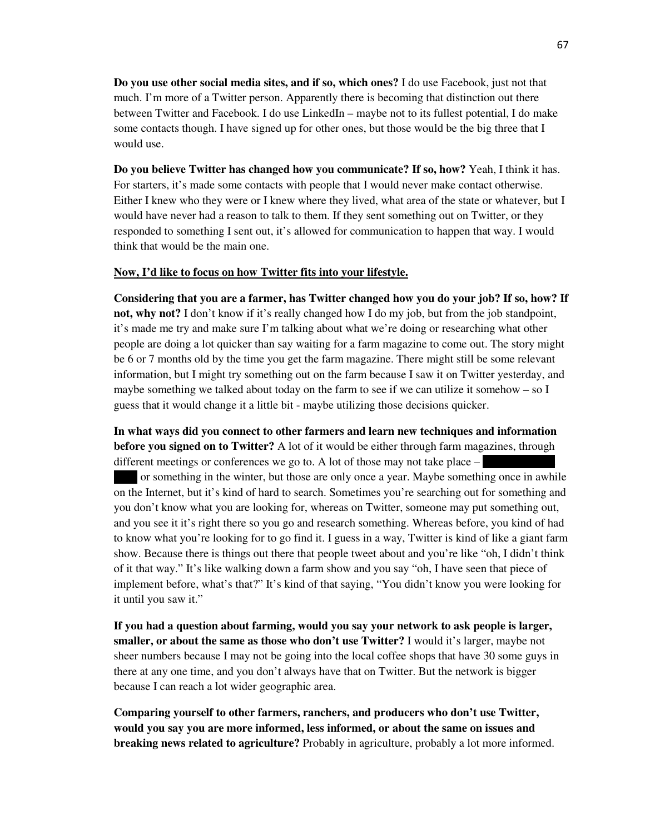**Do you use other social media sites, and if so, which ones?** I do use Facebook, just not that much. I'm more of a Twitter person. Apparently there is becoming that distinction out there between Twitter and Facebook. I do use LinkedIn – maybe not to its fullest potential, I do make some contacts though. I have signed up for other ones, but those would be the big three that I would use.

**Do you believe Twitter has changed how you communicate? If so, how?** Yeah, I think it has. For starters, it's made some contacts with people that I would never make contact otherwise. Either I knew who they were or I knew where they lived, what area of the state or whatever, but I would have never had a reason to talk to them. If they sent something out on Twitter, or they responded to something I sent out, it's allowed for communication to happen that way. I would think that would be the main one.

### **Now, I'd like to focus on how Twitter fits into your lifestyle.**

**Considering that you are a farmer, has Twitter changed how you do your job? If so, how? If not, why not?** I don't know if it's really changed how I do my job, but from the job standpoint, it's made me try and make sure I'm talking about what we're doing or researching what other people are doing a lot quicker than say waiting for a farm magazine to come out. The story might be 6 or 7 months old by the time you get the farm magazine. There might still be some relevant information, but I might try something out on the farm because I saw it on Twitter yesterday, and maybe something we talked about today on the farm to see if we can utilize it somehow – so I guess that it would change it a little bit - maybe utilizing those decisions quicker.

**In what ways did you connect to other farmers and learn new techniques and information before you signed on to Twitter?** A lot of it would be either through farm magazines, through different meetings or conferences we go to. A lot of those may not take place  $-$ 

or something in the winter, but those are only once a year. Maybe something once in awhile on the Internet, but it's kind of hard to search. Sometimes you're searching out for something and you don't know what you are looking for, whereas on Twitter, someone may put something out, and you see it it's right there so you go and research something. Whereas before, you kind of had to know what you're looking for to go find it. I guess in a way, Twitter is kind of like a giant farm show. Because there is things out there that people tweet about and you're like "oh, I didn't think of it that way." It's like walking down a farm show and you say "oh, I have seen that piece of implement before, what's that?" It's kind of that saying, "You didn't know you were looking for it until you saw it."

**If you had a question about farming, would you say your network to ask people is larger, smaller, or about the same as those who don't use Twitter?** I would it's larger, maybe not sheer numbers because I may not be going into the local coffee shops that have 30 some guys in there at any one time, and you don't always have that on Twitter. But the network is bigger because I can reach a lot wider geographic area.

**Comparing yourself to other farmers, ranchers, and producers who don't use Twitter, would you say you are more informed, less informed, or about the same on issues and breaking news related to agriculture?** Probably in agriculture, probably a lot more informed.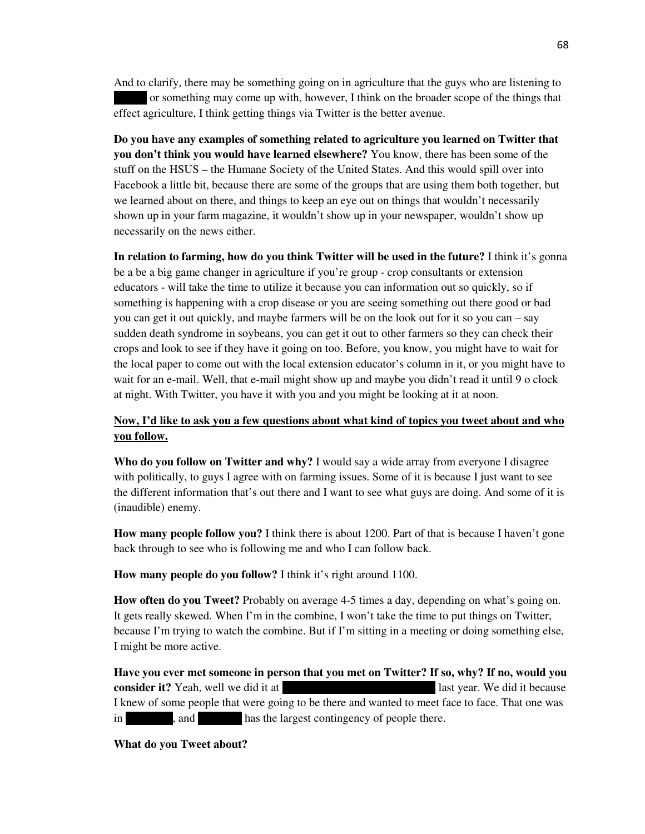And to clarify, there may be something going on in agriculture that the guys who are listening to or something may come up with, however, I think on the broader scope of the things that effect agriculture, I think getting things via Twitter is the better avenue.

**Do you have any examples of something related to agriculture you learned on Twitter that you don't think you would have learned elsewhere?** You know, there has been some of the stuff on the HSUS – the Humane Society of the United States. And this would spill over into Facebook a little bit, because there are some of the groups that are using them both together, but we learned about on there, and things to keep an eye out on things that wouldn't necessarily shown up in your farm magazine, it wouldn't show up in your newspaper, wouldn't show up necessarily on the news either.

**In relation to farming, how do you think Twitter will be used in the future?** I think it's gonna be a be a big game changer in agriculture if you're group - crop consultants or extension educators - will take the time to utilize it because you can information out so quickly, so if something is happening with a crop disease or you are seeing something out there good or bad you can get it out quickly, and maybe farmers will be on the look out for it so you can – say sudden death syndrome in soybeans, you can get it out to other farmers so they can check their crops and look to see if they have it going on too. Before, you know, you might have to wait for the local paper to come out with the local extension educator's column in it, or you might have to wait for an e-mail. Well, that e-mail might show up and maybe you didn't read it until 9 o clock at night. With Twitter, you have it with you and you might be looking at it at noon.

# **Now, I'd like to ask you a few questions about what kind of topics you tweet about and who you follow.**

**Who do you follow on Twitter and why?** I would say a wide array from everyone I disagree with politically, to guys I agree with on farming issues. Some of it is because I just want to see the different information that's out there and I want to see what guys are doing. And some of it is (inaudible) enemy.

**How many people follow you?** I think there is about 1200. Part of that is because I haven't gone back through to see who is following me and who I can follow back.

**How many people do you follow?** I think it's right around 1100.

**How often do you Tweet?** Probably on average 4-5 times a day, depending on what's going on. It gets really skewed. When I'm in the combine, I won't take the time to put things on Twitter, because I'm trying to watch the combine. But if I'm sitting in a meeting or doing something else, I might be more active.

**Have you ever met someone in person that you met on Twitter? If so, why? If no, would you consider it?** Yeah, well we did it at Commodity Classic in California last year. We did it because I knew of some people that were going to be there and wanted to meet face to face. That one was in and has the largest contingency of people there.

**What do you Tweet about?**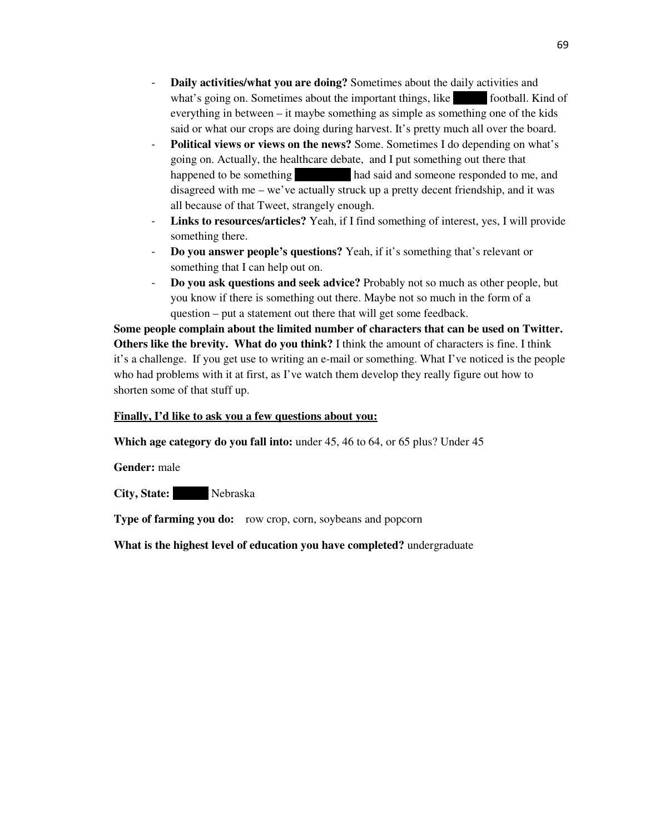- **Daily activities/what you are doing?** Sometimes about the daily activities and what's going on. Sometimes about the important things, like football. Kind of everything in between – it maybe something as simple as something one of the kids said or what our crops are doing during harvest. It's pretty much all over the board.
- Political views or views on the news? Some. Sometimes I do depending on what's going on. Actually, the healthcare debate, and I put something out there that happened to be something had said and someone responded to me, and disagreed with me – we've actually struck up a pretty decent friendship, and it was all because of that Tweet, strangely enough.
- **Links to resources/articles?** Yeah, if I find something of interest, yes, I will provide something there.
- **Do you answer people's questions?** Yeah, if it's something that's relevant or something that I can help out on.
- **Do you ask questions and seek advice?** Probably not so much as other people, but you know if there is something out there. Maybe not so much in the form of a question – put a statement out there that will get some feedback.

**Some people complain about the limited number of characters that can be used on Twitter. Others like the brevity. What do you think?** I think the amount of characters is fine. I think it's a challenge. If you get use to writing an e-mail or something. What I've noticed is the people who had problems with it at first, as I've watch them develop they really figure out how to shorten some of that stuff up.

## **Finally, I'd like to ask you a few questions about you:**

**Which age category do you fall into:** under 45, 46 to 64, or 65 plus? Under 45

**Gender:** male

**City, State:** Nebraska

**Type of farming you do:** row crop, corn, soybeans and popcorn

**What is the highest level of education you have completed?** undergraduate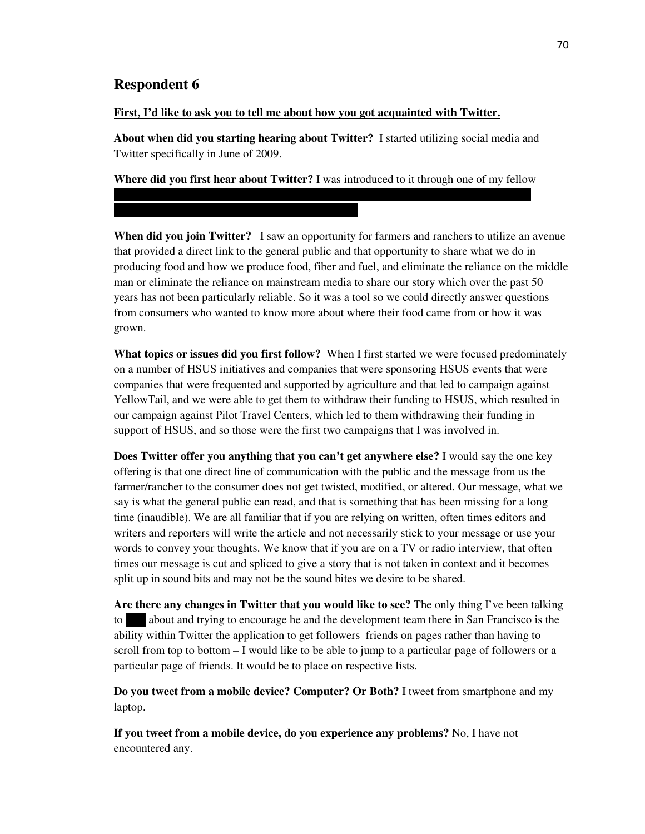# **Respondent 6**

### **First, I'd like to ask you to tell me about how you got acquainted with Twitter.**

Welfare advisory committee meeting in Sacramento.

**About when did you starting hearing about Twitter?** I started utilizing social media and Twitter specifically in June of 2009.

**Where did you first hear about Twitter?** I was introduced to it through one of my fellow founders of the AgChat foundation – Ray Crock - while we were at an Animal Health and

**When did you join Twitter?** I saw an opportunity for farmers and ranchers to utilize an avenue that provided a direct link to the general public and that opportunity to share what we do in producing food and how we produce food, fiber and fuel, and eliminate the reliance on the middle man or eliminate the reliance on mainstream media to share our story which over the past 50 years has not been particularly reliable. So it was a tool so we could directly answer questions from consumers who wanted to know more about where their food came from or how it was grown.

**What topics or issues did you first follow?** When I first started we were focused predominately on a number of HSUS initiatives and companies that were sponsoring HSUS events that were companies that were frequented and supported by agriculture and that led to campaign against YellowTail, and we were able to get them to withdraw their funding to HSUS, which resulted in our campaign against Pilot Travel Centers, which led to them withdrawing their funding in support of HSUS, and so those were the first two campaigns that I was involved in.

**Does Twitter offer you anything that you can't get anywhere else?** I would say the one key offering is that one direct line of communication with the public and the message from us the farmer/rancher to the consumer does not get twisted, modified, or altered. Our message, what we say is what the general public can read, and that is something that has been missing for a long time (inaudible). We are all familiar that if you are relying on written, often times editors and writers and reporters will write the article and not necessarily stick to your message or use your words to convey your thoughts. We know that if you are on a TV or radio interview, that often times our message is cut and spliced to give a story that is not taken in context and it becomes split up in sound bits and may not be the sound bites we desire to be shared.

**Are there any changes in Twitter that you would like to see?** The only thing I've been talking to about and trying to encourage he and the development team there in San Francisco is the ability within Twitter the application to get followers friends on pages rather than having to scroll from top to bottom – I would like to be able to jump to a particular page of followers or a particular page of friends. It would be to place on respective lists.

**Do you tweet from a mobile device? Computer? Or Both?** I tweet from smartphone and my laptop.

**If you tweet from a mobile device, do you experience any problems?** No, I have not encountered any.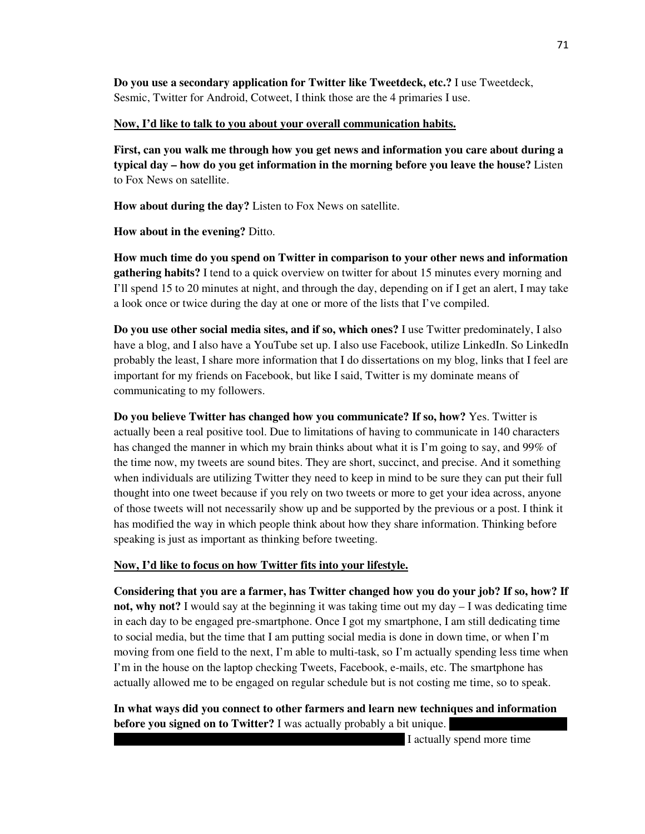**Do you use a secondary application for Twitter like Tweetdeck, etc.?** I use Tweetdeck, Sesmic, Twitter for Android, Cotweet, I think those are the 4 primaries I use.

### **Now, I'd like to talk to you about your overall communication habits.**

**First, can you walk me through how you get news and information you care about during a typical day – how do you get information in the morning before you leave the house?** Listen to Fox News on satellite.

**How about during the day?** Listen to Fox News on satellite.

**How about in the evening?** Ditto.

**How much time do you spend on Twitter in comparison to your other news and information gathering habits?** I tend to a quick overview on twitter for about 15 minutes every morning and I'll spend 15 to 20 minutes at night, and through the day, depending on if I get an alert, I may take a look once or twice during the day at one or more of the lists that I've compiled.

**Do you use other social media sites, and if so, which ones?** I use Twitter predominately, I also have a blog, and I also have a YouTube set up. I also use Facebook, utilize LinkedIn. So LinkedIn probably the least, I share more information that I do dissertations on my blog, links that I feel are important for my friends on Facebook, but like I said, Twitter is my dominate means of communicating to my followers.

**Do you believe Twitter has changed how you communicate? If so, how?** Yes. Twitter is actually been a real positive tool. Due to limitations of having to communicate in 140 characters has changed the manner in which my brain thinks about what it is I'm going to say, and 99% of the time now, my tweets are sound bites. They are short, succinct, and precise. And it something when individuals are utilizing Twitter they need to keep in mind to be sure they can put their full thought into one tweet because if you rely on two tweets or more to get your idea across, anyone of those tweets will not necessarily show up and be supported by the previous or a post. I think it has modified the way in which people think about how they share information. Thinking before speaking is just as important as thinking before tweeting.

### **Now, I'd like to focus on how Twitter fits into your lifestyle.**

**Considering that you are a farmer, has Twitter changed how you do your job? If so, how? If not, why not?** I would say at the beginning it was taking time out my day – I was dedicating time in each day to be engaged pre-smartphone. Once I got my smartphone, I am still dedicating time to social media, but the time that I am putting social media is done in down time, or when I'm moving from one field to the next, I'm able to multi-task, so I'm actually spending less time when I'm in the house on the laptop checking Tweets, Facebook, e-mails, etc. The smartphone has actually allowed me to be engaged on regular schedule but is not costing me time, so to speak.

**In what ways did you connect to other farmers and learn new techniques and information before you signed on to Twitter?** I was actually probably a bit unique.

I actually spend more time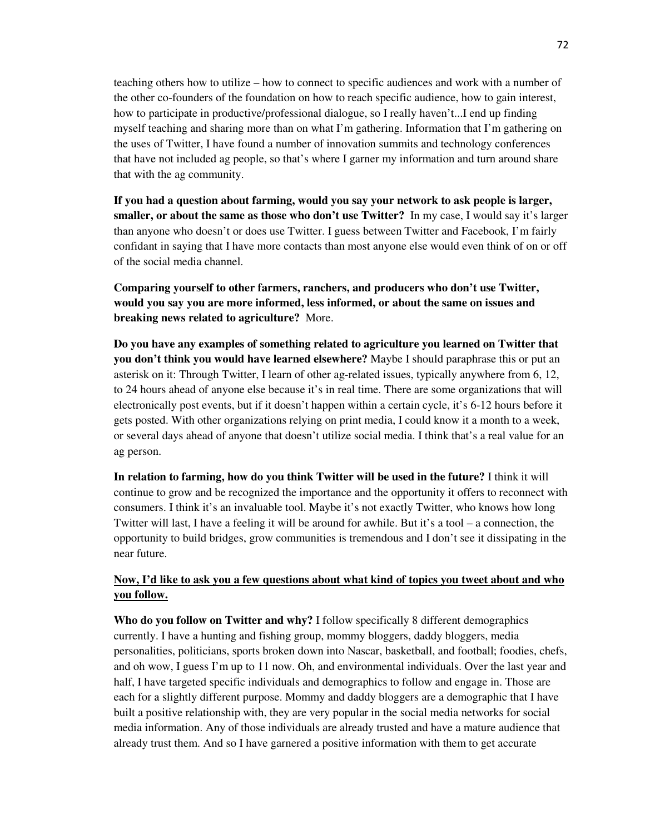teaching others how to utilize – how to connect to specific audiences and work with a number of the other co-founders of the foundation on how to reach specific audience, how to gain interest, how to participate in productive/professional dialogue, so I really haven't...I end up finding myself teaching and sharing more than on what I'm gathering. Information that I'm gathering on the uses of Twitter, I have found a number of innovation summits and technology conferences that have not included ag people, so that's where I garner my information and turn around share that with the ag community.

**If you had a question about farming, would you say your network to ask people is larger, smaller, or about the same as those who don't use Twitter?** In my case, I would say it's larger than anyone who doesn't or does use Twitter. I guess between Twitter and Facebook, I'm fairly confidant in saying that I have more contacts than most anyone else would even think of on or off of the social media channel.

**Comparing yourself to other farmers, ranchers, and producers who don't use Twitter, would you say you are more informed, less informed, or about the same on issues and breaking news related to agriculture?** More.

**Do you have any examples of something related to agriculture you learned on Twitter that you don't think you would have learned elsewhere?** Maybe I should paraphrase this or put an asterisk on it: Through Twitter, I learn of other ag-related issues, typically anywhere from 6, 12, to 24 hours ahead of anyone else because it's in real time. There are some organizations that will electronically post events, but if it doesn't happen within a certain cycle, it's 6-12 hours before it gets posted. With other organizations relying on print media, I could know it a month to a week, or several days ahead of anyone that doesn't utilize social media. I think that's a real value for an ag person.

**In relation to farming, how do you think Twitter will be used in the future?** I think it will continue to grow and be recognized the importance and the opportunity it offers to reconnect with consumers. I think it's an invaluable tool. Maybe it's not exactly Twitter, who knows how long Twitter will last, I have a feeling it will be around for awhile. But it's a tool – a connection, the opportunity to build bridges, grow communities is tremendous and I don't see it dissipating in the near future.

# **Now, I'd like to ask you a few questions about what kind of topics you tweet about and who you follow.**

**Who do you follow on Twitter and why?** I follow specifically 8 different demographics currently. I have a hunting and fishing group, mommy bloggers, daddy bloggers, media personalities, politicians, sports broken down into Nascar, basketball, and football; foodies, chefs, and oh wow, I guess I'm up to 11 now. Oh, and environmental individuals. Over the last year and half, I have targeted specific individuals and demographics to follow and engage in. Those are each for a slightly different purpose. Mommy and daddy bloggers are a demographic that I have built a positive relationship with, they are very popular in the social media networks for social media information. Any of those individuals are already trusted and have a mature audience that already trust them. And so I have garnered a positive information with them to get accurate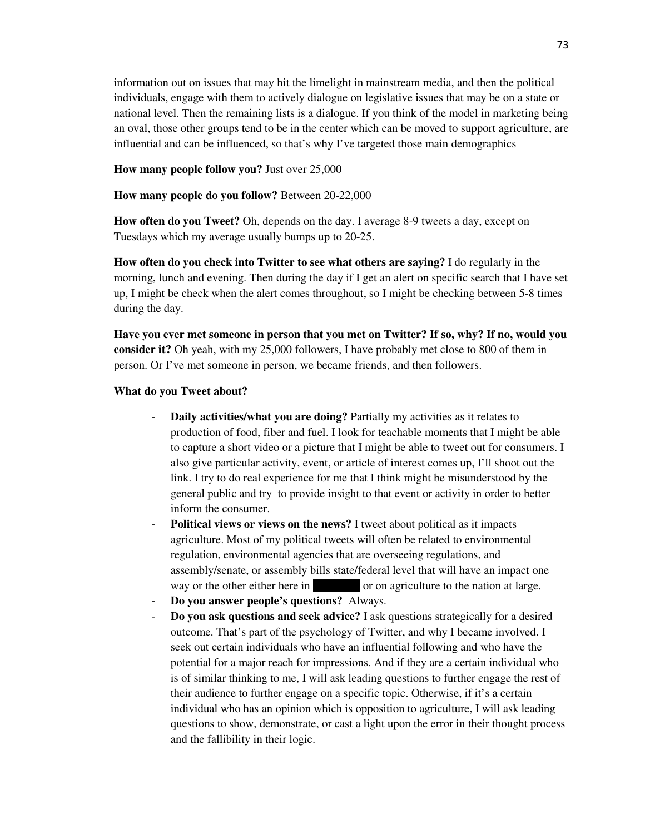information out on issues that may hit the limelight in mainstream media, and then the political individuals, engage with them to actively dialogue on legislative issues that may be on a state or national level. Then the remaining lists is a dialogue. If you think of the model in marketing being an oval, those other groups tend to be in the center which can be moved to support agriculture, are influential and can be influenced, so that's why I've targeted those main demographics

### **How many people follow you?** Just over 25,000

#### **How many people do you follow?** Between 20-22,000

**How often do you Tweet?** Oh, depends on the day. I average 8-9 tweets a day, except on Tuesdays which my average usually bumps up to 20-25.

**How often do you check into Twitter to see what others are saying?** I do regularly in the morning, lunch and evening. Then during the day if I get an alert on specific search that I have set up, I might be check when the alert comes throughout, so I might be checking between 5-8 times during the day.

**Have you ever met someone in person that you met on Twitter? If so, why? If no, would you consider it?** Oh yeah, with my 25,000 followers, I have probably met close to 800 of them in person. Or I've met someone in person, we became friends, and then followers.

#### **What do you Tweet about?**

- **Daily activities/what you are doing?** Partially my activities as it relates to production of food, fiber and fuel. I look for teachable moments that I might be able to capture a short video or a picture that I might be able to tweet out for consumers. I also give particular activity, event, or article of interest comes up, I'll shoot out the link. I try to do real experience for me that I think might be misunderstood by the general public and try to provide insight to that event or activity in order to better inform the consumer.
- **Political views or views on the news?** I tweet about political as it impacts agriculture. Most of my political tweets will often be related to environmental regulation, environmental agencies that are overseeing regulations, and assembly/senate, or assembly bills state/federal level that will have an impact one way or the other either here in  $\qquad \qquad$  or on agriculture to the nation at large.
- **Do you answer people's questions?** Always.
- **Do you ask questions and seek advice?** I ask questions strategically for a desired outcome. That's part of the psychology of Twitter, and why I became involved. I seek out certain individuals who have an influential following and who have the potential for a major reach for impressions. And if they are a certain individual who is of similar thinking to me, I will ask leading questions to further engage the rest of their audience to further engage on a specific topic. Otherwise, if it's a certain individual who has an opinion which is opposition to agriculture, I will ask leading questions to show, demonstrate, or cast a light upon the error in their thought process and the fallibility in their logic.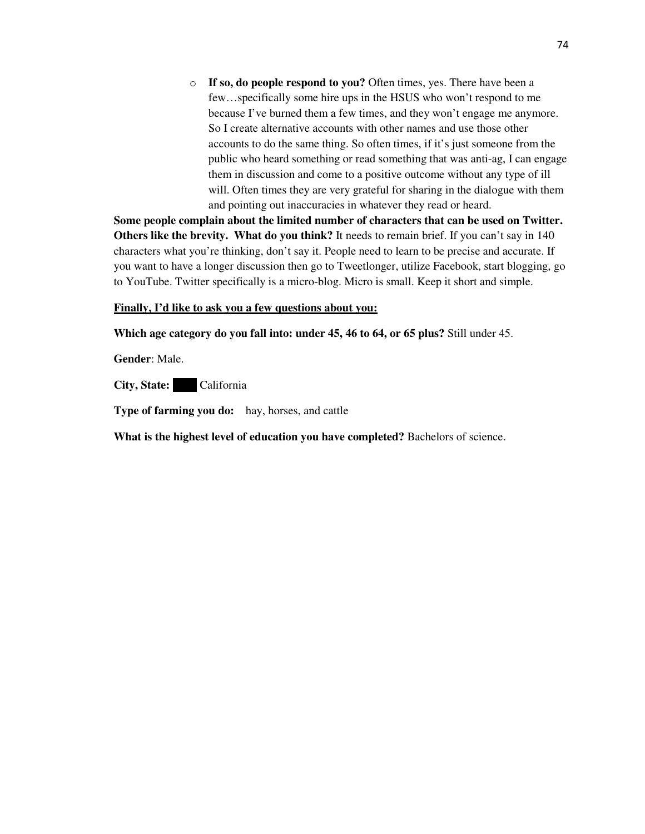o **If so, do people respond to you?** Often times, yes. There have been a few…specifically some hire ups in the HSUS who won't respond to me because I've burned them a few times, and they won't engage me anymore. So I create alternative accounts with other names and use those other accounts to do the same thing. So often times, if it's just someone from the public who heard something or read something that was anti-ag, I can engage them in discussion and come to a positive outcome without any type of ill will. Often times they are very grateful for sharing in the dialogue with them and pointing out inaccuracies in whatever they read or heard.

**Some people complain about the limited number of characters that can be used on Twitter. Others like the brevity. What do you think?** It needs to remain brief. If you can't say in 140 characters what you're thinking, don't say it. People need to learn to be precise and accurate. If you want to have a longer discussion then go to Tweetlonger, utilize Facebook, start blogging, go to YouTube. Twitter specifically is a micro-blog. Micro is small. Keep it short and simple.

### **Finally, I'd like to ask you a few questions about you:**

**Which age category do you fall into: under 45, 46 to 64, or 65 plus?** Still under 45.

**Gender**: Male.

**City, State:** California

**Type of farming you do:** hay, horses, and cattle

**What is the highest level of education you have completed?** Bachelors of science.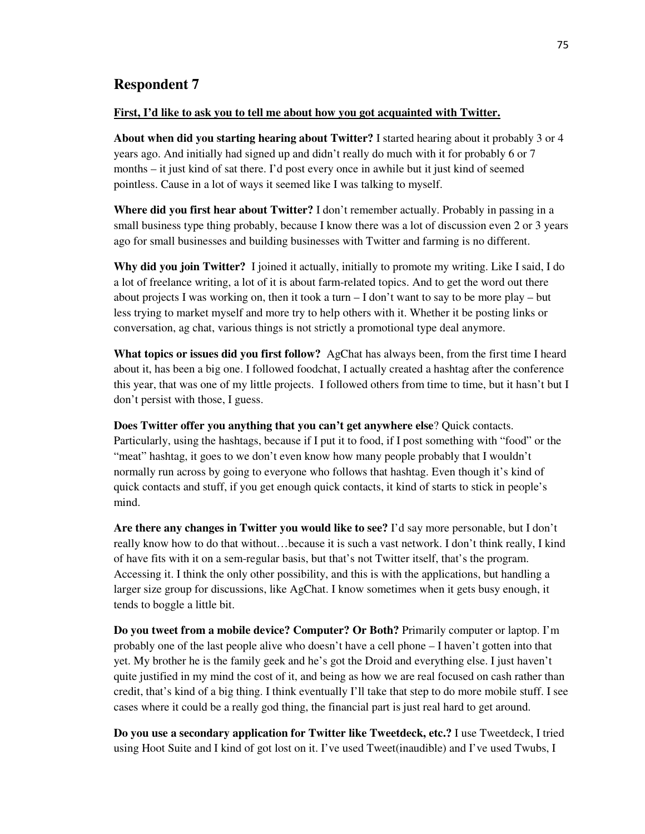## **Respondent 7**

#### **First, I'd like to ask you to tell me about how you got acquainted with Twitter.**

**About when did you starting hearing about Twitter?** I started hearing about it probably 3 or 4 years ago. And initially had signed up and didn't really do much with it for probably 6 or 7 months – it just kind of sat there. I'd post every once in awhile but it just kind of seemed pointless. Cause in a lot of ways it seemed like I was talking to myself.

**Where did you first hear about Twitter?** I don't remember actually. Probably in passing in a small business type thing probably, because I know there was a lot of discussion even 2 or 3 years ago for small businesses and building businesses with Twitter and farming is no different.

**Why did you join Twitter?** I joined it actually, initially to promote my writing. Like I said, I do a lot of freelance writing, a lot of it is about farm-related topics. And to get the word out there about projects I was working on, then it took a turn  $-I$  don't want to say to be more play – but less trying to market myself and more try to help others with it. Whether it be posting links or conversation, ag chat, various things is not strictly a promotional type deal anymore.

**What topics or issues did you first follow?** AgChat has always been, from the first time I heard about it, has been a big one. I followed foodchat, I actually created a hashtag after the conference this year, that was one of my little projects. I followed others from time to time, but it hasn't but I don't persist with those, I guess.

**Does Twitter offer you anything that you can't get anywhere else**? Quick contacts. Particularly, using the hashtags, because if I put it to food, if I post something with "food" or the "meat" hashtag, it goes to we don't even know how many people probably that I wouldn't normally run across by going to everyone who follows that hashtag. Even though it's kind of quick contacts and stuff, if you get enough quick contacts, it kind of starts to stick in people's mind.

**Are there any changes in Twitter you would like to see?** I'd say more personable, but I don't really know how to do that without…because it is such a vast network. I don't think really, I kind of have fits with it on a sem-regular basis, but that's not Twitter itself, that's the program. Accessing it. I think the only other possibility, and this is with the applications, but handling a larger size group for discussions, like AgChat. I know sometimes when it gets busy enough, it tends to boggle a little bit.

**Do you tweet from a mobile device? Computer? Or Both?** Primarily computer or laptop. I'm probably one of the last people alive who doesn't have a cell phone – I haven't gotten into that yet. My brother he is the family geek and he's got the Droid and everything else. I just haven't quite justified in my mind the cost of it, and being as how we are real focused on cash rather than credit, that's kind of a big thing. I think eventually I'll take that step to do more mobile stuff. I see cases where it could be a really god thing, the financial part is just real hard to get around.

**Do you use a secondary application for Twitter like Tweetdeck, etc.?** I use Tweetdeck, I tried using Hoot Suite and I kind of got lost on it. I've used Tweet(inaudible) and I've used Twubs, I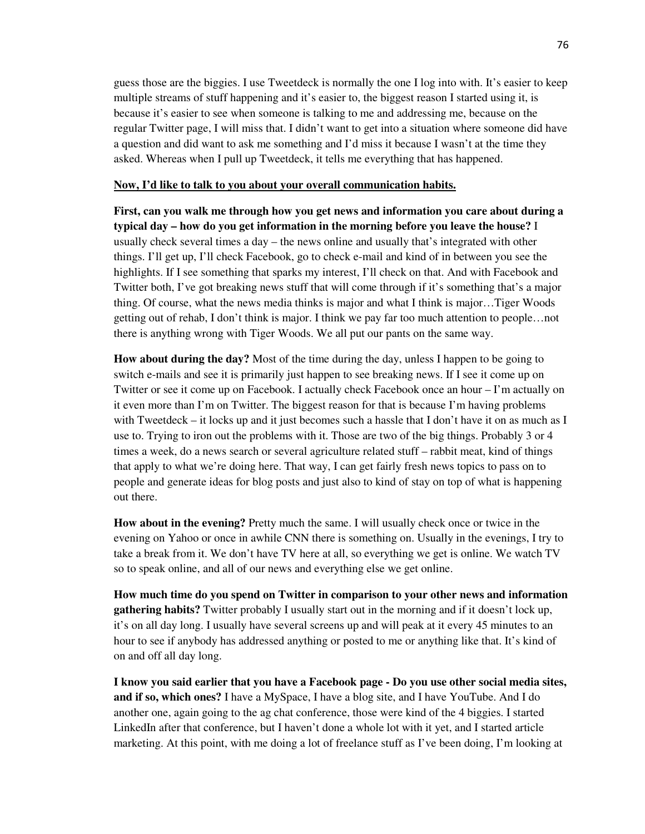guess those are the biggies. I use Tweetdeck is normally the one I log into with. It's easier to keep multiple streams of stuff happening and it's easier to, the biggest reason I started using it, is because it's easier to see when someone is talking to me and addressing me, because on the regular Twitter page, I will miss that. I didn't want to get into a situation where someone did have a question and did want to ask me something and I'd miss it because I wasn't at the time they asked. Whereas when I pull up Tweetdeck, it tells me everything that has happened.

### **Now, I'd like to talk to you about your overall communication habits.**

**First, can you walk me through how you get news and information you care about during a typical day – how do you get information in the morning before you leave the house?** I usually check several times a day – the news online and usually that's integrated with other things. I'll get up, I'll check Facebook, go to check e-mail and kind of in between you see the highlights. If I see something that sparks my interest, I'll check on that. And with Facebook and Twitter both, I've got breaking news stuff that will come through if it's something that's a major thing. Of course, what the news media thinks is major and what I think is major…Tiger Woods getting out of rehab, I don't think is major. I think we pay far too much attention to people…not there is anything wrong with Tiger Woods. We all put our pants on the same way.

**How about during the day?** Most of the time during the day, unless I happen to be going to switch e-mails and see it is primarily just happen to see breaking news. If I see it come up on Twitter or see it come up on Facebook. I actually check Facebook once an hour – I'm actually on it even more than I'm on Twitter. The biggest reason for that is because I'm having problems with Tweetdeck – it locks up and it just becomes such a hassle that I don't have it on as much as I use to. Trying to iron out the problems with it. Those are two of the big things. Probably 3 or 4 times a week, do a news search or several agriculture related stuff – rabbit meat, kind of things that apply to what we're doing here. That way, I can get fairly fresh news topics to pass on to people and generate ideas for blog posts and just also to kind of stay on top of what is happening out there.

**How about in the evening?** Pretty much the same. I will usually check once or twice in the evening on Yahoo or once in awhile CNN there is something on. Usually in the evenings, I try to take a break from it. We don't have TV here at all, so everything we get is online. We watch TV so to speak online, and all of our news and everything else we get online.

**How much time do you spend on Twitter in comparison to your other news and information gathering habits?** Twitter probably I usually start out in the morning and if it doesn't lock up, it's on all day long. I usually have several screens up and will peak at it every 45 minutes to an hour to see if anybody has addressed anything or posted to me or anything like that. It's kind of on and off all day long.

**I know you said earlier that you have a Facebook page - Do you use other social media sites, and if so, which ones?** I have a MySpace, I have a blog site, and I have YouTube. And I do another one, again going to the ag chat conference, those were kind of the 4 biggies. I started LinkedIn after that conference, but I haven't done a whole lot with it yet, and I started article marketing. At this point, with me doing a lot of freelance stuff as I've been doing, I'm looking at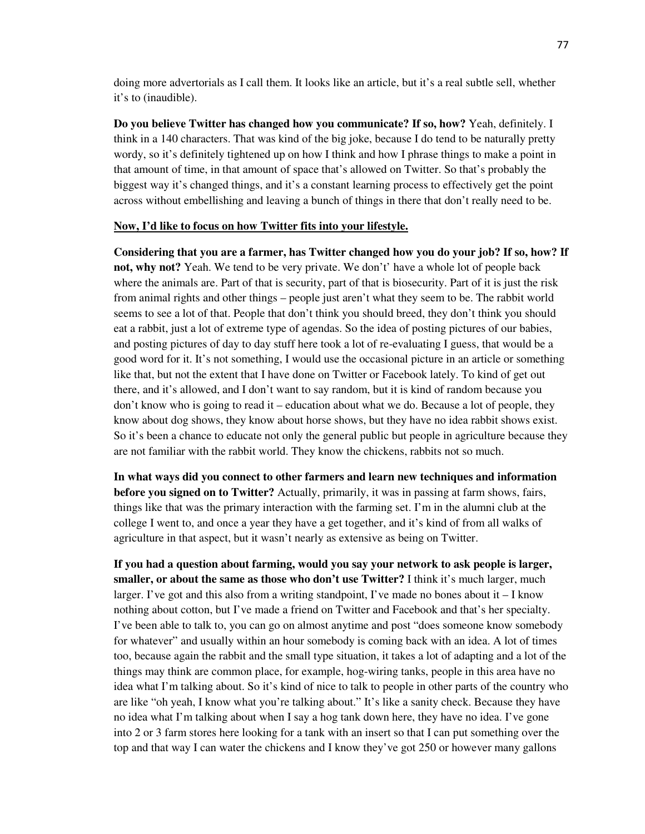doing more advertorials as I call them. It looks like an article, but it's a real subtle sell, whether it's to (inaudible).

**Do you believe Twitter has changed how you communicate? If so, how?** Yeah, definitely. I think in a 140 characters. That was kind of the big joke, because I do tend to be naturally pretty wordy, so it's definitely tightened up on how I think and how I phrase things to make a point in that amount of time, in that amount of space that's allowed on Twitter. So that's probably the biggest way it's changed things, and it's a constant learning process to effectively get the point across without embellishing and leaving a bunch of things in there that don't really need to be.

#### **Now, I'd like to focus on how Twitter fits into your lifestyle.**

**Considering that you are a farmer, has Twitter changed how you do your job? If so, how? If not, why not?** Yeah. We tend to be very private. We don't' have a whole lot of people back where the animals are. Part of that is security, part of that is biosecurity. Part of it is just the risk from animal rights and other things – people just aren't what they seem to be. The rabbit world seems to see a lot of that. People that don't think you should breed, they don't think you should eat a rabbit, just a lot of extreme type of agendas. So the idea of posting pictures of our babies, and posting pictures of day to day stuff here took a lot of re-evaluating I guess, that would be a good word for it. It's not something, I would use the occasional picture in an article or something like that, but not the extent that I have done on Twitter or Facebook lately. To kind of get out there, and it's allowed, and I don't want to say random, but it is kind of random because you don't know who is going to read it – education about what we do. Because a lot of people, they know about dog shows, they know about horse shows, but they have no idea rabbit shows exist. So it's been a chance to educate not only the general public but people in agriculture because they are not familiar with the rabbit world. They know the chickens, rabbits not so much.

**In what ways did you connect to other farmers and learn new techniques and information before you signed on to Twitter?** Actually, primarily, it was in passing at farm shows, fairs, things like that was the primary interaction with the farming set. I'm in the alumni club at the college I went to, and once a year they have a get together, and it's kind of from all walks of agriculture in that aspect, but it wasn't nearly as extensive as being on Twitter.

**If you had a question about farming, would you say your network to ask people is larger, smaller, or about the same as those who don't use Twitter?** I think it's much larger, much larger. I've got and this also from a writing standpoint, I've made no bones about  $i - I$  know nothing about cotton, but I've made a friend on Twitter and Facebook and that's her specialty. I've been able to talk to, you can go on almost anytime and post "does someone know somebody for whatever" and usually within an hour somebody is coming back with an idea. A lot of times too, because again the rabbit and the small type situation, it takes a lot of adapting and a lot of the things may think are common place, for example, hog-wiring tanks, people in this area have no idea what I'm talking about. So it's kind of nice to talk to people in other parts of the country who are like "oh yeah, I know what you're talking about." It's like a sanity check. Because they have no idea what I'm talking about when I say a hog tank down here, they have no idea. I've gone into 2 or 3 farm stores here looking for a tank with an insert so that I can put something over the top and that way I can water the chickens and I know they've got 250 or however many gallons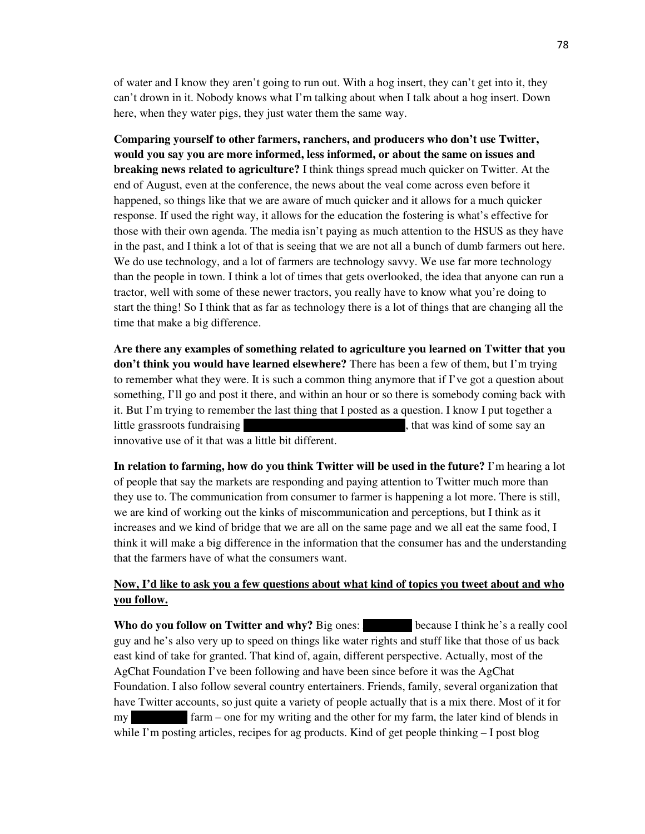of water and I know they aren't going to run out. With a hog insert, they can't get into it, they can't drown in it. Nobody knows what I'm talking about when I talk about a hog insert. Down here, when they water pigs, they just water them the same way.

**Comparing yourself to other farmers, ranchers, and producers who don't use Twitter, would you say you are more informed, less informed, or about the same on issues and breaking news related to agriculture?** I think things spread much quicker on Twitter. At the end of August, even at the conference, the news about the veal come across even before it happened, so things like that we are aware of much quicker and it allows for a much quicker response. If used the right way, it allows for the education the fostering is what's effective for those with their own agenda. The media isn't paying as much attention to the HSUS as they have in the past, and I think a lot of that is seeing that we are not all a bunch of dumb farmers out here. We do use technology, and a lot of farmers are technology savvy. We use far more technology than the people in town. I think a lot of times that gets overlooked, the idea that anyone can run a tractor, well with some of these newer tractors, you really have to know what you're doing to start the thing! So I think that as far as technology there is a lot of things that are changing all the time that make a big difference.

**Are there any examples of something related to agriculture you learned on Twitter that you don't think you would have learned elsewhere?** There has been a few of them, but I'm trying to remember what they were. It is such a common thing anymore that if I've got a question about something, I'll go and post it there, and within an hour or so there is somebody coming back with it. But I'm trying to remember the last thing that I posted as a question. I know I put together a little grassroots fundraising example to the foundation conference, that was kind of some say an innovative use of it that was a little bit different.

**In relation to farming, how do you think Twitter will be used in the future?** I'm hearing a lot of people that say the markets are responding and paying attention to Twitter much more than they use to. The communication from consumer to farmer is happening a lot more. There is still, we are kind of working out the kinks of miscommunication and perceptions, but I think as it increases and we kind of bridge that we are all on the same page and we all eat the same food, I think it will make a big difference in the information that the consumer has and the understanding that the farmers have of what the consumers want.

# **Now, I'd like to ask you a few questions about what kind of topics you tweet about and who you follow.**

**Who do you follow on Twitter and why?** Big ones: because I think he's a really cool guy and he's also very up to speed on things like water rights and stuff like that those of us back east kind of take for granted. That kind of, again, different perspective. Actually, most of the AgChat Foundation I've been following and have been since before it was the AgChat Foundation. I also follow several country entertainers. Friends, family, several organization that have Twitter accounts, so just quite a variety of people actually that is a mix there. Most of it for my slow farm – one for my writing and the other for my farm, the later kind of blends in while I'm posting articles, recipes for ag products. Kind of get people thinking  $-I$  post blog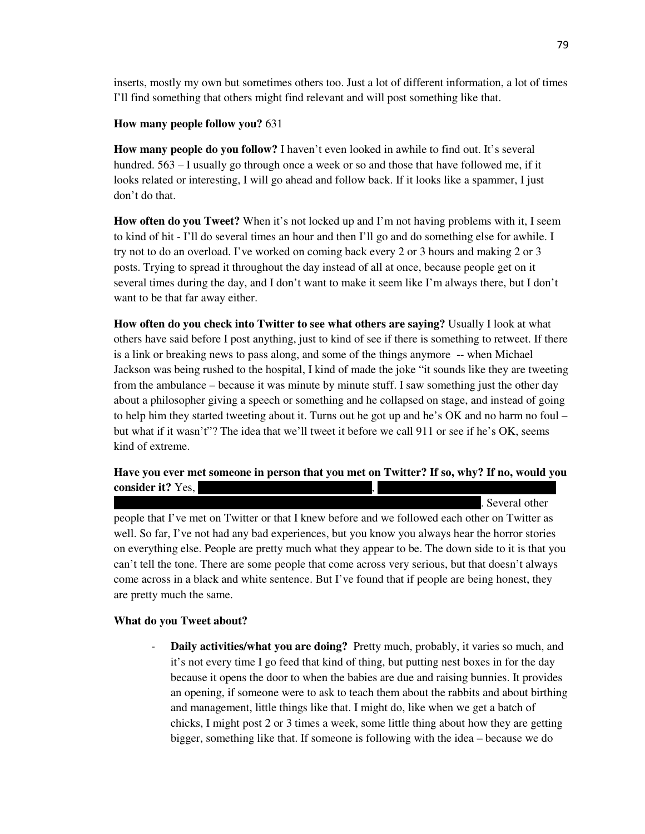inserts, mostly my own but sometimes others too. Just a lot of different information, a lot of times I'll find something that others might find relevant and will post something like that.

### **How many people follow you?** 631

**How many people do you follow?** I haven't even looked in awhile to find out. It's several hundred.  $563 - I$  usually go through once a week or so and those that have followed me, if it looks related or interesting, I will go ahead and follow back. If it looks like a spammer, I just don't do that.

**How often do you Tweet?** When it's not locked up and I'm not having problems with it, I seem to kind of hit - I'll do several times an hour and then I'll go and do something else for awhile. I try not to do an overload. I've worked on coming back every 2 or 3 hours and making 2 or 3 posts. Trying to spread it throughout the day instead of all at once, because people get on it several times during the day, and I don't want to make it seem like I'm always there, but I don't want to be that far away either.

**How often do you check into Twitter to see what others are saying?** Usually I look at what others have said before I post anything, just to kind of see if there is something to retweet. If there is a link or breaking news to pass along, and some of the things anymore -- when Michael Jackson was being rushed to the hospital, I kind of made the joke "it sounds like they are tweeting from the ambulance – because it was minute by minute stuff. I saw something just the other day about a philosopher giving a speech or something and he collapsed on stage, and instead of going to help him they started tweeting about it. Turns out he got up and he's OK and no harm no foul – but what if it wasn't"? The idea that we'll tweet it before we call 911 or see if he's OK, seems kind of extreme.

## **Have you ever met someone in person that you met on Twitter? If so, why? If no, would you consider it?** Yes,

people that I've met on Twitter or that I knew before and we followed each other on Twitter as well. So far, I've not had any bad experiences, but you know you always hear the horror stories on everything else. People are pretty much what they appear to be. The down side to it is that you can't tell the tone. There are some people that come across very serious, but that doesn't always come across in a black and white sentence. But I've found that if people are being honest, they are pretty much the same.

### **What do you Tweet about?**

**Daily activities/what you are doing?** Pretty much, probably, it varies so much, and it's not every time I go feed that kind of thing, but putting nest boxes in for the day because it opens the door to when the babies are due and raising bunnies. It provides an opening, if someone were to ask to teach them about the rabbits and about birthing and management, little things like that. I might do, like when we get a batch of chicks, I might post 2 or 3 times a week, some little thing about how they are getting bigger, something like that. If someone is following with the idea – because we do

. Several other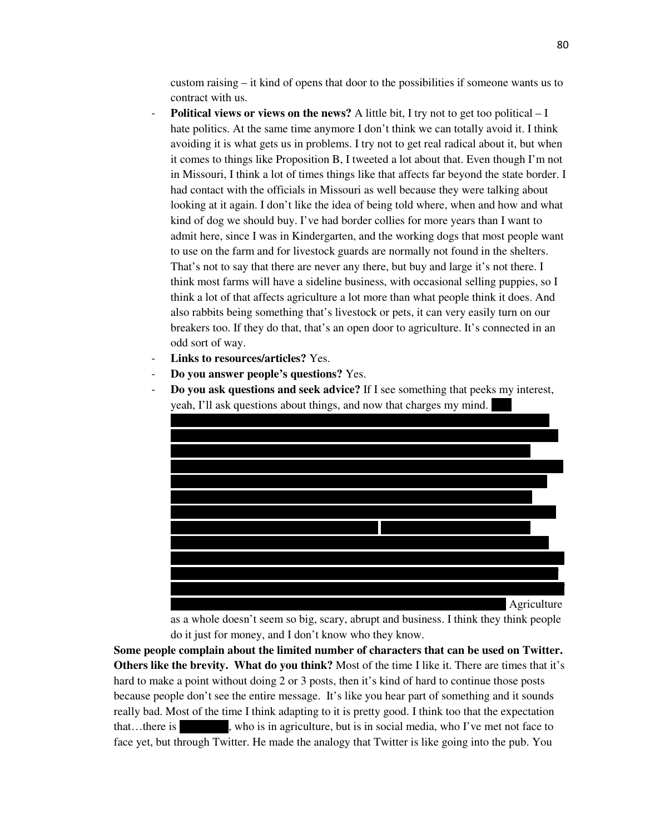custom raising – it kind of opens that door to the possibilities if someone wants us to contract with us.

- **Political views or views on the news?** A little bit, I try not to get too political I hate politics. At the same time anymore I don't think we can totally avoid it. I think avoiding it is what gets us in problems. I try not to get real radical about it, but when it comes to things like Proposition B, I tweeted a lot about that. Even though I'm not in Missouri, I think a lot of times things like that affects far beyond the state border. I had contact with the officials in Missouri as well because they were talking about looking at it again. I don't like the idea of being told where, when and how and what kind of dog we should buy. I've had border collies for more years than I want to admit here, since I was in Kindergarten, and the working dogs that most people want to use on the farm and for livestock guards are normally not found in the shelters. That's not to say that there are never any there, but buy and large it's not there. I think most farms will have a sideline business, with occasional selling puppies, so I think a lot of that affects agriculture a lot more than what people think it does. And also rabbits being something that's livestock or pets, it can very easily turn on our breakers too. If they do that, that's an open door to agriculture. It's connected in an odd sort of way.
- Links to resources/articles? Yes.
- **Do you answer people's questions?** Yes.
- **Do you ask questions and seek advice?** If I see something that peeks my interest, yeah, I'll ask questions about things, and now that charges my mind.



as a whole doesn't seem so big, scary, abrupt and business. I think they think people do it just for money, and I don't know who they know.

**Some people complain about the limited number of characters that can be used on Twitter. Others like the brevity. What do you think?** Most of the time I like it. There are times that it's hard to make a point without doing 2 or 3 posts, then it's kind of hard to continue those posts because people don't see the entire message. It's like you hear part of something and it sounds really bad. Most of the time I think adapting to it is pretty good. I think too that the expectation that…there is who is in agriculture, but is in social media, who I've met not face to face yet, but through Twitter. He made the analogy that Twitter is like going into the pub. You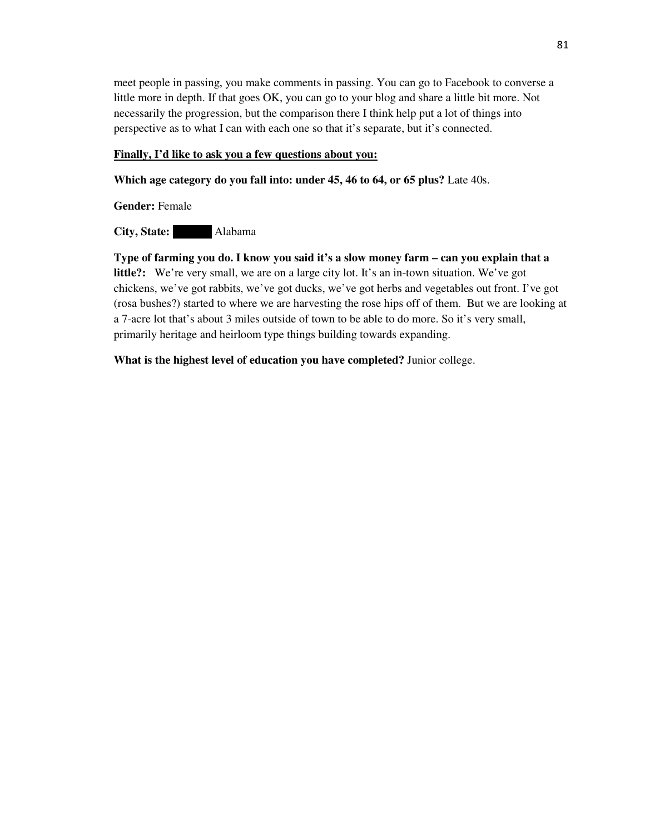meet people in passing, you make comments in passing. You can go to Facebook to converse a little more in depth. If that goes OK, you can go to your blog and share a little bit more. Not necessarily the progression, but the comparison there I think help put a lot of things into perspective as to what I can with each one so that it's separate, but it's connected.

## **Finally, I'd like to ask you a few questions about you:**

**Which age category do you fall into: under 45, 46 to 64, or 65 plus?** Late 40s.

**Gender:** Female

**City, State:** Alabama

**Type of farming you do. I know you said it's a slow money farm – can you explain that a little?:** We're very small, we are on a large city lot. It's an in-town situation. We've got chickens, we've got rabbits, we've got ducks, we've got herbs and vegetables out front. I've got (rosa bushes?) started to where we are harvesting the rose hips off of them. But we are looking at a 7-acre lot that's about 3 miles outside of town to be able to do more. So it's very small, primarily heritage and heirloom type things building towards expanding.

**What is the highest level of education you have completed?** Junior college.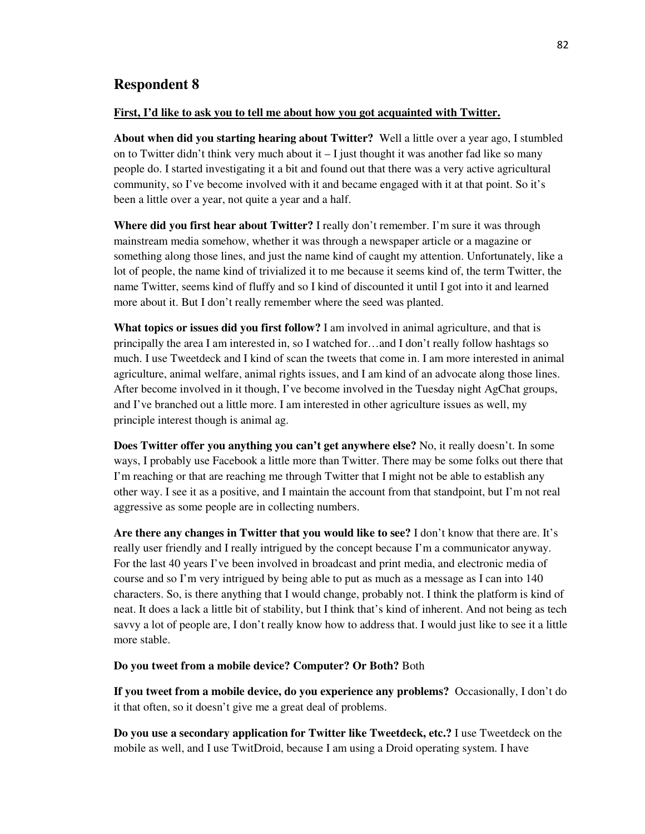# **Respondent 8**

#### **First, I'd like to ask you to tell me about how you got acquainted with Twitter.**

**About when did you starting hearing about Twitter?** Well a little over a year ago, I stumbled on to Twitter didn't think very much about it  $-1$  just thought it was another fad like so many people do. I started investigating it a bit and found out that there was a very active agricultural community, so I've become involved with it and became engaged with it at that point. So it's been a little over a year, not quite a year and a half.

**Where did you first hear about Twitter?** I really don't remember. I'm sure it was through mainstream media somehow, whether it was through a newspaper article or a magazine or something along those lines, and just the name kind of caught my attention. Unfortunately, like a lot of people, the name kind of trivialized it to me because it seems kind of, the term Twitter, the name Twitter, seems kind of fluffy and so I kind of discounted it until I got into it and learned more about it. But I don't really remember where the seed was planted.

**What topics or issues did you first follow?** I am involved in animal agriculture, and that is principally the area I am interested in, so I watched for…and I don't really follow hashtags so much. I use Tweetdeck and I kind of scan the tweets that come in. I am more interested in animal agriculture, animal welfare, animal rights issues, and I am kind of an advocate along those lines. After become involved in it though, I've become involved in the Tuesday night AgChat groups, and I've branched out a little more. I am interested in other agriculture issues as well, my principle interest though is animal ag.

**Does Twitter offer you anything you can't get anywhere else?** No, it really doesn't. In some ways, I probably use Facebook a little more than Twitter. There may be some folks out there that I'm reaching or that are reaching me through Twitter that I might not be able to establish any other way. I see it as a positive, and I maintain the account from that standpoint, but I'm not real aggressive as some people are in collecting numbers.

**Are there any changes in Twitter that you would like to see?** I don't know that there are. It's really user friendly and I really intrigued by the concept because I'm a communicator anyway. For the last 40 years I've been involved in broadcast and print media, and electronic media of course and so I'm very intrigued by being able to put as much as a message as I can into 140 characters. So, is there anything that I would change, probably not. I think the platform is kind of neat. It does a lack a little bit of stability, but I think that's kind of inherent. And not being as tech savvy a lot of people are, I don't really know how to address that. I would just like to see it a little more stable.

**Do you tweet from a mobile device? Computer? Or Both?** Both

**If you tweet from a mobile device, do you experience any problems?** Occasionally, I don't do it that often, so it doesn't give me a great deal of problems.

**Do you use a secondary application for Twitter like Tweetdeck, etc.?** I use Tweetdeck on the mobile as well, and I use TwitDroid, because I am using a Droid operating system. I have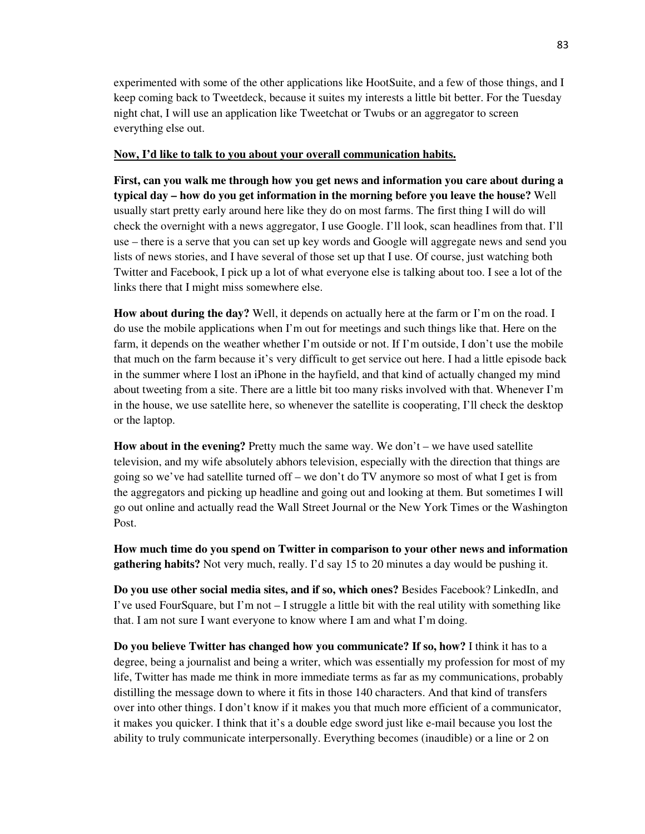experimented with some of the other applications like HootSuite, and a few of those things, and I keep coming back to Tweetdeck, because it suites my interests a little bit better. For the Tuesday night chat, I will use an application like Tweetchat or Twubs or an aggregator to screen everything else out.

## **Now, I'd like to talk to you about your overall communication habits.**

**First, can you walk me through how you get news and information you care about during a typical day – how do you get information in the morning before you leave the house?** Well usually start pretty early around here like they do on most farms. The first thing I will do will check the overnight with a news aggregator, I use Google. I'll look, scan headlines from that. I'll use – there is a serve that you can set up key words and Google will aggregate news and send you lists of news stories, and I have several of those set up that I use. Of course, just watching both Twitter and Facebook, I pick up a lot of what everyone else is talking about too. I see a lot of the links there that I might miss somewhere else.

**How about during the day?** Well, it depends on actually here at the farm or I'm on the road. I do use the mobile applications when I'm out for meetings and such things like that. Here on the farm, it depends on the weather whether I'm outside or not. If I'm outside, I don't use the mobile that much on the farm because it's very difficult to get service out here. I had a little episode back in the summer where I lost an iPhone in the hayfield, and that kind of actually changed my mind about tweeting from a site. There are a little bit too many risks involved with that. Whenever I'm in the house, we use satellite here, so whenever the satellite is cooperating, I'll check the desktop or the laptop.

**How about in the evening?** Pretty much the same way. We don't – we have used satellite television, and my wife absolutely abhors television, especially with the direction that things are going so we've had satellite turned off – we don't do TV anymore so most of what I get is from the aggregators and picking up headline and going out and looking at them. But sometimes I will go out online and actually read the Wall Street Journal or the New York Times or the Washington Post.

**How much time do you spend on Twitter in comparison to your other news and information gathering habits?** Not very much, really. I'd say 15 to 20 minutes a day would be pushing it.

**Do you use other social media sites, and if so, which ones?** Besides Facebook? LinkedIn, and I've used FourSquare, but I'm not  $-1$  struggle a little bit with the real utility with something like that. I am not sure I want everyone to know where I am and what I'm doing.

**Do you believe Twitter has changed how you communicate? If so, how?** I think it has to a degree, being a journalist and being a writer, which was essentially my profession for most of my life, Twitter has made me think in more immediate terms as far as my communications, probably distilling the message down to where it fits in those 140 characters. And that kind of transfers over into other things. I don't know if it makes you that much more efficient of a communicator, it makes you quicker. I think that it's a double edge sword just like e-mail because you lost the ability to truly communicate interpersonally. Everything becomes (inaudible) or a line or 2 on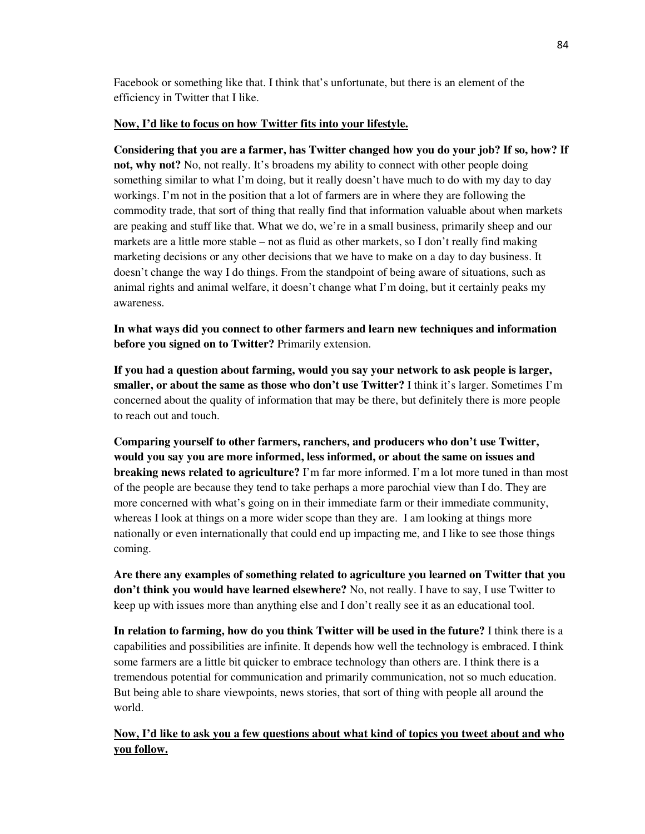Facebook or something like that. I think that's unfortunate, but there is an element of the efficiency in Twitter that I like.

## **Now, I'd like to focus on how Twitter fits into your lifestyle.**

**Considering that you are a farmer, has Twitter changed how you do your job? If so, how? If not, why not?** No, not really. It's broadens my ability to connect with other people doing something similar to what I'm doing, but it really doesn't have much to do with my day to day workings. I'm not in the position that a lot of farmers are in where they are following the commodity trade, that sort of thing that really find that information valuable about when markets are peaking and stuff like that. What we do, we're in a small business, primarily sheep and our markets are a little more stable – not as fluid as other markets, so I don't really find making marketing decisions or any other decisions that we have to make on a day to day business. It doesn't change the way I do things. From the standpoint of being aware of situations, such as animal rights and animal welfare, it doesn't change what I'm doing, but it certainly peaks my awareness.

**In what ways did you connect to other farmers and learn new techniques and information before you signed on to Twitter?** Primarily extension.

**If you had a question about farming, would you say your network to ask people is larger, smaller, or about the same as those who don't use Twitter?** I think it's larger. Sometimes I'm concerned about the quality of information that may be there, but definitely there is more people to reach out and touch.

**Comparing yourself to other farmers, ranchers, and producers who don't use Twitter, would you say you are more informed, less informed, or about the same on issues and breaking news related to agriculture?** I'm far more informed. I'm a lot more tuned in than most of the people are because they tend to take perhaps a more parochial view than I do. They are more concerned with what's going on in their immediate farm or their immediate community, whereas I look at things on a more wider scope than they are. I am looking at things more nationally or even internationally that could end up impacting me, and I like to see those things coming.

**Are there any examples of something related to agriculture you learned on Twitter that you don't think you would have learned elsewhere?** No, not really. I have to say, I use Twitter to keep up with issues more than anything else and I don't really see it as an educational tool.

**In relation to farming, how do you think Twitter will be used in the future?** I think there is a capabilities and possibilities are infinite. It depends how well the technology is embraced. I think some farmers are a little bit quicker to embrace technology than others are. I think there is a tremendous potential for communication and primarily communication, not so much education. But being able to share viewpoints, news stories, that sort of thing with people all around the world.

**Now, I'd like to ask you a few questions about what kind of topics you tweet about and who you follow.**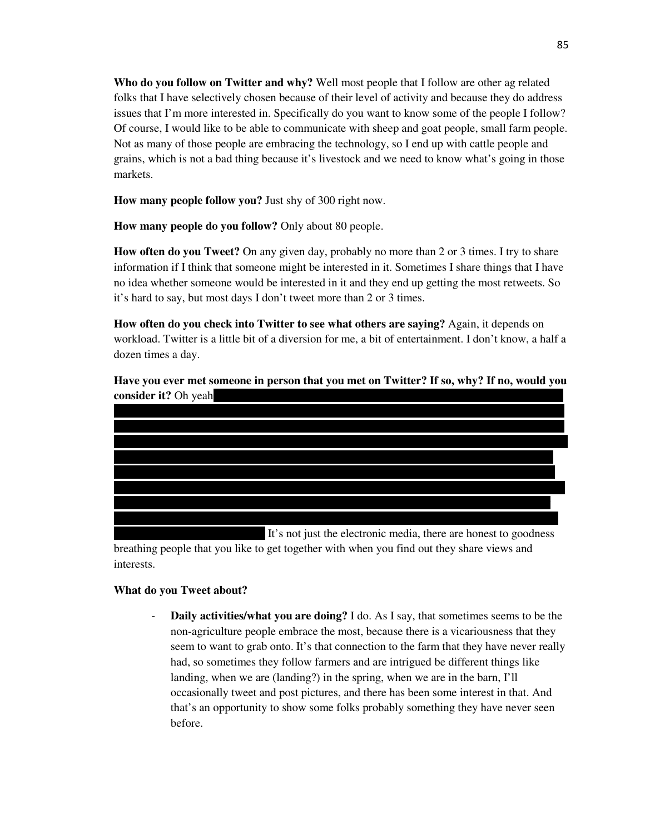**Who do you follow on Twitter and why?** Well most people that I follow are other ag related folks that I have selectively chosen because of their level of activity and because they do address issues that I'm more interested in. Specifically do you want to know some of the people I follow? Of course, I would like to be able to communicate with sheep and goat people, small farm people. Not as many of those people are embracing the technology, so I end up with cattle people and grains, which is not a bad thing because it's livestock and we need to know what's going in those markets.

**How many people follow you?** Just shy of 300 right now.

**How many people do you follow?** Only about 80 people.

**How often do you Tweet?** On any given day, probably no more than 2 or 3 times. I try to share information if I think that someone might be interested in it. Sometimes I share things that I have no idea whether someone would be interested in it and they end up getting the most retweets. So it's hard to say, but most days I don't tweet more than 2 or 3 times.

**How often do you check into Twitter to see what others are saying?** Again, it depends on workload. Twitter is a little bit of a diversion for me, a bit of entertainment. I don't know, a half a dozen times a day.

**Have you ever met someone in person that you met on Twitter? If so, why? If no, would you consider it?** Oh yeah

It's not just the electronic media, there are honest to goodness breathing people that you like to get together with when you find out they share views and interests.

# **What do you Tweet about?**

**Daily activities/what you are doing?** I do. As I say, that sometimes seems to be the non-agriculture people embrace the most, because there is a vicariousness that they seem to want to grab onto. It's that connection to the farm that they have never really had, so sometimes they follow farmers and are intrigued be different things like landing, when we are (landing?) in the spring, when we are in the barn, I'll occasionally tweet and post pictures, and there has been some interest in that. And that's an opportunity to show some folks probably something they have never seen before.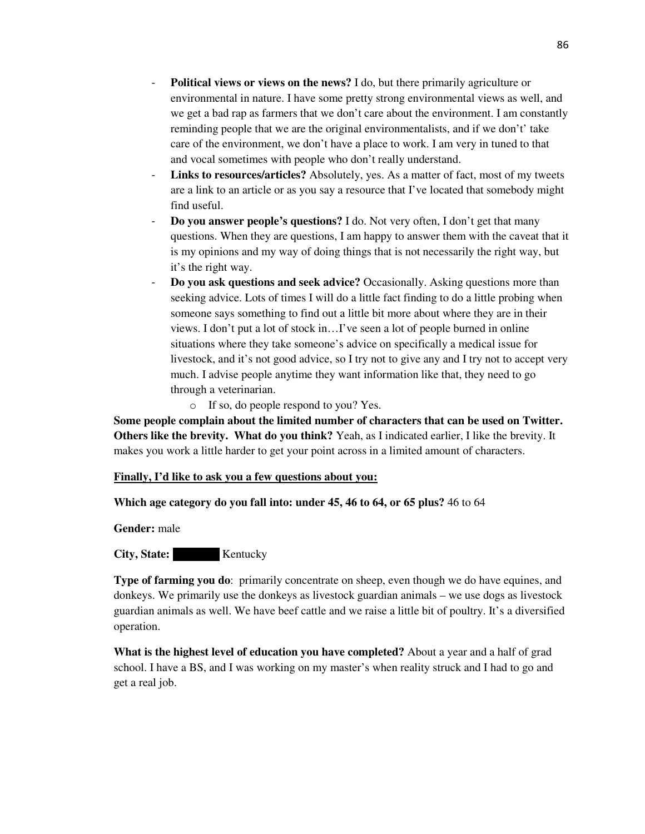- **Political views or views on the news?** I do, but there primarily agriculture or environmental in nature. I have some pretty strong environmental views as well, and we get a bad rap as farmers that we don't care about the environment. I am constantly reminding people that we are the original environmentalists, and if we don't' take care of the environment, we don't have a place to work. I am very in tuned to that and vocal sometimes with people who don't really understand.
- Links to resources/articles? Absolutely, yes. As a matter of fact, most of my tweets are a link to an article or as you say a resource that I've located that somebody might find useful.
- **Do you answer people's questions?** I do. Not very often, I don't get that many questions. When they are questions, I am happy to answer them with the caveat that it is my opinions and my way of doing things that is not necessarily the right way, but it's the right way.
- **Do you ask questions and seek advice?** Occasionally. Asking questions more than seeking advice. Lots of times I will do a little fact finding to do a little probing when someone says something to find out a little bit more about where they are in their views. I don't put a lot of stock in…I've seen a lot of people burned in online situations where they take someone's advice on specifically a medical issue for livestock, and it's not good advice, so I try not to give any and I try not to accept very much. I advise people anytime they want information like that, they need to go through a veterinarian.
	- o If so, do people respond to you? Yes.

**Some people complain about the limited number of characters that can be used on Twitter. Others like the brevity. What do you think?** Yeah, as I indicated earlier, I like the brevity. It makes you work a little harder to get your point across in a limited amount of characters.

## **Finally, I'd like to ask you a few questions about you:**

**Which age category do you fall into: under 45, 46 to 64, or 65 plus?** 46 to 64

**Gender:** male

**City, State:** Kentucky

**Type of farming you do:** primarily concentrate on sheep, even though we do have equines, and donkeys. We primarily use the donkeys as livestock guardian animals – we use dogs as livestock guardian animals as well. We have beef cattle and we raise a little bit of poultry. It's a diversified operation.

**What is the highest level of education you have completed?** About a year and a half of grad school. I have a BS, and I was working on my master's when reality struck and I had to go and get a real job.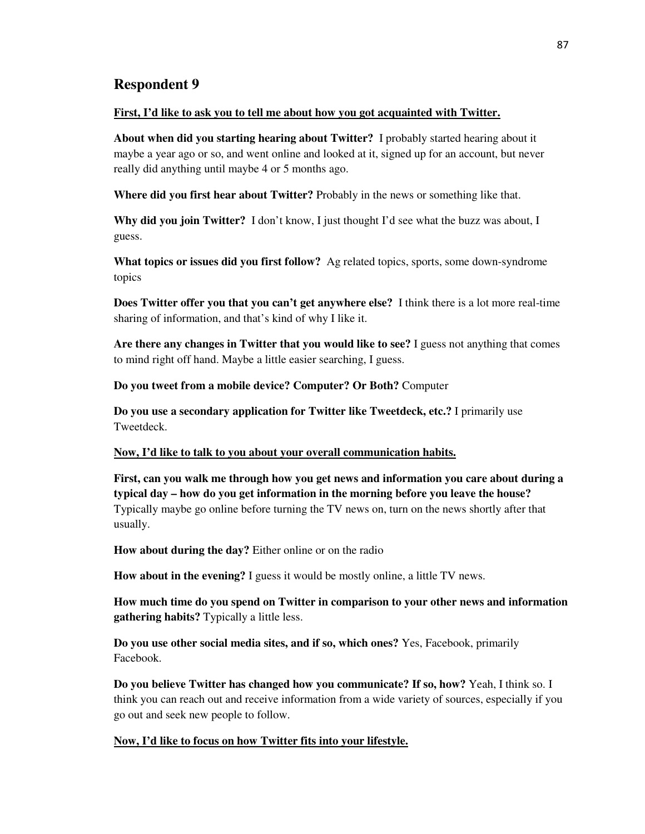# **Respondent 9**

### **First, I'd like to ask you to tell me about how you got acquainted with Twitter.**

**About when did you starting hearing about Twitter?** I probably started hearing about it maybe a year ago or so, and went online and looked at it, signed up for an account, but never really did anything until maybe 4 or 5 months ago.

**Where did you first hear about Twitter?** Probably in the news or something like that.

**Why did you join Twitter?** I don't know, I just thought I'd see what the buzz was about, I guess.

**What topics or issues did you first follow?** Ag related topics, sports, some down-syndrome topics

**Does Twitter offer you that you can't get anywhere else?** I think there is a lot more real-time sharing of information, and that's kind of why I like it.

**Are there any changes in Twitter that you would like to see?** I guess not anything that comes to mind right off hand. Maybe a little easier searching, I guess.

**Do you tweet from a mobile device? Computer? Or Both?** Computer

**Do you use a secondary application for Twitter like Tweetdeck, etc.?** I primarily use Tweetdeck.

### **Now, I'd like to talk to you about your overall communication habits.**

**First, can you walk me through how you get news and information you care about during a typical day – how do you get information in the morning before you leave the house?** Typically maybe go online before turning the TV news on, turn on the news shortly after that usually.

**How about during the day?** Either online or on the radio

**How about in the evening?** I guess it would be mostly online, a little TV news.

**How much time do you spend on Twitter in comparison to your other news and information gathering habits?** Typically a little less.

**Do you use other social media sites, and if so, which ones?** Yes, Facebook, primarily Facebook.

**Do you believe Twitter has changed how you communicate? If so, how?** Yeah, I think so. I think you can reach out and receive information from a wide variety of sources, especially if you go out and seek new people to follow.

## **Now, I'd like to focus on how Twitter fits into your lifestyle.**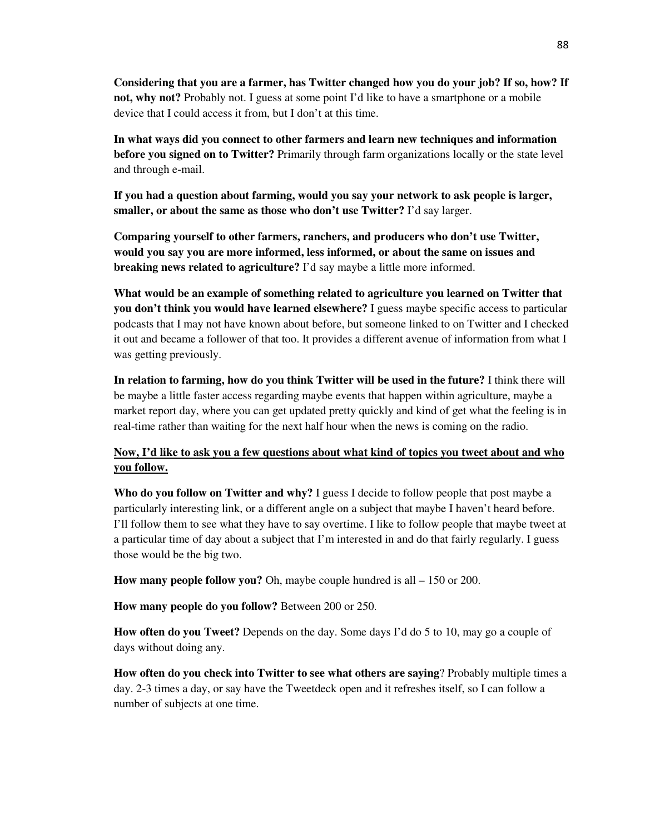**Considering that you are a farmer, has Twitter changed how you do your job? If so, how? If not, why not?** Probably not. I guess at some point I'd like to have a smartphone or a mobile device that I could access it from, but I don't at this time.

**In what ways did you connect to other farmers and learn new techniques and information before you signed on to Twitter?** Primarily through farm organizations locally or the state level and through e-mail.

**If you had a question about farming, would you say your network to ask people is larger, smaller, or about the same as those who don't use Twitter?** I'd say larger.

**Comparing yourself to other farmers, ranchers, and producers who don't use Twitter, would you say you are more informed, less informed, or about the same on issues and breaking news related to agriculture?** I'd say maybe a little more informed.

**What would be an example of something related to agriculture you learned on Twitter that you don't think you would have learned elsewhere?** I guess maybe specific access to particular podcasts that I may not have known about before, but someone linked to on Twitter and I checked it out and became a follower of that too. It provides a different avenue of information from what I was getting previously.

**In relation to farming, how do you think Twitter will be used in the future?** I think there will be maybe a little faster access regarding maybe events that happen within agriculture, maybe a market report day, where you can get updated pretty quickly and kind of get what the feeling is in real-time rather than waiting for the next half hour when the news is coming on the radio.

# **Now, I'd like to ask you a few questions about what kind of topics you tweet about and who you follow.**

**Who do you follow on Twitter and why?** I guess I decide to follow people that post maybe a particularly interesting link, or a different angle on a subject that maybe I haven't heard before. I'll follow them to see what they have to say overtime. I like to follow people that maybe tweet at a particular time of day about a subject that I'm interested in and do that fairly regularly. I guess those would be the big two.

**How many people follow you?** Oh, maybe couple hundred is all – 150 or 200.

**How many people do you follow?** Between 200 or 250.

**How often do you Tweet?** Depends on the day. Some days I'd do 5 to 10, may go a couple of days without doing any.

**How often do you check into Twitter to see what others are saying**? Probably multiple times a day. 2-3 times a day, or say have the Tweetdeck open and it refreshes itself, so I can follow a number of subjects at one time.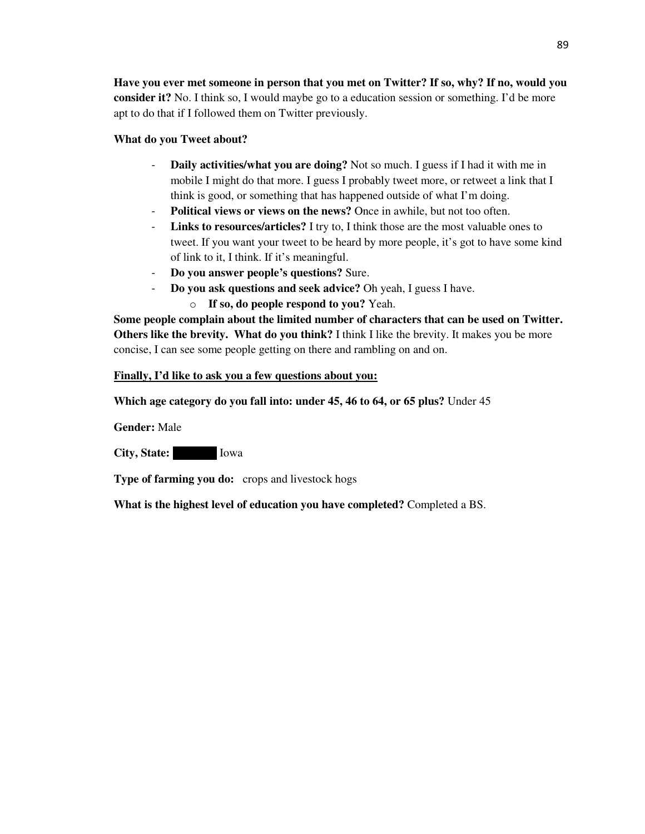**Have you ever met someone in person that you met on Twitter? If so, why? If no, would you consider it?** No. I think so, I would maybe go to a education session or something. I'd be more apt to do that if I followed them on Twitter previously.

## **What do you Tweet about?**

- **Daily activities/what you are doing?** Not so much. I guess if I had it with me in mobile I might do that more. I guess I probably tweet more, or retweet a link that I think is good, or something that has happened outside of what I'm doing.
- **Political views or views on the news?** Once in awhile, but not too often.
- **Links to resources/articles?** I try to, I think those are the most valuable ones to tweet. If you want your tweet to be heard by more people, it's got to have some kind of link to it, I think. If it's meaningful.
- **Do you answer people's questions?** Sure.
- **Do you ask questions and seek advice?** Oh yeah, I guess I have.
	- o **If so, do people respond to you?** Yeah.

**Some people complain about the limited number of characters that can be used on Twitter. Others like the brevity. What do you think?** I think I like the brevity. It makes you be more concise, I can see some people getting on there and rambling on and on.

## **Finally, I'd like to ask you a few questions about you:**

**Which age category do you fall into: under 45, 46 to 64, or 65 plus?** Under 45

**Gender:** Male

**City, State:** Iowa

**Type of farming you do:** crops and livestock hogs

**What is the highest level of education you have completed?** Completed a BS.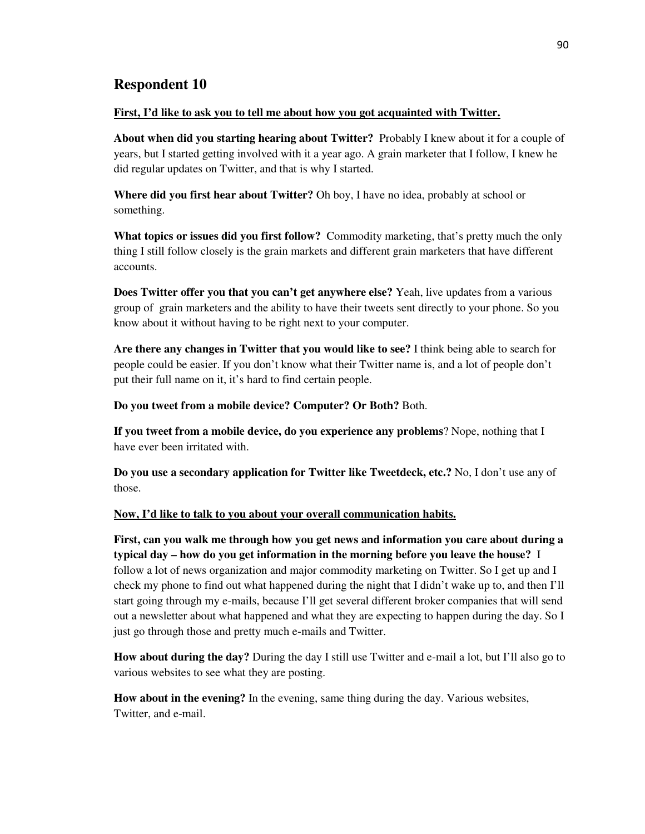# **Respondent 10**

### **First, I'd like to ask you to tell me about how you got acquainted with Twitter.**

**About when did you starting hearing about Twitter?** Probably I knew about it for a couple of years, but I started getting involved with it a year ago. A grain marketer that I follow, I knew he did regular updates on Twitter, and that is why I started.

**Where did you first hear about Twitter?** Oh boy, I have no idea, probably at school or something.

**What topics or issues did you first follow?** Commodity marketing, that's pretty much the only thing I still follow closely is the grain markets and different grain marketers that have different accounts.

**Does Twitter offer you that you can't get anywhere else?** Yeah, live updates from a various group of grain marketers and the ability to have their tweets sent directly to your phone. So you know about it without having to be right next to your computer.

**Are there any changes in Twitter that you would like to see?** I think being able to search for people could be easier. If you don't know what their Twitter name is, and a lot of people don't put their full name on it, it's hard to find certain people.

**Do you tweet from a mobile device? Computer? Or Both?** Both.

**If you tweet from a mobile device, do you experience any problems**? Nope, nothing that I have ever been irritated with.

**Do you use a secondary application for Twitter like Tweetdeck, etc.?** No, I don't use any of those.

### **Now, I'd like to talk to you about your overall communication habits.**

**First, can you walk me through how you get news and information you care about during a typical day – how do you get information in the morning before you leave the house?** I follow a lot of news organization and major commodity marketing on Twitter. So I get up and I check my phone to find out what happened during the night that I didn't wake up to, and then I'll start going through my e-mails, because I'll get several different broker companies that will send out a newsletter about what happened and what they are expecting to happen during the day. So I just go through those and pretty much e-mails and Twitter.

**How about during the day?** During the day I still use Twitter and e-mail a lot, but I'll also go to various websites to see what they are posting.

**How about in the evening?** In the evening, same thing during the day. Various websites, Twitter, and e-mail.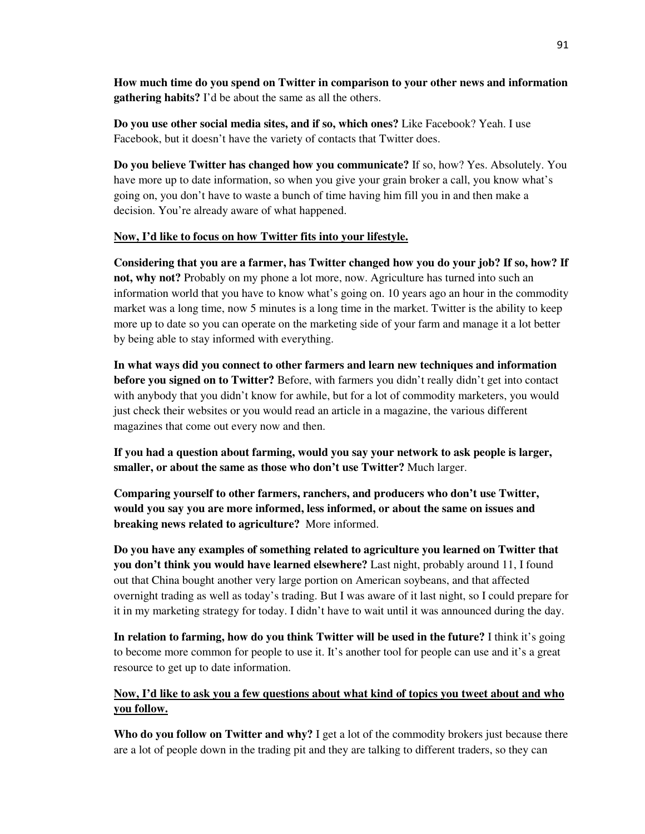**How much time do you spend on Twitter in comparison to your other news and information gathering habits?** I'd be about the same as all the others.

**Do you use other social media sites, and if so, which ones?** Like Facebook? Yeah. I use Facebook, but it doesn't have the variety of contacts that Twitter does.

**Do you believe Twitter has changed how you communicate?** If so, how? Yes. Absolutely. You have more up to date information, so when you give your grain broker a call, you know what's going on, you don't have to waste a bunch of time having him fill you in and then make a decision. You're already aware of what happened.

## **Now, I'd like to focus on how Twitter fits into your lifestyle.**

**Considering that you are a farmer, has Twitter changed how you do your job? If so, how? If not, why not?** Probably on my phone a lot more, now. Agriculture has turned into such an information world that you have to know what's going on. 10 years ago an hour in the commodity market was a long time, now 5 minutes is a long time in the market. Twitter is the ability to keep more up to date so you can operate on the marketing side of your farm and manage it a lot better by being able to stay informed with everything.

**In what ways did you connect to other farmers and learn new techniques and information before you signed on to Twitter?** Before, with farmers you didn't really didn't get into contact with anybody that you didn't know for awhile, but for a lot of commodity marketers, you would just check their websites or you would read an article in a magazine, the various different magazines that come out every now and then.

**If you had a question about farming, would you say your network to ask people is larger, smaller, or about the same as those who don't use Twitter?** Much larger.

**Comparing yourself to other farmers, ranchers, and producers who don't use Twitter, would you say you are more informed, less informed, or about the same on issues and breaking news related to agriculture?** More informed.

**Do you have any examples of something related to agriculture you learned on Twitter that you don't think you would have learned elsewhere?** Last night, probably around 11, I found out that China bought another very large portion on American soybeans, and that affected overnight trading as well as today's trading. But I was aware of it last night, so I could prepare for it in my marketing strategy for today. I didn't have to wait until it was announced during the day.

**In relation to farming, how do you think Twitter will be used in the future?** I think it's going to become more common for people to use it. It's another tool for people can use and it's a great resource to get up to date information.

# **Now, I'd like to ask you a few questions about what kind of topics you tweet about and who you follow.**

**Who do you follow on Twitter and why?** I get a lot of the commodity brokers just because there are a lot of people down in the trading pit and they are talking to different traders, so they can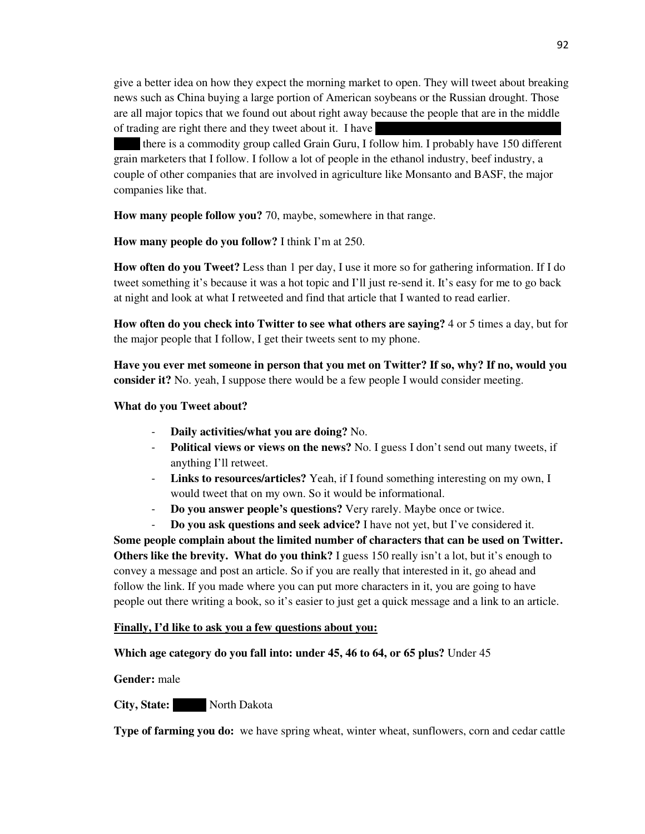give a better idea on how they expect the morning market to open. They will tweet about breaking news such as China buying a large portion of American soybeans or the Russian drought. Those are all major topics that we found out about right away because the people that are in the middle of trading are right there and they tweet about it. I have

there is a commodity group called Grain Guru, I follow him. I probably have 150 different grain marketers that I follow. I follow a lot of people in the ethanol industry, beef industry, a couple of other companies that are involved in agriculture like Monsanto and BASF, the major companies like that.

**How many people follow you?** 70, maybe, somewhere in that range.

**How many people do you follow?** I think I'm at 250.

**How often do you Tweet?** Less than 1 per day, I use it more so for gathering information. If I do tweet something it's because it was a hot topic and I'll just re-send it. It's easy for me to go back at night and look at what I retweeted and find that article that I wanted to read earlier.

**How often do you check into Twitter to see what others are saying?** 4 or 5 times a day, but for the major people that I follow, I get their tweets sent to my phone.

**Have you ever met someone in person that you met on Twitter? If so, why? If no, would you consider it?** No. yeah, I suppose there would be a few people I would consider meeting.

### **What do you Tweet about?**

- **Daily activities/what you are doing?** No.
- **Political views or views on the news?** No. I guess I don't send out many tweets, if anything I'll retweet.
- **Links to resources/articles?** Yeah, if I found something interesting on my own, I would tweet that on my own. So it would be informational.
- **Do you answer people's questions?** Very rarely. Maybe once or twice.
- **Do you ask questions and seek advice?** I have not yet, but I've considered it.

**Some people complain about the limited number of characters that can be used on Twitter. Others like the brevity. What do you think?** I guess 150 really isn't a lot, but it's enough to convey a message and post an article. So if you are really that interested in it, go ahead and follow the link. If you made where you can put more characters in it, you are going to have people out there writing a book, so it's easier to just get a quick message and a link to an article.

### **Finally, I'd like to ask you a few questions about you:**

## **Which age category do you fall into: under 45, 46 to 64, or 65 plus?** Under 45

### **Gender:** male

## **City, State:** North Dakota

**Type of farming you do:** we have spring wheat, winter wheat, sunflowers, corn and cedar cattle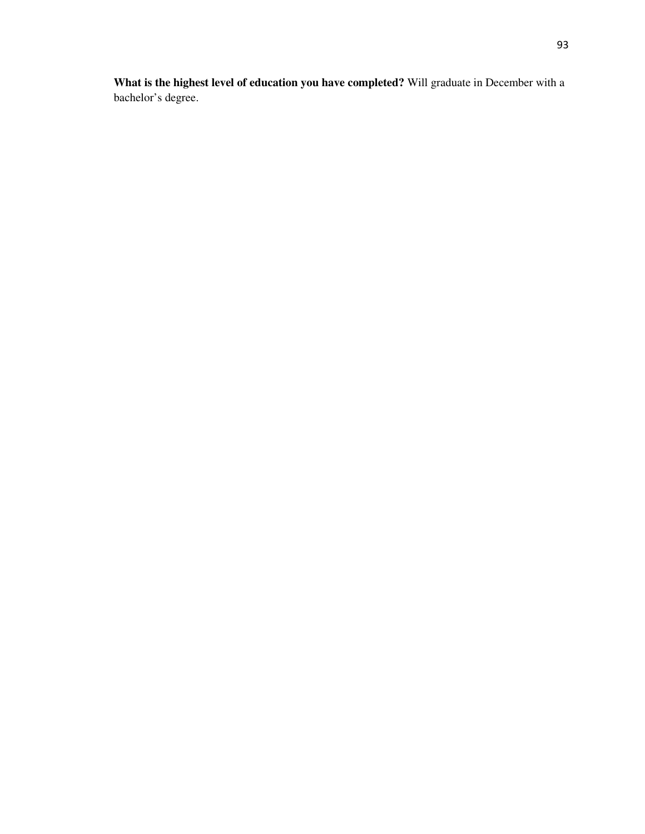**What is the highest level of education you have completed?** Will graduate in December with a bachelor's degree.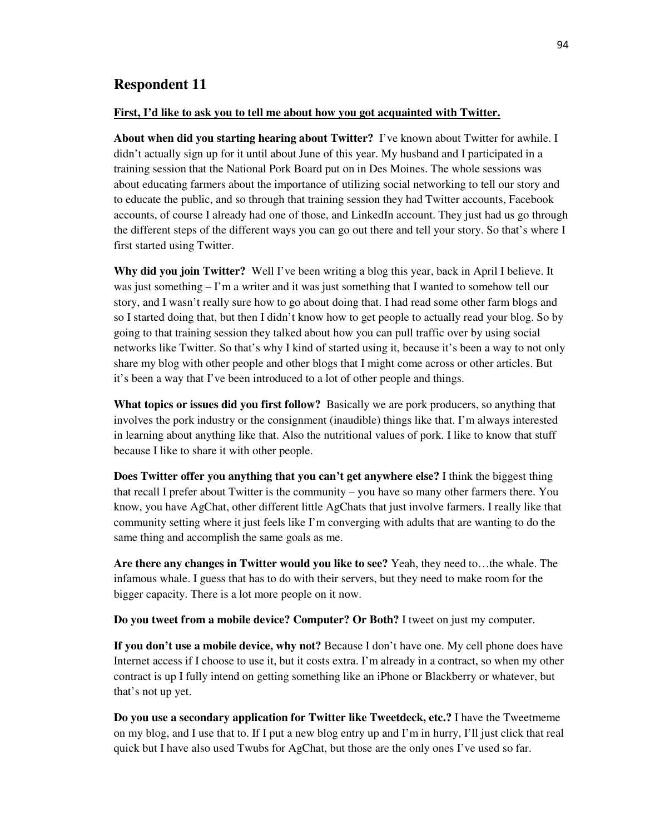# **Respondent 11**

#### **First, I'd like to ask you to tell me about how you got acquainted with Twitter.**

**About when did you starting hearing about Twitter?** I've known about Twitter for awhile. I didn't actually sign up for it until about June of this year. My husband and I participated in a training session that the National Pork Board put on in Des Moines. The whole sessions was about educating farmers about the importance of utilizing social networking to tell our story and to educate the public, and so through that training session they had Twitter accounts, Facebook accounts, of course I already had one of those, and LinkedIn account. They just had us go through the different steps of the different ways you can go out there and tell your story. So that's where I first started using Twitter.

**Why did you join Twitter?** Well I've been writing a blog this year, back in April I believe. It was just something – I'm a writer and it was just something that I wanted to somehow tell our story, and I wasn't really sure how to go about doing that. I had read some other farm blogs and so I started doing that, but then I didn't know how to get people to actually read your blog. So by going to that training session they talked about how you can pull traffic over by using social networks like Twitter. So that's why I kind of started using it, because it's been a way to not only share my blog with other people and other blogs that I might come across or other articles. But it's been a way that I've been introduced to a lot of other people and things.

**What topics or issues did you first follow?** Basically we are pork producers, so anything that involves the pork industry or the consignment (inaudible) things like that. I'm always interested in learning about anything like that. Also the nutritional values of pork. I like to know that stuff because I like to share it with other people.

**Does Twitter offer you anything that you can't get anywhere else?** I think the biggest thing that recall I prefer about Twitter is the community – you have so many other farmers there. You know, you have AgChat, other different little AgChats that just involve farmers. I really like that community setting where it just feels like I'm converging with adults that are wanting to do the same thing and accomplish the same goals as me.

**Are there any changes in Twitter would you like to see?** Yeah, they need to…the whale. The infamous whale. I guess that has to do with their servers, but they need to make room for the bigger capacity. There is a lot more people on it now.

**Do you tweet from a mobile device? Computer? Or Both?** I tweet on just my computer.

**If you don't use a mobile device, why not?** Because I don't have one. My cell phone does have Internet access if I choose to use it, but it costs extra. I'm already in a contract, so when my other contract is up I fully intend on getting something like an iPhone or Blackberry or whatever, but that's not up yet.

**Do you use a secondary application for Twitter like Tweetdeck, etc.?** I have the Tweetmeme on my blog, and I use that to. If I put a new blog entry up and I'm in hurry, I'll just click that real quick but I have also used Twubs for AgChat, but those are the only ones I've used so far.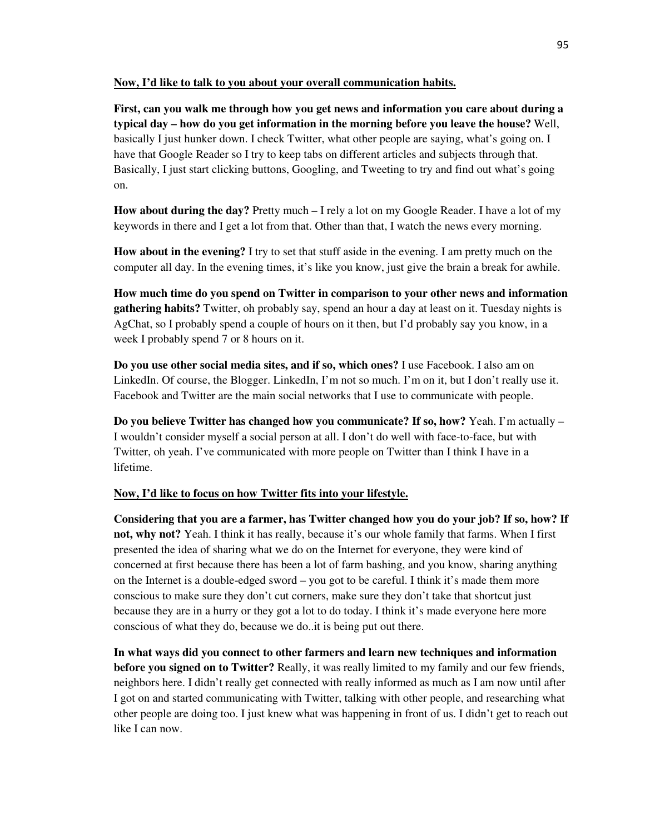**Now, I'd like to talk to you about your overall communication habits.**

**First, can you walk me through how you get news and information you care about during a typical day – how do you get information in the morning before you leave the house?** Well, basically I just hunker down. I check Twitter, what other people are saying, what's going on. I have that Google Reader so I try to keep tabs on different articles and subjects through that. Basically, I just start clicking buttons, Googling, and Tweeting to try and find out what's going on.

**How about during the day?** Pretty much – I rely a lot on my Google Reader. I have a lot of my keywords in there and I get a lot from that. Other than that, I watch the news every morning.

**How about in the evening?** I try to set that stuff aside in the evening. I am pretty much on the computer all day. In the evening times, it's like you know, just give the brain a break for awhile.

**How much time do you spend on Twitter in comparison to your other news and information gathering habits?** Twitter, oh probably say, spend an hour a day at least on it. Tuesday nights is AgChat, so I probably spend a couple of hours on it then, but I'd probably say you know, in a week I probably spend 7 or 8 hours on it.

**Do you use other social media sites, and if so, which ones?** I use Facebook. I also am on LinkedIn. Of course, the Blogger. LinkedIn, I'm not so much. I'm on it, but I don't really use it. Facebook and Twitter are the main social networks that I use to communicate with people.

**Do you believe Twitter has changed how you communicate? If so, how?** Yeah. I'm actually – I wouldn't consider myself a social person at all. I don't do well with face-to-face, but with Twitter, oh yeah. I've communicated with more people on Twitter than I think I have in a lifetime.

### **Now, I'd like to focus on how Twitter fits into your lifestyle.**

**Considering that you are a farmer, has Twitter changed how you do your job? If so, how? If not, why not?** Yeah. I think it has really, because it's our whole family that farms. When I first presented the idea of sharing what we do on the Internet for everyone, they were kind of concerned at first because there has been a lot of farm bashing, and you know, sharing anything on the Internet is a double-edged sword – you got to be careful. I think it's made them more conscious to make sure they don't cut corners, make sure they don't take that shortcut just because they are in a hurry or they got a lot to do today. I think it's made everyone here more conscious of what they do, because we do..it is being put out there.

**In what ways did you connect to other farmers and learn new techniques and information before you signed on to Twitter?** Really, it was really limited to my family and our few friends, neighbors here. I didn't really get connected with really informed as much as I am now until after I got on and started communicating with Twitter, talking with other people, and researching what other people are doing too. I just knew what was happening in front of us. I didn't get to reach out like I can now.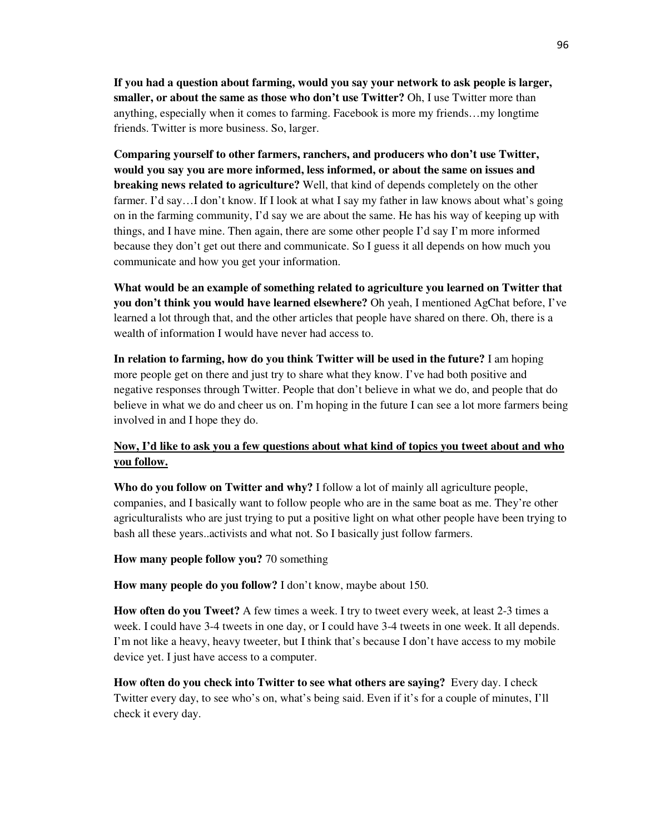**If you had a question about farming, would you say your network to ask people is larger, smaller, or about the same as those who don't use Twitter?** Oh, I use Twitter more than anything, especially when it comes to farming. Facebook is more my friends…my longtime friends. Twitter is more business. So, larger.

**Comparing yourself to other farmers, ranchers, and producers who don't use Twitter, would you say you are more informed, less informed, or about the same on issues and breaking news related to agriculture?** Well, that kind of depends completely on the other farmer. I'd say...I don't know. If I look at what I say my father in law knows about what's going on in the farming community, I'd say we are about the same. He has his way of keeping up with things, and I have mine. Then again, there are some other people I'd say I'm more informed because they don't get out there and communicate. So I guess it all depends on how much you communicate and how you get your information.

**What would be an example of something related to agriculture you learned on Twitter that you don't think you would have learned elsewhere?** Oh yeah, I mentioned AgChat before, I've learned a lot through that, and the other articles that people have shared on there. Oh, there is a wealth of information I would have never had access to.

**In relation to farming, how do you think Twitter will be used in the future?** I am hoping more people get on there and just try to share what they know. I've had both positive and negative responses through Twitter. People that don't believe in what we do, and people that do believe in what we do and cheer us on. I'm hoping in the future I can see a lot more farmers being involved in and I hope they do.

# **Now, I'd like to ask you a few questions about what kind of topics you tweet about and who you follow.**

**Who do you follow on Twitter and why?** I follow a lot of mainly all agriculture people, companies, and I basically want to follow people who are in the same boat as me. They're other agriculturalists who are just trying to put a positive light on what other people have been trying to bash all these years..activists and what not. So I basically just follow farmers.

**How many people follow you?** 70 something

**How many people do you follow?** I don't know, maybe about 150.

**How often do you Tweet?** A few times a week. I try to tweet every week, at least 2-3 times a week. I could have 3-4 tweets in one day, or I could have 3-4 tweets in one week. It all depends. I'm not like a heavy, heavy tweeter, but I think that's because I don't have access to my mobile device yet. I just have access to a computer.

**How often do you check into Twitter to see what others are saying?** Every day. I check Twitter every day, to see who's on, what's being said. Even if it's for a couple of minutes, I'll check it every day.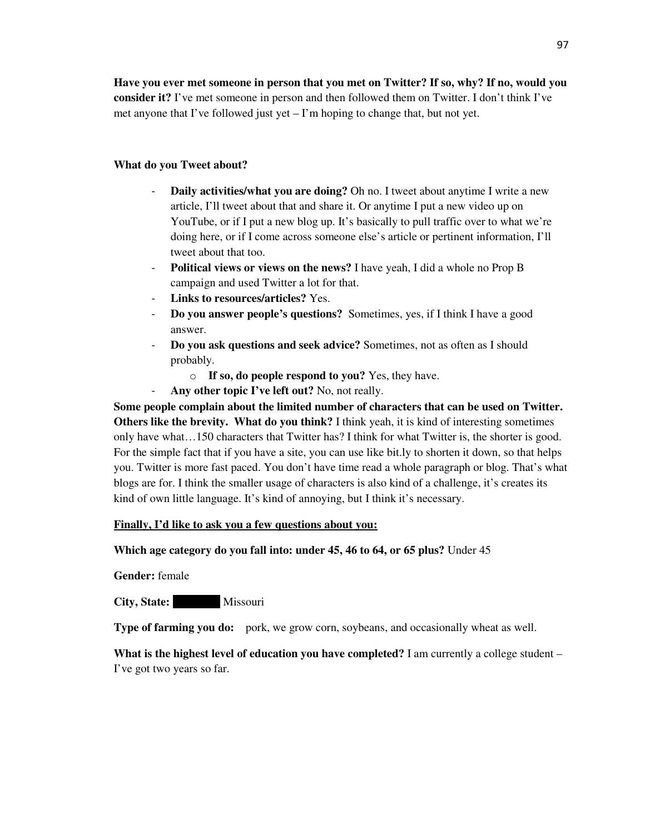**Have you ever met someone in person that you met on Twitter? If so, why? If no, would you consider it?** I've met someone in person and then followed them on Twitter. I don't think I've met anyone that I've followed just yet – I'm hoping to change that, but not yet.

# **What do you Tweet about?**

- **Daily activities/what you are doing?** Oh no. I tweet about anytime I write a new article, I'll tweet about that and share it. Or anytime I put a new video up on YouTube, or if I put a new blog up. It's basically to pull traffic over to what we're doing here, or if I come across someone else's article or pertinent information, I'll tweet about that too.
- **Political views or views on the news?** I have yeah, I did a whole no Prop B campaign and used Twitter a lot for that.
- Links to resources/articles? Yes.
- **Do you answer people's questions?** Sometimes, yes, if I think I have a good answer.
- **Do you ask questions and seek advice?** Sometimes, not as often as I should probably.
	- o **If so, do people respond to you?** Yes, they have.
- **Any other topic I've left out?** No, not really.

**Some people complain about the limited number of characters that can be used on Twitter. Others like the brevity. What do you think?** I think yeah, it is kind of interesting sometimes only have what…150 characters that Twitter has? I think for what Twitter is, the shorter is good. For the simple fact that if you have a site, you can use like bit.ly to shorten it down, so that helps you. Twitter is more fast paced. You don't have time read a whole paragraph or blog. That's what blogs are for. I think the smaller usage of characters is also kind of a challenge, it's creates its kind of own little language. It's kind of annoying, but I think it's necessary.

## **Finally, I'd like to ask you a few questions about you:**

## **Which age category do you fall into: under 45, 46 to 64, or 65 plus?** Under 45

**Gender:** female

**City, State:** Missouri

**Type of farming you do:** pork, we grow corn, soybeans, and occasionally wheat as well.

**What is the highest level of education you have completed?** I am currently a college student – I've got two years so far.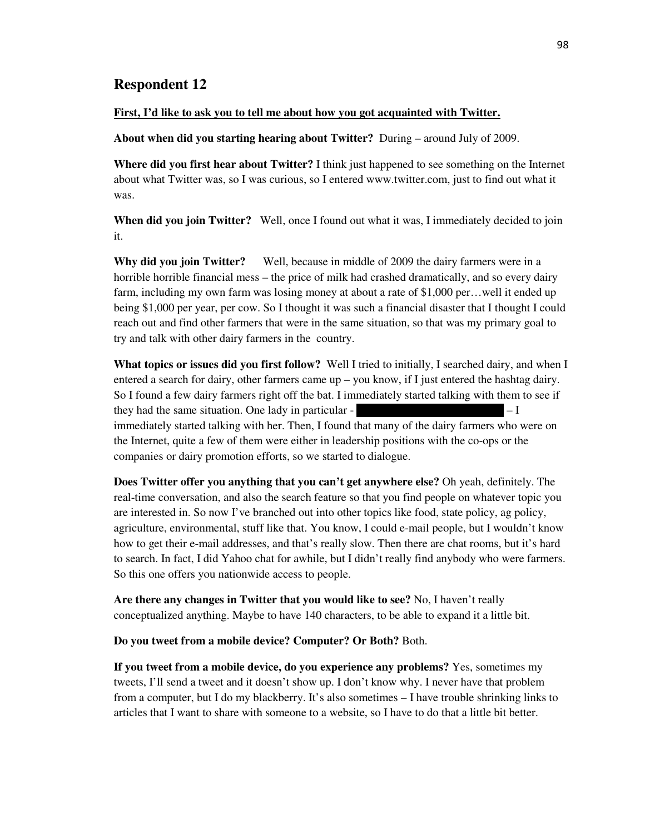# **Respondent 12**

### **First, I'd like to ask you to tell me about how you got acquainted with Twitter.**

**About when did you starting hearing about Twitter?** During – around July of 2009.

**Where did you first hear about Twitter?** I think just happened to see something on the Internet about what Twitter was, so I was curious, so I entered www.twitter.com, just to find out what it was.

When did you join Twitter? Well, once I found out what it was, I immediately decided to join it.

**Why did you join Twitter?** Well, because in middle of 2009 the dairy farmers were in a horrible horrible financial mess – the price of milk had crashed dramatically, and so every dairy farm, including my own farm was losing money at about a rate of \$1,000 per... well it ended up being \$1,000 per year, per cow. So I thought it was such a financial disaster that I thought I could reach out and find other farmers that were in the same situation, so that was my primary goal to try and talk with other dairy farmers in the country.

**What topics or issues did you first follow?** Well I tried to initially, I searched dairy, and when I entered a search for dairy, other farmers came  $up - you$  know, if I just entered the hashtag dairy. So I found a few dairy farmers right off the bat. I immediately started talking with them to see if they had the same situation. One lady in particular  $-1$ immediately started talking with her. Then, I found that many of the dairy farmers who were on the Internet, quite a few of them were either in leadership positions with the co-ops or the companies or dairy promotion efforts, so we started to dialogue.

**Does Twitter offer you anything that you can't get anywhere else?** Oh yeah, definitely. The real-time conversation, and also the search feature so that you find people on whatever topic you are interested in. So now I've branched out into other topics like food, state policy, ag policy, agriculture, environmental, stuff like that. You know, I could e-mail people, but I wouldn't know how to get their e-mail addresses, and that's really slow. Then there are chat rooms, but it's hard to search. In fact, I did Yahoo chat for awhile, but I didn't really find anybody who were farmers. So this one offers you nationwide access to people.

**Are there any changes in Twitter that you would like to see?** No, I haven't really conceptualized anything. Maybe to have 140 characters, to be able to expand it a little bit.

**Do you tweet from a mobile device? Computer? Or Both?** Both.

**If you tweet from a mobile device, do you experience any problems?** Yes, sometimes my tweets, I'll send a tweet and it doesn't show up. I don't know why. I never have that problem from a computer, but I do my blackberry. It's also sometimes – I have trouble shrinking links to articles that I want to share with someone to a website, so I have to do that a little bit better.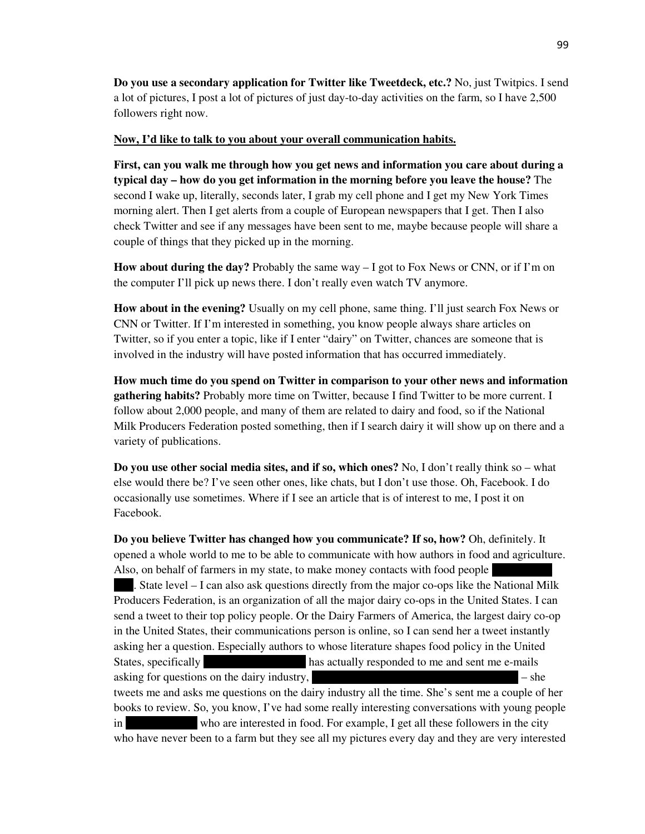**Do you use a secondary application for Twitter like Tweetdeck, etc.?** No, just Twitpics. I send a lot of pictures, I post a lot of pictures of just day-to-day activities on the farm, so I have 2,500 followers right now.

### **Now, I'd like to talk to you about your overall communication habits.**

**First, can you walk me through how you get news and information you care about during a typical day – how do you get information in the morning before you leave the house?** The second I wake up, literally, seconds later, I grab my cell phone and I get my New York Times morning alert. Then I get alerts from a couple of European newspapers that I get. Then I also check Twitter and see if any messages have been sent to me, maybe because people will share a couple of things that they picked up in the morning.

**How about during the day?** Probably the same way  $-1$  got to Fox News or CNN, or if I'm on the computer I'll pick up news there. I don't really even watch TV anymore.

**How about in the evening?** Usually on my cell phone, same thing. I'll just search Fox News or CNN or Twitter. If I'm interested in something, you know people always share articles on Twitter, so if you enter a topic, like if I enter "dairy" on Twitter, chances are someone that is involved in the industry will have posted information that has occurred immediately.

**How much time do you spend on Twitter in comparison to your other news and information gathering habits?** Probably more time on Twitter, because I find Twitter to be more current. I follow about 2,000 people, and many of them are related to dairy and food, so if the National Milk Producers Federation posted something, then if I search dairy it will show up on there and a variety of publications.

**Do you use other social media sites, and if so, which ones?** No, I don't really think so – what else would there be? I've seen other ones, like chats, but I don't use those. Oh, Facebook. I do occasionally use sometimes. Where if I see an article that is of interest to me, I post it on Facebook.

**Do you believe Twitter has changed how you communicate? If so, how?** Oh, definitely. It opened a whole world to me to be able to communicate with how authors in food and agriculture. Also, on behalf of farmers in my state, to make money contacts with food people

. State level  $-1$  can also ask questions directly from the major co-ops like the National Milk Producers Federation, is an organization of all the major dairy co-ops in the United States. I can send a tweet to their top policy people. Or the Dairy Farmers of America, the largest dairy co-op in the United States, their communications person is online, so I can send her a tweet instantly asking her a question. Especially authors to whose literature shapes food policy in the United States, specifically Michael Pollock (space and sent me e-mails has actually responded to me and sent me e-mails asking for questions on the dairy industry,  $-$  she tweets me and asks me questions on the dairy industry all the time. She's sent me a couple of her books to review. So, you know, I've had some really interesting conversations with young people in who are interested in food. For example, I get all these followers in the city who have never been to a farm but they see all my pictures every day and they are very interested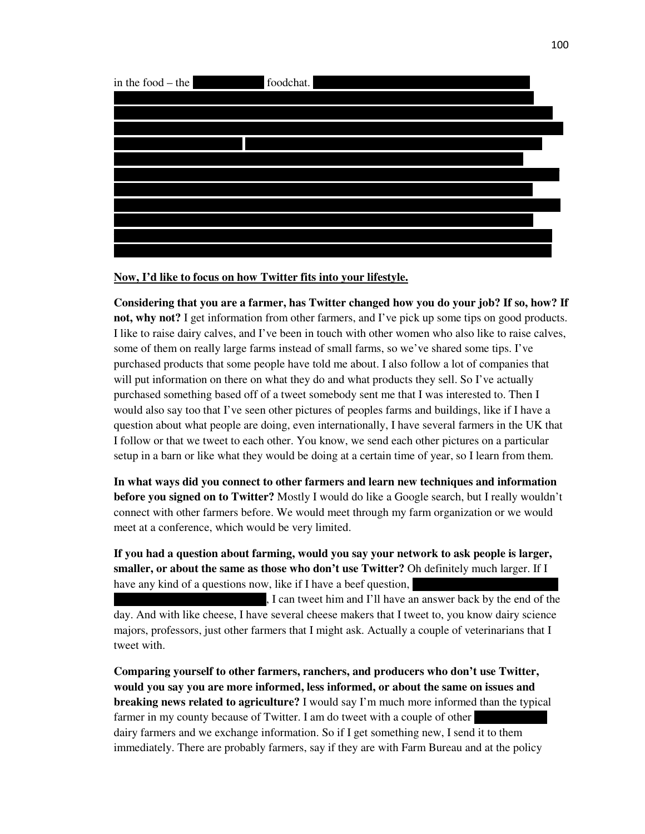

## **Now, I'd like to focus on how Twitter fits into your lifestyle.**

**Considering that you are a farmer, has Twitter changed how you do your job? If so, how? If not, why not?** I get information from other farmers, and I've pick up some tips on good products. I like to raise dairy calves, and I've been in touch with other women who also like to raise calves, some of them on really large farms instead of small farms, so we've shared some tips. I've purchased products that some people have told me about. I also follow a lot of companies that will put information on there on what they do and what products they sell. So I've actually purchased something based off of a tweet somebody sent me that I was interested to. Then I would also say too that I've seen other pictures of peoples farms and buildings, like if I have a question about what people are doing, even internationally, I have several farmers in the UK that I follow or that we tweet to each other. You know, we send each other pictures on a particular setup in a barn or like what they would be doing at a certain time of year, so I learn from them.

**In what ways did you connect to other farmers and learn new techniques and information before you signed on to Twitter?** Mostly I would do like a Google search, but I really wouldn't connect with other farmers before. We would meet through my farm organization or we would meet at a conference, which would be very limited.

**If you had a question about farming, would you say your network to ask people is larger, smaller, or about the same as those who don't use Twitter?** Oh definitely much larger. If I have any kind of a questions now, like if I have a beef question,

I can tweet him and I'll have an answer back by the end of the day. And with like cheese, I have several cheese makers that I tweet to, you know dairy science majors, professors, just other farmers that I might ask. Actually a couple of veterinarians that I tweet with.

**Comparing yourself to other farmers, ranchers, and producers who don't use Twitter, would you say you are more informed, less informed, or about the same on issues and breaking news related to agriculture?** I would say I'm much more informed than the typical farmer in my county because of Twitter. I am do tweet with a couple of other dairy farmers and we exchange information. So if I get something new, I send it to them immediately. There are probably farmers, say if they are with Farm Bureau and at the policy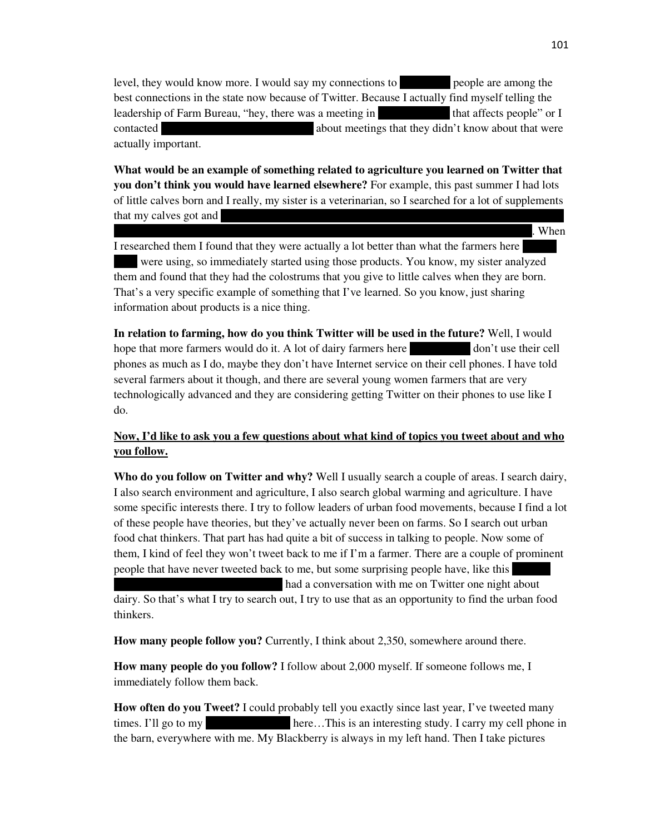level, they would know more. I would say my connections to people are among the best connections in the state now because of Twitter. Because I actually find myself telling the leadership of Farm Bureau, "hey, there was a meeting in that affects people" or I contacted about meetings that they didn't know about that were actually important.

**What would be an example of something related to agriculture you learned on Twitter that you don't think you would have learned elsewhere?** For example, this past summer I had lots of little calves born and I really, my sister is a veterinarian, so I searched for a lot of supplements that my calves got and

 $s$  to the type of vitamin supplements that the type  $s$  when  $s$ 

I researched them I found that they were actually a lot better than what the farmers here were using, so immediately started using those products. You know, my sister analyzed them and found that they had the colostrums that you give to little calves when they are born. That's a very specific example of something that I've learned. So you know, just sharing information about products is a nice thing.

**In relation to farming, how do you think Twitter will be used in the future?** Well, I would hope that more farmers would do it. A lot of dairy farmers here in New York don't use their cell phones as much as I do, maybe they don't have Internet service on their cell phones. I have told several farmers about it though, and there are several young women farmers that are very technologically advanced and they are considering getting Twitter on their phones to use like I do.

# **Now, I'd like to ask you a few questions about what kind of topics you tweet about and who you follow.**

**Who do you follow on Twitter and why?** Well I usually search a couple of areas. I search dairy, I also search environment and agriculture, I also search global warming and agriculture. I have some specific interests there. I try to follow leaders of urban food movements, because I find a lot of these people have theories, but they've actually never been on farms. So I search out urban food chat thinkers. That part has had quite a bit of success in talking to people. Now some of them, I kind of feel they won't tweet back to me if I'm a farmer. There are a couple of prominent people that have never tweeted back to me, but some surprising people have, like this

had a conversation with me on Twitter one night about

dairy. So that's what I try to search out, I try to use that as an opportunity to find the urban food thinkers.

**How many people follow you?** Currently, I think about 2,350, somewhere around there.

**How many people do you follow?** I follow about 2,000 myself. If someone follows me, I immediately follow them back.

**How often do you Tweet?** I could probably tell you exactly since last year, I've tweeted many times. I'll go to my bere…This is an interesting study. I carry my cell phone in the barn, everywhere with me. My Blackberry is always in my left hand. Then I take pictures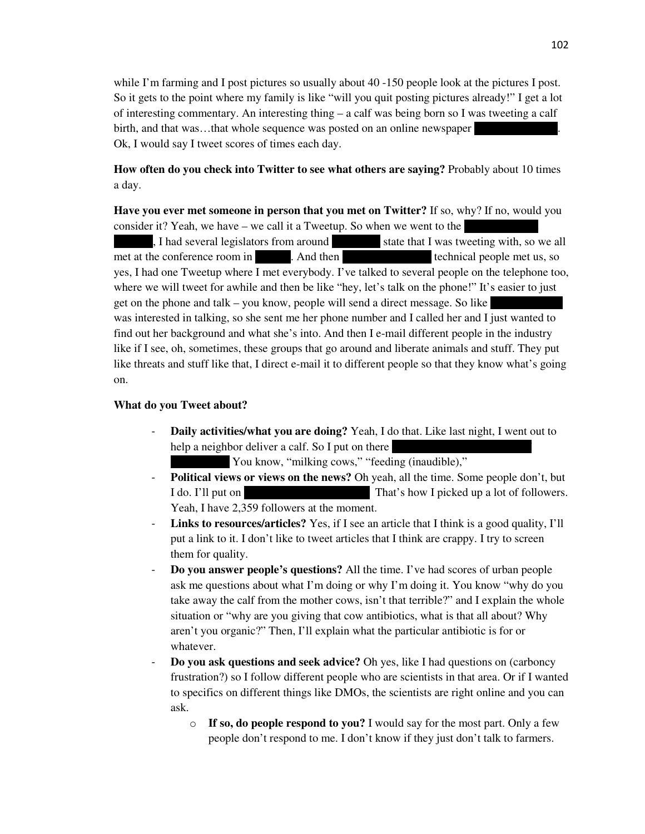while I'm farming and I post pictures so usually about 40 -150 people look at the pictures I post. So it gets to the point where my family is like "will you quit posting pictures already!" I get a lot of interesting commentary. An interesting thing – a calf was being born so I was tweeting a calf birth, and that was...that whole sequence was posted on an online new spaper Ok, I would say I tweet scores of times each day.

**How often do you check into Twitter to see what others are saying?** Probably about 10 times a day.

**Have you ever met someone in person that you met on Twitter?** If so, why? If no, would you consider it? Yeah, we have – we call it a Tweetup. So when we went to the

 $h_1$ , I had several legislators from around state that I was tweeting with, so we all met at the conference room in And then my New York City technical people met us, so yes, I had one Tweetup where I met everybody. I've talked to several people on the telephone too, where we will tweet for awhile and then be like "hey, let's talk on the phone!" It's easier to just get on the phone and talk – you know, people will send a direct message. So like was interested in talking, so she sent me her phone number and I called her and I just wanted to find out her background and what she's into. And then I e-mail different people in the industry like if I see, oh, sometimes, these groups that go around and liberate animals and stuff. They put like threats and stuff like that, I direct e-mail it to different people so that they know what's going on.

### **What do you Tweet about?**

- **Daily activities/what you are doing?** Yeah, I do that. Like last night, I went out to help a neighbor deliver a calf. So I put on there
	- You know, "milking cows," "feeding (inaudible),"
- **Political views or views on the news?** Oh yeah, all the time. Some people don't, but I do. I'll put on "That's how I picked up a lot of followers." Yeah, I have 2,359 followers at the moment.
- Links to resources/articles? Yes, if I see an article that I think is a good quality, I'll put a link to it. I don't like to tweet articles that I think are crappy. I try to screen them for quality.
- **Do you answer people's questions?** All the time. I've had scores of urban people ask me questions about what I'm doing or why I'm doing it. You know "why do you take away the calf from the mother cows, isn't that terrible?" and I explain the whole situation or "why are you giving that cow antibiotics, what is that all about? Why aren't you organic?" Then, I'll explain what the particular antibiotic is for or whatever.
- **Do you ask questions and seek advice?** Oh yes, like I had questions on (carboncy frustration?) so I follow different people who are scientists in that area. Or if I wanted to specifics on different things like DMOs, the scientists are right online and you can ask.
	- o **If so, do people respond to you?** I would say for the most part. Only a few people don't respond to me. I don't know if they just don't talk to farmers.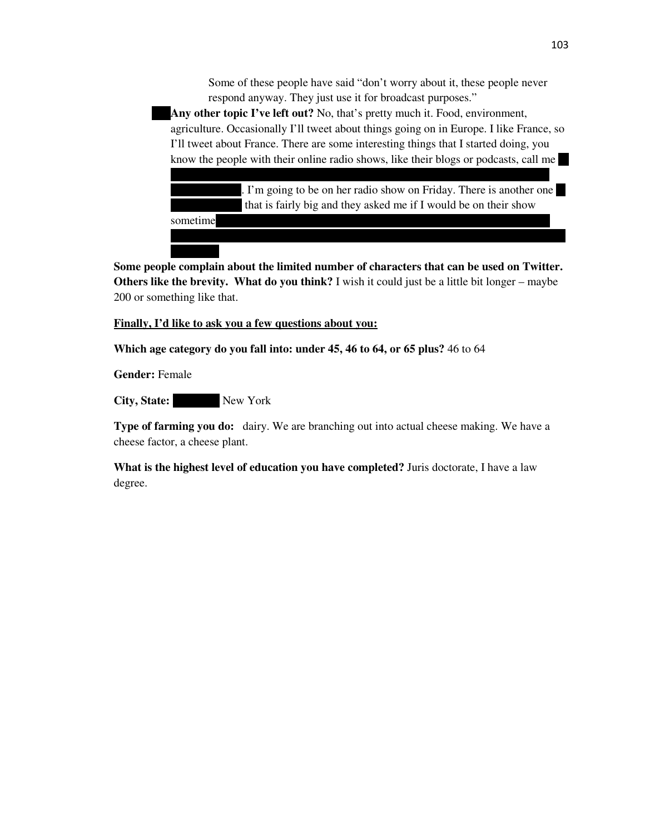Some of these people have said "don't worry about it, these people never respond anyway. They just use it for broadcast purposes."

Any other topic I've left out? No, that's pretty much it. Food, environment, agriculture. Occasionally I'll tweet about things going on in Europe. I like France, so I'll tweet about France. There are some interesting things that I started doing, you know the people with their online radio shows, like their blogs or podcasts, call me

like this Friday I'm doing a radio show with someone who is like a Food Channel

I'm going to be on her radio show on Friday. There is another one that is fairly big and they asked me if I would be on their show sometime

would come on their show I wouldn't have to go to New York city, I could do it over

**Some people complain about the limited number of characters that can be used on Twitter. Others like the brevity. What do you think?** I wish it could just be a little bit longer – maybe 200 or something like that.

### **Finally, I'd like to ask you a few questions about you:**

**Which age category do you fall into: under 45, 46 to 64, or 65 plus?** 46 to 64

**Gender:** Female

City, State: New York

the phone.

**Type of farming you do:** dairy. We are branching out into actual cheese making. We have a cheese factor, a cheese plant.

**What is the highest level of education you have completed?** Juris doctorate, I have a law degree.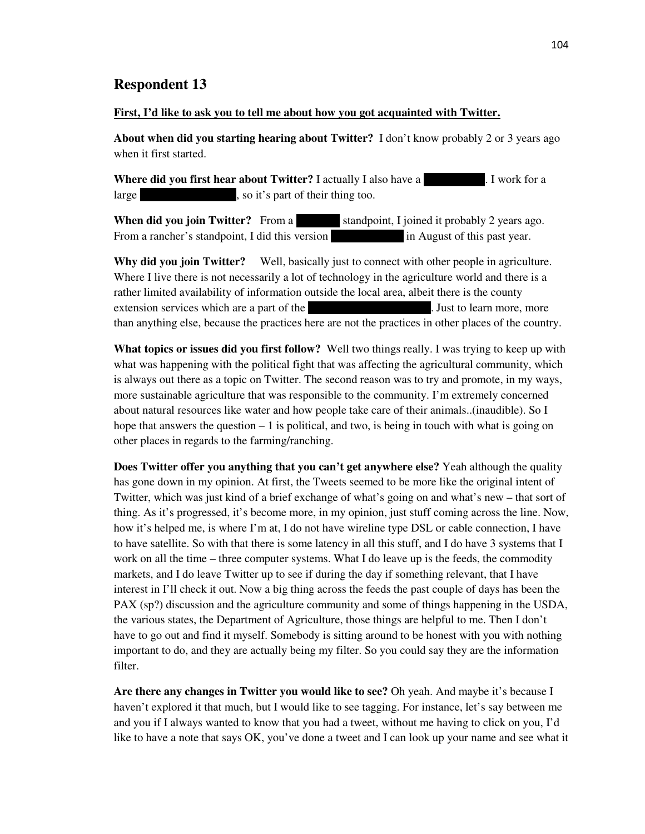#### **First, I'd like to ask you to tell me about how you got acquainted with Twitter.**

**About when did you starting hearing about Twitter?** I don't know probably 2 or 3 years ago when it first started.

**Where did you first hear about Twitter?** I actually I also have a corporate in Twork for a large section of their thing too.

**When did you join Twitter?** From a standpoint, I joined it probably 2 years ago. From a rancher's standpoint, I did this version in August of this past year.

**Why did you join Twitter?** Well, basically just to connect with other people in agriculture. Where I live there is not necessarily a lot of technology in the agriculture world and there is a rather limited availability of information outside the local area, albeit there is the county extension services which are a part of the University of Texas A. Just to learn more, more than anything else, because the practices here are not the practices in other places of the country.

**What topics or issues did you first follow?** Well two things really. I was trying to keep up with what was happening with the political fight that was affecting the agricultural community, which is always out there as a topic on Twitter. The second reason was to try and promote, in my ways, more sustainable agriculture that was responsible to the community. I'm extremely concerned about natural resources like water and how people take care of their animals..(inaudible). So I hope that answers the question  $-1$  is political, and two, is being in touch with what is going on other places in regards to the farming/ranching.

**Does Twitter offer you anything that you can't get anywhere else?** Yeah although the quality has gone down in my opinion. At first, the Tweets seemed to be more like the original intent of Twitter, which was just kind of a brief exchange of what's going on and what's new – that sort of thing. As it's progressed, it's become more, in my opinion, just stuff coming across the line. Now, how it's helped me, is where I'm at, I do not have wireline type DSL or cable connection, I have to have satellite. So with that there is some latency in all this stuff, and I do have 3 systems that I work on all the time – three computer systems. What I do leave up is the feeds, the commodity markets, and I do leave Twitter up to see if during the day if something relevant, that I have interest in I'll check it out. Now a big thing across the feeds the past couple of days has been the PAX (sp?) discussion and the agriculture community and some of things happening in the USDA, the various states, the Department of Agriculture, those things are helpful to me. Then I don't have to go out and find it myself. Somebody is sitting around to be honest with you with nothing important to do, and they are actually being my filter. So you could say they are the information filter.

**Are there any changes in Twitter you would like to see?** Oh yeah. And maybe it's because I haven't explored it that much, but I would like to see tagging. For instance, let's say between me and you if I always wanted to know that you had a tweet, without me having to click on you, I'd like to have a note that says OK, you've done a tweet and I can look up your name and see what it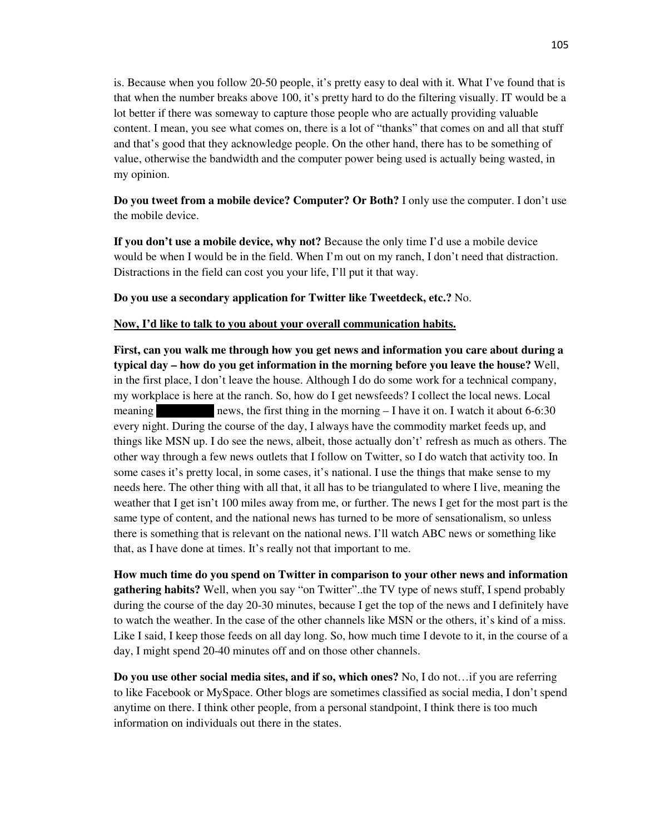is. Because when you follow 20-50 people, it's pretty easy to deal with it. What I've found that is that when the number breaks above 100, it's pretty hard to do the filtering visually. IT would be a lot better if there was someway to capture those people who are actually providing valuable content. I mean, you see what comes on, there is a lot of "thanks" that comes on and all that stuff and that's good that they acknowledge people. On the other hand, there has to be something of value, otherwise the bandwidth and the computer power being used is actually being wasted, in my opinion.

**Do you tweet from a mobile device? Computer? Or Both?** I only use the computer. I don't use the mobile device.

**If you don't use a mobile device, why not?** Because the only time I'd use a mobile device would be when I would be in the field. When I'm out on my ranch, I don't need that distraction. Distractions in the field can cost you your life, I'll put it that way.

**Do you use a secondary application for Twitter like Tweetdeck, etc.?** No.

### **Now, I'd like to talk to you about your overall communication habits.**

**First, can you walk me through how you get news and information you care about during a typical day – how do you get information in the morning before you leave the house?** Well, in the first place, I don't leave the house. Although I do do some work for a technical company, my workplace is here at the ranch. So, how do I get newsfeeds? I collect the local news. Local meaning news, the first thing in the morning  $- I$  have it on. I watch it about 6-6:30 every night. During the course of the day, I always have the commodity market feeds up, and things like MSN up. I do see the news, albeit, those actually don't' refresh as much as others. The other way through a few news outlets that I follow on Twitter, so I do watch that activity too. In some cases it's pretty local, in some cases, it's national. I use the things that make sense to my needs here. The other thing with all that, it all has to be triangulated to where I live, meaning the weather that I get isn't 100 miles away from me, or further. The news I get for the most part is the same type of content, and the national news has turned to be more of sensationalism, so unless there is something that is relevant on the national news. I'll watch ABC news or something like that, as I have done at times. It's really not that important to me.

**How much time do you spend on Twitter in comparison to your other news and information gathering habits?** Well, when you say "on Twitter"..the TV type of news stuff, I spend probably during the course of the day 20-30 minutes, because I get the top of the news and I definitely have to watch the weather. In the case of the other channels like MSN or the others, it's kind of a miss. Like I said, I keep those feeds on all day long. So, how much time I devote to it, in the course of a day, I might spend 20-40 minutes off and on those other channels.

**Do you use other social media sites, and if so, which ones?** No, I do not…if you are referring to like Facebook or MySpace. Other blogs are sometimes classified as social media, I don't spend anytime on there. I think other people, from a personal standpoint, I think there is too much information on individuals out there in the states.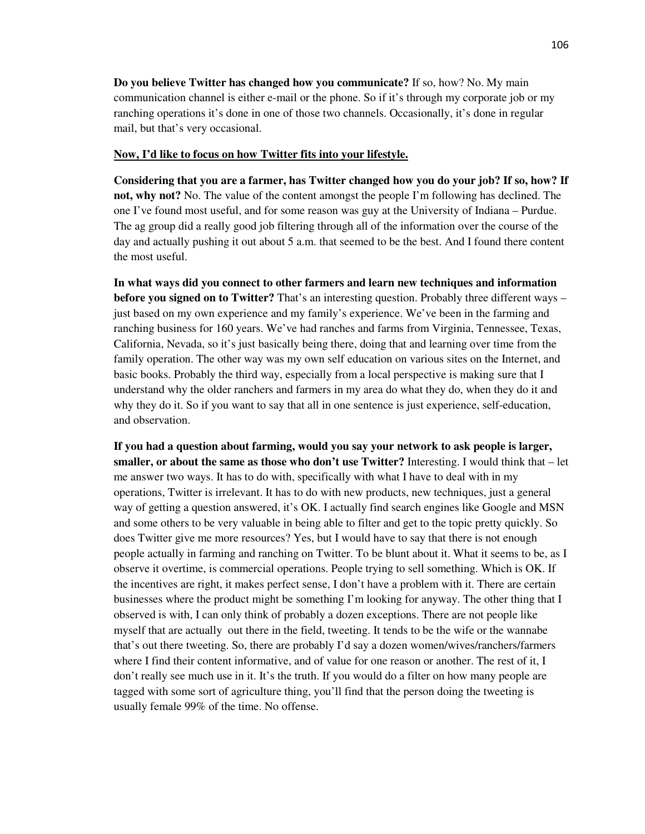**Do you believe Twitter has changed how you communicate?** If so, how? No. My main communication channel is either e-mail or the phone. So if it's through my corporate job or my ranching operations it's done in one of those two channels. Occasionally, it's done in regular mail, but that's very occasional.

#### **Now, I'd like to focus on how Twitter fits into your lifestyle.**

**Considering that you are a farmer, has Twitter changed how you do your job? If so, how? If not, why not?** No. The value of the content amongst the people I'm following has declined. The one I've found most useful, and for some reason was guy at the University of Indiana – Purdue. The ag group did a really good job filtering through all of the information over the course of the day and actually pushing it out about 5 a.m. that seemed to be the best. And I found there content the most useful.

**In what ways did you connect to other farmers and learn new techniques and information before you signed on to Twitter?** That's an interesting question. Probably three different ways – just based on my own experience and my family's experience. We've been in the farming and ranching business for 160 years. We've had ranches and farms from Virginia, Tennessee, Texas, California, Nevada, so it's just basically being there, doing that and learning over time from the family operation. The other way was my own self education on various sites on the Internet, and basic books. Probably the third way, especially from a local perspective is making sure that I understand why the older ranchers and farmers in my area do what they do, when they do it and why they do it. So if you want to say that all in one sentence is just experience, self-education, and observation.

**If you had a question about farming, would you say your network to ask people is larger, smaller, or about the same as those who don't use Twitter?** Interesting. I would think that – let me answer two ways. It has to do with, specifically with what I have to deal with in my operations, Twitter is irrelevant. It has to do with new products, new techniques, just a general way of getting a question answered, it's OK. I actually find search engines like Google and MSN and some others to be very valuable in being able to filter and get to the topic pretty quickly. So does Twitter give me more resources? Yes, but I would have to say that there is not enough people actually in farming and ranching on Twitter. To be blunt about it. What it seems to be, as I observe it overtime, is commercial operations. People trying to sell something. Which is OK. If the incentives are right, it makes perfect sense, I don't have a problem with it. There are certain businesses where the product might be something I'm looking for anyway. The other thing that I observed is with, I can only think of probably a dozen exceptions. There are not people like myself that are actually out there in the field, tweeting. It tends to be the wife or the wannabe that's out there tweeting. So, there are probably I'd say a dozen women/wives/ranchers/farmers where I find their content informative, and of value for one reason or another. The rest of it, I don't really see much use in it. It's the truth. If you would do a filter on how many people are tagged with some sort of agriculture thing, you'll find that the person doing the tweeting is usually female 99% of the time. No offense.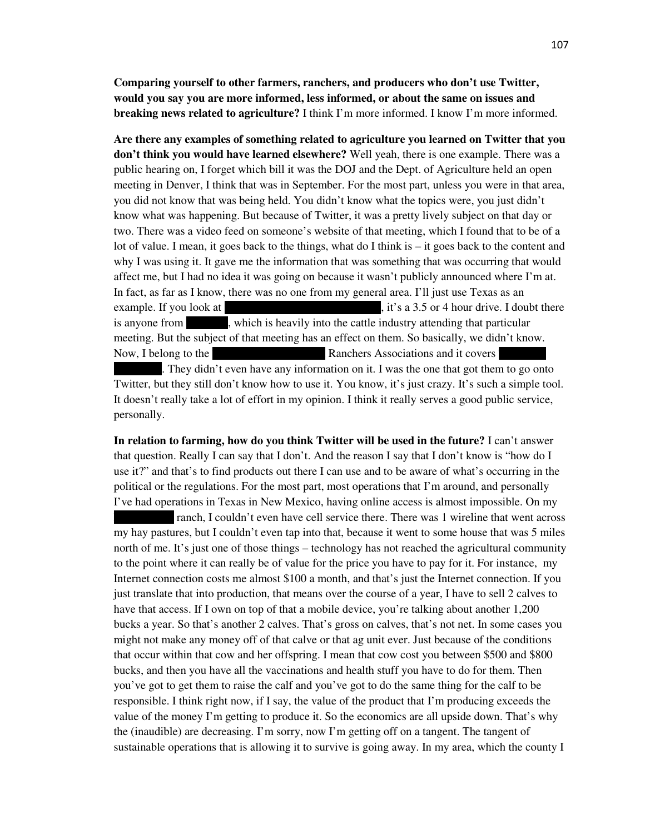**Comparing yourself to other farmers, ranchers, and producers who don't use Twitter, would you say you are more informed, less informed, or about the same on issues and breaking news related to agriculture?** I think I'm more informed. I know I'm more informed.

**Are there any examples of something related to agriculture you learned on Twitter that you don't think you would have learned elsewhere?** Well yeah, there is one example. There was a public hearing on, I forget which bill it was the DOJ and the Dept. of Agriculture held an open meeting in Denver, I think that was in September. For the most part, unless you were in that area, you did not know that was being held. You didn't know what the topics were, you just didn't know what was happening. But because of Twitter, it was a pretty lively subject on that day or two. There was a video feed on someone's website of that meeting, which I found that to be of a lot of value. I mean, it goes back to the things, what do I think is – it goes back to the content and why I was using it. It gave me the information that was something that was occurring that would affect me, but I had no idea it was going on because it wasn't publicly announced where I'm at. In fact, as far as I know, there was no one from my general area. I'll just use Texas as an example. If you look at the panel of Texas to  $\mu$ , it's a 3.5 or 4 hour drive. I doubt there is anyone from , which is heavily into the cattle industry attending that particular meeting. But the subject of that meeting has an effect on them. So basically, we didn't know. Now, I belong to the Texas and it covers Ranchers Associations and it covers . They didn't even have any information on it. I was the one that got them to go onto Twitter, but they still don't know how to use it. You know, it's just crazy. It's such a simple tool.

It doesn't really take a lot of effort in my opinion. I think it really serves a good public service, personally.

**In relation to farming, how do you think Twitter will be used in the future?** I can't answer that question. Really I can say that I don't. And the reason I say that I don't know is "how do I use it?" and that's to find products out there I can use and to be aware of what's occurring in the political or the regulations. For the most part, most operations that I'm around, and personally I've had operations in Texas in New Mexico, having online access is almost impossible. On my

ranch, I couldn't even have cell service there. There was 1 wireline that went across my hay pastures, but I couldn't even tap into that, because it went to some house that was 5 miles north of me. It's just one of those things – technology has not reached the agricultural community to the point where it can really be of value for the price you have to pay for it. For instance, my Internet connection costs me almost \$100 a month, and that's just the Internet connection. If you just translate that into production, that means over the course of a year, I have to sell 2 calves to have that access. If I own on top of that a mobile device, you're talking about another 1,200 bucks a year. So that's another 2 calves. That's gross on calves, that's not net. In some cases you might not make any money off of that calve or that ag unit ever. Just because of the conditions that occur within that cow and her offspring. I mean that cow cost you between \$500 and \$800 bucks, and then you have all the vaccinations and health stuff you have to do for them. Then you've got to get them to raise the calf and you've got to do the same thing for the calf to be responsible. I think right now, if I say, the value of the product that I'm producing exceeds the value of the money I'm getting to produce it. So the economics are all upside down. That's why the (inaudible) are decreasing. I'm sorry, now I'm getting off on a tangent. The tangent of sustainable operations that is allowing it to survive is going away. In my area, which the county I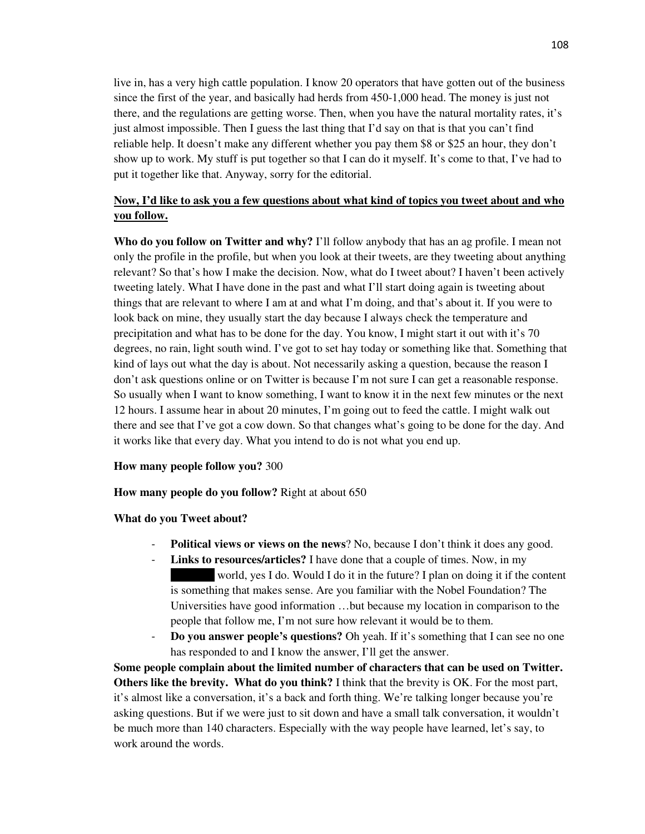live in, has a very high cattle population. I know 20 operators that have gotten out of the business since the first of the year, and basically had herds from 450-1,000 head. The money is just not there, and the regulations are getting worse. Then, when you have the natural mortality rates, it's just almost impossible. Then I guess the last thing that I'd say on that is that you can't find reliable help. It doesn't make any different whether you pay them \$8 or \$25 an hour, they don't show up to work. My stuff is put together so that I can do it myself. It's come to that, I've had to put it together like that. Anyway, sorry for the editorial.

# **Now, I'd like to ask you a few questions about what kind of topics you tweet about and who you follow.**

**Who do you follow on Twitter and why?** I'll follow anybody that has an ag profile. I mean not only the profile in the profile, but when you look at their tweets, are they tweeting about anything relevant? So that's how I make the decision. Now, what do I tweet about? I haven't been actively tweeting lately. What I have done in the past and what I'll start doing again is tweeting about things that are relevant to where I am at and what I'm doing, and that's about it. If you were to look back on mine, they usually start the day because I always check the temperature and precipitation and what has to be done for the day. You know, I might start it out with it's 70 degrees, no rain, light south wind. I've got to set hay today or something like that. Something that kind of lays out what the day is about. Not necessarily asking a question, because the reason I don't ask questions online or on Twitter is because I'm not sure I can get a reasonable response. So usually when I want to know something, I want to know it in the next few minutes or the next 12 hours. I assume hear in about 20 minutes, I'm going out to feed the cattle. I might walk out there and see that I've got a cow down. So that changes what's going to be done for the day. And it works like that every day. What you intend to do is not what you end up.

## **How many people follow you?** 300

#### **How many people do you follow?** Right at about 650

#### **What do you Tweet about?**

- **Political views or views on the news**? No, because I don't think it does any good.
- **Links to resources/articles?** I have done that a couple of times. Now, in my world, yes I do. Would I do it in the future? I plan on doing it if the content is something that makes sense. Are you familiar with the Nobel Foundation? The Universities have good information …but because my location in comparison to the people that follow me, I'm not sure how relevant it would be to them.
- **Do you answer people's questions?** Oh yeah. If it's something that I can see no one has responded to and I know the answer, I'll get the answer.

**Some people complain about the limited number of characters that can be used on Twitter. Others like the brevity. What do you think?** I think that the brevity is OK. For the most part, it's almost like a conversation, it's a back and forth thing. We're talking longer because you're asking questions. But if we were just to sit down and have a small talk conversation, it wouldn't be much more than 140 characters. Especially with the way people have learned, let's say, to work around the words.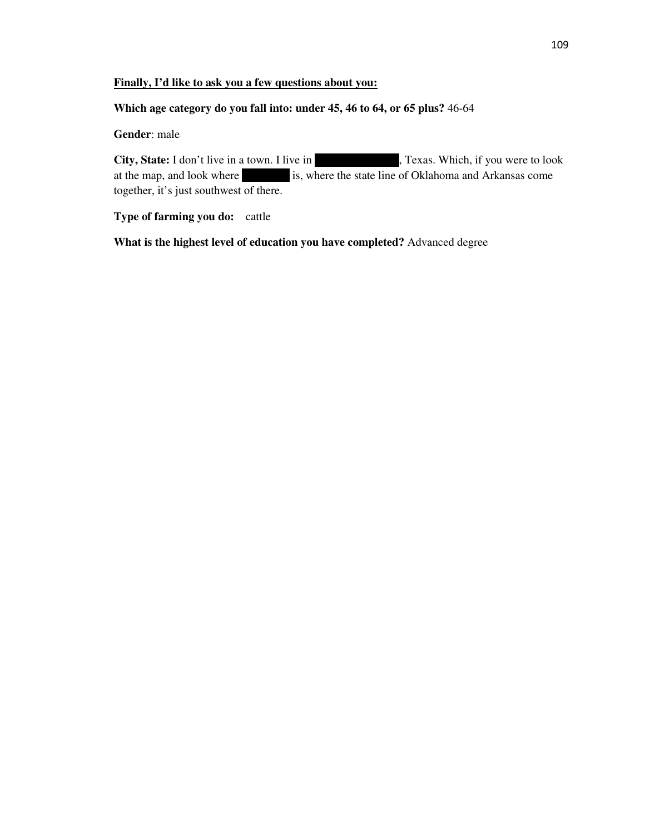## **Finally, I'd like to ask you a few questions about you:**

### **Which age category do you fall into: under 45, 46 to 64, or 65 plus?** 46-64

# **Gender**: male

**City, State:** I don't live in a town. I live in Red River County, Texas. Which, if you were to look at the map, and look where **Red River is, where the state line of Oklahoma and Arkansas come** together, it's just southwest of there.

# **Type of farming you do:** cattle

**What is the highest level of education you have completed?** Advanced degree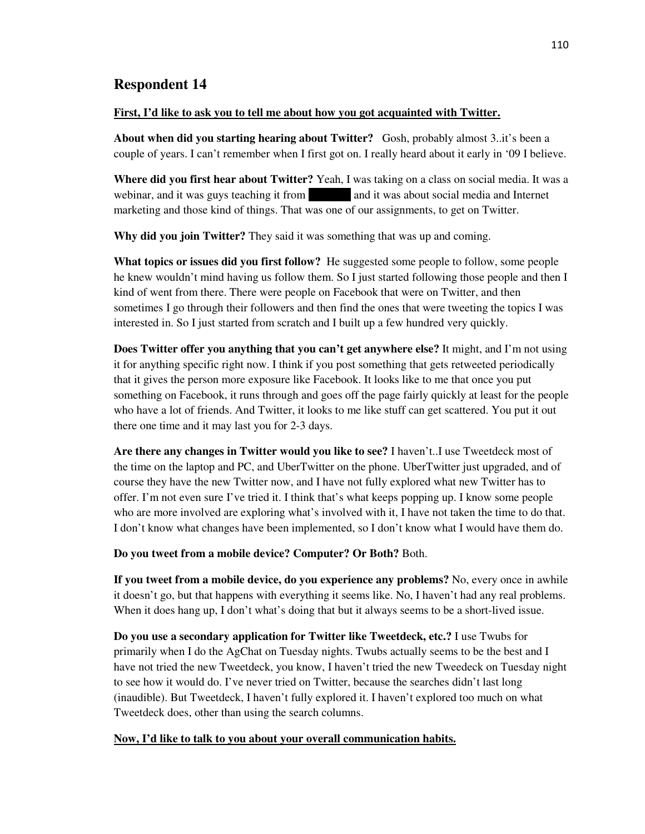#### **First, I'd like to ask you to tell me about how you got acquainted with Twitter.**

**About when did you starting hearing about Twitter?** Gosh, probably almost 3..it's been a couple of years. I can't remember when I first got on. I really heard about it early in '09 I believe.

**Where did you first hear about Twitter?** Yeah, I was taking on a class on social media. It was a webinar, and it was guys teaching it from and it was about social media and Internet marketing and those kind of things. That was one of our assignments, to get on Twitter.

**Why did you join Twitter?** They said it was something that was up and coming.

**What topics or issues did you first follow?** He suggested some people to follow, some people he knew wouldn't mind having us follow them. So I just started following those people and then I kind of went from there. There were people on Facebook that were on Twitter, and then sometimes I go through their followers and then find the ones that were tweeting the topics I was interested in. So I just started from scratch and I built up a few hundred very quickly.

**Does Twitter offer you anything that you can't get anywhere else?** It might, and I'm not using it for anything specific right now. I think if you post something that gets retweeted periodically that it gives the person more exposure like Facebook. It looks like to me that once you put something on Facebook, it runs through and goes off the page fairly quickly at least for the people who have a lot of friends. And Twitter, it looks to me like stuff can get scattered. You put it out there one time and it may last you for 2-3 days.

**Are there any changes in Twitter would you like to see?** I haven't..I use Tweetdeck most of the time on the laptop and PC, and UberTwitter on the phone. UberTwitter just upgraded, and of course they have the new Twitter now, and I have not fully explored what new Twitter has to offer. I'm not even sure I've tried it. I think that's what keeps popping up. I know some people who are more involved are exploring what's involved with it, I have not taken the time to do that. I don't know what changes have been implemented, so I don't know what I would have them do.

**Do you tweet from a mobile device? Computer? Or Both?** Both.

**If you tweet from a mobile device, do you experience any problems?** No, every once in awhile it doesn't go, but that happens with everything it seems like. No, I haven't had any real problems. When it does hang up, I don't what's doing that but it always seems to be a short-lived issue.

**Do you use a secondary application for Twitter like Tweetdeck, etc.?** I use Twubs for primarily when I do the AgChat on Tuesday nights. Twubs actually seems to be the best and I have not tried the new Tweetdeck, you know, I haven't tried the new Tweedeck on Tuesday night to see how it would do. I've never tried on Twitter, because the searches didn't last long (inaudible). But Tweetdeck, I haven't fully explored it. I haven't explored too much on what Tweetdeck does, other than using the search columns.

## **Now, I'd like to talk to you about your overall communication habits.**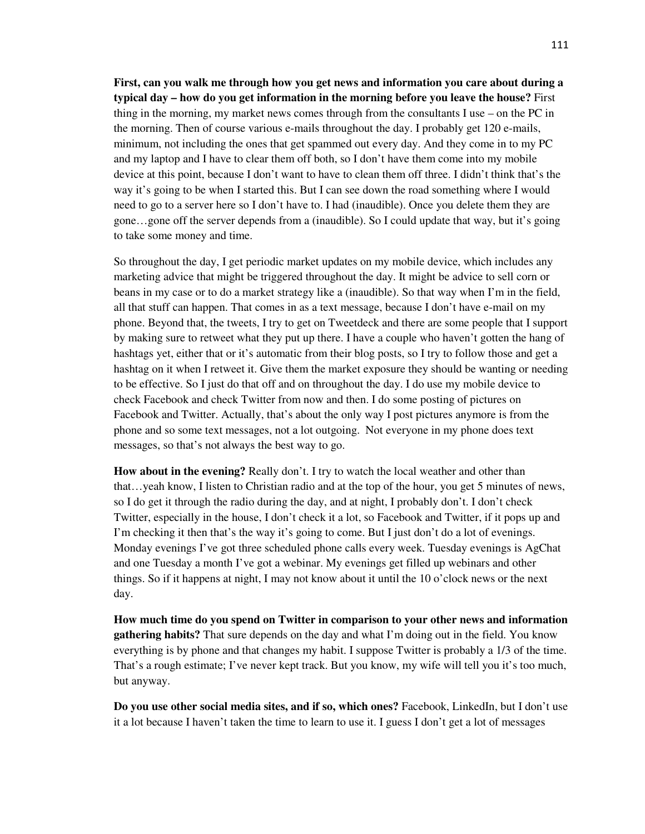**First, can you walk me through how you get news and information you care about during a typical day – how do you get information in the morning before you leave the house?** First thing in the morning, my market news comes through from the consultants I use – on the PC in the morning. Then of course various e-mails throughout the day. I probably get 120 e-mails, minimum, not including the ones that get spammed out every day. And they come in to my PC and my laptop and I have to clear them off both, so I don't have them come into my mobile device at this point, because I don't want to have to clean them off three. I didn't think that's the way it's going to be when I started this. But I can see down the road something where I would need to go to a server here so I don't have to. I had (inaudible). Once you delete them they are gone…gone off the server depends from a (inaudible). So I could update that way, but it's going to take some money and time.

So throughout the day, I get periodic market updates on my mobile device, which includes any marketing advice that might be triggered throughout the day. It might be advice to sell corn or beans in my case or to do a market strategy like a (inaudible). So that way when I'm in the field, all that stuff can happen. That comes in as a text message, because I don't have e-mail on my phone. Beyond that, the tweets, I try to get on Tweetdeck and there are some people that I support by making sure to retweet what they put up there. I have a couple who haven't gotten the hang of hashtags yet, either that or it's automatic from their blog posts, so I try to follow those and get a hashtag on it when I retweet it. Give them the market exposure they should be wanting or needing to be effective. So I just do that off and on throughout the day. I do use my mobile device to check Facebook and check Twitter from now and then. I do some posting of pictures on Facebook and Twitter. Actually, that's about the only way I post pictures anymore is from the phone and so some text messages, not a lot outgoing. Not everyone in my phone does text messages, so that's not always the best way to go.

**How about in the evening?** Really don't. I try to watch the local weather and other than that…yeah know, I listen to Christian radio and at the top of the hour, you get 5 minutes of news, so I do get it through the radio during the day, and at night, I probably don't. I don't check Twitter, especially in the house, I don't check it a lot, so Facebook and Twitter, if it pops up and I'm checking it then that's the way it's going to come. But I just don't do a lot of evenings. Monday evenings I've got three scheduled phone calls every week. Tuesday evenings is AgChat and one Tuesday a month I've got a webinar. My evenings get filled up webinars and other things. So if it happens at night, I may not know about it until the 10 o'clock news or the next day.

**How much time do you spend on Twitter in comparison to your other news and information gathering habits?** That sure depends on the day and what I'm doing out in the field. You know everything is by phone and that changes my habit. I suppose Twitter is probably a 1/3 of the time. That's a rough estimate; I've never kept track. But you know, my wife will tell you it's too much, but anyway.

**Do you use other social media sites, and if so, which ones?** Facebook, LinkedIn, but I don't use it a lot because I haven't taken the time to learn to use it. I guess I don't get a lot of messages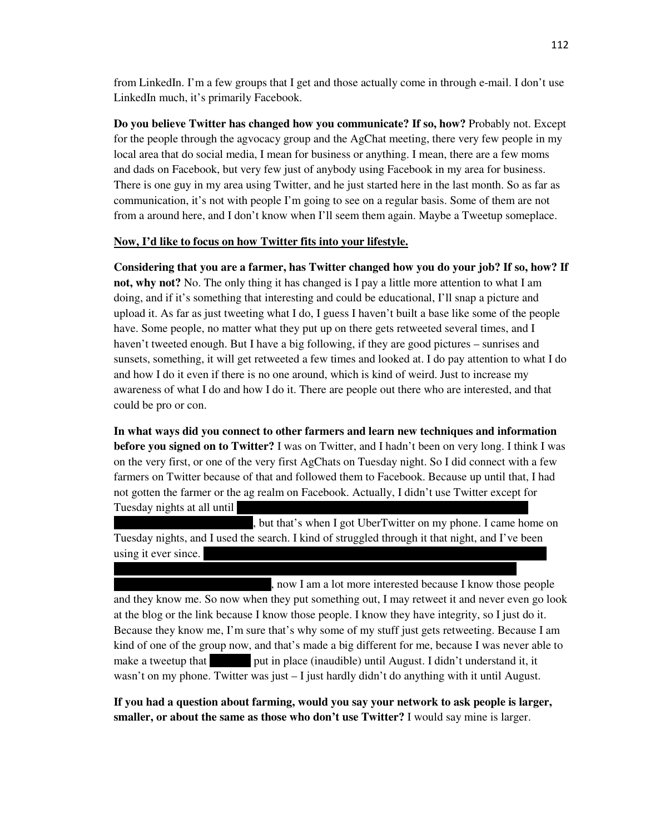from LinkedIn. I'm a few groups that I get and those actually come in through e-mail. I don't use LinkedIn much, it's primarily Facebook.

**Do you believe Twitter has changed how you communicate? If so, how?** Probably not. Except for the people through the agvocacy group and the AgChat meeting, there very few people in my local area that do social media, I mean for business or anything. I mean, there are a few moms and dads on Facebook, but very few just of anybody using Facebook in my area for business. There is one guy in my area using Twitter, and he just started here in the last month. So as far as communication, it's not with people I'm going to see on a regular basis. Some of them are not from a around here, and I don't know when I'll seem them again. Maybe a Tweetup someplace.

### **Now, I'd like to focus on how Twitter fits into your lifestyle.**

**Considering that you are a farmer, has Twitter changed how you do your job? If so, how? If not, why not?** No. The only thing it has changed is I pay a little more attention to what I am doing, and if it's something that interesting and could be educational, I'll snap a picture and upload it. As far as just tweeting what I do, I guess I haven't built a base like some of the people have. Some people, no matter what they put up on there gets retweeted several times, and I haven't tweeted enough. But I have a big following, if they are good pictures – sunrises and sunsets, something, it will get retweeted a few times and looked at. I do pay attention to what I do and how I do it even if there is no one around, which is kind of weird. Just to increase my awareness of what I do and how I do it. There are people out there who are interested, and that could be pro or con.

**In what ways did you connect to other farmers and learn new techniques and information before you signed on to Twitter?** I was on Twitter, and I hadn't been on very long. I think I was on the very first, or one of the very first AgChats on Tuesday night. So I did connect with a few farmers on Twitter because of that and followed them to Facebook. Because up until that, I had not gotten the farmer or the ag realm on Facebook. Actually, I didn't use Twitter except for Tuesday nights at all until

but that's when I got UberTwitter on my phone. I came home on Tuesday nights, and I used the search. I kind of struggled through it that night, and I've been using it ever since.

followed, and felt like I knew them a little bit. So because I had gone there and met the

, now I am a lot more interested because I know those people and they know me. So now when they put something out, I may retweet it and never even go look at the blog or the link because I know those people. I know they have integrity, so I just do it. Because they know me, I'm sure that's why some of my stuff just gets retweeting. Because I am kind of one of the group now, and that's made a big different for me, because I was never able to make a tweetup that put in place (inaudible) until August. I didn't understand it, it wasn't on my phone. Twitter was just  $-1$  just hardly didn't do anything with it until August.

**If you had a question about farming, would you say your network to ask people is larger, smaller, or about the same as those who don't use Twitter?** I would say mine is larger.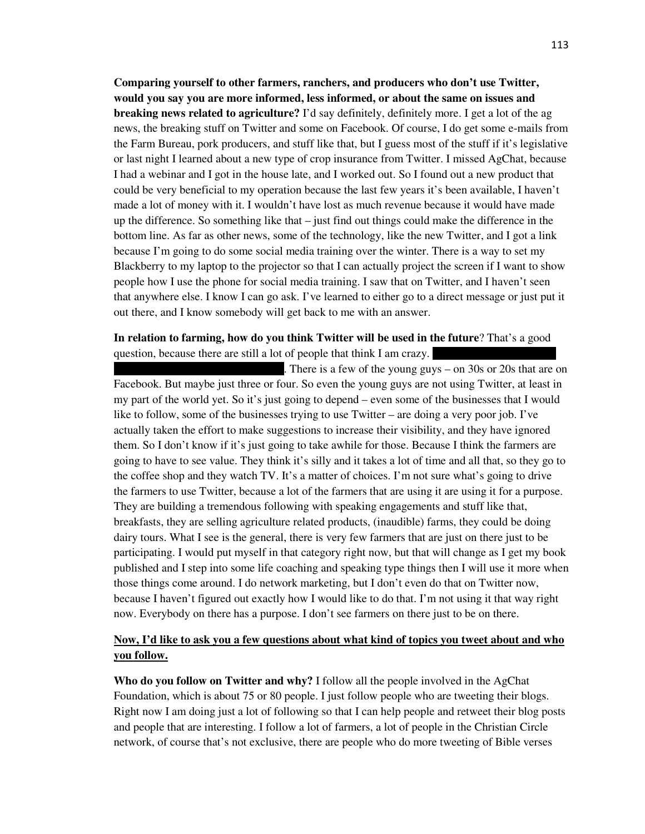**Comparing yourself to other farmers, ranchers, and producers who don't use Twitter, would you say you are more informed, less informed, or about the same on issues and breaking news related to agriculture?** I'd say definitely, definitely more. I get a lot of the ag news, the breaking stuff on Twitter and some on Facebook. Of course, I do get some e-mails from the Farm Bureau, pork producers, and stuff like that, but I guess most of the stuff if it's legislative or last night I learned about a new type of crop insurance from Twitter. I missed AgChat, because I had a webinar and I got in the house late, and I worked out. So I found out a new product that could be very beneficial to my operation because the last few years it's been available, I haven't made a lot of money with it. I wouldn't have lost as much revenue because it would have made up the difference. So something like that – just find out things could make the difference in the bottom line. As far as other news, some of the technology, like the new Twitter, and I got a link because I'm going to do some social media training over the winter. There is a way to set my Blackberry to my laptop to the projector so that I can actually project the screen if I want to show people how I use the phone for social media training. I saw that on Twitter, and I haven't seen that anywhere else. I know I can go ask. I've learned to either go to a direct message or just put it out there, and I know somebody will get back to me with an answer.

# **In relation to farming, how do you think Twitter will be used in the future**? That's a good question, because there are still a lot of people that think I am crazy.

There is a few of the young guys – on 30s or 20s that are on Facebook. But maybe just three or four. So even the young guys are not using Twitter, at least in my part of the world yet. So it's just going to depend – even some of the businesses that I would like to follow, some of the businesses trying to use Twitter – are doing a very poor job. I've actually taken the effort to make suggestions to increase their visibility, and they have ignored them. So I don't know if it's just going to take awhile for those. Because I think the farmers are going to have to see value. They think it's silly and it takes a lot of time and all that, so they go to the coffee shop and they watch TV. It's a matter of choices. I'm not sure what's going to drive the farmers to use Twitter, because a lot of the farmers that are using it are using it for a purpose. They are building a tremendous following with speaking engagements and stuff like that, breakfasts, they are selling agriculture related products, (inaudible) farms, they could be doing dairy tours. What I see is the general, there is very few farmers that are just on there just to be participating. I would put myself in that category right now, but that will change as I get my book published and I step into some life coaching and speaking type things then I will use it more when those things come around. I do network marketing, but I don't even do that on Twitter now, because I haven't figured out exactly how I would like to do that. I'm not using it that way right now. Everybody on there has a purpose. I don't see farmers on there just to be on there.

# **Now, I'd like to ask you a few questions about what kind of topics you tweet about and who you follow.**

**Who do you follow on Twitter and why?** I follow all the people involved in the AgChat Foundation, which is about 75 or 80 people. I just follow people who are tweeting their blogs. Right now I am doing just a lot of following so that I can help people and retweet their blog posts and people that are interesting. I follow a lot of farmers, a lot of people in the Christian Circle network, of course that's not exclusive, there are people who do more tweeting of Bible verses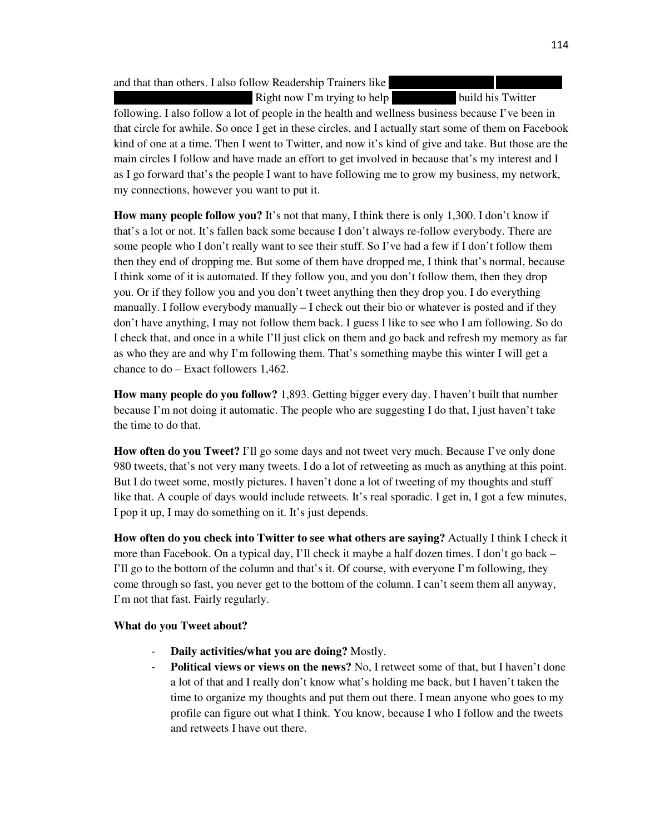and that than others. I also follow Readership Trainers like

Right now I'm trying to help build his Twitter following. I also follow a lot of people in the health and wellness business because I've been in that circle for awhile. So once I get in these circles, and I actually start some of them on Facebook kind of one at a time. Then I went to Twitter, and now it's kind of give and take. But those are the main circles I follow and have made an effort to get involved in because that's my interest and I as I go forward that's the people I want to have following me to grow my business, my network, my connections, however you want to put it.

**How many people follow you?** It's not that many, I think there is only 1,300. I don't know if that's a lot or not. It's fallen back some because I don't always re-follow everybody. There are some people who I don't really want to see their stuff. So I've had a few if I don't follow them then they end of dropping me. But some of them have dropped me, I think that's normal, because I think some of it is automated. If they follow you, and you don't follow them, then they drop you. Or if they follow you and you don't tweet anything then they drop you. I do everything manually. I follow everybody manually  $-$  I check out their bio or whatever is posted and if they don't have anything, I may not follow them back. I guess I like to see who I am following. So do I check that, and once in a while I'll just click on them and go back and refresh my memory as far as who they are and why I'm following them. That's something maybe this winter I will get a chance to do – Exact followers 1,462.

**How many people do you follow?** 1,893. Getting bigger every day. I haven't built that number because I'm not doing it automatic. The people who are suggesting I do that, I just haven't take the time to do that.

**How often do you Tweet?** I'll go some days and not tweet very much. Because I've only done 980 tweets, that's not very many tweets. I do a lot of retweeting as much as anything at this point. But I do tweet some, mostly pictures. I haven't done a lot of tweeting of my thoughts and stuff like that. A couple of days would include retweets. It's real sporadic. I get in, I got a few minutes, I pop it up, I may do something on it. It's just depends.

**How often do you check into Twitter to see what others are saying?** Actually I think I check it more than Facebook. On a typical day, I'll check it maybe a half dozen times. I don't go back – I'll go to the bottom of the column and that's it. Of course, with everyone I'm following, they come through so fast, you never get to the bottom of the column. I can't seem them all anyway, I'm not that fast. Fairly regularly.

## **What do you Tweet about?**

- **Daily activities/what you are doing?** Mostly.
- Political views or views on the news? No, I retweet some of that, but I haven't done a lot of that and I really don't know what's holding me back, but I haven't taken the time to organize my thoughts and put them out there. I mean anyone who goes to my profile can figure out what I think. You know, because I who I follow and the tweets and retweets I have out there.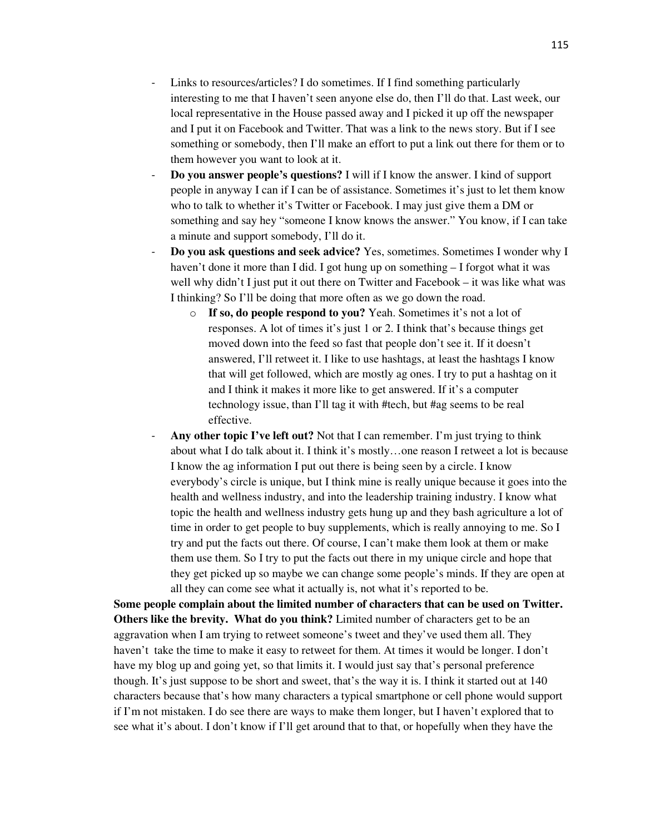- Links to resources/articles? I do sometimes. If I find something particularly interesting to me that I haven't seen anyone else do, then I'll do that. Last week, our local representative in the House passed away and I picked it up off the newspaper and I put it on Facebook and Twitter. That was a link to the news story. But if I see something or somebody, then I'll make an effort to put a link out there for them or to them however you want to look at it.
- **Do you answer people's questions?** I will if I know the answer. I kind of support people in anyway I can if I can be of assistance. Sometimes it's just to let them know who to talk to whether it's Twitter or Facebook. I may just give them a DM or something and say hey "someone I know knows the answer." You know, if I can take a minute and support somebody, I'll do it.
- **Do you ask questions and seek advice?** Yes, sometimes. Sometimes I wonder why I haven't done it more than I did. I got hung up on something – I forgot what it was well why didn't I just put it out there on Twitter and Facebook – it was like what was I thinking? So I'll be doing that more often as we go down the road.
	- o **If so, do people respond to you?** Yeah. Sometimes it's not a lot of responses. A lot of times it's just 1 or 2. I think that's because things get moved down into the feed so fast that people don't see it. If it doesn't answered, I'll retweet it. I like to use hashtags, at least the hashtags I know that will get followed, which are mostly ag ones. I try to put a hashtag on it and I think it makes it more like to get answered. If it's a computer technology issue, than I'll tag it with #tech, but #ag seems to be real effective.
- Any other topic I've left out? Not that I can remember. I'm just trying to think about what I do talk about it. I think it's mostly…one reason I retweet a lot is because I know the ag information I put out there is being seen by a circle. I know everybody's circle is unique, but I think mine is really unique because it goes into the health and wellness industry, and into the leadership training industry. I know what topic the health and wellness industry gets hung up and they bash agriculture a lot of time in order to get people to buy supplements, which is really annoying to me. So I try and put the facts out there. Of course, I can't make them look at them or make them use them. So I try to put the facts out there in my unique circle and hope that they get picked up so maybe we can change some people's minds. If they are open at all they can come see what it actually is, not what it's reported to be.

**Some people complain about the limited number of characters that can be used on Twitter. Others like the brevity. What do you think?** Limited number of characters get to be an aggravation when I am trying to retweet someone's tweet and they've used them all. They haven't take the time to make it easy to retweet for them. At times it would be longer. I don't have my blog up and going yet, so that limits it. I would just say that's personal preference though. It's just suppose to be short and sweet, that's the way it is. I think it started out at 140 characters because that's how many characters a typical smartphone or cell phone would support if I'm not mistaken. I do see there are ways to make them longer, but I haven't explored that to see what it's about. I don't know if I'll get around that to that, or hopefully when they have the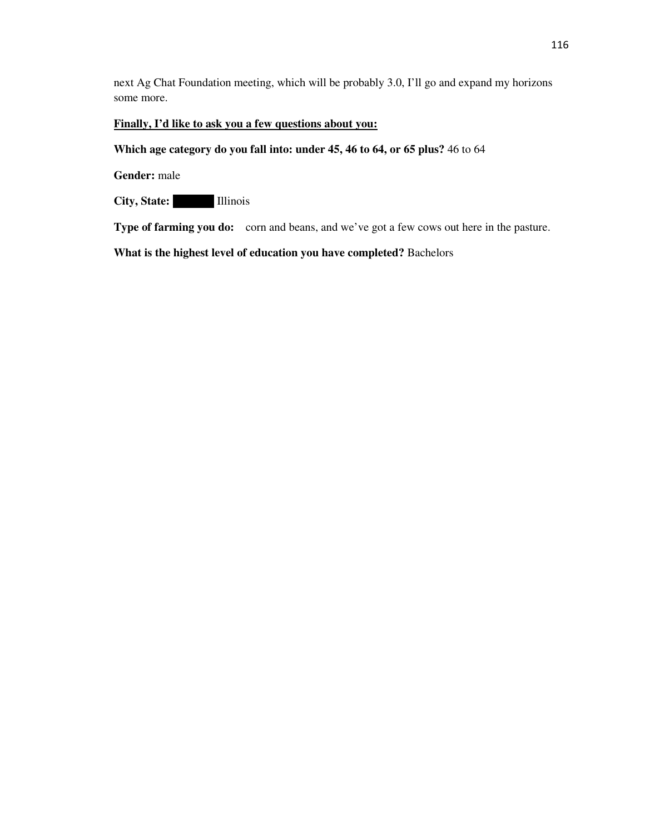next Ag Chat Foundation meeting, which will be probably 3.0, I'll go and expand my horizons some more.

# **Finally, I'd like to ask you a few questions about you:**

## **Which age category do you fall into: under 45, 46 to 64, or 65 plus?** 46 to 64

**Gender:** male

**City, State: Illinois** 

**Type of farming you do:** corn and beans, and we've got a few cows out here in the pasture.

**What is the highest level of education you have completed?** Bachelors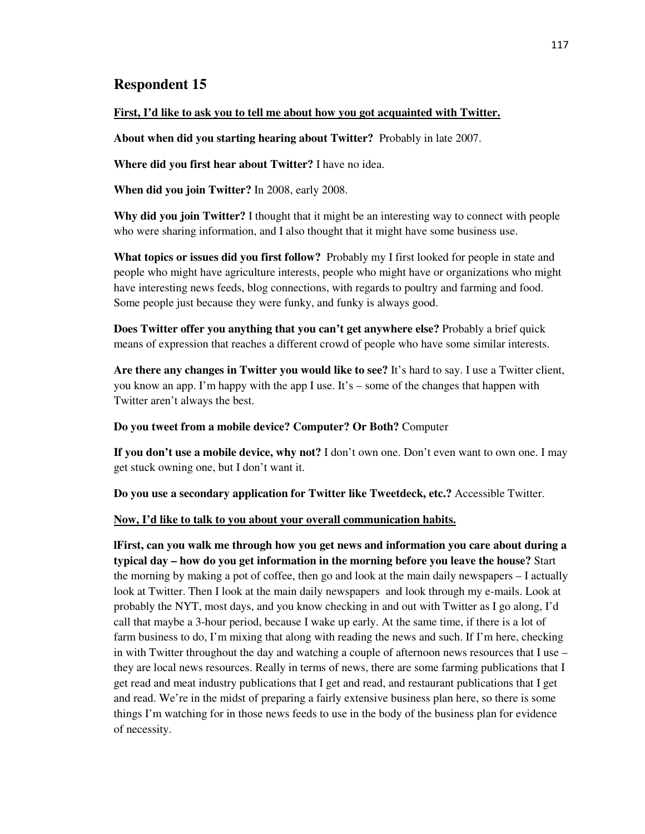#### **First, I'd like to ask you to tell me about how you got acquainted with Twitter.**

**About when did you starting hearing about Twitter?** Probably in late 2007.

**Where did you first hear about Twitter?** I have no idea.

**When did you join Twitter?** In 2008, early 2008.

**Why did you join Twitter?** I thought that it might be an interesting way to connect with people who were sharing information, and I also thought that it might have some business use.

**What topics or issues did you first follow?** Probably my I first looked for people in state and people who might have agriculture interests, people who might have or organizations who might have interesting news feeds, blog connections, with regards to poultry and farming and food. Some people just because they were funky, and funky is always good.

**Does Twitter offer you anything that you can't get anywhere else?** Probably a brief quick means of expression that reaches a different crowd of people who have some similar interests.

**Are there any changes in Twitter you would like to see?** It's hard to say. I use a Twitter client, you know an app. I'm happy with the app I use. It's – some of the changes that happen with Twitter aren't always the best.

#### **Do you tweet from a mobile device? Computer? Or Both?** Computer

**If you don't use a mobile device, why not?** I don't own one. Don't even want to own one. I may get stuck owning one, but I don't want it.

**Do you use a secondary application for Twitter like Tweetdeck, etc.?** Accessible Twitter.

#### **Now, I'd like to talk to you about your overall communication habits.**

**lFirst, can you walk me through how you get news and information you care about during a typical day – how do you get information in the morning before you leave the house?** Start the morning by making a pot of coffee, then go and look at the main daily newspapers – I actually look at Twitter. Then I look at the main daily newspapers and look through my e-mails. Look at probably the NYT, most days, and you know checking in and out with Twitter as I go along, I'd call that maybe a 3-hour period, because I wake up early. At the same time, if there is a lot of farm business to do, I'm mixing that along with reading the news and such. If I'm here, checking in with Twitter throughout the day and watching a couple of afternoon news resources that I use  $$ they are local news resources. Really in terms of news, there are some farming publications that I get read and meat industry publications that I get and read, and restaurant publications that I get and read. We're in the midst of preparing a fairly extensive business plan here, so there is some things I'm watching for in those news feeds to use in the body of the business plan for evidence of necessity.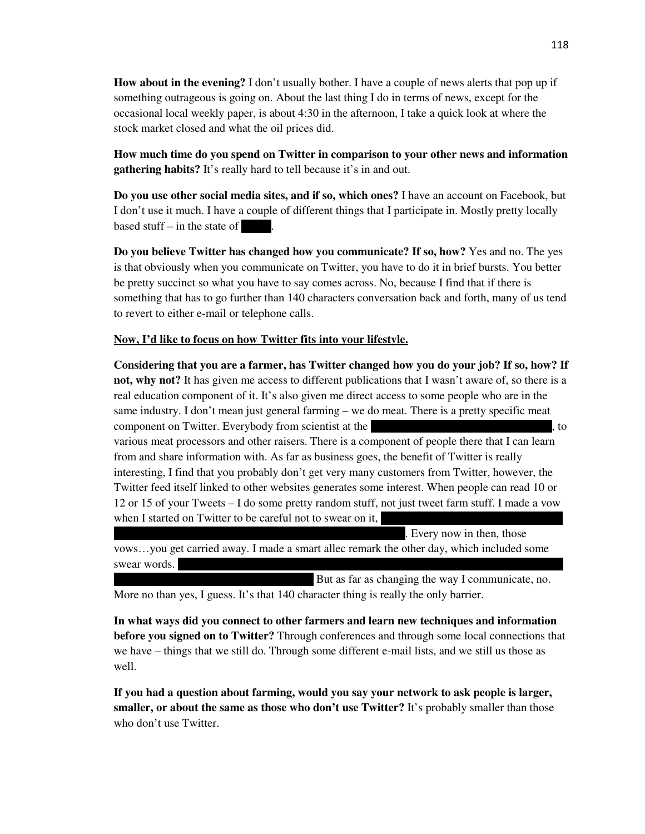**How about in the evening?** I don't usually bother. I have a couple of news alerts that pop up if something outrageous is going on. About the last thing I do in terms of news, except for the occasional local weekly paper, is about 4:30 in the afternoon, I take a quick look at where the stock market closed and what the oil prices did.

**How much time do you spend on Twitter in comparison to your other news and information gathering habits?** It's really hard to tell because it's in and out.

**Do you use other social media sites, and if so, which ones?** I have an account on Facebook, but I don't use it much. I have a couple of different things that I participate in. Mostly pretty locally based stuff  $-$  in the state of

**Do you believe Twitter has changed how you communicate? If so, how?** Yes and no. The yes is that obviously when you communicate on Twitter, you have to do it in brief bursts. You better be pretty succinct so what you have to say comes across. No, because I find that if there is something that has to go further than 140 characters conversation back and forth, many of us tend to revert to either e-mail or telephone calls.

## **Now, I'd like to focus on how Twitter fits into your lifestyle.**

**Considering that you are a farmer, has Twitter changed how you do your job? If so, how? If not, why not?** It has given me access to different publications that I wasn't aware of, so there is a real education component of it. It's also given me direct access to some people who are in the same industry. I don't mean just general farming – we do meat. There is a pretty specific meat component on Twitter. Everybody from scientist at the University of Pennsylvania, to various meat processors and other raisers. There is a component of people there that I can learn from and share information with. As far as business goes, the benefit of Twitter is really interesting, I find that you probably don't get very many customers from Twitter, however, the Twitter feed itself linked to other websites generates some interest. When people can read 10 or 12 or 15 of your Tweets – I do some pretty random stuff, not just tweet farm stuff. I made a vow when I started on Twitter to be careful not to swear on it.

. Every now in then, those vows…you get carried away. I made a smart allec remark the other day, which included some swear words.

But as far as changing the way I communicate, no. More no than yes, I guess. It's that 140 character thing is really the only barrier.

**In what ways did you connect to other farmers and learn new techniques and information before you signed on to Twitter?** Through conferences and through some local connections that we have – things that we still do. Through some different e-mail lists, and we still us those as well.

**If you had a question about farming, would you say your network to ask people is larger, smaller, or about the same as those who don't use Twitter?** It's probably smaller than those who don't use Twitter.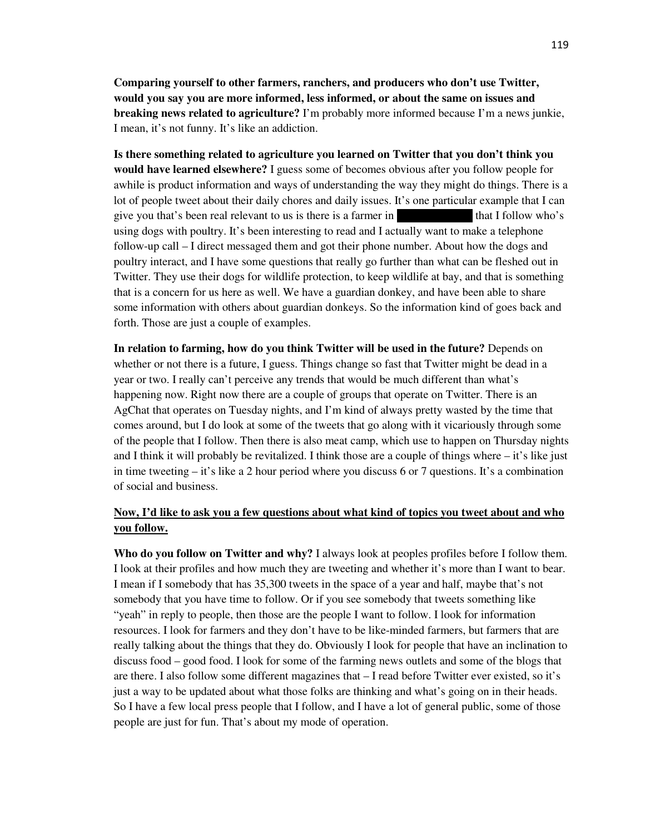**Comparing yourself to other farmers, ranchers, and producers who don't use Twitter, would you say you are more informed, less informed, or about the same on issues and breaking news related to agriculture?** I'm probably more informed because I'm a news junkie, I mean, it's not funny. It's like an addiction.

**Is there something related to agriculture you learned on Twitter that you don't think you would have learned elsewhere?** I guess some of becomes obvious after you follow people for awhile is product information and ways of understanding the way they might do things. There is a lot of people tweet about their daily chores and daily issues. It's one particular example that I can give you that's been real relevant to us is there is a farmer in  $\mu$  that I follow who's using dogs with poultry. It's been interesting to read and I actually want to make a telephone follow-up call – I direct messaged them and got their phone number. About how the dogs and poultry interact, and I have some questions that really go further than what can be fleshed out in Twitter. They use their dogs for wildlife protection, to keep wildlife at bay, and that is something that is a concern for us here as well. We have a guardian donkey, and have been able to share some information with others about guardian donkeys. So the information kind of goes back and forth. Those are just a couple of examples.

**In relation to farming, how do you think Twitter will be used in the future?** Depends on whether or not there is a future, I guess. Things change so fast that Twitter might be dead in a year or two. I really can't perceive any trends that would be much different than what's happening now. Right now there are a couple of groups that operate on Twitter. There is an AgChat that operates on Tuesday nights, and I'm kind of always pretty wasted by the time that comes around, but I do look at some of the tweets that go along with it vicariously through some of the people that I follow. Then there is also meat camp, which use to happen on Thursday nights and I think it will probably be revitalized. I think those are a couple of things where  $-i$  it's like just in time tweeting – it's like a 2 hour period where you discuss 6 or 7 questions. It's a combination of social and business.

## **Now, I'd like to ask you a few questions about what kind of topics you tweet about and who you follow.**

**Who do you follow on Twitter and why?** I always look at peoples profiles before I follow them. I look at their profiles and how much they are tweeting and whether it's more than I want to bear. I mean if I somebody that has 35,300 tweets in the space of a year and half, maybe that's not somebody that you have time to follow. Or if you see somebody that tweets something like "yeah" in reply to people, then those are the people I want to follow. I look for information resources. I look for farmers and they don't have to be like-minded farmers, but farmers that are really talking about the things that they do. Obviously I look for people that have an inclination to discuss food – good food. I look for some of the farming news outlets and some of the blogs that are there. I also follow some different magazines that – I read before Twitter ever existed, so it's just a way to be updated about what those folks are thinking and what's going on in their heads. So I have a few local press people that I follow, and I have a lot of general public, some of those people are just for fun. That's about my mode of operation.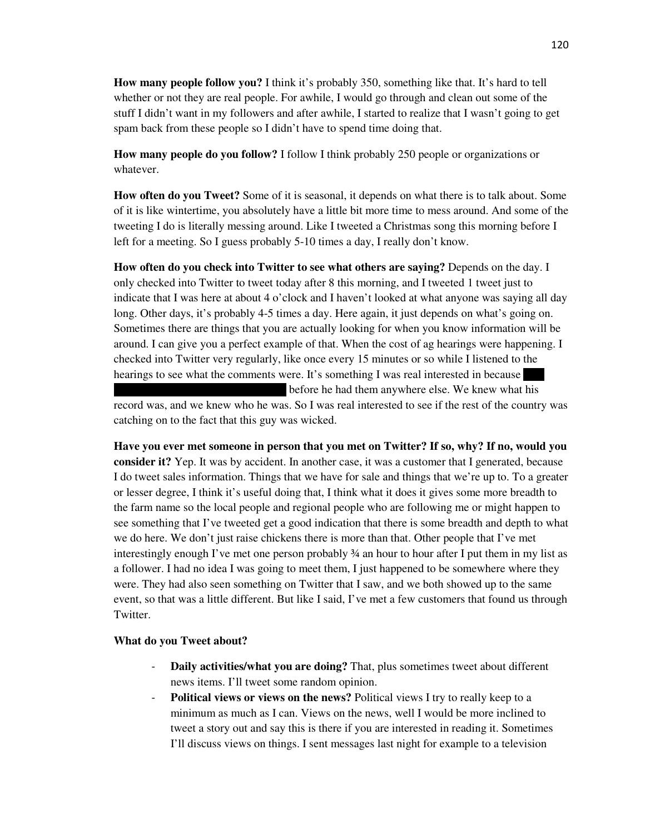**How many people follow you?** I think it's probably 350, something like that. It's hard to tell whether or not they are real people. For awhile, I would go through and clean out some of the stuff I didn't want in my followers and after awhile, I started to realize that I wasn't going to get spam back from these people so I didn't have to spend time doing that.

**How many people do you follow?** I follow I think probably 250 people or organizations or whatever.

**How often do you Tweet?** Some of it is seasonal, it depends on what there is to talk about. Some of it is like wintertime, you absolutely have a little bit more time to mess around. And some of the tweeting I do is literally messing around. Like I tweeted a Christmas song this morning before I left for a meeting. So I guess probably 5-10 times a day, I really don't know.

**How often do you check into Twitter to see what others are saying?** Depends on the day. I only checked into Twitter to tweet today after 8 this morning, and I tweeted 1 tweet just to indicate that I was here at about 4 o'clock and I haven't looked at what anyone was saying all day long. Other days, it's probably 4-5 times a day. Here again, it just depends on what's going on. Sometimes there are things that you are actually looking for when you know information will be around. I can give you a perfect example of that. When the cost of ag hearings were happening. I checked into Twitter very regularly, like once every 15 minutes or so while I listened to the hearings to see what the comments were. It's something I was real interested in because

before he had them anywhere else. We knew what his

record was, and we knew who he was. So I was real interested to see if the rest of the country was catching on to the fact that this guy was wicked.

**Have you ever met someone in person that you met on Twitter? If so, why? If no, would you consider it?** Yep. It was by accident. In another case, it was a customer that I generated, because I do tweet sales information. Things that we have for sale and things that we're up to. To a greater or lesser degree, I think it's useful doing that, I think what it does it gives some more breadth to the farm name so the local people and regional people who are following me or might happen to see something that I've tweeted get a good indication that there is some breadth and depth to what we do here. We don't just raise chickens there is more than that. Other people that I've met interestingly enough I've met one person probably ¾ an hour to hour after I put them in my list as a follower. I had no idea I was going to meet them, I just happened to be somewhere where they were. They had also seen something on Twitter that I saw, and we both showed up to the same event, so that was a little different. But like I said, I've met a few customers that found us through Twitter.

## **What do you Tweet about?**

- **Daily activities/what you are doing?** That, plus sometimes tweet about different news items. I'll tweet some random opinion.
- **Political views or views on the news?** Political views I try to really keep to a minimum as much as I can. Views on the news, well I would be more inclined to tweet a story out and say this is there if you are interested in reading it. Sometimes I'll discuss views on things. I sent messages last night for example to a television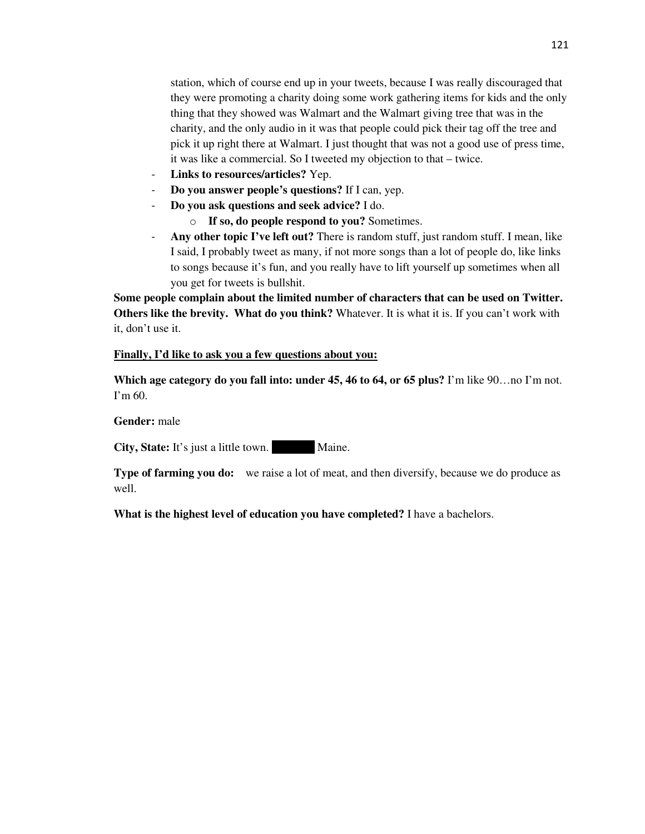station, which of course end up in your tweets, because I was really discouraged that they were promoting a charity doing some work gathering items for kids and the only thing that they showed was Walmart and the Walmart giving tree that was in the charity, and the only audio in it was that people could pick their tag off the tree and pick it up right there at Walmart. I just thought that was not a good use of press time, it was like a commercial. So I tweeted my objection to that – twice.

- Links to resources/articles? Yep.
- **Do you answer people's questions?** If I can, yep.
- **Do you ask questions and seek advice?** I do.
	- o **If so, do people respond to you?** Sometimes.
- **Any other topic I've left out?** There is random stuff, just random stuff. I mean, like I said, I probably tweet as many, if not more songs than a lot of people do, like links to songs because it's fun, and you really have to lift yourself up sometimes when all you get for tweets is bullshit.

**Some people complain about the limited number of characters that can be used on Twitter. Others like the brevity. What do you think?** Whatever. It is what it is. If you can't work with it, don't use it.

### **Finally, I'd like to ask you a few questions about you:**

**Which age category do you fall into: under 45, 46 to 64, or 65 plus?** I'm like 90…no I'm not. I'm 60.

### **Gender:** male

**City, State:** It's just a little town. Maine.

**Type of farming you do:** we raise a lot of meat, and then diversify, because we do produce as well.

**What is the highest level of education you have completed?** I have a bachelors.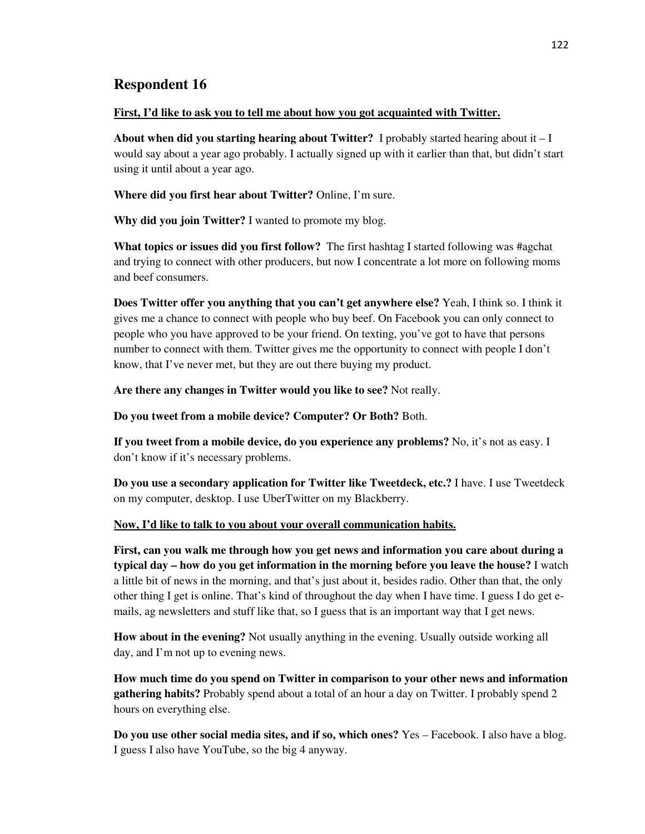## **First, I'd like to ask you to tell me about how you got acquainted with Twitter.**

**About when did you starting hearing about Twitter?** I probably started hearing about it  $-I$ would say about a year ago probably. I actually signed up with it earlier than that, but didn't start using it until about a year ago.

**Where did you first hear about Twitter?** Online, I'm sure.

**Why did you join Twitter?** I wanted to promote my blog.

**What topics or issues did you first follow?** The first hashtag I started following was #agchat and trying to connect with other producers, but now I concentrate a lot more on following moms and beef consumers.

**Does Twitter offer you anything that you can't get anywhere else?** Yeah, I think so. I think it gives me a chance to connect with people who buy beef. On Facebook you can only connect to people who you have approved to be your friend. On texting, you've got to have that persons number to connect with them. Twitter gives me the opportunity to connect with people I don't know, that I've never met, but they are out there buying my product.

**Are there any changes in Twitter would you like to see?** Not really.

**Do you tweet from a mobile device? Computer? Or Both?** Both.

**If you tweet from a mobile device, do you experience any problems?** No, it's not as easy. I don't know if it's necessary problems.

**Do you use a secondary application for Twitter like Tweetdeck, etc.?** I have. I use Tweetdeck on my computer, desktop. I use UberTwitter on my Blackberry.

# **Now, I'd like to talk to you about your overall communication habits.**

**First, can you walk me through how you get news and information you care about during a typical day – how do you get information in the morning before you leave the house?** I watch a little bit of news in the morning, and that's just about it, besides radio. Other than that, the only other thing I get is online. That's kind of throughout the day when I have time. I guess I do get emails, ag newsletters and stuff like that, so I guess that is an important way that I get news.

**How about in the evening?** Not usually anything in the evening. Usually outside working all day, and I'm not up to evening news.

**How much time do you spend on Twitter in comparison to your other news and information gathering habits?** Probably spend about a total of an hour a day on Twitter. I probably spend 2 hours on everything else.

**Do you use other social media sites, and if so, which ones?** Yes – Facebook. I also have a blog. I guess I also have YouTube, so the big 4 anyway.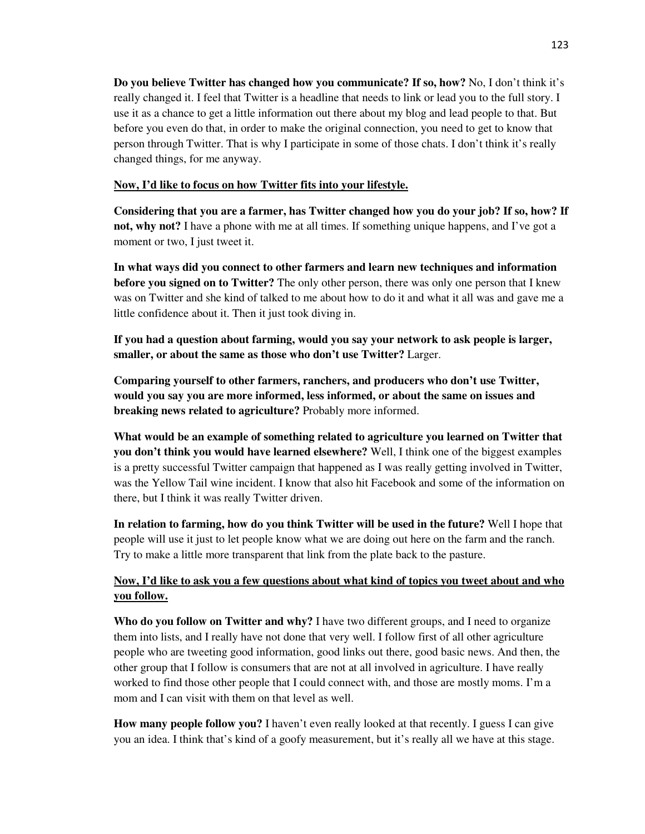**Do you believe Twitter has changed how you communicate? If so, how?** No, I don't think it's really changed it. I feel that Twitter is a headline that needs to link or lead you to the full story. I use it as a chance to get a little information out there about my blog and lead people to that. But before you even do that, in order to make the original connection, you need to get to know that person through Twitter. That is why I participate in some of those chats. I don't think it's really changed things, for me anyway.

## **Now, I'd like to focus on how Twitter fits into your lifestyle.**

**Considering that you are a farmer, has Twitter changed how you do your job? If so, how? If not, why not?** I have a phone with me at all times. If something unique happens, and I've got a moment or two, I just tweet it.

**In what ways did you connect to other farmers and learn new techniques and information before you signed on to Twitter?** The only other person, there was only one person that I knew was on Twitter and she kind of talked to me about how to do it and what it all was and gave me a little confidence about it. Then it just took diving in.

**If you had a question about farming, would you say your network to ask people is larger, smaller, or about the same as those who don't use Twitter?** Larger.

**Comparing yourself to other farmers, ranchers, and producers who don't use Twitter, would you say you are more informed, less informed, or about the same on issues and breaking news related to agriculture?** Probably more informed.

**What would be an example of something related to agriculture you learned on Twitter that you don't think you would have learned elsewhere?** Well, I think one of the biggest examples is a pretty successful Twitter campaign that happened as I was really getting involved in Twitter, was the Yellow Tail wine incident. I know that also hit Facebook and some of the information on there, but I think it was really Twitter driven.

**In relation to farming, how do you think Twitter will be used in the future?** Well I hope that people will use it just to let people know what we are doing out here on the farm and the ranch. Try to make a little more transparent that link from the plate back to the pasture.

# **Now, I'd like to ask you a few questions about what kind of topics you tweet about and who you follow.**

**Who do you follow on Twitter and why?** I have two different groups, and I need to organize them into lists, and I really have not done that very well. I follow first of all other agriculture people who are tweeting good information, good links out there, good basic news. And then, the other group that I follow is consumers that are not at all involved in agriculture. I have really worked to find those other people that I could connect with, and those are mostly moms. I'm a mom and I can visit with them on that level as well.

**How many people follow you?** I haven't even really looked at that recently. I guess I can give you an idea. I think that's kind of a goofy measurement, but it's really all we have at this stage.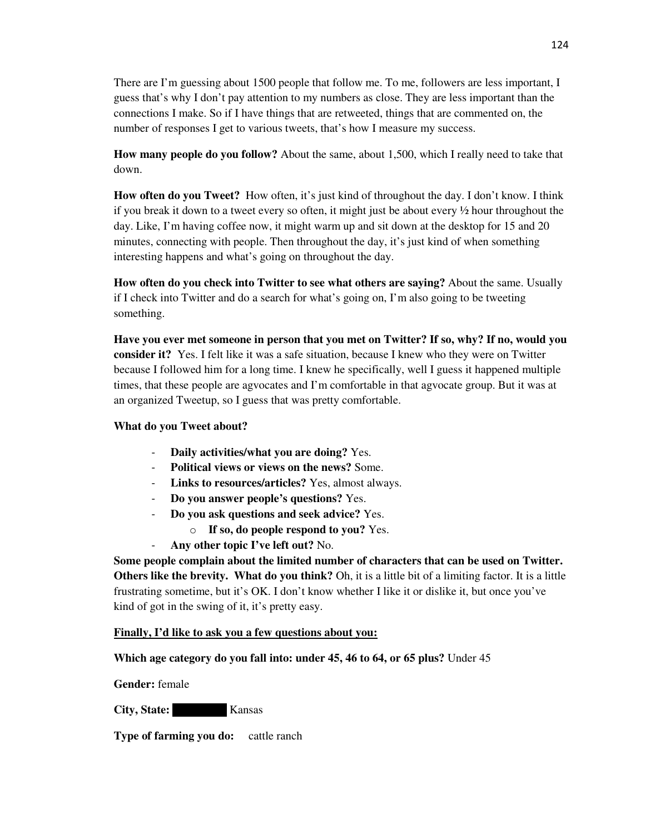There are I'm guessing about 1500 people that follow me. To me, followers are less important, I guess that's why I don't pay attention to my numbers as close. They are less important than the connections I make. So if I have things that are retweeted, things that are commented on, the number of responses I get to various tweets, that's how I measure my success.

**How many people do you follow?** About the same, about 1,500, which I really need to take that down.

**How often do you Tweet?** How often, it's just kind of throughout the day. I don't know. I think if you break it down to a tweet every so often, it might just be about every ½ hour throughout the day. Like, I'm having coffee now, it might warm up and sit down at the desktop for 15 and 20 minutes, connecting with people. Then throughout the day, it's just kind of when something interesting happens and what's going on throughout the day.

**How often do you check into Twitter to see what others are saying?** About the same. Usually if I check into Twitter and do a search for what's going on, I'm also going to be tweeting something.

**Have you ever met someone in person that you met on Twitter? If so, why? If no, would you consider it?** Yes. I felt like it was a safe situation, because I knew who they were on Twitter because I followed him for a long time. I knew he specifically, well I guess it happened multiple times, that these people are agvocates and I'm comfortable in that agvocate group. But it was at an organized Tweetup, so I guess that was pretty comfortable.

# **What do you Tweet about?**

- **Daily activities/what you are doing?** Yes.
- **Political views or views on the news?** Some.
- **Links to resources/articles?** Yes, almost always.
- **Do you answer people's questions?** Yes.
- **Do you ask questions and seek advice?** Yes.
	- o **If so, do people respond to you?** Yes.
- **Any other topic I've left out?** No.

**Some people complain about the limited number of characters that can be used on Twitter. Others like the brevity. What do you think?** Oh, it is a little bit of a limiting factor. It is a little frustrating sometime, but it's OK. I don't know whether I like it or dislike it, but once you've kind of got in the swing of it, it's pretty easy.

## **Finally, I'd like to ask you a few questions about you:**

# **Which age category do you fall into: under 45, 46 to 64, or 65 plus?** Under 45

**Gender:** female

**City, State:** Kansas

**Type of farming you do:** cattle ranch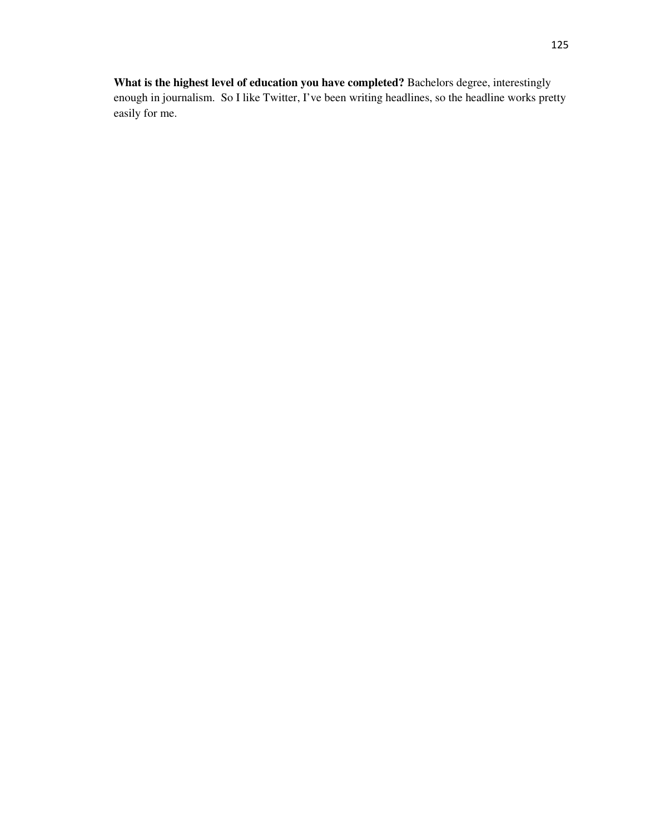**What is the highest level of education you have completed?** Bachelors degree, interestingly enough in journalism. So I like Twitter, I've been writing headlines, so the headline works pretty easily for me.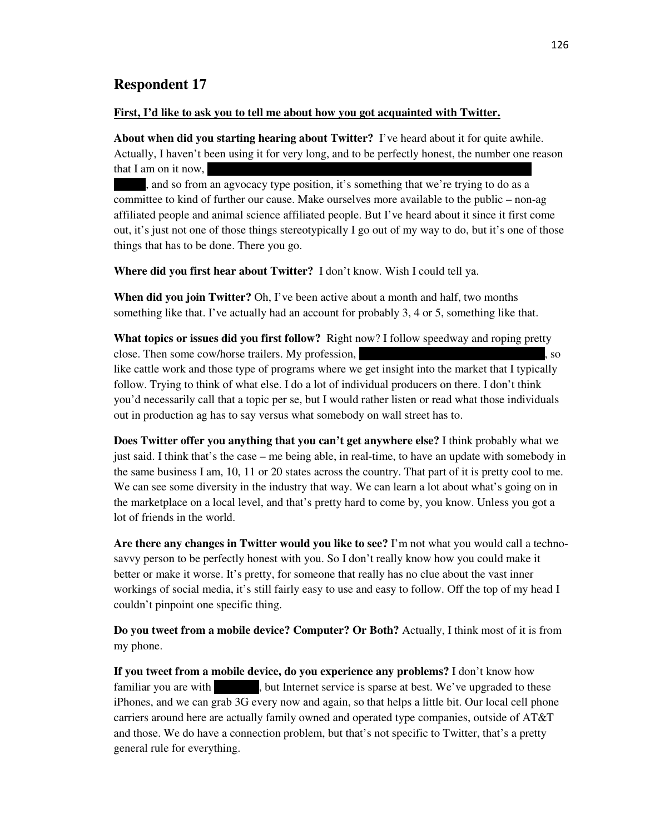#### **First, I'd like to ask you to tell me about how you got acquainted with Twitter.**

**About when did you starting hearing about Twitter?** I've heard about it for quite awhile. Actually, I haven't been using it for very long, and to be perfectly honest, the number one reason that I am on it now,

, and so from an agvocacy type position, it's something that we're trying to do as a committee to kind of further our cause. Make ourselves more available to the public – non-ag affiliated people and animal science affiliated people. But I've heard about it since it first come out, it's just not one of those things stereotypically I go out of my way to do, but it's one of those things that has to be done. There you go.

**Where did you first hear about Twitter?** I don't know. Wish I could tell ya.

**When did you join Twitter?** Oh, I've been active about a month and half, two months something like that. I've actually had an account for probably 3, 4 or 5, something like that.

**What topics or issues did you first follow?** Right now? I follow speedway and roping pretty close. Then some cow/horse trailers. My profession,  $\sim$ like cattle work and those type of programs where we get insight into the market that I typically follow. Trying to think of what else. I do a lot of individual producers on there. I don't think you'd necessarily call that a topic per se, but I would rather listen or read what those individuals out in production ag has to say versus what somebody on wall street has to.

**Does Twitter offer you anything that you can't get anywhere else?** I think probably what we just said. I think that's the case – me being able, in real-time, to have an update with somebody in the same business I am, 10, 11 or 20 states across the country. That part of it is pretty cool to me. We can see some diversity in the industry that way. We can learn a lot about what's going on in the marketplace on a local level, and that's pretty hard to come by, you know. Unless you got a lot of friends in the world.

**Are there any changes in Twitter would you like to see?** I'm not what you would call a technosavvy person to be perfectly honest with you. So I don't really know how you could make it better or make it worse. It's pretty, for someone that really has no clue about the vast inner workings of social media, it's still fairly easy to use and easy to follow. Off the top of my head I couldn't pinpoint one specific thing.

**Do you tweet from a mobile device? Computer? Or Both?** Actually, I think most of it is from my phone.

**If you tweet from a mobile device, do you experience any problems?** I don't know how familiar you are with helpha kentucky, but Internet service is sparse at best. We've upgraded to these iPhones, and we can grab 3G every now and again, so that helps a little bit. Our local cell phone carriers around here are actually family owned and operated type companies, outside of AT&T and those. We do have a connection problem, but that's not specific to Twitter, that's a pretty general rule for everything.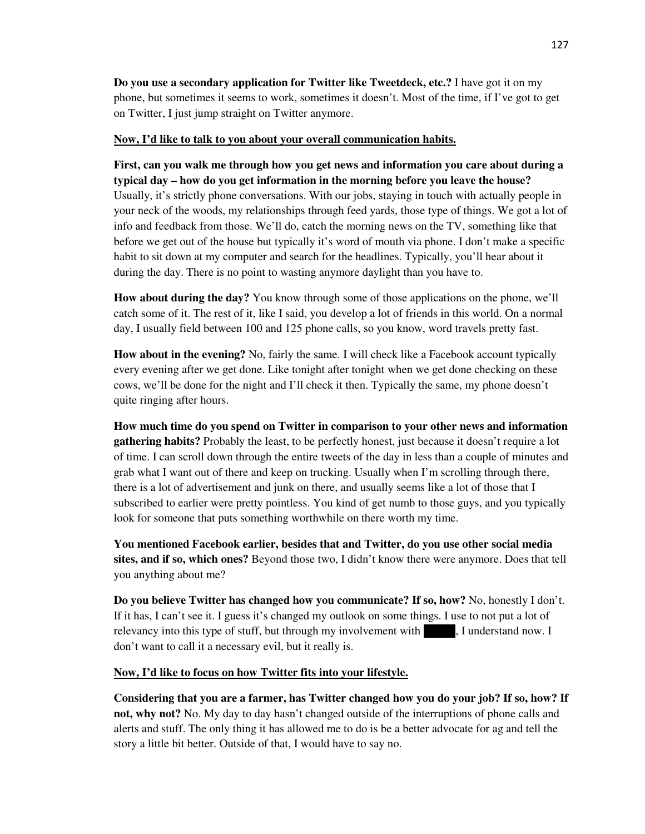**Do you use a secondary application for Twitter like Tweetdeck, etc.?** I have got it on my phone, but sometimes it seems to work, sometimes it doesn't. Most of the time, if I've got to get on Twitter, I just jump straight on Twitter anymore.

## **Now, I'd like to talk to you about your overall communication habits.**

**First, can you walk me through how you get news and information you care about during a typical day – how do you get information in the morning before you leave the house?** Usually, it's strictly phone conversations. With our jobs, staying in touch with actually people in your neck of the woods, my relationships through feed yards, those type of things. We got a lot of info and feedback from those. We'll do, catch the morning news on the TV, something like that before we get out of the house but typically it's word of mouth via phone. I don't make a specific habit to sit down at my computer and search for the headlines. Typically, you'll hear about it during the day. There is no point to wasting anymore daylight than you have to.

**How about during the day?** You know through some of those applications on the phone, we'll catch some of it. The rest of it, like I said, you develop a lot of friends in this world. On a normal day, I usually field between 100 and 125 phone calls, so you know, word travels pretty fast.

**How about in the evening?** No, fairly the same. I will check like a Facebook account typically every evening after we get done. Like tonight after tonight when we get done checking on these cows, we'll be done for the night and I'll check it then. Typically the same, my phone doesn't quite ringing after hours.

**How much time do you spend on Twitter in comparison to your other news and information gathering habits?** Probably the least, to be perfectly honest, just because it doesn't require a lot of time. I can scroll down through the entire tweets of the day in less than a couple of minutes and grab what I want out of there and keep on trucking. Usually when I'm scrolling through there, there is a lot of advertisement and junk on there, and usually seems like a lot of those that I subscribed to earlier were pretty pointless. You kind of get numb to those guys, and you typically look for someone that puts something worthwhile on there worth my time.

**You mentioned Facebook earlier, besides that and Twitter, do you use other social media sites, and if so, which ones?** Beyond those two, I didn't know there were anymore. Does that tell you anything about me?

**Do you believe Twitter has changed how you communicate? If so, how?** No, honestly I don't. If it has, I can't see it. I guess it's changed my outlook on some things. I use to not put a lot of relevancy into this type of stuff, but through my involvement with  $\blacksquare$ , I understand now. I don't want to call it a necessary evil, but it really is.

# **Now, I'd like to focus on how Twitter fits into your lifestyle.**

**Considering that you are a farmer, has Twitter changed how you do your job? If so, how? If not, why not?** No. My day to day hasn't changed outside of the interruptions of phone calls and alerts and stuff. The only thing it has allowed me to do is be a better advocate for ag and tell the story a little bit better. Outside of that, I would have to say no.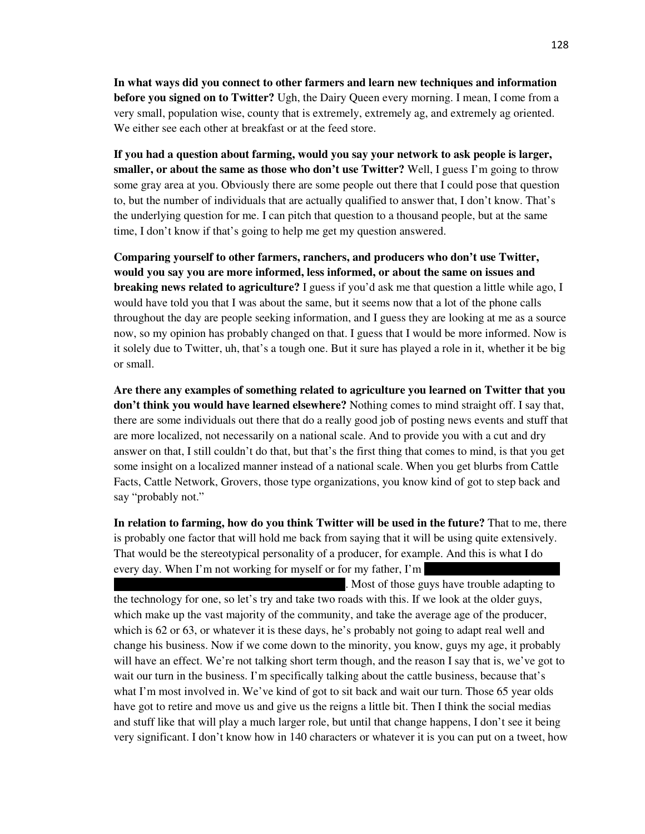**In what ways did you connect to other farmers and learn new techniques and information before you signed on to Twitter?** Ugh, the Dairy Queen every morning. I mean, I come from a very small, population wise, county that is extremely, extremely ag, and extremely ag oriented. We either see each other at breakfast or at the feed store.

**If you had a question about farming, would you say your network to ask people is larger, smaller, or about the same as those who don't use Twitter?** Well, I guess I'm going to throw some gray area at you. Obviously there are some people out there that I could pose that question to, but the number of individuals that are actually qualified to answer that, I don't know. That's the underlying question for me. I can pitch that question to a thousand people, but at the same time, I don't know if that's going to help me get my question answered.

**Comparing yourself to other farmers, ranchers, and producers who don't use Twitter, would you say you are more informed, less informed, or about the same on issues and breaking news related to agriculture?** I guess if you'd ask me that question a little while ago, I would have told you that I was about the same, but it seems now that a lot of the phone calls throughout the day are people seeking information, and I guess they are looking at me as a source now, so my opinion has probably changed on that. I guess that I would be more informed. Now is it solely due to Twitter, uh, that's a tough one. But it sure has played a role in it, whether it be big or small.

**Are there any examples of something related to agriculture you learned on Twitter that you don't think you would have learned elsewhere?** Nothing comes to mind straight off. I say that, there are some individuals out there that do a really good job of posting news events and stuff that are more localized, not necessarily on a national scale. And to provide you with a cut and dry answer on that, I still couldn't do that, but that's the first thing that comes to mind, is that you get some insight on a localized manner instead of a national scale. When you get blurbs from Cattle Facts, Cattle Network, Grovers, those type organizations, you know kind of got to step back and say "probably not."

**In relation to farming, how do you think Twitter will be used in the future?** That to me, there is probably one factor that will hold me back from saying that it will be using quite extensively. That would be the stereotypical personality of a producer, for example. And this is what I do every day. When I'm not working for myself or for my father, I'm

. Most of those guys have trouble adapting to the technology for one, so let's try and take two roads with this. If we look at the older guys, which make up the vast majority of the community, and take the average age of the producer, which is 62 or 63, or whatever it is these days, he's probably not going to adapt real well and change his business. Now if we come down to the minority, you know, guys my age, it probably will have an effect. We're not talking short term though, and the reason I say that is, we've got to wait our turn in the business. I'm specifically talking about the cattle business, because that's what I'm most involved in. We've kind of got to sit back and wait our turn. Those 65 year olds have got to retire and move us and give us the reigns a little bit. Then I think the social medias and stuff like that will play a much larger role, but until that change happens, I don't see it being very significant. I don't know how in 140 characters or whatever it is you can put on a tweet, how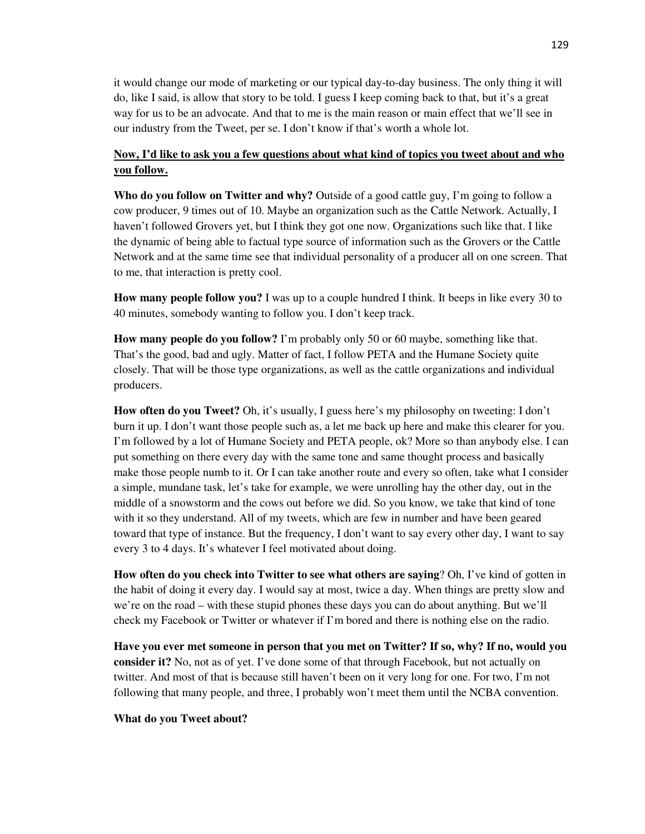it would change our mode of marketing or our typical day-to-day business. The only thing it will do, like I said, is allow that story to be told. I guess I keep coming back to that, but it's a great way for us to be an advocate. And that to me is the main reason or main effect that we'll see in our industry from the Tweet, per se. I don't know if that's worth a whole lot.

# **Now, I'd like to ask you a few questions about what kind of topics you tweet about and who you follow.**

**Who do you follow on Twitter and why?** Outside of a good cattle guy, I'm going to follow a cow producer, 9 times out of 10. Maybe an organization such as the Cattle Network. Actually, I haven't followed Grovers yet, but I think they got one now. Organizations such like that. I like the dynamic of being able to factual type source of information such as the Grovers or the Cattle Network and at the same time see that individual personality of a producer all on one screen. That to me, that interaction is pretty cool.

**How many people follow you?** I was up to a couple hundred I think. It beeps in like every 30 to 40 minutes, somebody wanting to follow you. I don't keep track.

**How many people do you follow?** I'm probably only 50 or 60 maybe, something like that. That's the good, bad and ugly. Matter of fact, I follow PETA and the Humane Society quite closely. That will be those type organizations, as well as the cattle organizations and individual producers.

**How often do you Tweet?** Oh, it's usually, I guess here's my philosophy on tweeting: I don't burn it up. I don't want those people such as, a let me back up here and make this clearer for you. I'm followed by a lot of Humane Society and PETA people, ok? More so than anybody else. I can put something on there every day with the same tone and same thought process and basically make those people numb to it. Or I can take another route and every so often, take what I consider a simple, mundane task, let's take for example, we were unrolling hay the other day, out in the middle of a snowstorm and the cows out before we did. So you know, we take that kind of tone with it so they understand. All of my tweets, which are few in number and have been geared toward that type of instance. But the frequency, I don't want to say every other day, I want to say every 3 to 4 days. It's whatever I feel motivated about doing.

**How often do you check into Twitter to see what others are saying**? Oh, I've kind of gotten in the habit of doing it every day. I would say at most, twice a day. When things are pretty slow and we're on the road – with these stupid phones these days you can do about anything. But we'll check my Facebook or Twitter or whatever if I'm bored and there is nothing else on the radio.

**Have you ever met someone in person that you met on Twitter? If so, why? If no, would you consider it?** No, not as of yet. I've done some of that through Facebook, but not actually on twitter. And most of that is because still haven't been on it very long for one. For two, I'm not following that many people, and three, I probably won't meet them until the NCBA convention.

### **What do you Tweet about?**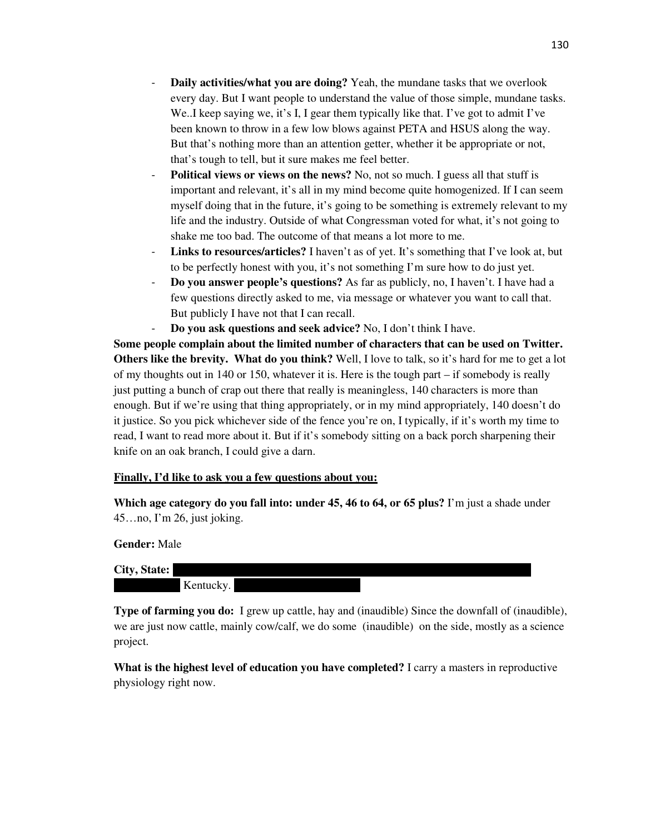- **Daily activities/what you are doing?** Yeah, the mundane tasks that we overlook every day. But I want people to understand the value of those simple, mundane tasks. We..I keep saying we, it's I, I gear them typically like that. I've got to admit I've been known to throw in a few low blows against PETA and HSUS along the way. But that's nothing more than an attention getter, whether it be appropriate or not, that's tough to tell, but it sure makes me feel better.
- **Political views or views on the news?** No, not so much. I guess all that stuff is important and relevant, it's all in my mind become quite homogenized. If I can seem myself doing that in the future, it's going to be something is extremely relevant to my life and the industry. Outside of what Congressman voted for what, it's not going to shake me too bad. The outcome of that means a lot more to me.
- **Links to resources/articles?** I haven't as of yet. It's something that I've look at, but to be perfectly honest with you, it's not something I'm sure how to do just yet.
- **Do you answer people's questions?** As far as publicly, no, I haven't. I have had a few questions directly asked to me, via message or whatever you want to call that. But publicly I have not that I can recall.
- **Do you ask questions and seek advice?** No, I don't think I have.

**Some people complain about the limited number of characters that can be used on Twitter. Others like the brevity. What do you think?** Well, I love to talk, so it's hard for me to get a lot of my thoughts out in 140 or 150, whatever it is. Here is the tough part – if somebody is really just putting a bunch of crap out there that really is meaningless, 140 characters is more than enough. But if we're using that thing appropriately, or in my mind appropriately, 140 doesn't do it justice. So you pick whichever side of the fence you're on, I typically, if it's worth my time to read, I want to read more about it. But if it's somebody sitting on a back porch sharpening their knife on an oak branch, I could give a darn.

## **Finally, I'd like to ask you a few questions about you:**

**Which age category do you fall into: under 45, 46 to 64, or 65 plus?** I'm just a shade under 45…no, I'm 26, just joking.

**Gender:** Male

**City, State:** I

Kentucky.

**Type of farming you do:** I grew up cattle, hay and (inaudible) Since the downfall of (inaudible), we are just now cattle, mainly cow/calf, we do some (inaudible) on the side, mostly as a science project.

**What is the highest level of education you have completed?** I carry a masters in reproductive physiology right now.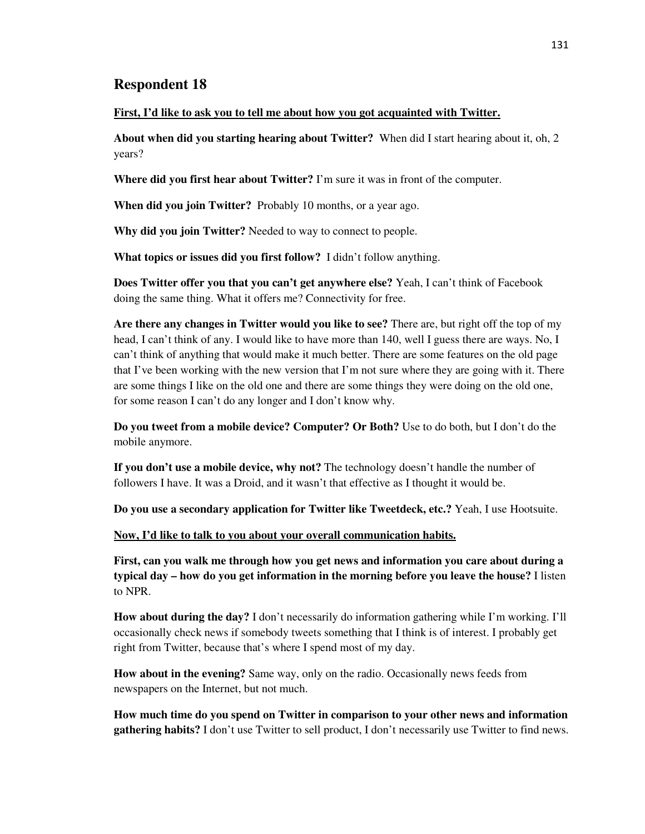### **First, I'd like to ask you to tell me about how you got acquainted with Twitter.**

**About when did you starting hearing about Twitter?** When did I start hearing about it, oh, 2 years?

**Where did you first hear about Twitter?** I'm sure it was in front of the computer.

**When did you join Twitter?** Probably 10 months, or a year ago.

**Why did you join Twitter?** Needed to way to connect to people.

**What topics or issues did you first follow?** I didn't follow anything.

**Does Twitter offer you that you can't get anywhere else?** Yeah, I can't think of Facebook doing the same thing. What it offers me? Connectivity for free.

**Are there any changes in Twitter would you like to see?** There are, but right off the top of my head, I can't think of any. I would like to have more than 140, well I guess there are ways. No, I can't think of anything that would make it much better. There are some features on the old page that I've been working with the new version that I'm not sure where they are going with it. There are some things I like on the old one and there are some things they were doing on the old one, for some reason I can't do any longer and I don't know why.

**Do you tweet from a mobile device? Computer? Or Both?** Use to do both, but I don't do the mobile anymore.

**If you don't use a mobile device, why not?** The technology doesn't handle the number of followers I have. It was a Droid, and it wasn't that effective as I thought it would be.

**Do you use a secondary application for Twitter like Tweetdeck, etc.?** Yeah, I use Hootsuite.

**Now, I'd like to talk to you about your overall communication habits.**

**First, can you walk me through how you get news and information you care about during a typical day – how do you get information in the morning before you leave the house?** I listen to NPR.

**How about during the day?** I don't necessarily do information gathering while I'm working. I'll occasionally check news if somebody tweets something that I think is of interest. I probably get right from Twitter, because that's where I spend most of my day.

**How about in the evening?** Same way, only on the radio. Occasionally news feeds from newspapers on the Internet, but not much.

**How much time do you spend on Twitter in comparison to your other news and information gathering habits?** I don't use Twitter to sell product, I don't necessarily use Twitter to find news.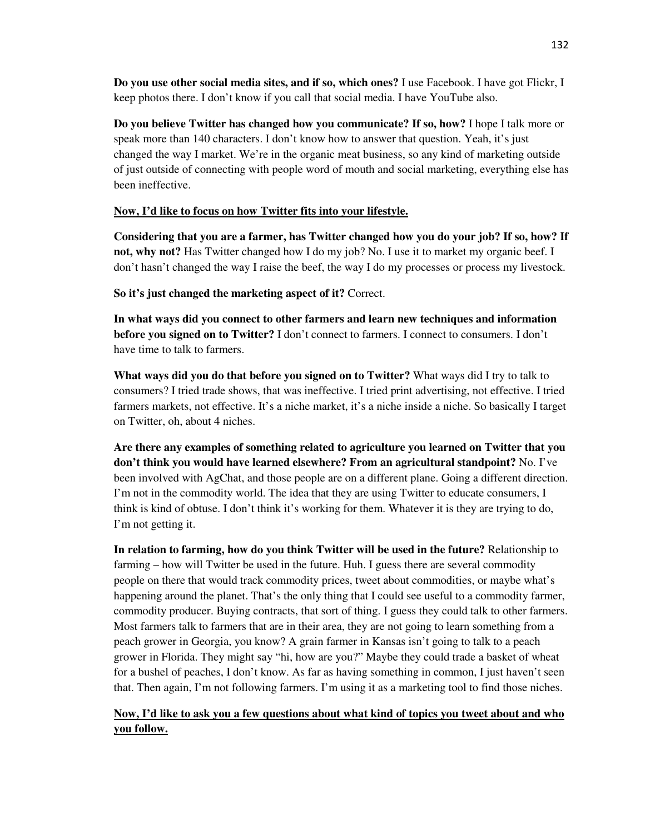**Do you use other social media sites, and if so, which ones?** I use Facebook. I have got Flickr, I keep photos there. I don't know if you call that social media. I have YouTube also.

**Do you believe Twitter has changed how you communicate? If so, how?** I hope I talk more or speak more than 140 characters. I don't know how to answer that question. Yeah, it's just changed the way I market. We're in the organic meat business, so any kind of marketing outside of just outside of connecting with people word of mouth and social marketing, everything else has been ineffective.

## **Now, I'd like to focus on how Twitter fits into your lifestyle.**

**Considering that you are a farmer, has Twitter changed how you do your job? If so, how? If not, why not?** Has Twitter changed how I do my job? No. I use it to market my organic beef. I don't hasn't changed the way I raise the beef, the way I do my processes or process my livestock.

**So it's just changed the marketing aspect of it?** Correct.

**In what ways did you connect to other farmers and learn new techniques and information before you signed on to Twitter?** I don't connect to farmers. I connect to consumers. I don't have time to talk to farmers.

**What ways did you do that before you signed on to Twitter?** What ways did I try to talk to consumers? I tried trade shows, that was ineffective. I tried print advertising, not effective. I tried farmers markets, not effective. It's a niche market, it's a niche inside a niche. So basically I target on Twitter, oh, about 4 niches.

**Are there any examples of something related to agriculture you learned on Twitter that you don't think you would have learned elsewhere? From an agricultural standpoint?** No. I've been involved with AgChat, and those people are on a different plane. Going a different direction. I'm not in the commodity world. The idea that they are using Twitter to educate consumers, I think is kind of obtuse. I don't think it's working for them. Whatever it is they are trying to do, I'm not getting it.

**In relation to farming, how do you think Twitter will be used in the future?** Relationship to farming – how will Twitter be used in the future. Huh. I guess there are several commodity people on there that would track commodity prices, tweet about commodities, or maybe what's happening around the planet. That's the only thing that I could see useful to a commodity farmer, commodity producer. Buying contracts, that sort of thing. I guess they could talk to other farmers. Most farmers talk to farmers that are in their area, they are not going to learn something from a peach grower in Georgia, you know? A grain farmer in Kansas isn't going to talk to a peach grower in Florida. They might say "hi, how are you?" Maybe they could trade a basket of wheat for a bushel of peaches, I don't know. As far as having something in common, I just haven't seen that. Then again, I'm not following farmers. I'm using it as a marketing tool to find those niches.

# **Now, I'd like to ask you a few questions about what kind of topics you tweet about and who you follow.**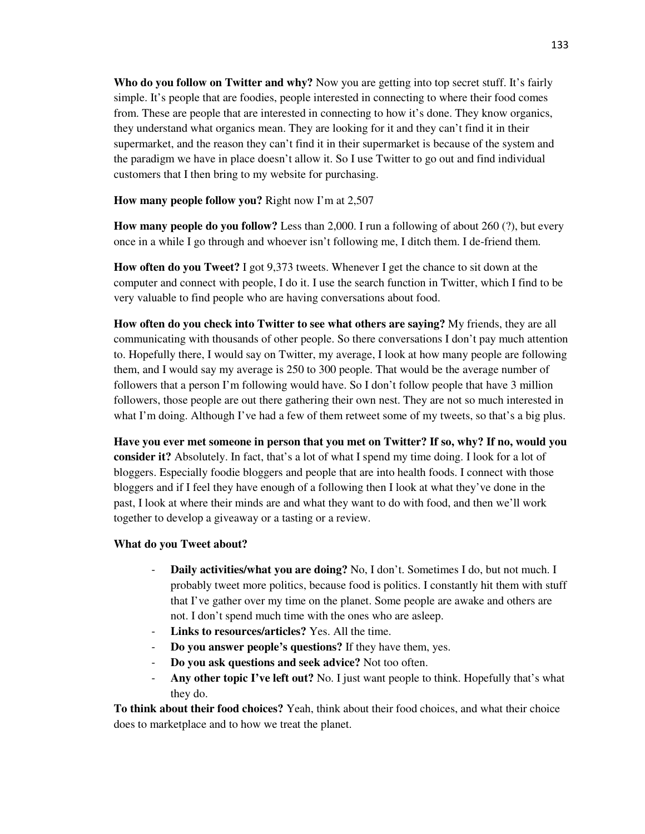**Who do you follow on Twitter and why?** Now you are getting into top secret stuff. It's fairly simple. It's people that are foodies, people interested in connecting to where their food comes from. These are people that are interested in connecting to how it's done. They know organics, they understand what organics mean. They are looking for it and they can't find it in their supermarket, and the reason they can't find it in their supermarket is because of the system and the paradigm we have in place doesn't allow it. So I use Twitter to go out and find individual customers that I then bring to my website for purchasing.

**How many people follow you?** Right now I'm at 2,507

**How many people do you follow?** Less than 2,000. I run a following of about 260 (?), but every once in a while I go through and whoever isn't following me, I ditch them. I de-friend them.

**How often do you Tweet?** I got 9,373 tweets. Whenever I get the chance to sit down at the computer and connect with people, I do it. I use the search function in Twitter, which I find to be very valuable to find people who are having conversations about food.

**How often do you check into Twitter to see what others are saying?** My friends, they are all communicating with thousands of other people. So there conversations I don't pay much attention to. Hopefully there, I would say on Twitter, my average, I look at how many people are following them, and I would say my average is 250 to 300 people. That would be the average number of followers that a person I'm following would have. So I don't follow people that have 3 million followers, those people are out there gathering their own nest. They are not so much interested in what I'm doing. Although I've had a few of them retweet some of my tweets, so that's a big plus.

**Have you ever met someone in person that you met on Twitter? If so, why? If no, would you consider it?** Absolutely. In fact, that's a lot of what I spend my time doing. I look for a lot of bloggers. Especially foodie bloggers and people that are into health foods. I connect with those bloggers and if I feel they have enough of a following then I look at what they've done in the past, I look at where their minds are and what they want to do with food, and then we'll work together to develop a giveaway or a tasting or a review.

## **What do you Tweet about?**

- **Daily activities/what you are doing?** No, I don't. Sometimes I do, but not much. I probably tweet more politics, because food is politics. I constantly hit them with stuff that I've gather over my time on the planet. Some people are awake and others are not. I don't spend much time with the ones who are asleep.
- Links to resources/articles? Yes. All the time.
- **Do you answer people's questions?** If they have them, yes.
- **Do you ask questions and seek advice?** Not too often.
- **Any other topic I've left out?** No. I just want people to think. Hopefully that's what they do.

**To think about their food choices?** Yeah, think about their food choices, and what their choice does to marketplace and to how we treat the planet.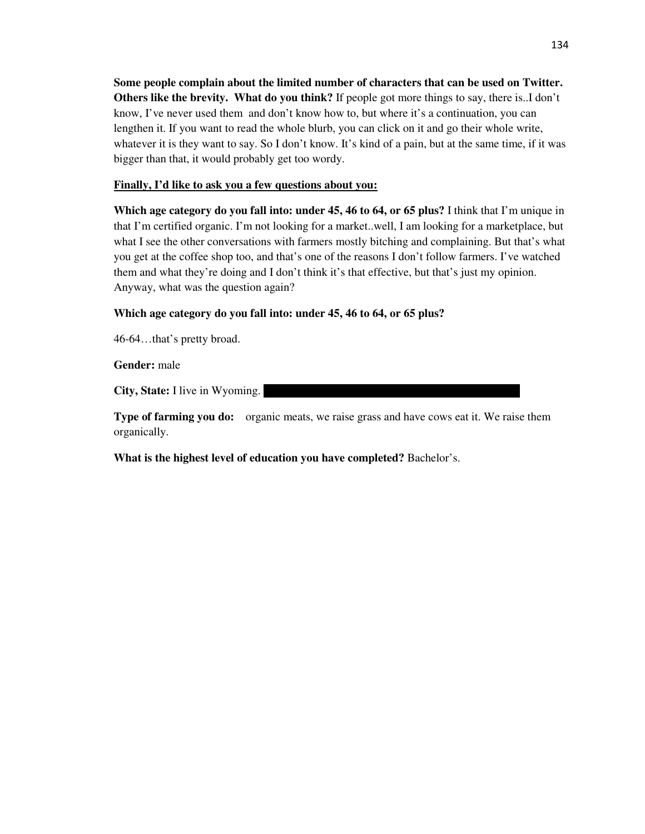**Some people complain about the limited number of characters that can be used on Twitter. Others like the brevity. What do you think?** If people got more things to say, there is..I don't know, I've never used them and don't know how to, but where it's a continuation, you can lengthen it. If you want to read the whole blurb, you can click on it and go their whole write, whatever it is they want to say. So I don't know. It's kind of a pain, but at the same time, if it was bigger than that, it would probably get too wordy.

## **Finally, I'd like to ask you a few questions about you:**

**Which age category do you fall into: under 45, 46 to 64, or 65 plus?** I think that I'm unique in that I'm certified organic. I'm not looking for a market..well, I am looking for a marketplace, but what I see the other conversations with farmers mostly bitching and complaining. But that's what you get at the coffee shop too, and that's one of the reasons I don't follow farmers. I've watched them and what they're doing and I don't think it's that effective, but that's just my opinion. Anyway, what was the question again?

**Which age category do you fall into: under 45, 46 to 64, or 65 plus?** 

46-64…that's pretty broad.

**Gender:** male

**City, State:** I live in Wyoming.

**Type of farming you do:** organic meats, we raise grass and have cows eat it. We raise them organically.

**What is the highest level of education you have completed?** Bachelor's.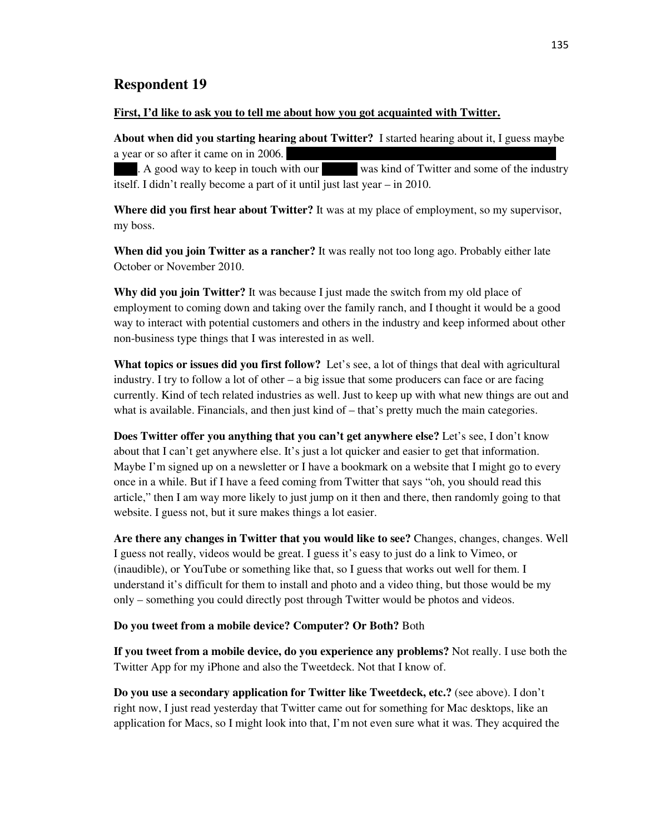### **First, I'd like to ask you to tell me about how you got acquainted with Twitter.**

**About when did you starting hearing about Twitter?** I started hearing about it, I guess maybe a year or so after it came on in 2006.

A good way to keep in touch with our was kind of Twitter and some of the industry itself. I didn't really become a part of it until just last year – in 2010.

**Where did you first hear about Twitter?** It was at my place of employment, so my supervisor, my boss.

**When did you join Twitter as a rancher?** It was really not too long ago. Probably either late October or November 2010.

**Why did you join Twitter?** It was because I just made the switch from my old place of employment to coming down and taking over the family ranch, and I thought it would be a good way to interact with potential customers and others in the industry and keep informed about other non-business type things that I was interested in as well.

**What topics or issues did you first follow?** Let's see, a lot of things that deal with agricultural industry. I try to follow a lot of other  $-$  a big issue that some producers can face or are facing currently. Kind of tech related industries as well. Just to keep up with what new things are out and what is available. Financials, and then just kind of – that's pretty much the main categories.

**Does Twitter offer you anything that you can't get anywhere else?** Let's see, I don't know about that I can't get anywhere else. It's just a lot quicker and easier to get that information. Maybe I'm signed up on a newsletter or I have a bookmark on a website that I might go to every once in a while. But if I have a feed coming from Twitter that says "oh, you should read this article," then I am way more likely to just jump on it then and there, then randomly going to that website. I guess not, but it sure makes things a lot easier.

**Are there any changes in Twitter that you would like to see?** Changes, changes, changes. Well I guess not really, videos would be great. I guess it's easy to just do a link to Vimeo, or (inaudible), or YouTube or something like that, so I guess that works out well for them. I understand it's difficult for them to install and photo and a video thing, but those would be my only – something you could directly post through Twitter would be photos and videos.

#### **Do you tweet from a mobile device? Computer? Or Both?** Both

**If you tweet from a mobile device, do you experience any problems?** Not really. I use both the Twitter App for my iPhone and also the Tweetdeck. Not that I know of.

**Do you use a secondary application for Twitter like Tweetdeck, etc.?** (see above). I don't right now, I just read yesterday that Twitter came out for something for Mac desktops, like an application for Macs, so I might look into that, I'm not even sure what it was. They acquired the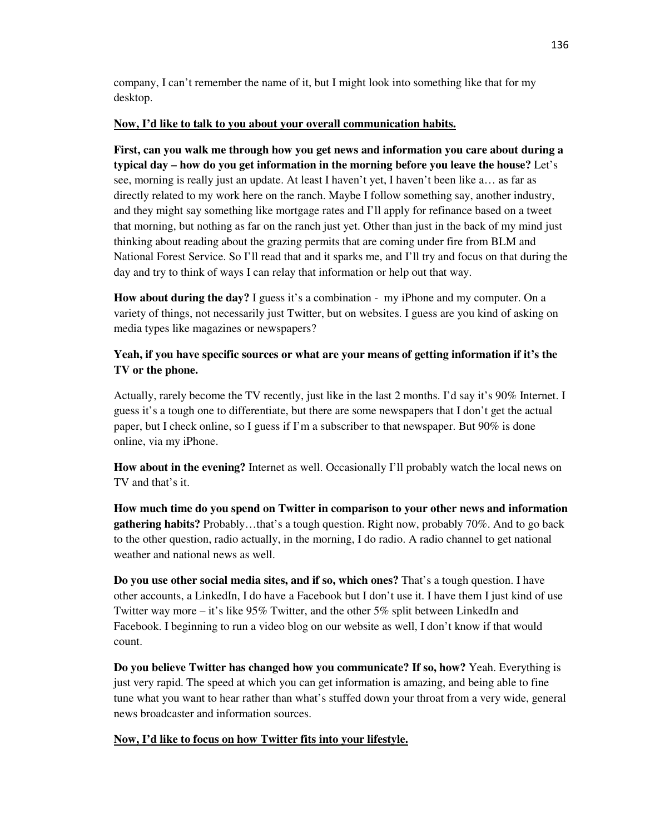company, I can't remember the name of it, but I might look into something like that for my desktop.

## **Now, I'd like to talk to you about your overall communication habits.**

**First, can you walk me through how you get news and information you care about during a typical day – how do you get information in the morning before you leave the house?** Let's see, morning is really just an update. At least I haven't yet, I haven't been like a… as far as directly related to my work here on the ranch. Maybe I follow something say, another industry, and they might say something like mortgage rates and I'll apply for refinance based on a tweet that morning, but nothing as far on the ranch just yet. Other than just in the back of my mind just thinking about reading about the grazing permits that are coming under fire from BLM and National Forest Service. So I'll read that and it sparks me, and I'll try and focus on that during the day and try to think of ways I can relay that information or help out that way.

**How about during the day?** I guess it's a combination - my iPhone and my computer. On a variety of things, not necessarily just Twitter, but on websites. I guess are you kind of asking on media types like magazines or newspapers?

# **Yeah, if you have specific sources or what are your means of getting information if it's the TV or the phone.**

Actually, rarely become the TV recently, just like in the last 2 months. I'd say it's 90% Internet. I guess it's a tough one to differentiate, but there are some newspapers that I don't get the actual paper, but I check online, so I guess if I'm a subscriber to that newspaper. But 90% is done online, via my iPhone.

**How about in the evening?** Internet as well. Occasionally I'll probably watch the local news on TV and that's it.

**How much time do you spend on Twitter in comparison to your other news and information gathering habits?** Probably…that's a tough question. Right now, probably 70%. And to go back to the other question, radio actually, in the morning, I do radio. A radio channel to get national weather and national news as well.

**Do you use other social media sites, and if so, which ones?** That's a tough question. I have other accounts, a LinkedIn, I do have a Facebook but I don't use it. I have them I just kind of use Twitter way more – it's like 95% Twitter, and the other 5% split between LinkedIn and Facebook. I beginning to run a video blog on our website as well, I don't know if that would count.

**Do you believe Twitter has changed how you communicate? If so, how?** Yeah. Everything is just very rapid. The speed at which you can get information is amazing, and being able to fine tune what you want to hear rather than what's stuffed down your throat from a very wide, general news broadcaster and information sources.

# **Now, I'd like to focus on how Twitter fits into your lifestyle.**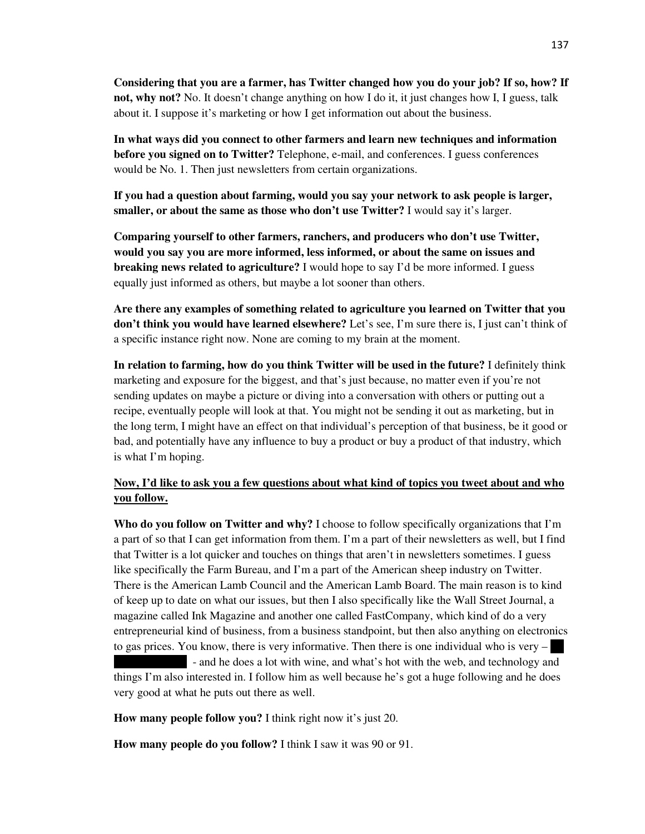**Considering that you are a farmer, has Twitter changed how you do your job? If so, how? If not, why not?** No. It doesn't change anything on how I do it, it just changes how I, I guess, talk about it. I suppose it's marketing or how I get information out about the business.

**In what ways did you connect to other farmers and learn new techniques and information before you signed on to Twitter?** Telephone, e-mail, and conferences. I guess conferences would be No. 1. Then just newsletters from certain organizations.

**If you had a question about farming, would you say your network to ask people is larger, smaller, or about the same as those who don't use Twitter?** I would say it's larger.

**Comparing yourself to other farmers, ranchers, and producers who don't use Twitter, would you say you are more informed, less informed, or about the same on issues and breaking news related to agriculture?** I would hope to say I'd be more informed. I guess equally just informed as others, but maybe a lot sooner than others.

**Are there any examples of something related to agriculture you learned on Twitter that you don't think you would have learned elsewhere?** Let's see, I'm sure there is, I just can't think of a specific instance right now. None are coming to my brain at the moment.

**In relation to farming, how do you think Twitter will be used in the future?** I definitely think marketing and exposure for the biggest, and that's just because, no matter even if you're not sending updates on maybe a picture or diving into a conversation with others or putting out a recipe, eventually people will look at that. You might not be sending it out as marketing, but in the long term, I might have an effect on that individual's perception of that business, be it good or bad, and potentially have any influence to buy a product or buy a product of that industry, which is what I'm hoping.

# **Now, I'd like to ask you a few questions about what kind of topics you tweet about and who you follow.**

**Who do you follow on Twitter and why?** I choose to follow specifically organizations that I'm a part of so that I can get information from them. I'm a part of their newsletters as well, but I find that Twitter is a lot quicker and touches on things that aren't in newsletters sometimes. I guess like specifically the Farm Bureau, and I'm a part of the American sheep industry on Twitter. There is the American Lamb Council and the American Lamb Board. The main reason is to kind of keep up to date on what our issues, but then I also specifically like the Wall Street Journal, a magazine called Ink Magazine and another one called FastCompany, which kind of do a very entrepreneurial kind of business, from a business standpoint, but then also anything on electronics to gas prices. You know, there is very informative. Then there is one individual who is very  $-$ - and he does a lot with wine, and what's hot with the web, and technology and things I'm also interested in. I follow him as well because he's got a huge following and he does

very good at what he puts out there as well.

**How many people follow you?** I think right now it's just 20.

**How many people do you follow?** I think I saw it was 90 or 91.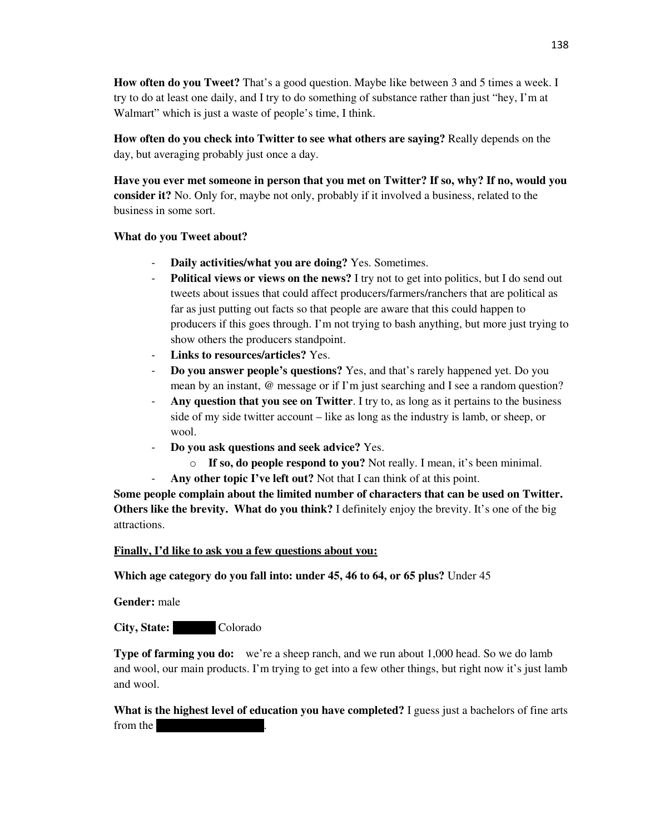**How often do you Tweet?** That's a good question. Maybe like between 3 and 5 times a week. I try to do at least one daily, and I try to do something of substance rather than just "hey, I'm at Walmart" which is just a waste of people's time, I think.

**How often do you check into Twitter to see what others are saying?** Really depends on the day, but averaging probably just once a day.

**Have you ever met someone in person that you met on Twitter? If so, why? If no, would you consider it?** No. Only for, maybe not only, probably if it involved a business, related to the business in some sort.

## **What do you Tweet about?**

- **Daily activities/what you are doing?** Yes. Sometimes.
- Political views or views on the news? I try not to get into politics, but I do send out tweets about issues that could affect producers/farmers/ranchers that are political as far as just putting out facts so that people are aware that this could happen to producers if this goes through. I'm not trying to bash anything, but more just trying to show others the producers standpoint.
- **Links to resources/articles?** Yes.
- **Do you answer people's questions?** Yes, and that's rarely happened yet. Do you mean by an instant, @ message or if I'm just searching and I see a random question?
- Any question that you see on Twitter. I try to, as long as it pertains to the business side of my side twitter account – like as long as the industry is lamb, or sheep, or wool.
- **Do you ask questions and seek advice?** Yes.
	- o **If so, do people respond to you?** Not really. I mean, it's been minimal.
	- Any other topic I've left out? Not that I can think of at this point.

**Some people complain about the limited number of characters that can be used on Twitter. Others like the brevity. What do you think?** I definitely enjoy the brevity. It's one of the big attractions.

# **Finally, I'd like to ask you a few questions about you:**

**Which age category do you fall into: under 45, 46 to 64, or 65 plus?** Under 45

**Gender:** male

**City, State:** Colorado

**Type of farming you do:** we're a sheep ranch, and we run about 1,000 head. So we do lamb and wool, our main products. I'm trying to get into a few other things, but right now it's just lamb and wool.

**What is the highest level of education you have completed?** I guess just a bachelors of fine arts from the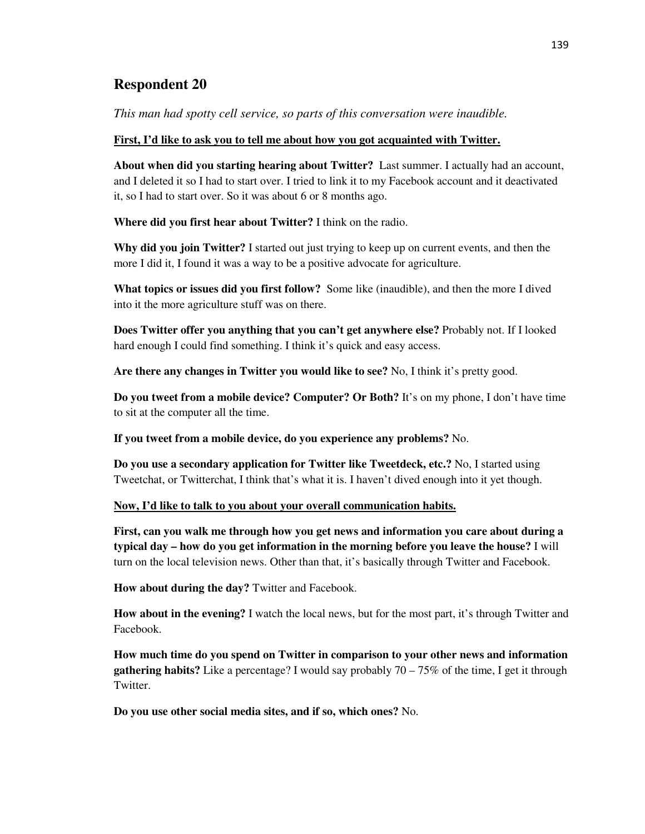*This man had spotty cell service, so parts of this conversation were inaudible.* 

### **First, I'd like to ask you to tell me about how you got acquainted with Twitter.**

**About when did you starting hearing about Twitter?** Last summer. I actually had an account, and I deleted it so I had to start over. I tried to link it to my Facebook account and it deactivated it, so I had to start over. So it was about 6 or 8 months ago.

**Where did you first hear about Twitter?** I think on the radio.

**Why did you join Twitter?** I started out just trying to keep up on current events, and then the more I did it, I found it was a way to be a positive advocate for agriculture.

**What topics or issues did you first follow?** Some like (inaudible), and then the more I dived into it the more agriculture stuff was on there.

**Does Twitter offer you anything that you can't get anywhere else?** Probably not. If I looked hard enough I could find something. I think it's quick and easy access.

**Are there any changes in Twitter you would like to see?** No, I think it's pretty good.

**Do you tweet from a mobile device? Computer? Or Both?** It's on my phone, I don't have time to sit at the computer all the time.

**If you tweet from a mobile device, do you experience any problems?** No.

**Do you use a secondary application for Twitter like Tweetdeck, etc.?** No, I started using Tweetchat, or Twitterchat, I think that's what it is. I haven't dived enough into it yet though.

## **Now, I'd like to talk to you about your overall communication habits.**

**First, can you walk me through how you get news and information you care about during a typical day – how do you get information in the morning before you leave the house?** I will turn on the local television news. Other than that, it's basically through Twitter and Facebook.

**How about during the day?** Twitter and Facebook.

**How about in the evening?** I watch the local news, but for the most part, it's through Twitter and Facebook.

**How much time do you spend on Twitter in comparison to your other news and information gathering habits?** Like a percentage? I would say probably 70 – 75% of the time, I get it through Twitter.

**Do you use other social media sites, and if so, which ones?** No.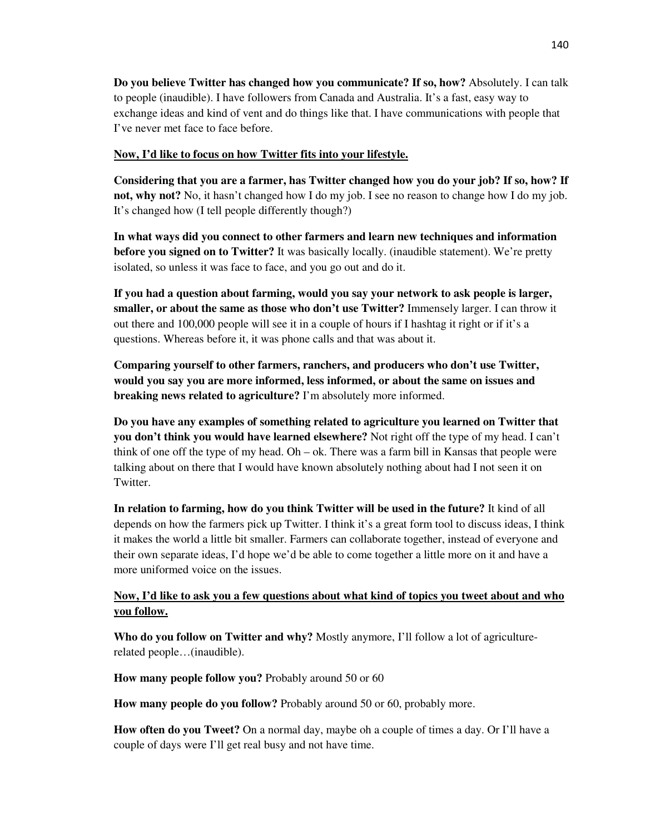**Do you believe Twitter has changed how you communicate? If so, how?** Absolutely. I can talk to people (inaudible). I have followers from Canada and Australia. It's a fast, easy way to exchange ideas and kind of vent and do things like that. I have communications with people that I've never met face to face before.

### **Now, I'd like to focus on how Twitter fits into your lifestyle.**

**Considering that you are a farmer, has Twitter changed how you do your job? If so, how? If not, why not?** No, it hasn't changed how I do my job. I see no reason to change how I do my job. It's changed how (I tell people differently though?)

**In what ways did you connect to other farmers and learn new techniques and information before you signed on to Twitter?** It was basically locally. (inaudible statement). We're pretty isolated, so unless it was face to face, and you go out and do it.

**If you had a question about farming, would you say your network to ask people is larger, smaller, or about the same as those who don't use Twitter?** Immensely larger. I can throw it out there and 100,000 people will see it in a couple of hours if I hashtag it right or if it's a questions. Whereas before it, it was phone calls and that was about it.

**Comparing yourself to other farmers, ranchers, and producers who don't use Twitter, would you say you are more informed, less informed, or about the same on issues and breaking news related to agriculture?** I'm absolutely more informed.

**Do you have any examples of something related to agriculture you learned on Twitter that you don't think you would have learned elsewhere?** Not right off the type of my head. I can't think of one off the type of my head. Oh – ok. There was a farm bill in Kansas that people were talking about on there that I would have known absolutely nothing about had I not seen it on Twitter.

**In relation to farming, how do you think Twitter will be used in the future?** It kind of all depends on how the farmers pick up Twitter. I think it's a great form tool to discuss ideas, I think it makes the world a little bit smaller. Farmers can collaborate together, instead of everyone and their own separate ideas, I'd hope we'd be able to come together a little more on it and have a more uniformed voice on the issues.

## **Now, I'd like to ask you a few questions about what kind of topics you tweet about and who you follow.**

**Who do you follow on Twitter and why?** Mostly anymore, I'll follow a lot of agriculturerelated people…(inaudible).

**How many people follow you?** Probably around 50 or 60

**How many people do you follow?** Probably around 50 or 60, probably more.

**How often do you Tweet?** On a normal day, maybe oh a couple of times a day. Or I'll have a couple of days were I'll get real busy and not have time.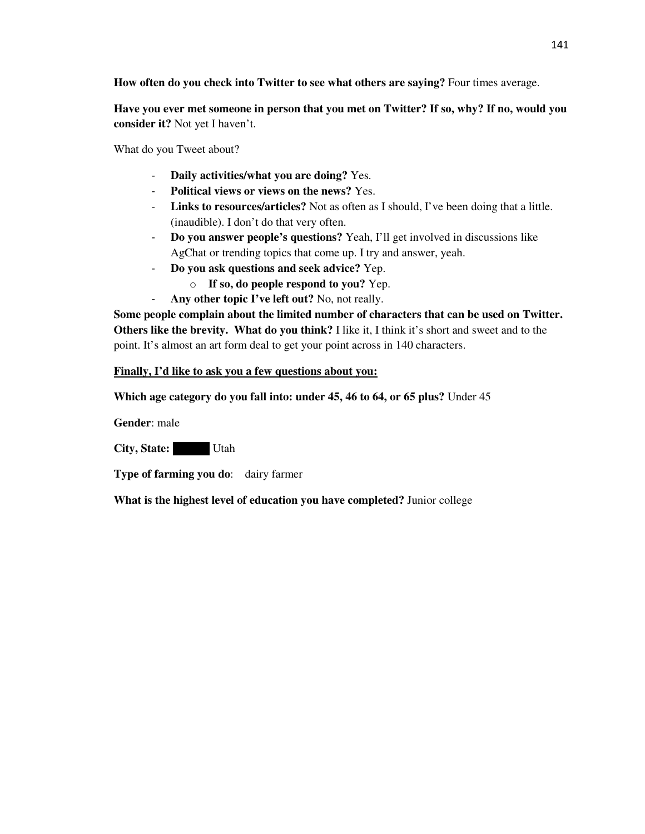**How often do you check into Twitter to see what others are saying?** Four times average.

**Have you ever met someone in person that you met on Twitter? If so, why? If no, would you consider it?** Not yet I haven't.

What do you Tweet about?

- **Daily activities/what you are doing?** Yes.
- **Political views or views on the news?** Yes.
- **Links to resources/articles?** Not as often as I should, I've been doing that a little. (inaudible). I don't do that very often.
- **Do you answer people's questions?** Yeah, I'll get involved in discussions like AgChat or trending topics that come up. I try and answer, yeah.
- **Do you ask questions and seek advice?** Yep.
	- o **If so, do people respond to you?** Yep.
- **Any other topic I've left out?** No, not really.

**Some people complain about the limited number of characters that can be used on Twitter. Others like the brevity. What do you think?** I like it, I think it's short and sweet and to the point. It's almost an art form deal to get your point across in 140 characters.

### **Finally, I'd like to ask you a few questions about you:**

**Which age category do you fall into: under 45, 46 to 64, or 65 plus?** Under 45

**Gender**: male

**City, State:** Utah

**Type of farming you do**: dairy farmer

**What is the highest level of education you have completed?** Junior college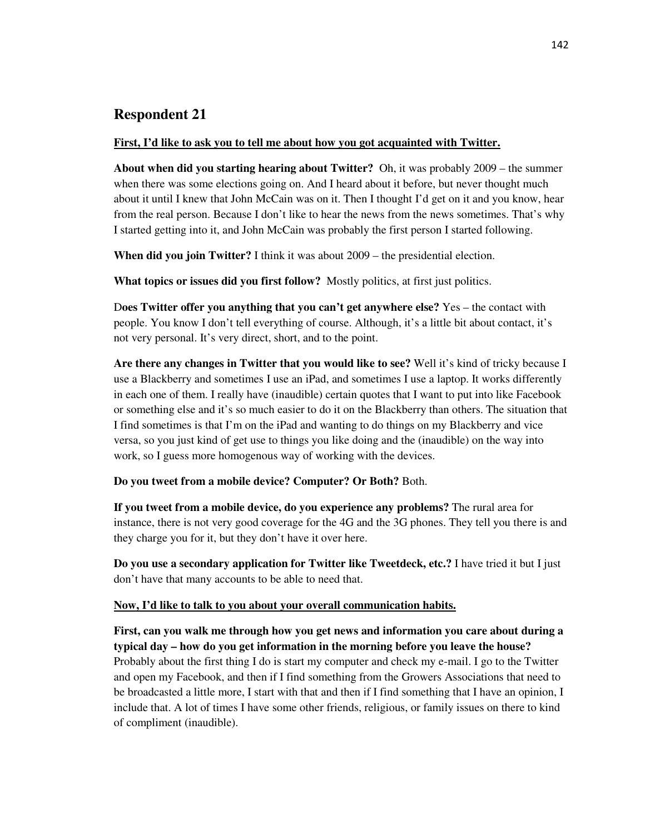# **Respondent 21**

#### **First, I'd like to ask you to tell me about how you got acquainted with Twitter.**

**About when did you starting hearing about Twitter?** Oh, it was probably 2009 – the summer when there was some elections going on. And I heard about it before, but never thought much about it until I knew that John McCain was on it. Then I thought I'd get on it and you know, hear from the real person. Because I don't like to hear the news from the news sometimes. That's why I started getting into it, and John McCain was probably the first person I started following.

**When did you join Twitter?** I think it was about 2009 – the presidential election.

**What topics or issues did you first follow?** Mostly politics, at first just politics.

D**oes Twitter offer you anything that you can't get anywhere else?** Yes – the contact with people. You know I don't tell everything of course. Although, it's a little bit about contact, it's not very personal. It's very direct, short, and to the point.

**Are there any changes in Twitter that you would like to see?** Well it's kind of tricky because I use a Blackberry and sometimes I use an iPad, and sometimes I use a laptop. It works differently in each one of them. I really have (inaudible) certain quotes that I want to put into like Facebook or something else and it's so much easier to do it on the Blackberry than others. The situation that I find sometimes is that I'm on the iPad and wanting to do things on my Blackberry and vice versa, so you just kind of get use to things you like doing and the (inaudible) on the way into work, so I guess more homogenous way of working with the devices.

**Do you tweet from a mobile device? Computer? Or Both?** Both.

**If you tweet from a mobile device, do you experience any problems?** The rural area for instance, there is not very good coverage for the 4G and the 3G phones. They tell you there is and they charge you for it, but they don't have it over here.

**Do you use a secondary application for Twitter like Tweetdeck, etc.?** I have tried it but I just don't have that many accounts to be able to need that.

## **Now, I'd like to talk to you about your overall communication habits.**

**First, can you walk me through how you get news and information you care about during a typical day – how do you get information in the morning before you leave the house?** Probably about the first thing I do is start my computer and check my e-mail. I go to the Twitter and open my Facebook, and then if I find something from the Growers Associations that need to be broadcasted a little more, I start with that and then if I find something that I have an opinion, I include that. A lot of times I have some other friends, religious, or family issues on there to kind of compliment (inaudible).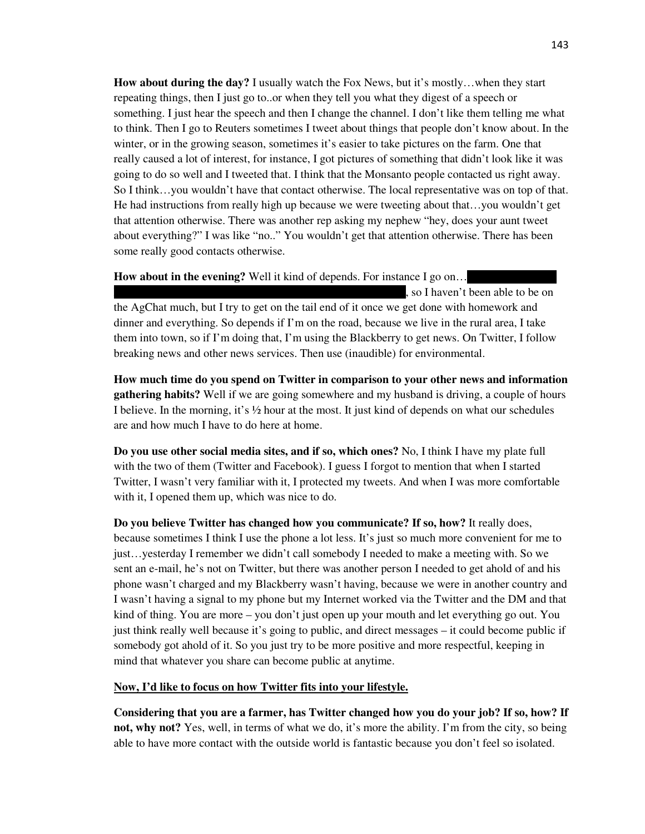**How about during the day?** I usually watch the Fox News, but it's mostly…when they start repeating things, then I just go to..or when they tell you what they digest of a speech or something. I just hear the speech and then I change the channel. I don't like them telling me what to think. Then I go to Reuters sometimes I tweet about things that people don't know about. In the winter, or in the growing season, sometimes it's easier to take pictures on the farm. One that really caused a lot of interest, for instance, I got pictures of something that didn't look like it was going to do so well and I tweeted that. I think that the Monsanto people contacted us right away. So I think…you wouldn't have that contact otherwise. The local representative was on top of that. He had instructions from really high up because we were tweeting about that…you wouldn't get that attention otherwise. There was another rep asking my nephew "hey, does your aunt tweet about everything?" I was like "no.." You wouldn't get that attention otherwise. There has been some really good contacts otherwise.

**How about in the evening?** Well it kind of depends. For instance I go on... , so I haven't been able to be on the AgChat much, but I try to get on the tail end of it once we get done with homework and dinner and everything. So depends if I'm on the road, because we live in the rural area, I take them into town, so if I'm doing that, I'm using the Blackberry to get news. On Twitter, I follow breaking news and other news services. Then use (inaudible) for environmental.

**How much time do you spend on Twitter in comparison to your other news and information gathering habits?** Well if we are going somewhere and my husband is driving, a couple of hours I believe. In the morning, it's ½ hour at the most. It just kind of depends on what our schedules are and how much I have to do here at home.

**Do you use other social media sites, and if so, which ones?** No, I think I have my plate full with the two of them (Twitter and Facebook). I guess I forgot to mention that when I started Twitter, I wasn't very familiar with it, I protected my tweets. And when I was more comfortable with it, I opened them up, which was nice to do.

**Do you believe Twitter has changed how you communicate? If so, how?** It really does, because sometimes I think I use the phone a lot less. It's just so much more convenient for me to just…yesterday I remember we didn't call somebody I needed to make a meeting with. So we sent an e-mail, he's not on Twitter, but there was another person I needed to get ahold of and his phone wasn't charged and my Blackberry wasn't having, because we were in another country and I wasn't having a signal to my phone but my Internet worked via the Twitter and the DM and that kind of thing. You are more – you don't just open up your mouth and let everything go out. You just think really well because it's going to public, and direct messages – it could become public if somebody got ahold of it. So you just try to be more positive and more respectful, keeping in mind that whatever you share can become public at anytime.

#### **Now, I'd like to focus on how Twitter fits into your lifestyle.**

**Considering that you are a farmer, has Twitter changed how you do your job? If so, how? If not, why not?** Yes, well, in terms of what we do, it's more the ability. I'm from the city, so being able to have more contact with the outside world is fantastic because you don't feel so isolated.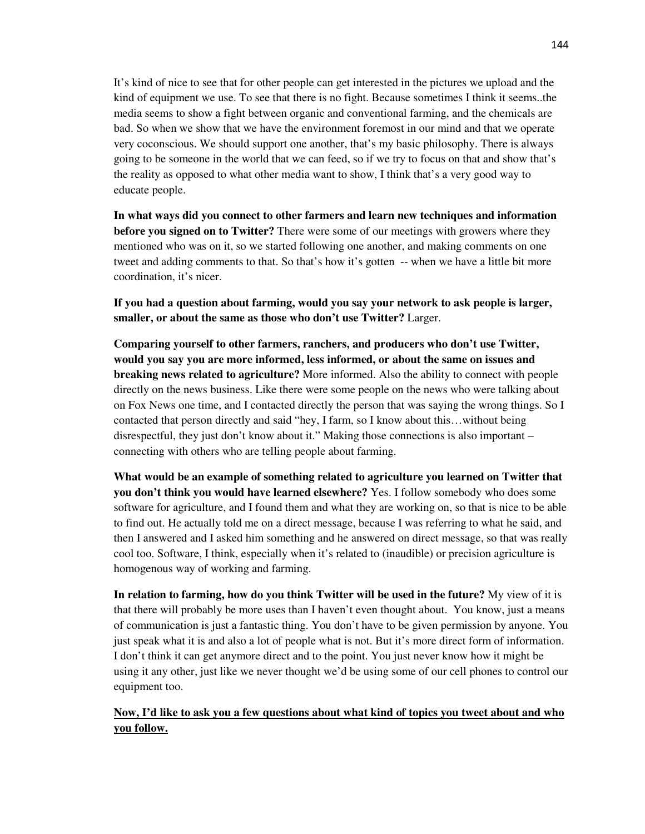It's kind of nice to see that for other people can get interested in the pictures we upload and the kind of equipment we use. To see that there is no fight. Because sometimes I think it seems..the media seems to show a fight between organic and conventional farming, and the chemicals are bad. So when we show that we have the environment foremost in our mind and that we operate very coconscious. We should support one another, that's my basic philosophy. There is always going to be someone in the world that we can feed, so if we try to focus on that and show that's the reality as opposed to what other media want to show, I think that's a very good way to educate people.

**In what ways did you connect to other farmers and learn new techniques and information before you signed on to Twitter?** There were some of our meetings with growers where they mentioned who was on it, so we started following one another, and making comments on one tweet and adding comments to that. So that's how it's gotten -- when we have a little bit more coordination, it's nicer.

**If you had a question about farming, would you say your network to ask people is larger, smaller, or about the same as those who don't use Twitter?** Larger.

**Comparing yourself to other farmers, ranchers, and producers who don't use Twitter, would you say you are more informed, less informed, or about the same on issues and breaking news related to agriculture?** More informed. Also the ability to connect with people directly on the news business. Like there were some people on the news who were talking about on Fox News one time, and I contacted directly the person that was saying the wrong things. So I contacted that person directly and said "hey, I farm, so I know about this…without being disrespectful, they just don't know about it." Making those connections is also important – connecting with others who are telling people about farming.

**What would be an example of something related to agriculture you learned on Twitter that you don't think you would have learned elsewhere?** Yes. I follow somebody who does some software for agriculture, and I found them and what they are working on, so that is nice to be able to find out. He actually told me on a direct message, because I was referring to what he said, and then I answered and I asked him something and he answered on direct message, so that was really cool too. Software, I think, especially when it's related to (inaudible) or precision agriculture is homogenous way of working and farming.

**In relation to farming, how do you think Twitter will be used in the future?** My view of it is that there will probably be more uses than I haven't even thought about. You know, just a means of communication is just a fantastic thing. You don't have to be given permission by anyone. You just speak what it is and also a lot of people what is not. But it's more direct form of information. I don't think it can get anymore direct and to the point. You just never know how it might be using it any other, just like we never thought we'd be using some of our cell phones to control our equipment too.

## **Now, I'd like to ask you a few questions about what kind of topics you tweet about and who you follow.**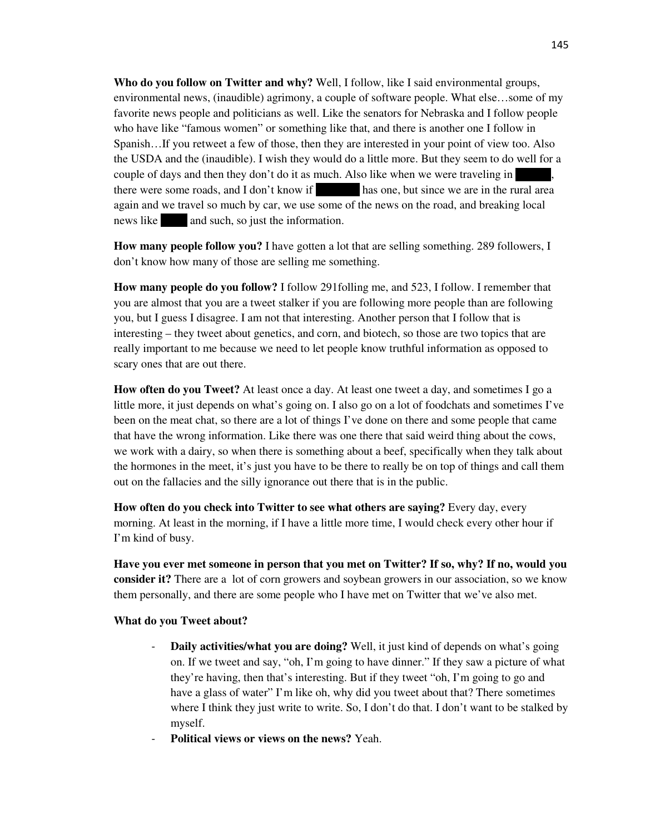**Who do you follow on Twitter and why?** Well, I follow, like I said environmental groups, environmental news, (inaudible) agrimony, a couple of software people. What else…some of my favorite news people and politicians as well. Like the senators for Nebraska and I follow people who have like "famous women" or something like that, and there is another one I follow in Spanish…If you retweet a few of those, then they are interested in your point of view too. Also the USDA and the (inaudible). I wish they would do a little more. But they seem to do well for a couple of days and then they don't do it as much. Also like when we were traveling in there were some roads, and I don't know if has one, but since we are in the rural area again and we travel so much by car, we use some of the news on the road, and breaking local news like and such, so just the information.

**How many people follow you?** I have gotten a lot that are selling something. 289 followers, I don't know how many of those are selling me something.

**How many people do you follow?** I follow 291folling me, and 523, I follow. I remember that you are almost that you are a tweet stalker if you are following more people than are following you, but I guess I disagree. I am not that interesting. Another person that I follow that is interesting – they tweet about genetics, and corn, and biotech, so those are two topics that are really important to me because we need to let people know truthful information as opposed to scary ones that are out there.

**How often do you Tweet?** At least once a day. At least one tweet a day, and sometimes I go a little more, it just depends on what's going on. I also go on a lot of foodchats and sometimes I've been on the meat chat, so there are a lot of things I've done on there and some people that came that have the wrong information. Like there was one there that said weird thing about the cows, we work with a dairy, so when there is something about a beef, specifically when they talk about the hormones in the meet, it's just you have to be there to really be on top of things and call them out on the fallacies and the silly ignorance out there that is in the public.

**How often do you check into Twitter to see what others are saying?** Every day, every morning. At least in the morning, if I have a little more time, I would check every other hour if I'm kind of busy.

**Have you ever met someone in person that you met on Twitter? If so, why? If no, would you consider it?** There are a lot of corn growers and soybean growers in our association, so we know them personally, and there are some people who I have met on Twitter that we've also met.

#### **What do you Tweet about?**

- **Daily activities/what you are doing?** Well, it just kind of depends on what's going on. If we tweet and say, "oh, I'm going to have dinner." If they saw a picture of what they're having, then that's interesting. But if they tweet "oh, I'm going to go and have a glass of water" I'm like oh, why did you tweet about that? There sometimes where I think they just write to write. So, I don't do that. I don't want to be stalked by myself.
- **Political views or views on the news?** Yeah.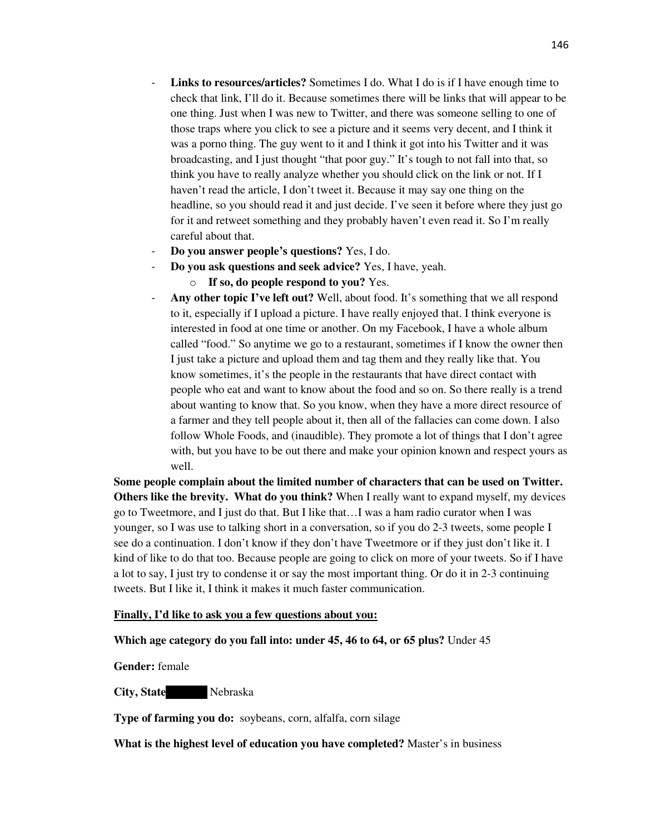- **Links to resources/articles?** Sometimes I do. What I do is if I have enough time to check that link, I'll do it. Because sometimes there will be links that will appear to be one thing. Just when I was new to Twitter, and there was someone selling to one of those traps where you click to see a picture and it seems very decent, and I think it was a porno thing. The guy went to it and I think it got into his Twitter and it was broadcasting, and I just thought "that poor guy." It's tough to not fall into that, so think you have to really analyze whether you should click on the link or not. If I haven't read the article, I don't tweet it. Because it may say one thing on the headline, so you should read it and just decide. I've seen it before where they just go for it and retweet something and they probably haven't even read it. So I'm really careful about that.
- **Do you answer people's questions?** Yes, I do.
- **Do you ask questions and seek advice?** Yes, I have, yeah.
	- o **If so, do people respond to you?** Yes.
- **Any other topic I've left out?** Well, about food. It's something that we all respond to it, especially if I upload a picture. I have really enjoyed that. I think everyone is interested in food at one time or another. On my Facebook, I have a whole album called "food." So anytime we go to a restaurant, sometimes if I know the owner then I just take a picture and upload them and tag them and they really like that. You know sometimes, it's the people in the restaurants that have direct contact with people who eat and want to know about the food and so on. So there really is a trend about wanting to know that. So you know, when they have a more direct resource of a farmer and they tell people about it, then all of the fallacies can come down. I also follow Whole Foods, and (inaudible). They promote a lot of things that I don't agree with, but you have to be out there and make your opinion known and respect yours as well.

**Some people complain about the limited number of characters that can be used on Twitter. Others like the brevity. What do you think?** When I really want to expand myself, my devices go to Tweetmore, and I just do that. But I like that…I was a ham radio curator when I was younger, so I was use to talking short in a conversation, so if you do 2-3 tweets, some people I see do a continuation. I don't know if they don't have Tweetmore or if they just don't like it. I kind of like to do that too. Because people are going to click on more of your tweets. So if I have a lot to say, I just try to condense it or say the most important thing. Or do it in 2-3 continuing tweets. But I like it, I think it makes it much faster communication.

#### **Finally, I'd like to ask you a few questions about you:**

#### **Which age category do you fall into: under 45, 46 to 64, or 65 plus?** Under 45

**Gender:** female

**City, State** Nebraska

**Type of farming you do:** soybeans, corn, alfalfa, corn silage

**What is the highest level of education you have completed?** Master's in business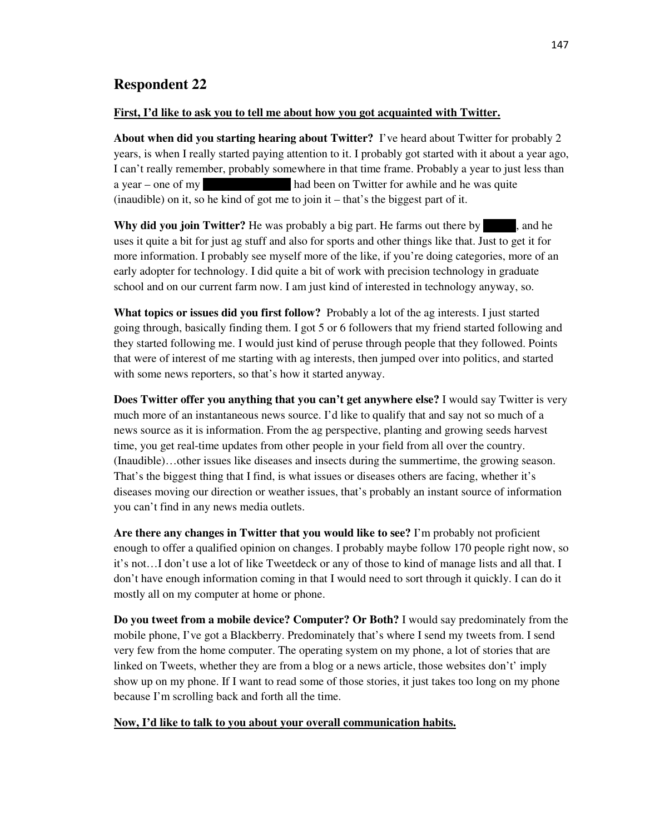## **Respondent 22**

#### **First, I'd like to ask you to tell me about how you got acquainted with Twitter.**

**About when did you starting hearing about Twitter?** I've heard about Twitter for probably 2 years, is when I really started paying attention to it. I probably got started with it about a year ago, I can't really remember, probably somewhere in that time frame. Probably a year to just less than a year – one of my college room must had been on Twitter for awhile and he was quite (inaudible) on it, so he kind of got me to join it – that's the biggest part of it.

**Why did you join Twitter?** He was probably a big part. He farms out there by  $\blacksquare$ , and he uses it quite a bit for just ag stuff and also for sports and other things like that. Just to get it for more information. I probably see myself more of the like, if you're doing categories, more of an early adopter for technology. I did quite a bit of work with precision technology in graduate school and on our current farm now. I am just kind of interested in technology anyway, so.

**What topics or issues did you first follow?** Probably a lot of the ag interests. I just started going through, basically finding them. I got 5 or 6 followers that my friend started following and they started following me. I would just kind of peruse through people that they followed. Points that were of interest of me starting with ag interests, then jumped over into politics, and started with some news reporters, so that's how it started anyway.

**Does Twitter offer you anything that you can't get anywhere else?** I would say Twitter is very much more of an instantaneous news source. I'd like to qualify that and say not so much of a news source as it is information. From the ag perspective, planting and growing seeds harvest time, you get real-time updates from other people in your field from all over the country. (Inaudible)…other issues like diseases and insects during the summertime, the growing season. That's the biggest thing that I find, is what issues or diseases others are facing, whether it's diseases moving our direction or weather issues, that's probably an instant source of information you can't find in any news media outlets.

**Are there any changes in Twitter that you would like to see?** I'm probably not proficient enough to offer a qualified opinion on changes. I probably maybe follow 170 people right now, so it's not…I don't use a lot of like Tweetdeck or any of those to kind of manage lists and all that. I don't have enough information coming in that I would need to sort through it quickly. I can do it mostly all on my computer at home or phone.

**Do you tweet from a mobile device? Computer? Or Both?** I would say predominately from the mobile phone, I've got a Blackberry. Predominately that's where I send my tweets from. I send very few from the home computer. The operating system on my phone, a lot of stories that are linked on Tweets, whether they are from a blog or a news article, those websites don't' imply show up on my phone. If I want to read some of those stories, it just takes too long on my phone because I'm scrolling back and forth all the time.

#### **Now, I'd like to talk to you about your overall communication habits.**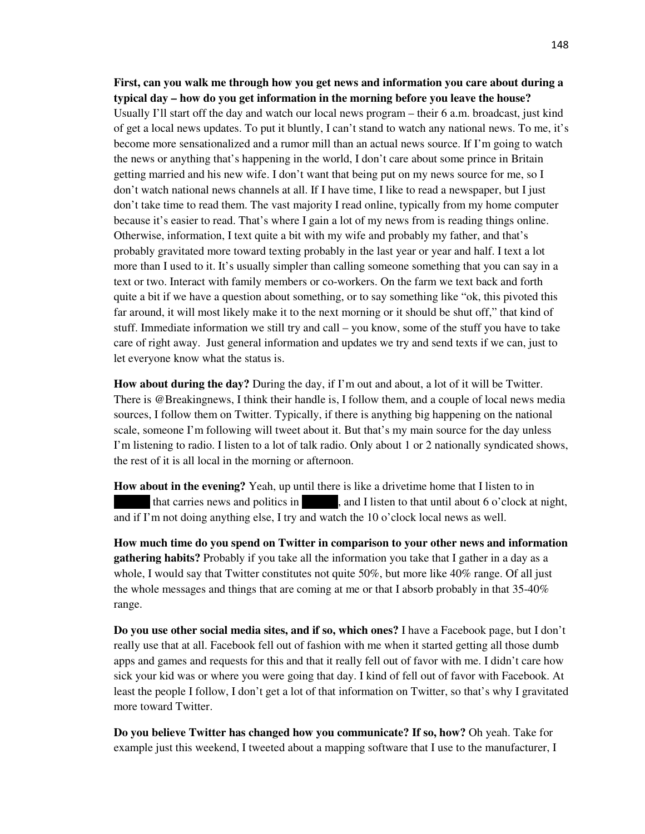**First, can you walk me through how you get news and information you care about during a typical day – how do you get information in the morning before you leave the house?** Usually I'll start off the day and watch our local news program – their 6 a.m. broadcast, just kind of get a local news updates. To put it bluntly, I can't stand to watch any national news. To me, it's become more sensationalized and a rumor mill than an actual news source. If I'm going to watch the news or anything that's happening in the world, I don't care about some prince in Britain getting married and his new wife. I don't want that being put on my news source for me, so I don't watch national news channels at all. If I have time, I like to read a newspaper, but I just don't take time to read them. The vast majority I read online, typically from my home computer because it's easier to read. That's where I gain a lot of my news from is reading things online. Otherwise, information, I text quite a bit with my wife and probably my father, and that's probably gravitated more toward texting probably in the last year or year and half. I text a lot more than I used to it. It's usually simpler than calling someone something that you can say in a text or two. Interact with family members or co-workers. On the farm we text back and forth quite a bit if we have a question about something, or to say something like "ok, this pivoted this far around, it will most likely make it to the next morning or it should be shut off," that kind of stuff. Immediate information we still try and call – you know, some of the stuff you have to take care of right away. Just general information and updates we try and send texts if we can, just to let everyone know what the status is.

**How about during the day?** During the day, if I'm out and about, a lot of it will be Twitter. There is @Breakingnews, I think their handle is, I follow them, and a couple of local news media sources, I follow them on Twitter. Typically, if there is anything big happening on the national scale, someone I'm following will tweet about it. But that's my main source for the day unless I'm listening to radio. I listen to a lot of talk radio. Only about 1 or 2 nationally syndicated shows, the rest of it is all local in the morning or afternoon.

**How about in the evening?** Yeah, up until there is like a drivetime home that I listen to in that carries news and politics in **Lincoln is and I listen to that until about 6 o'clock at night,** and if I'm not doing anything else, I try and watch the 10 o'clock local news as well.

**How much time do you spend on Twitter in comparison to your other news and information gathering habits?** Probably if you take all the information you take that I gather in a day as a whole, I would say that Twitter constitutes not quite 50%, but more like 40% range. Of all just the whole messages and things that are coming at me or that I absorb probably in that 35-40% range.

**Do you use other social media sites, and if so, which ones?** I have a Facebook page, but I don't really use that at all. Facebook fell out of fashion with me when it started getting all those dumb apps and games and requests for this and that it really fell out of favor with me. I didn't care how sick your kid was or where you were going that day. I kind of fell out of favor with Facebook. At least the people I follow, I don't get a lot of that information on Twitter, so that's why I gravitated more toward Twitter.

**Do you believe Twitter has changed how you communicate? If so, how?** Oh yeah. Take for example just this weekend, I tweeted about a mapping software that I use to the manufacturer, I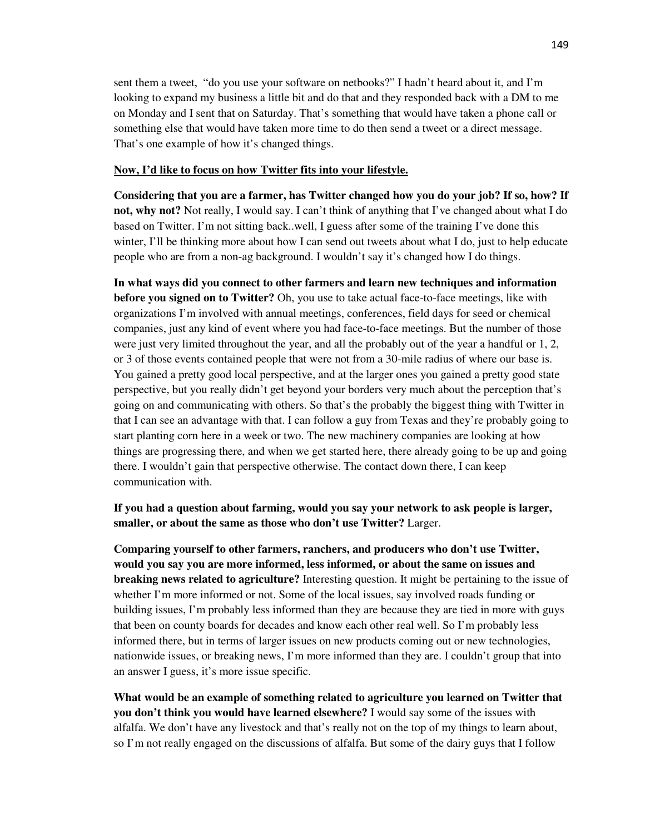sent them a tweet, "do you use your software on netbooks?" I hadn't heard about it, and I'm looking to expand my business a little bit and do that and they responded back with a DM to me on Monday and I sent that on Saturday. That's something that would have taken a phone call or something else that would have taken more time to do then send a tweet or a direct message. That's one example of how it's changed things.

#### **Now, I'd like to focus on how Twitter fits into your lifestyle.**

**Considering that you are a farmer, has Twitter changed how you do your job? If so, how? If not, why not?** Not really, I would say. I can't think of anything that I've changed about what I do based on Twitter. I'm not sitting back..well, I guess after some of the training I've done this winter, I'll be thinking more about how I can send out tweets about what I do, just to help educate people who are from a non-ag background. I wouldn't say it's changed how I do things.

**In what ways did you connect to other farmers and learn new techniques and information before you signed on to Twitter?** Oh, you use to take actual face-to-face meetings, like with organizations I'm involved with annual meetings, conferences, field days for seed or chemical companies, just any kind of event where you had face-to-face meetings. But the number of those were just very limited throughout the year, and all the probably out of the year a handful or 1, 2, or 3 of those events contained people that were not from a 30-mile radius of where our base is. You gained a pretty good local perspective, and at the larger ones you gained a pretty good state perspective, but you really didn't get beyond your borders very much about the perception that's going on and communicating with others. So that's the probably the biggest thing with Twitter in that I can see an advantage with that. I can follow a guy from Texas and they're probably going to start planting corn here in a week or two. The new machinery companies are looking at how things are progressing there, and when we get started here, there already going to be up and going there. I wouldn't gain that perspective otherwise. The contact down there, I can keep communication with.

**If you had a question about farming, would you say your network to ask people is larger, smaller, or about the same as those who don't use Twitter?** Larger.

**Comparing yourself to other farmers, ranchers, and producers who don't use Twitter, would you say you are more informed, less informed, or about the same on issues and breaking news related to agriculture?** Interesting question. It might be pertaining to the issue of whether I'm more informed or not. Some of the local issues, say involved roads funding or building issues, I'm probably less informed than they are because they are tied in more with guys that been on county boards for decades and know each other real well. So I'm probably less informed there, but in terms of larger issues on new products coming out or new technologies, nationwide issues, or breaking news, I'm more informed than they are. I couldn't group that into an answer I guess, it's more issue specific.

**What would be an example of something related to agriculture you learned on Twitter that you don't think you would have learned elsewhere?** I would say some of the issues with alfalfa. We don't have any livestock and that's really not on the top of my things to learn about, so I'm not really engaged on the discussions of alfalfa. But some of the dairy guys that I follow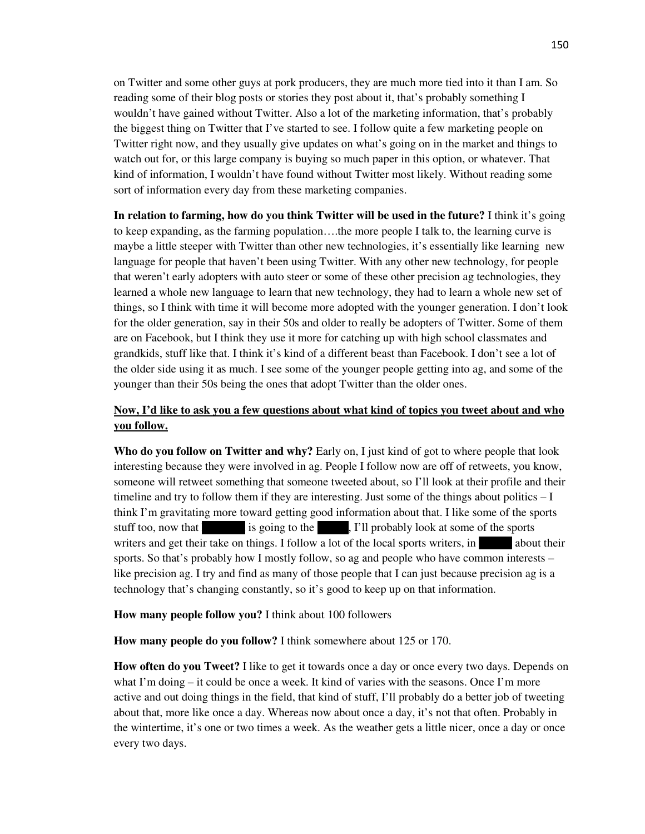on Twitter and some other guys at pork producers, they are much more tied into it than I am. So reading some of their blog posts or stories they post about it, that's probably something I wouldn't have gained without Twitter. Also a lot of the marketing information, that's probably the biggest thing on Twitter that I've started to see. I follow quite a few marketing people on Twitter right now, and they usually give updates on what's going on in the market and things to watch out for, or this large company is buying so much paper in this option, or whatever. That kind of information, I wouldn't have found without Twitter most likely. Without reading some sort of information every day from these marketing companies.

**In relation to farming, how do you think Twitter will be used in the future?** I think it's going to keep expanding, as the farming population….the more people I talk to, the learning curve is maybe a little steeper with Twitter than other new technologies, it's essentially like learning new language for people that haven't been using Twitter. With any other new technology, for people that weren't early adopters with auto steer or some of these other precision ag technologies, they learned a whole new language to learn that new technology, they had to learn a whole new set of things, so I think with time it will become more adopted with the younger generation. I don't look for the older generation, say in their 50s and older to really be adopters of Twitter. Some of them are on Facebook, but I think they use it more for catching up with high school classmates and grandkids, stuff like that. I think it's kind of a different beast than Facebook. I don't see a lot of the older side using it as much. I see some of the younger people getting into ag, and some of the younger than their 50s being the ones that adopt Twitter than the older ones.

## **Now, I'd like to ask you a few questions about what kind of topics you tweet about and who you follow.**

**Who do you follow on Twitter and why?** Early on, I just kind of got to where people that look interesting because they were involved in ag. People I follow now are off of retweets, you know, someone will retweet something that someone tweeted about, so I'll look at their profile and their timeline and try to follow them if they are interesting. Just some of the things about politics – I think I'm gravitating more toward getting good information about that. I like some of the sports stuff too, now that is going to the sports is going to the Big 10, I'll probably look at some of the sports writers and get their take on things. I follow a lot of the local sports writers, in about their sports. So that's probably how I mostly follow, so ag and people who have common interests – like precision ag. I try and find as many of those people that I can just because precision ag is a technology that's changing constantly, so it's good to keep up on that information.

**How many people follow you?** I think about 100 followers

**How many people do you follow?** I think somewhere about 125 or 170.

**How often do you Tweet?** I like to get it towards once a day or once every two days. Depends on what I'm doing – it could be once a week. It kind of varies with the seasons. Once I'm more active and out doing things in the field, that kind of stuff, I'll probably do a better job of tweeting about that, more like once a day. Whereas now about once a day, it's not that often. Probably in the wintertime, it's one or two times a week. As the weather gets a little nicer, once a day or once every two days.